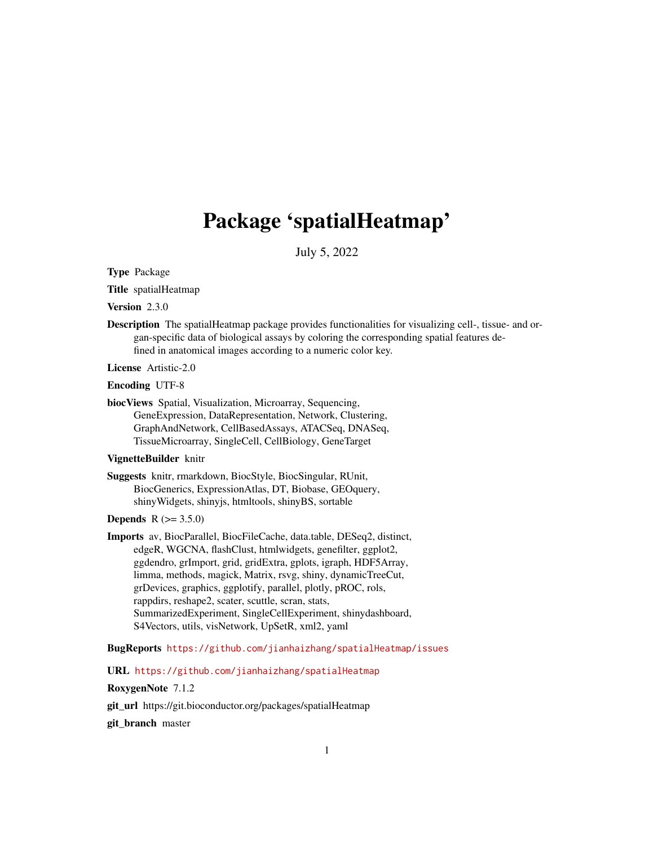# Package 'spatialHeatmap'

July 5, 2022

<span id="page-0-0"></span>Type Package

Title spatialHeatmap

Version 2.3.0

Description The spatialHeatmap package provides functionalities for visualizing cell-, tissue- and organ-specific data of biological assays by coloring the corresponding spatial features defined in anatomical images according to a numeric color key.

License Artistic-2.0

Encoding UTF-8

biocViews Spatial, Visualization, Microarray, Sequencing, GeneExpression, DataRepresentation, Network, Clustering, GraphAndNetwork, CellBasedAssays, ATACSeq, DNASeq, TissueMicroarray, SingleCell, CellBiology, GeneTarget

# VignetteBuilder knitr

Suggests knitr, rmarkdown, BiocStyle, BiocSingular, RUnit, BiocGenerics, ExpressionAtlas, DT, Biobase, GEOquery, shinyWidgets, shinyjs, htmltools, shinyBS, sortable

### **Depends**  $R (= 3.5.0)$

Imports av, BiocParallel, BiocFileCache, data.table, DESeq2, distinct, edgeR, WGCNA, flashClust, htmlwidgets, genefilter, ggplot2, ggdendro, grImport, grid, gridExtra, gplots, igraph, HDF5Array, limma, methods, magick, Matrix, rsvg, shiny, dynamicTreeCut, grDevices, graphics, ggplotify, parallel, plotly, pROC, rols, rappdirs, reshape2, scater, scuttle, scran, stats, SummarizedExperiment, SingleCellExperiment, shinydashboard, S4Vectors, utils, visNetwork, UpSetR, xml2, yaml

BugReports <https://github.com/jianhaizhang/spatialHeatmap/issues>

URL <https://github.com/jianhaizhang/spatialHeatmap>

RoxygenNote 7.1.2

git\_url https://git.bioconductor.org/packages/spatialHeatmap

git\_branch master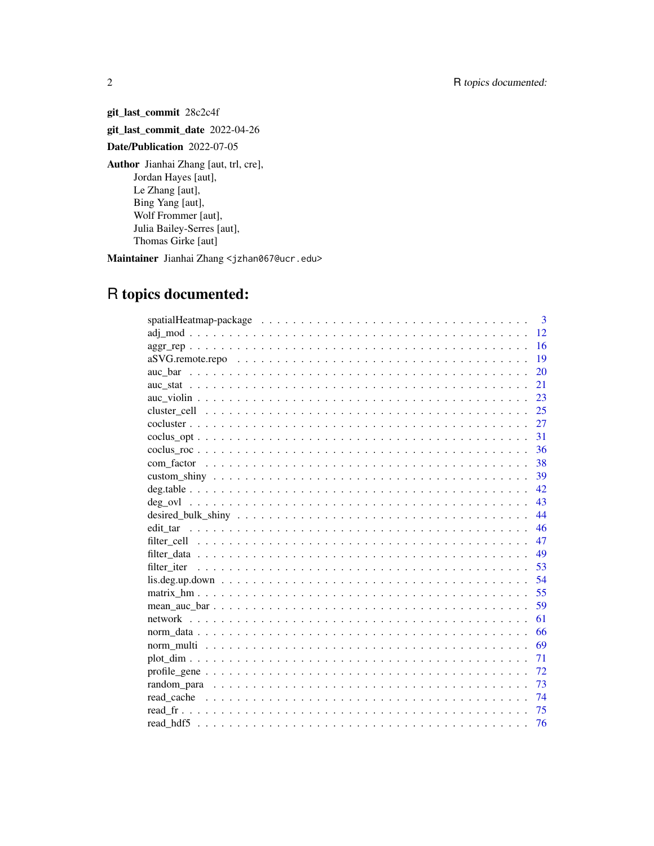git\_last\_commit 28c2c4f git\_last\_commit\_date 2022-04-26 Date/Publication 2022-07-05 Author Jianhai Zhang [aut, trl, cre], Jordan Hayes [aut], Le Zhang [aut], Bing Yang [aut], Wolf Frommer [aut], Julia Bailey-Serres [aut], Thomas Girke [aut]

Maintainer Jianhai Zhang <jzhan067@ucr.edu>

# R topics documented:

|     | $\mathbf{3}$ |
|-----|--------------|
|     | 12           |
|     | 16           |
|     | 19           |
|     | 20           |
| 21  |              |
|     | 23           |
|     | 25           |
| 27  |              |
| 31  |              |
|     | 36           |
| 38  |              |
| -39 |              |
| 42  |              |
| 43  |              |
| 44  |              |
|     | 46           |
| 47  |              |
| 49  |              |
| 53  |              |
|     | 54           |
| 55  |              |
|     | 59           |
| 61  |              |
|     | 66           |
| 69  |              |
| 71  |              |
|     | 72           |
| 73  |              |
| 74  |              |
|     | 75           |
| 76  |              |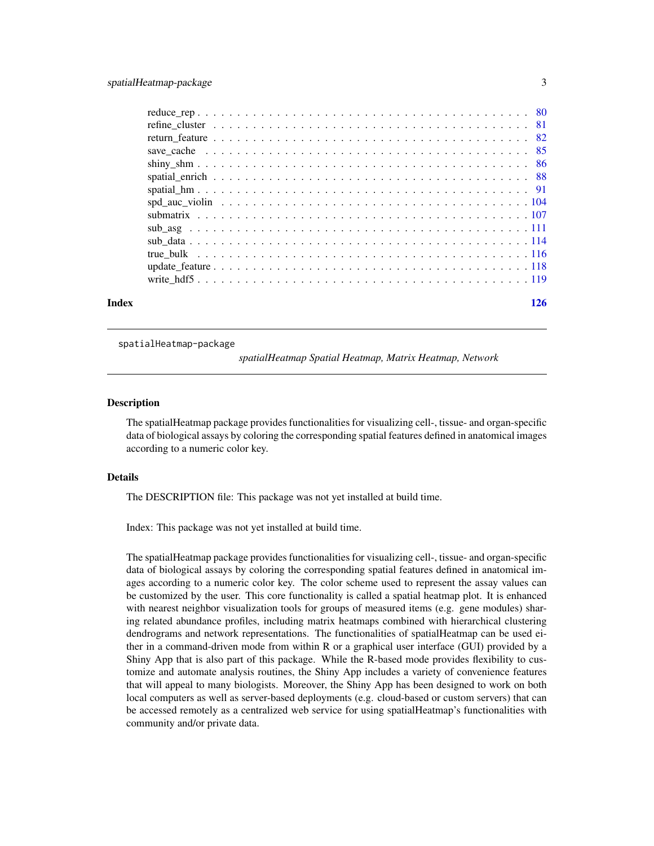<span id="page-2-0"></span>

| Index |  |  |  |  |  |  |  |  |  |  |  |  |  |  |  |  |  | 126 |
|-------|--|--|--|--|--|--|--|--|--|--|--|--|--|--|--|--|--|-----|

spatialHeatmap-package

*spatialHeatmap Spatial Heatmap, Matrix Heatmap, Network*

#### **Description**

The spatialHeatmap package provides functionalities for visualizing cell-, tissue- and organ-specific data of biological assays by coloring the corresponding spatial features defined in anatomical images according to a numeric color key.

# Details

The DESCRIPTION file: This package was not yet installed at build time.

Index: This package was not yet installed at build time.

The spatialHeatmap package provides functionalities for visualizing cell-, tissue- and organ-specific data of biological assays by coloring the corresponding spatial features defined in anatomical images according to a numeric color key. The color scheme used to represent the assay values can be customized by the user. This core functionality is called a spatial heatmap plot. It is enhanced with nearest neighbor visualization tools for groups of measured items (e.g. gene modules) sharing related abundance profiles, including matrix heatmaps combined with hierarchical clustering dendrograms and network representations. The functionalities of spatialHeatmap can be used either in a command-driven mode from within R or a graphical user interface (GUI) provided by a Shiny App that is also part of this package. While the R-based mode provides flexibility to customize and automate analysis routines, the Shiny App includes a variety of convenience features that will appeal to many biologists. Moreover, the Shiny App has been designed to work on both local computers as well as server-based deployments (e.g. cloud-based or custom servers) that can be accessed remotely as a centralized web service for using spatialHeatmap's functionalities with community and/or private data.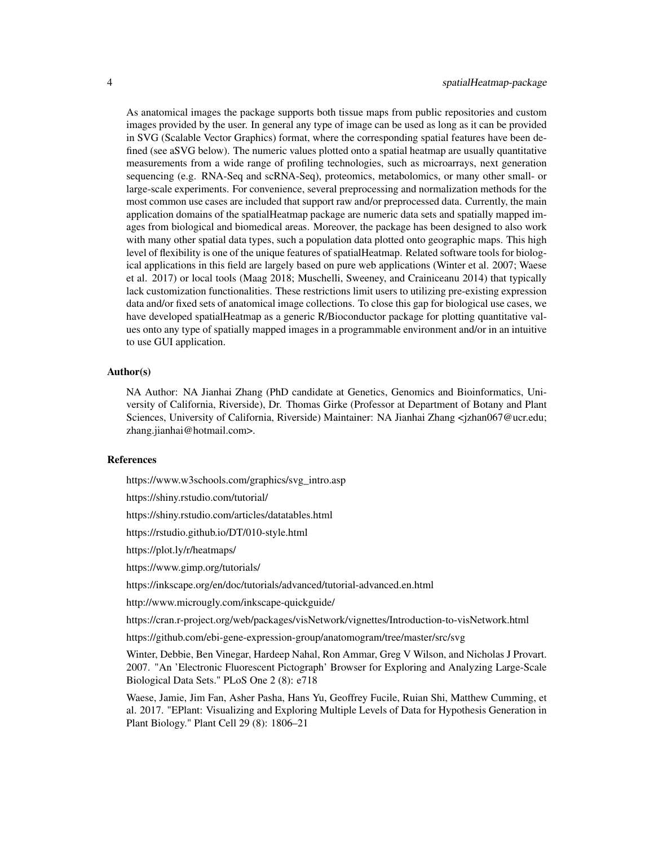As anatomical images the package supports both tissue maps from public repositories and custom images provided by the user. In general any type of image can be used as long as it can be provided in SVG (Scalable Vector Graphics) format, where the corresponding spatial features have been defined (see aSVG below). The numeric values plotted onto a spatial heatmap are usually quantitative measurements from a wide range of profiling technologies, such as microarrays, next generation sequencing (e.g. RNA-Seq and scRNA-Seq), proteomics, metabolomics, or many other small- or large-scale experiments. For convenience, several preprocessing and normalization methods for the most common use cases are included that support raw and/or preprocessed data. Currently, the main application domains of the spatialHeatmap package are numeric data sets and spatially mapped images from biological and biomedical areas. Moreover, the package has been designed to also work with many other spatial data types, such a population data plotted onto geographic maps. This high level of flexibility is one of the unique features of spatialHeatmap. Related software tools for biological applications in this field are largely based on pure web applications (Winter et al. 2007; Waese et al. 2017) or local tools (Maag 2018; Muschelli, Sweeney, and Crainiceanu 2014) that typically lack customization functionalities. These restrictions limit users to utilizing pre-existing expression data and/or fixed sets of anatomical image collections. To close this gap for biological use cases, we have developed spatialHeatmap as a generic R/Bioconductor package for plotting quantitative values onto any type of spatially mapped images in a programmable environment and/or in an intuitive to use GUI application.

### Author(s)

NA Author: NA Jianhai Zhang (PhD candidate at Genetics, Genomics and Bioinformatics, University of California, Riverside), Dr. Thomas Girke (Professor at Department of Botany and Plant Sciences, University of California, Riverside) Maintainer: NA Jianhai Zhang <jzhan067@ucr.edu; zhang.jianhai@hotmail.com>.

#### References

https://www.w3schools.com/graphics/svg\_intro.asp

https://shiny.rstudio.com/tutorial/

https://shiny.rstudio.com/articles/datatables.html

https://rstudio.github.io/DT/010-style.html

https://plot.ly/r/heatmaps/

https://www.gimp.org/tutorials/

https://inkscape.org/en/doc/tutorials/advanced/tutorial-advanced.en.html

http://www.microugly.com/inkscape-quickguide/

https://cran.r-project.org/web/packages/visNetwork/vignettes/Introduction-to-visNetwork.html

https://github.com/ebi-gene-expression-group/anatomogram/tree/master/src/svg

Winter, Debbie, Ben Vinegar, Hardeep Nahal, Ron Ammar, Greg V Wilson, and Nicholas J Provart. 2007. "An 'Electronic Fluorescent Pictograph' Browser for Exploring and Analyzing Large-Scale Biological Data Sets." PLoS One 2 (8): e718

Waese, Jamie, Jim Fan, Asher Pasha, Hans Yu, Geoffrey Fucile, Ruian Shi, Matthew Cumming, et al. 2017. "EPlant: Visualizing and Exploring Multiple Levels of Data for Hypothesis Generation in Plant Biology." Plant Cell 29 (8): 1806–21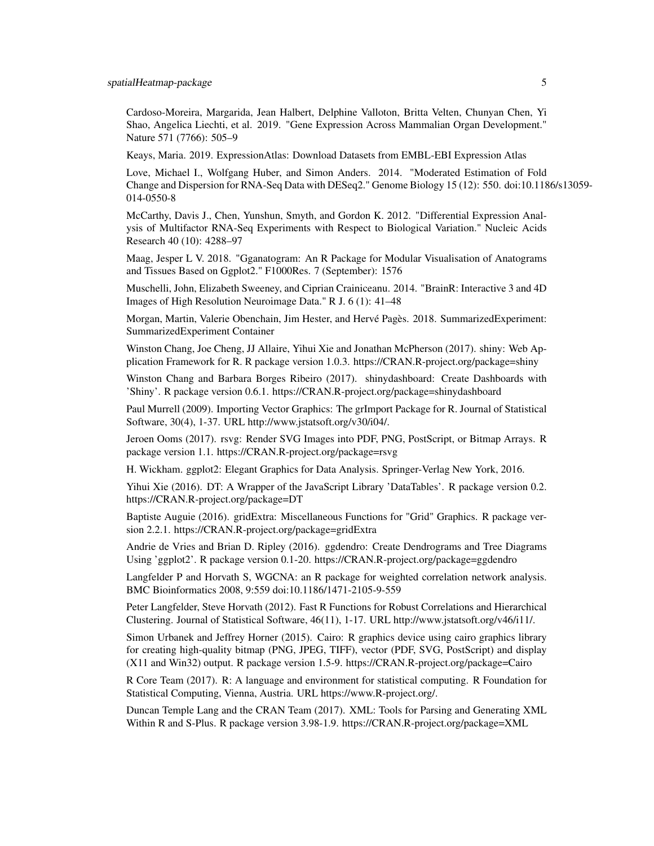Cardoso-Moreira, Margarida, Jean Halbert, Delphine Valloton, Britta Velten, Chunyan Chen, Yi Shao, Angelica Liechti, et al. 2019. "Gene Expression Across Mammalian Organ Development." Nature 571 (7766): 505–9

Keays, Maria. 2019. ExpressionAtlas: Download Datasets from EMBL-EBI Expression Atlas

Love, Michael I., Wolfgang Huber, and Simon Anders. 2014. "Moderated Estimation of Fold Change and Dispersion for RNA-Seq Data with DESeq2." Genome Biology 15 (12): 550. doi:10.1186/s13059- 014-0550-8

McCarthy, Davis J., Chen, Yunshun, Smyth, and Gordon K. 2012. "Differential Expression Analysis of Multifactor RNA-Seq Experiments with Respect to Biological Variation." Nucleic Acids Research 40 (10): 4288–97

Maag, Jesper L V. 2018. "Gganatogram: An R Package for Modular Visualisation of Anatograms and Tissues Based on Ggplot2." F1000Res. 7 (September): 1576

Muschelli, John, Elizabeth Sweeney, and Ciprian Crainiceanu. 2014. "BrainR: Interactive 3 and 4D Images of High Resolution Neuroimage Data." R J. 6 (1): 41–48

Morgan, Martin, Valerie Obenchain, Jim Hester, and Hervé Pagès. 2018. SummarizedExperiment: SummarizedExperiment Container

Winston Chang, Joe Cheng, JJ Allaire, Yihui Xie and Jonathan McPherson (2017). shiny: Web Application Framework for R. R package version 1.0.3. https://CRAN.R-project.org/package=shiny

Winston Chang and Barbara Borges Ribeiro (2017). shinydashboard: Create Dashboards with 'Shiny'. R package version 0.6.1. https://CRAN.R-project.org/package=shinydashboard

Paul Murrell (2009). Importing Vector Graphics: The grImport Package for R. Journal of Statistical Software, 30(4), 1-37. URL http://www.jstatsoft.org/v30/i04/.

Jeroen Ooms (2017). rsvg: Render SVG Images into PDF, PNG, PostScript, or Bitmap Arrays. R package version 1.1. https://CRAN.R-project.org/package=rsvg

H. Wickham. ggplot2: Elegant Graphics for Data Analysis. Springer-Verlag New York, 2016.

Yihui Xie (2016). DT: A Wrapper of the JavaScript Library 'DataTables'. R package version 0.2. https://CRAN.R-project.org/package=DT

Baptiste Auguie (2016). gridExtra: Miscellaneous Functions for "Grid" Graphics. R package version 2.2.1. https://CRAN.R-project.org/package=gridExtra

Andrie de Vries and Brian D. Ripley (2016). ggdendro: Create Dendrograms and Tree Diagrams Using 'ggplot2'. R package version 0.1-20. https://CRAN.R-project.org/package=ggdendro

Langfelder P and Horvath S, WGCNA: an R package for weighted correlation network analysis. BMC Bioinformatics 2008, 9:559 doi:10.1186/1471-2105-9-559

Peter Langfelder, Steve Horvath (2012). Fast R Functions for Robust Correlations and Hierarchical Clustering. Journal of Statistical Software, 46(11), 1-17. URL http://www.jstatsoft.org/v46/i11/.

Simon Urbanek and Jeffrey Horner (2015). Cairo: R graphics device using cairo graphics library for creating high-quality bitmap (PNG, JPEG, TIFF), vector (PDF, SVG, PostScript) and display (X11 and Win32) output. R package version 1.5-9. https://CRAN.R-project.org/package=Cairo

R Core Team (2017). R: A language and environment for statistical computing. R Foundation for Statistical Computing, Vienna, Austria. URL https://www.R-project.org/.

Duncan Temple Lang and the CRAN Team (2017). XML: Tools for Parsing and Generating XML Within R and S-Plus. R package version 3.98-1.9. https://CRAN.R-project.org/package=XML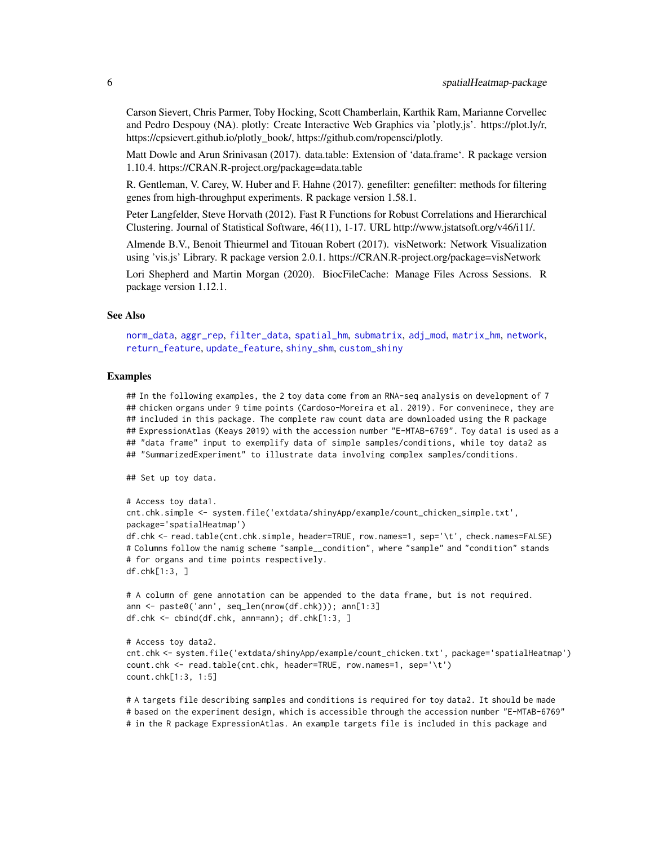Carson Sievert, Chris Parmer, Toby Hocking, Scott Chamberlain, Karthik Ram, Marianne Corvellec and Pedro Despouy (NA). plotly: Create Interactive Web Graphics via 'plotly.js'. https://plot.ly/r, https://cpsievert.github.io/plotly\_book/, https://github.com/ropensci/plotly.

Matt Dowle and Arun Srinivasan (2017). data.table: Extension of 'data.frame'. R package version 1.10.4. https://CRAN.R-project.org/package=data.table

R. Gentleman, V. Carey, W. Huber and F. Hahne (2017). genefilter: genefilter: methods for filtering genes from high-throughput experiments. R package version 1.58.1.

Peter Langfelder, Steve Horvath (2012). Fast R Functions for Robust Correlations and Hierarchical Clustering. Journal of Statistical Software, 46(11), 1-17. URL http://www.jstatsoft.org/v46/i11/.

Almende B.V., Benoit Thieurmel and Titouan Robert (2017). visNetwork: Network Visualization using 'vis.js' Library. R package version 2.0.1. https://CRAN.R-project.org/package=visNetwork

Lori Shepherd and Martin Morgan (2020). BiocFileCache: Manage Files Across Sessions. R package version 1.12.1.

#### See Also

[norm\\_data](#page-65-1), [aggr\\_rep](#page-15-1), [filter\\_data](#page-48-1), [spatial\\_hm](#page-90-1), [submatrix](#page-106-1), [adj\\_mod](#page-11-1), [matrix\\_hm](#page-54-1), [network](#page-60-1), [return\\_feature](#page-81-1), [update\\_feature](#page-117-1), [shiny\\_shm](#page-85-1), [custom\\_shiny](#page-38-1)

#### Examples

## In the following examples, the 2 toy data come from an RNA-seq analysis on development of 7 ## chicken organs under 9 time points (Cardoso-Moreira et al. 2019). For conveninece, they are ## included in this package. The complete raw count data are downloaded using the R package ## ExpressionAtlas (Keays 2019) with the accession number "E-MTAB-6769". Toy data1 is used as a ## "data frame" input to exemplify data of simple samples/conditions, while toy data2 as ## "SummarizedExperiment" to illustrate data involving complex samples/conditions.

## Set up toy data.

```
# Access toy data1.
cnt.chk.simple <- system.file('extdata/shinyApp/example/count_chicken_simple.txt',
package='spatialHeatmap')
df.chk <- read.table(cnt.chk.simple, header=TRUE, row.names=1, sep='\t', check.names=FALSE)
# Columns follow the namig scheme "sample__condition", where "sample" and "condition" stands
# for organs and time points respectively.
df.chk[1:3, ]
```

```
# A column of gene annotation can be appended to the data frame, but is not required.
ann <- paste0('ann', seq_len(nrow(df.chk))); ann[1:3]
df.chk <- cbind(df.chk, ann=ann); df.chk[1:3, ]
```
# Access toy data2.

```
cnt.chk <- system.file('extdata/shinyApp/example/count_chicken.txt', package='spatialHeatmap')
count.chk <- read.table(cnt.chk, header=TRUE, row.names=1, sep='\t')
count.chk[1:3, 1:5]
```
# A targets file describing samples and conditions is required for toy data2. It should be made # based on the experiment design, which is accessible through the accession number "E-MTAB-6769" # in the R package ExpressionAtlas. An example targets file is included in this package and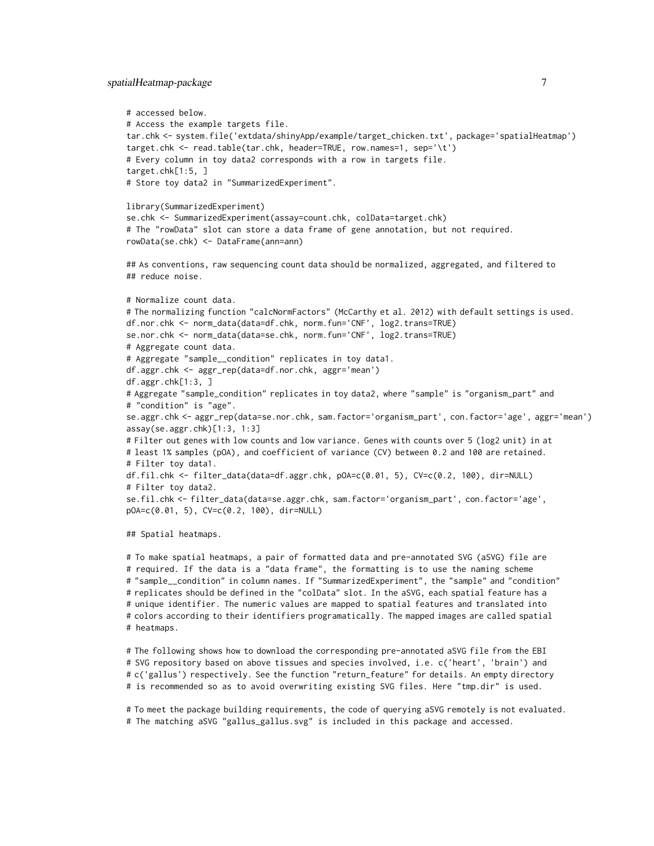### spatialHeatmap-package 7

```
# accessed below.
# Access the example targets file.
tar.chk <- system.file('extdata/shinyApp/example/target_chicken.txt', package='spatialHeatmap')
target.chk <- read.table(tar.chk, header=TRUE, row.names=1, sep='\t')
# Every column in toy data2 corresponds with a row in targets file.
target.chk[1:5, ]
# Store toy data2 in "SummarizedExperiment".
library(SummarizedExperiment)
se.chk <- SummarizedExperiment(assay=count.chk, colData=target.chk)
# The "rowData" slot can store a data frame of gene annotation, but not required.
rowData(se.chk) <- DataFrame(ann=ann)
## As conventions, raw sequencing count data should be normalized, aggregated, and filtered to
## reduce noise.
# Normalize count data.
# The normalizing function "calcNormFactors" (McCarthy et al. 2012) with default settings is used.
df.nor.chk <- norm_data(data=df.chk, norm.fun='CNF', log2.trans=TRUE)
se.nor.chk <- norm_data(data=se.chk, norm.fun='CNF', log2.trans=TRUE)
# Aggregate count data.
# Aggregate "sample__condition" replicates in toy data1.
df.aggr.chk <- aggr_rep(data=df.nor.chk, aggr='mean')
df.aggr.chk[1:3, ]
# Aggregate "sample_condition" replicates in toy data2, where "sample" is "organism_part" and
# "condition" is "age".
se.aggr.chk <- aggr_rep(data=se.nor.chk, sam.factor='organism_part', con.factor='age', aggr='mean')
assay(se.aggr.chk)[1:3, 1:3]
# Filter out genes with low counts and low variance. Genes with counts over 5 (log2 unit) in at
# least 1% samples (pOA), and coefficient of variance (CV) between 0.2 and 100 are retained.
# Filter toy data1.
df.fil.chk <- filter_data(data=df.aggr.chk, pOA=c(0.01, 5), CV=c(0.2, 100), dir=NULL)
# Filter toy data2.
se.fil.chk <- filter_data(data=se.aggr.chk, sam.factor='organism_part', con.factor='age',
pOA=c(0.01, 5), CV=c(0.2, 100), dir=NULL)
## Spatial heatmaps.
```
# To make spatial heatmaps, a pair of formatted data and pre-annotated SVG (aSVG) file are # required. If the data is a "data frame", the formatting is to use the naming scheme # "sample\_\_condition" in column names. If "SummarizedExperiment", the "sample" and "condition" # replicates should be defined in the "colData" slot. In the aSVG, each spatial feature has a # unique identifier. The numeric values are mapped to spatial features and translated into # colors according to their identifiers programatically. The mapped images are called spatial # heatmaps.

# The following shows how to download the corresponding pre-annotated aSVG file from the EBI # SVG repository based on above tissues and species involved, i.e. c('heart', 'brain') and # c('gallus') respectively. See the function "return\_feature" for details. An empty directory # is recommended so as to avoid overwriting existing SVG files. Here "tmp.dir" is used.

# To meet the package building requirements, the code of querying aSVG remotely is not evaluated. # The matching aSVG "gallus\_gallus.svg" is included in this package and accessed.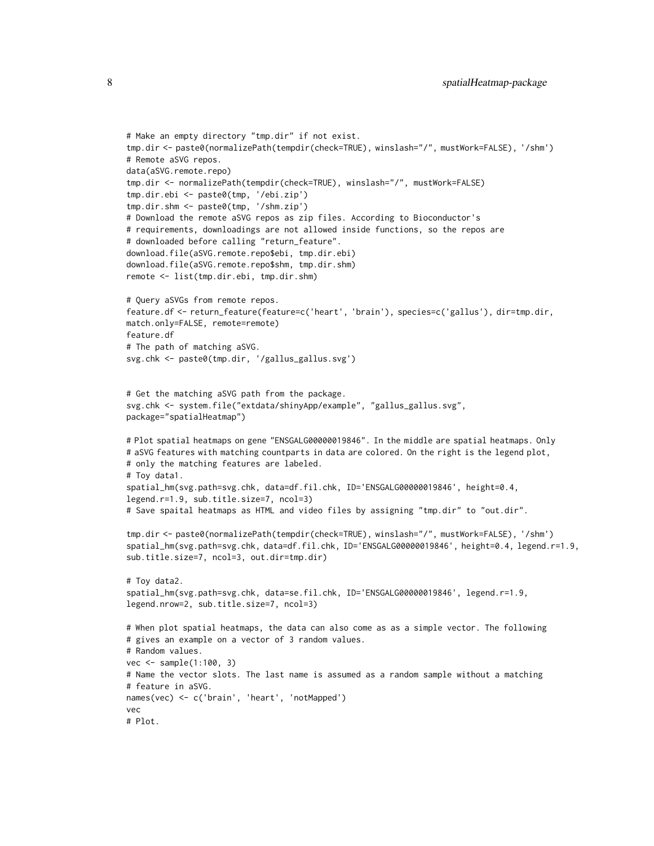```
# Make an empty directory "tmp.dir" if not exist.
tmp.dir <- paste0(normalizePath(tempdir(check=TRUE), winslash="/", mustWork=FALSE), '/shm')
# Remote aSVG repos.
data(aSVG.remote.repo)
tmp.dir <- normalizePath(tempdir(check=TRUE), winslash="/", mustWork=FALSE)
tmp.dir.ebi <- paste0(tmp, '/ebi.zip')
tmp.dir.shm <- paste0(tmp, '/shm.zip')
# Download the remote aSVG repos as zip files. According to Bioconductor's
# requirements, downloadings are not allowed inside functions, so the repos are
# downloaded before calling "return_feature".
download.file(aSVG.remote.repo$ebi, tmp.dir.ebi)
download.file(aSVG.remote.repo$shm, tmp.dir.shm)
remote <- list(tmp.dir.ebi, tmp.dir.shm)
# Query aSVGs from remote repos.
feature.df <- return_feature(feature=c('heart', 'brain'), species=c('gallus'), dir=tmp.dir,
match.only=FALSE, remote=remote)
feature.df
# The path of matching aSVG.
svg.chk <- paste0(tmp.dir, '/gallus_gallus.svg')
# Get the matching aSVG path from the package.
svg.chk <- system.file("extdata/shinyApp/example", "gallus_gallus.svg",
package="spatialHeatmap")
# Plot spatial heatmaps on gene "ENSGALG00000019846". In the middle are spatial heatmaps. Only
# aSVG features with matching countparts in data are colored. On the right is the legend plot,
# only the matching features are labeled.
# Toy data1.
spatial_hm(svg.path=svg.chk, data=df.fil.chk, ID='ENSGALG00000019846', height=0.4,
legend.r=1.9, sub.title.size=7, ncol=3)
# Save spaital heatmaps as HTML and video files by assigning "tmp.dir" to "out.dir".
tmp.dir <- paste0(normalizePath(tempdir(check=TRUE), winslash="/", mustWork=FALSE), '/shm')
spatial_hm(svg.path=svg.chk, data=df.fil.chk, ID='ENSGALG00000019846', height=0.4, legend.r=1.9,
sub.title.size=7, ncol=3, out.dir=tmp.dir)
# Toy data2.
spatial_hm(svg.path=svg.chk, data=se.fil.chk, ID='ENSGALG00000019846', legend.r=1.9,
legend.nrow=2, sub.title.size=7, ncol=3)
# When plot spatial heatmaps, the data can also come as as a simple vector. The following
# gives an example on a vector of 3 random values.
# Random values.
vec <- sample(1:100, 3)
# Name the vector slots. The last name is assumed as a random sample without a matching
# feature in aSVG.
names(vec) <- c('brain', 'heart', 'notMapped')
vec
# Plot.
```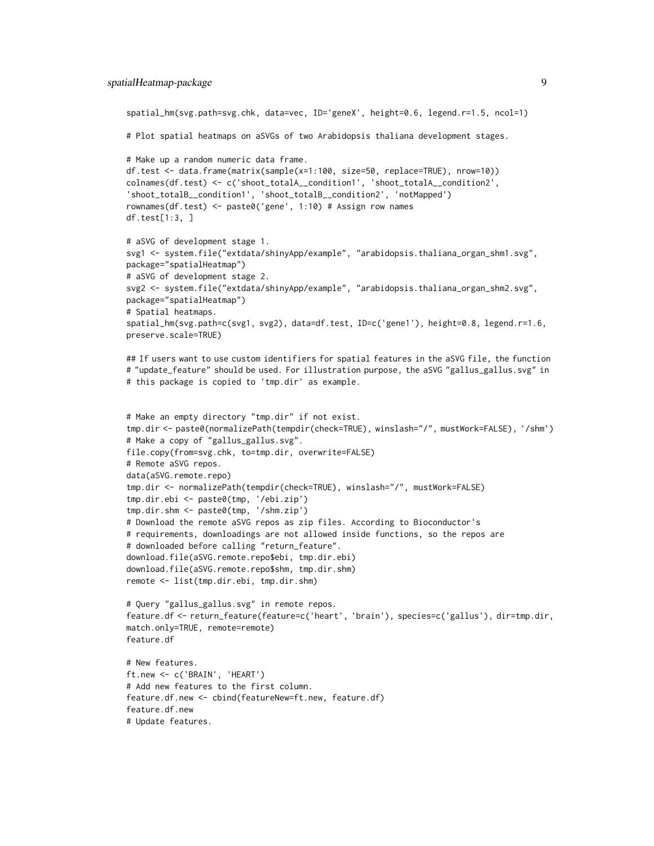```
spatial_hm(svg.path=svg.chk, data=vec, ID='geneX', height=0.6, legend.r=1.5, ncol=1)
# Plot spatial heatmaps on aSVGs of two Arabidopsis thaliana development stages.
# Make up a random numeric data frame.
df.test <- data.frame(matrix(sample(x=1:100, size=50, replace=TRUE), nrow=10))
colnames(df.test) <- c('shoot_totalA__condition1', 'shoot_totalA__condition2',
'shoot_totalB__condition1', 'shoot_totalB__condition2', 'notMapped')
rownames(df.test) <- paste0('gene', 1:10) # Assign row names
df.test[1:3, ]
# aSVG of development stage 1.
svg1 <- system.file("extdata/shinyApp/example", "arabidopsis.thaliana_organ_shm1.svg",
package="spatialHeatmap")
# aSVG of development stage 2.
svg2 <- system.file("extdata/shinyApp/example", "arabidopsis.thaliana_organ_shm2.svg",
package="spatialHeatmap")
# Spatial heatmaps.
spatial_hm(svg.path=c(svg1, svg2), data=df.test, ID=c('gene1'), height=0.8, legend.r=1.6,
preserve.scale=TRUE)
## If users want to use custom identifiers for spatial features in the aSVG file, the function
# "update_feature" should be used. For illustration purpose, the aSVG "gallus_gallus.svg" in
# this package is copied to 'tmp.dir' as example.
# Make an empty directory "tmp.dir" if not exist.
tmp.dir <- paste0(normalizePath(tempdir(check=TRUE), winslash="/", mustWork=FALSE), '/shm')
# Make a copy of "gallus_gallus.svg".
file.copy(from=svg.chk, to=tmp.dir, overwrite=FALSE)
# Remote aSVG repos.
data(aSVG.remote.repo)
tmp.dir <- normalizePath(tempdir(check=TRUE), winslash="/", mustWork=FALSE)
tmp.dir.ebi <- paste0(tmp, '/ebi.zip')
tmp.dir.shm <- paste0(tmp, '/shm.zip')
# Download the remote aSVG repos as zip files. According to Bioconductor's
# requirements, downloadings are not allowed inside functions, so the repos are
# downloaded before calling "return_feature".
download.file(aSVG.remote.repo$ebi, tmp.dir.ebi)
download.file(aSVG.remote.repo$shm, tmp.dir.shm)
remote <- list(tmp.dir.ebi, tmp.dir.shm)
# Query "gallus_gallus.svg" in remote repos.
feature.df <- return_feature(feature=c('heart', 'brain'), species=c('gallus'), dir=tmp.dir,
match.only=TRUE, remote=remote)
feature.df
# New features.
ft.new <- c('BRAIN', 'HEART')
# Add new features to the first column.
feature.df.new <- cbind(featureNew=ft.new, feature.df)
feature.df.new
# Update features.
```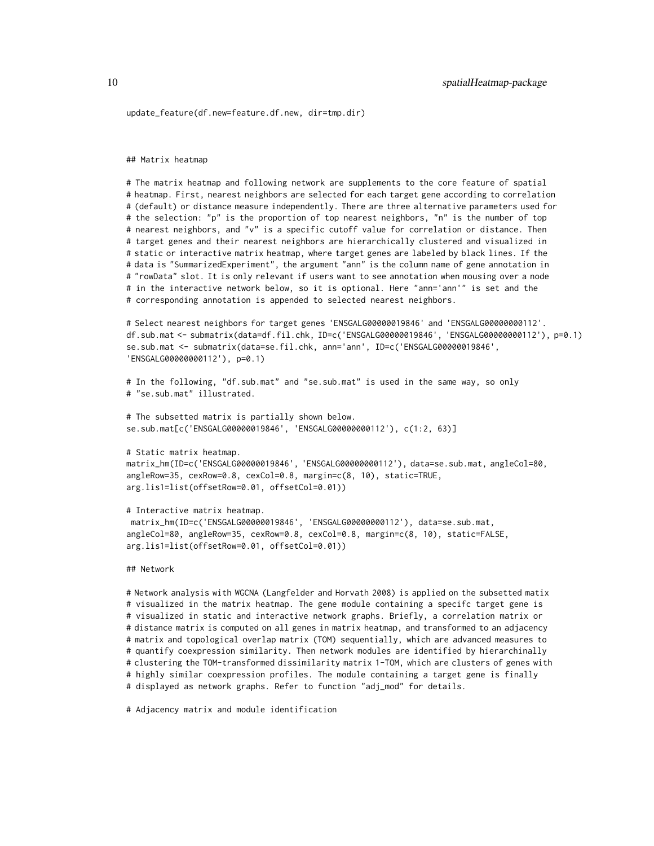update\_feature(df.new=feature.df.new, dir=tmp.dir)

#### ## Matrix heatmap

# The matrix heatmap and following network are supplements to the core feature of spatial # heatmap. First, nearest neighbors are selected for each target gene according to correlation # (default) or distance measure independently. There are three alternative parameters used for # the selection: "p" is the proportion of top nearest neighbors, "n" is the number of top # nearest neighbors, and "v" is a specific cutoff value for correlation or distance. Then # target genes and their nearest neighbors are hierarchically clustered and visualized in # static or interactive matrix heatmap, where target genes are labeled by black lines. If the # data is "SummarizedExperiment", the argument "ann" is the column name of gene annotation in # "rowData" slot. It is only relevant if users want to see annotation when mousing over a node # in the interactive network below, so it is optional. Here "ann='ann'" is set and the # corresponding annotation is appended to selected nearest neighbors.

# Select nearest neighbors for target genes 'ENSGALG00000019846' and 'ENSGALG00000000112'. df.sub.mat <- submatrix(data=df.fil.chk, ID=c('ENSGALG00000019846', 'ENSGALG00000000112'), p=0.1) se.sub.mat <- submatrix(data=se.fil.chk, ann='ann', ID=c('ENSGALG00000019846', 'ENSGALG00000000112'), p=0.1)

```
# In the following, "df.sub.mat" and "se.sub.mat" is used in the same way, so only
# "se.sub.mat" illustrated.
```

```
# The subsetted matrix is partially shown below.
se.sub.mat[c('ENSGALG00000019846', 'ENSGALG00000000112'), c(1:2, 63)]
```

```
# Static matrix heatmap.
```

```
matrix_hm(ID=c('ENSGALG00000019846', 'ENSGALG00000000112'), data=se.sub.mat, angleCol=80,
angleRow=35, cexRow=0.8, cexCol=0.8, margin=c(8, 10), static=TRUE,
arg.lis1=list(offsetRow=0.01, offsetCol=0.01))
```
#### # Interactive matrix heatmap.

matrix\_hm(ID=c('ENSGALG00000019846', 'ENSGALG00000000112'), data=se.sub.mat, angleCol=80, angleRow=35, cexRow=0.8, cexCol=0.8, margin=c(8, 10), static=FALSE, arg.lis1=list(offsetRow=0.01, offsetCol=0.01))

#### ## Network

# Network analysis with WGCNA (Langfelder and Horvath 2008) is applied on the subsetted matix # visualized in the matrix heatmap. The gene module containing a specifc target gene is # visualized in static and interactive network graphs. Briefly, a correlation matrix or # distance matrix is computed on all genes in matrix heatmap, and transformed to an adjacency # matrix and topological overlap matrix (TOM) sequentially, which are advanced measures to # quantify coexpression similarity. Then network modules are identified by hierarchinally # clustering the TOM-transformed dissimilarity matrix 1-TOM, which are clusters of genes with # highly similar coexpression profiles. The module containing a target gene is finally # displayed as network graphs. Refer to function "adj\_mod" for details.

# Adjacency matrix and module identification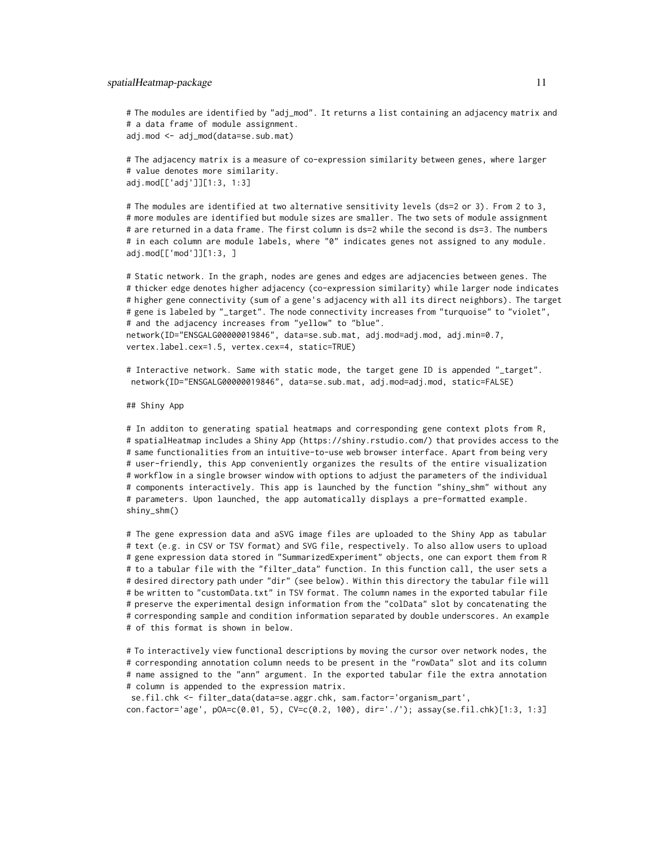# The modules are identified by "adj\_mod". It returns a list containing an adjacency matrix and # a data frame of module assignment. adj.mod <- adj\_mod(data=se.sub.mat)

# The adjacency matrix is a measure of co-expression similarity between genes, where larger # value denotes more similarity. adj.mod[['adj']][1:3, 1:3]

# The modules are identified at two alternative sensitivity levels (ds=2 or 3). From 2 to 3, # more modules are identified but module sizes are smaller. The two sets of module assignment # are returned in a data frame. The first column is ds=2 while the second is ds=3. The numbers # in each column are module labels, where "0" indicates genes not assigned to any module. adj.mod[['mod']][1:3, ]

# Static network. In the graph, nodes are genes and edges are adjacencies between genes. The # thicker edge denotes higher adjacency (co-expression similarity) while larger node indicates # higher gene connectivity (sum of a gene's adjacency with all its direct neighbors). The target # gene is labeled by "\_target". The node connectivity increases from "turquoise" to "violet", # and the adjacency increases from "yellow" to "blue". network(ID="ENSGALG00000019846", data=se.sub.mat, adj.mod=adj.mod, adj.min=0.7, vertex.label.cex=1.5, vertex.cex=4, static=TRUE)

# Interactive network. Same with static mode, the target gene ID is appended "\_target". network(ID="ENSGALG00000019846", data=se.sub.mat, adj.mod=adj.mod, static=FALSE)

#### ## Shiny App

# In additon to generating spatial heatmaps and corresponding gene context plots from R, # spatialHeatmap includes a Shiny App (https://shiny.rstudio.com/) that provides access to the # same functionalities from an intuitive-to-use web browser interface. Apart from being very # user-friendly, this App conveniently organizes the results of the entire visualization # workflow in a single browser window with options to adjust the parameters of the individual # components interactively. This app is launched by the function "shiny\_shm" without any # parameters. Upon launched, the app automatically displays a pre-formatted example. shiny\_shm()

# The gene expression data and aSVG image files are uploaded to the Shiny App as tabular # text (e.g. in CSV or TSV format) and SVG file, respectively. To also allow users to upload # gene expression data stored in "SummarizedExperiment" objects, one can export them from R # to a tabular file with the "filter\_data" function. In this function call, the user sets a # desired directory path under "dir" (see below). Within this directory the tabular file will # be written to "customData.txt" in TSV format. The column names in the exported tabular file # preserve the experimental design information from the "colData" slot by concatenating the # corresponding sample and condition information separated by double underscores. An example # of this format is shown in below.

# To interactively view functional descriptions by moving the cursor over network nodes, the # corresponding annotation column needs to be present in the "rowData" slot and its column # name assigned to the "ann" argument. In the exported tabular file the extra annotation # column is appended to the expression matrix.

se.fil.chk <- filter\_data(data=se.aggr.chk, sam.factor='organism\_part', con.factor='age', pOA=c(0.01, 5), CV=c(0.2, 100), dir='./'); assay(se.fil.chk)[1:3, 1:3]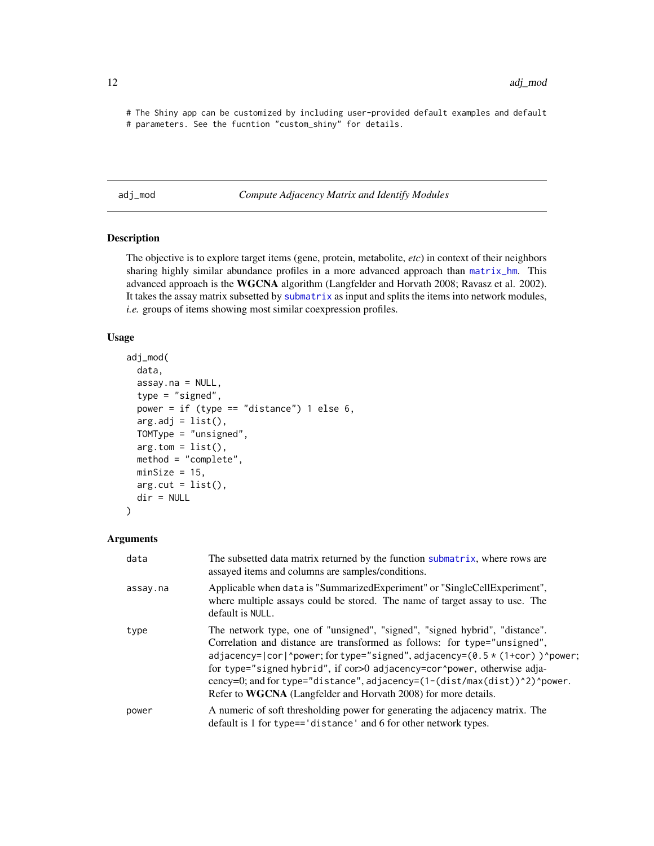<span id="page-11-0"></span># The Shiny app can be customized by including user-provided default examples and default # parameters. See the fucntion "custom\_shiny" for details.

<span id="page-11-1"></span>adj\_mod *Compute Adjacency Matrix and Identify Modules*

# Description

The objective is to explore target items (gene, protein, metabolite, *etc*) in context of their neighbors sharing highly similar abundance profiles in a more advanced approach than [matrix\\_hm](#page-54-1). This advanced approach is the WGCNA algorithm (Langfelder and Horvath 2008; Ravasz et al. 2002). It takes the assay matrix subsetted by [submatrix](#page-106-1) as input and splits the items into network modules, *i.e.* groups of items showing most similar coexpression profiles.

# Usage

```
adj_mod(
 data,
 assay.na = NULL,type = "signed",
 power = if (type == "distance") 1 else 6,
 arg.add = list(),
 TOMType = "unsigned",
 arg.tom = list(),method = "complete",
 minSize = 15,
 arg.cut = list(),dir = NULL)
```
#### Arguments

| data     | The subsetted data matrix returned by the function submatrix, where rows are<br>assayed items and columns are samples/conditions.                                                                                                                                                                                                                                                                                                                                |
|----------|------------------------------------------------------------------------------------------------------------------------------------------------------------------------------------------------------------------------------------------------------------------------------------------------------------------------------------------------------------------------------------------------------------------------------------------------------------------|
| assay.na | Applicable when data is "SummarizedExperiment" or "SingleCellExperiment",<br>where multiple assays could be stored. The name of target assay to use. The<br>default is NULL.                                                                                                                                                                                                                                                                                     |
| type     | The network type, one of "unsigned", "signed", "signed hybrid", "distance".<br>Correlation and distance are transformed as follows: for type="unsigned",<br>adjacency= cor ^power; for type="signed", adjacency=(0.5 * (1+cor))^power;<br>for type="signed hybrid", if cor>0 adjacency=cor^power, otherwise adja-<br>cency=0; and for type="distance", adjacency=(1-(dist/max(dist))^2)^power.<br>Refer to WGCNA (Langfelder and Horvath 2008) for more details. |
| power    | A numeric of soft thresholding power for generating the adjacency matrix. The<br>default is 1 for type=='distance' and 6 for other network types.                                                                                                                                                                                                                                                                                                                |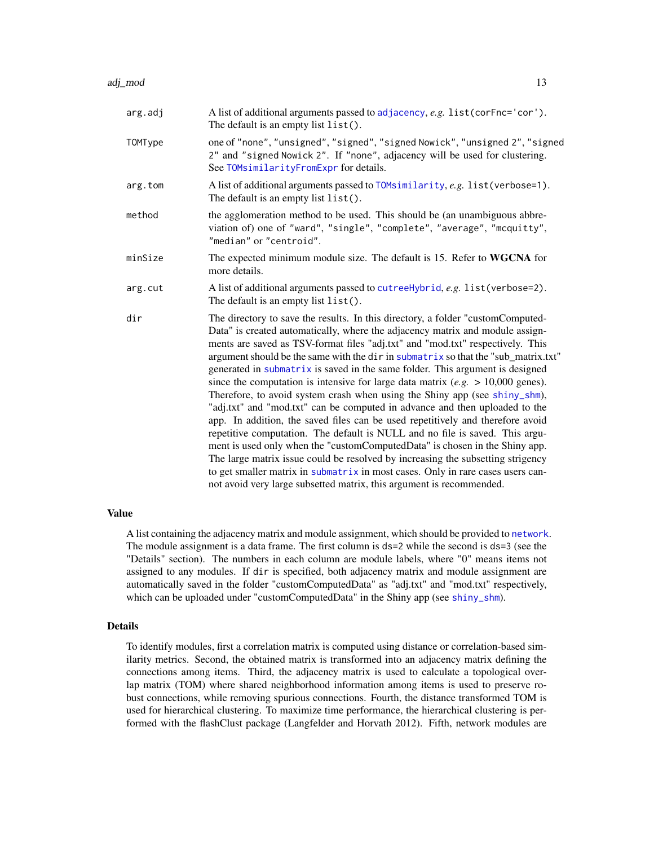| arg.adj | A list of additional arguments passed to adjacency, e.g. list (corFnc='cor').<br>The default is an empty list list().                                                                                                                                                                                                                                                                                                                                                                                                                                                                                                                                                                                                                                                                                                                                                                                                                                                                                                                                                                                                                                                      |
|---------|----------------------------------------------------------------------------------------------------------------------------------------------------------------------------------------------------------------------------------------------------------------------------------------------------------------------------------------------------------------------------------------------------------------------------------------------------------------------------------------------------------------------------------------------------------------------------------------------------------------------------------------------------------------------------------------------------------------------------------------------------------------------------------------------------------------------------------------------------------------------------------------------------------------------------------------------------------------------------------------------------------------------------------------------------------------------------------------------------------------------------------------------------------------------------|
| TOMType | one of "none", "unsigned", "signed", "signed Nowick", "unsigned 2", "signed<br>2" and "signed Nowick 2". If "none", adjacency will be used for clustering.<br>See TOMsimilarityFromExpr for details.                                                                                                                                                                                                                                                                                                                                                                                                                                                                                                                                                                                                                                                                                                                                                                                                                                                                                                                                                                       |
| arg.tom | A list of additional arguments passed to TOMsimilarity, e.g. list (verbose=1).<br>The default is an empty list list().                                                                                                                                                                                                                                                                                                                                                                                                                                                                                                                                                                                                                                                                                                                                                                                                                                                                                                                                                                                                                                                     |
| method  | the agglomeration method to be used. This should be (an unambiguous abbre-<br>viation of) one of "ward", "single", "complete", "average", "mcquitty",<br>"median" or "centroid".                                                                                                                                                                                                                                                                                                                                                                                                                                                                                                                                                                                                                                                                                                                                                                                                                                                                                                                                                                                           |
| minSize | The expected minimum module size. The default is 15. Refer to WGCNA for<br>more details.                                                                                                                                                                                                                                                                                                                                                                                                                                                                                                                                                                                                                                                                                                                                                                                                                                                                                                                                                                                                                                                                                   |
| arg.cut | A list of additional arguments passed to cutreeHybrid, e.g. list (verbose=2).<br>The default is an empty list list().                                                                                                                                                                                                                                                                                                                                                                                                                                                                                                                                                                                                                                                                                                                                                                                                                                                                                                                                                                                                                                                      |
| dir     | The directory to save the results. In this directory, a folder "customComputed-<br>Data" is created automatically, where the adjacency matrix and module assign-<br>ments are saved as TSV-format files "adj.txt" and "mod.txt" respectively. This<br>argument should be the same with the dir in submatrix so that the "sub_matrix.txt"<br>generated in submatrix is saved in the same folder. This argument is designed<br>since the computation is intensive for large data matrix (e.g. $> 10,000$ genes).<br>Therefore, to avoid system crash when using the Shiny app (see shiny_shm),<br>"adj.txt" and "mod.txt" can be computed in advance and then uploaded to the<br>app. In addition, the saved files can be used repetitively and therefore avoid<br>repetitive computation. The default is NULL and no file is saved. This argu-<br>ment is used only when the "customComputedData" is chosen in the Shiny app.<br>The large matrix issue could be resolved by increasing the subsetting strigency<br>to get smaller matrix in submatrix in most cases. Only in rare cases users can-<br>not avoid very large subsetted matrix, this argument is recommended. |

#### Value

A list containing the adjacency matrix and module assignment, which should be provided to [network](#page-60-1). The module assignment is a data frame. The first column is ds=2 while the second is ds=3 (see the "Details" section). The numbers in each column are module labels, where "0" means items not assigned to any modules. If dir is specified, both adjacency matrix and module assignment are automatically saved in the folder "customComputedData" as "adj.txt" and "mod.txt" respectively, which can be uploaded under "customComputedData" in the Shiny app (see [shiny\\_shm](#page-85-1)).

#### Details

To identify modules, first a correlation matrix is computed using distance or correlation-based similarity metrics. Second, the obtained matrix is transformed into an adjacency matrix defining the connections among items. Third, the adjacency matrix is used to calculate a topological overlap matrix (TOM) where shared neighborhood information among items is used to preserve robust connections, while removing spurious connections. Fourth, the distance transformed TOM is used for hierarchical clustering. To maximize time performance, the hierarchical clustering is performed with the flashClust package (Langfelder and Horvath 2012). Fifth, network modules are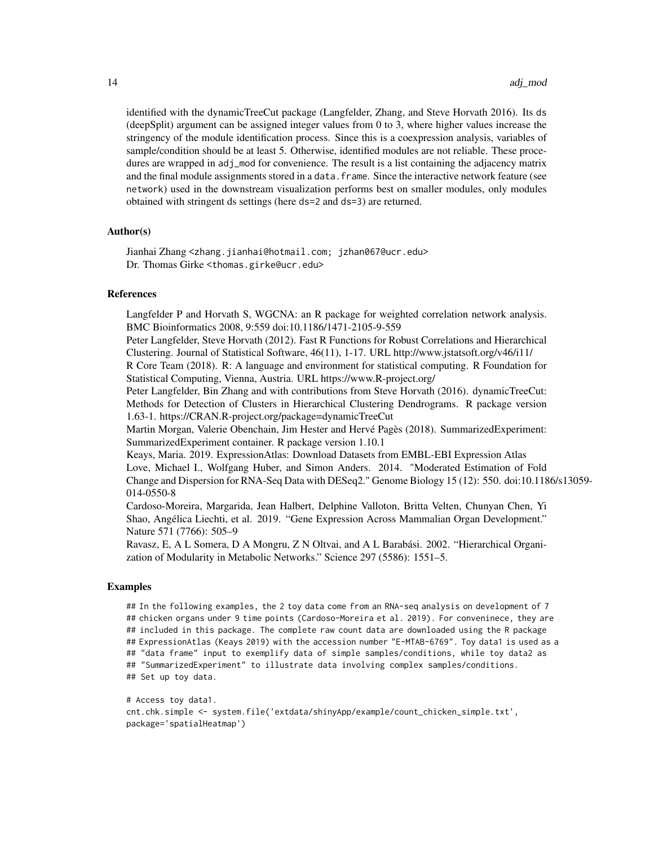identified with the dynamicTreeCut package (Langfelder, Zhang, and Steve Horvath 2016). Its ds (deepSplit) argument can be assigned integer values from 0 to 3, where higher values increase the stringency of the module identification process. Since this is a coexpression analysis, variables of sample/condition should be at least 5. Otherwise, identified modules are not reliable. These procedures are wrapped in adj\_mod for convenience. The result is a list containing the adjacency matrix and the final module assignments stored in a data. frame. Since the interactive network feature (see network) used in the downstream visualization performs best on smaller modules, only modules obtained with stringent ds settings (here ds=2 and ds=3) are returned.

#### Author(s)

Jianhai Zhang <zhang.jianhai@hotmail.com; jzhan067@ucr.edu> Dr. Thomas Girke <thomas.girke@ucr.edu>

#### References

Langfelder P and Horvath S, WGCNA: an R package for weighted correlation network analysis. BMC Bioinformatics 2008, 9:559 doi:10.1186/1471-2105-9-559

Peter Langfelder, Steve Horvath (2012). Fast R Functions for Robust Correlations and Hierarchical Clustering. Journal of Statistical Software, 46(11), 1-17. URL http://www.jstatsoft.org/v46/i11/ R Core Team (2018). R: A language and environment for statistical computing. R Foundation for Statistical Computing, Vienna, Austria. URL https://www.R-project.org/

Peter Langfelder, Bin Zhang and with contributions from Steve Horvath (2016). dynamicTreeCut: Methods for Detection of Clusters in Hierarchical Clustering Dendrograms. R package version 1.63-1. https://CRAN.R-project.org/package=dynamicTreeCut

Martin Morgan, Valerie Obenchain, Jim Hester and Hervé Pagès (2018). SummarizedExperiment: SummarizedExperiment container. R package version 1.10.1

Keays, Maria. 2019. ExpressionAtlas: Download Datasets from EMBL-EBI Expression Atlas Love, Michael I., Wolfgang Huber, and Simon Anders. 2014. "Moderated Estimation of Fold Change and Dispersion for RNA-Seq Data with DESeq2." Genome Biology 15 (12): 550. doi:10.1186/s13059- 014-0550-8

Cardoso-Moreira, Margarida, Jean Halbert, Delphine Valloton, Britta Velten, Chunyan Chen, Yi Shao, Angélica Liechti, et al. 2019. "Gene Expression Across Mammalian Organ Development." Nature 571 (7766): 505–9

Ravasz, E, A L Somera, D A Mongru, Z N Oltvai, and A L Barabási. 2002. "Hierarchical Organization of Modularity in Metabolic Networks." Science 297 (5586): 1551–5.

#### Examples

## In the following examples, the 2 toy data come from an RNA-seq analysis on development of 7 ## chicken organs under 9 time points (Cardoso-Moreira et al. 2019). For conveninece, they are ## included in this package. The complete raw count data are downloaded using the R package ## ExpressionAtlas (Keays 2019) with the accession number "E-MTAB-6769". Toy data1 is used as a ## "data frame" input to exemplify data of simple samples/conditions, while toy data2 as ## "SummarizedExperiment" to illustrate data involving complex samples/conditions. ## Set up toy data.

```
# Access toy data1.
cnt.chk.simple <- system.file('extdata/shinyApp/example/count_chicken_simple.txt',
package='spatialHeatmap')
```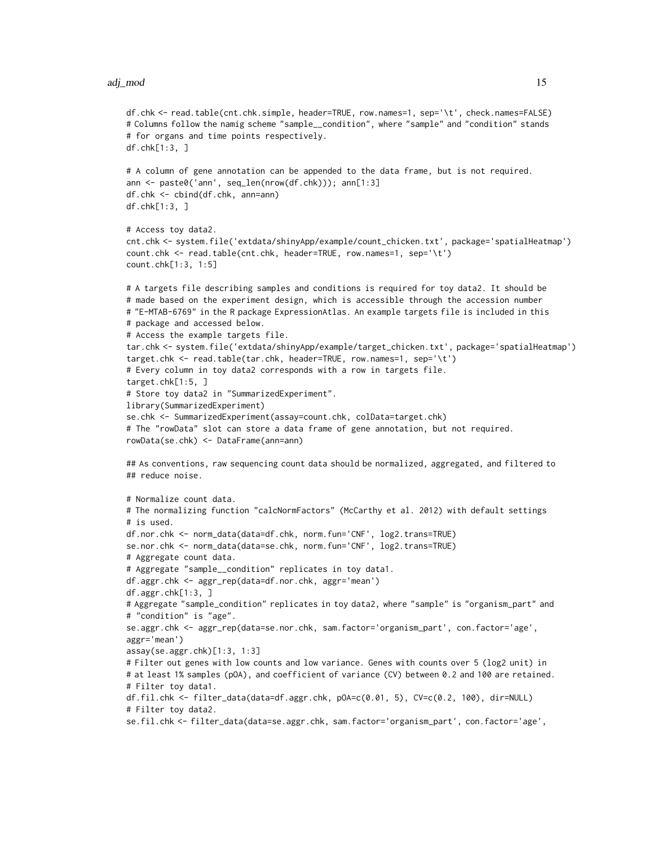#### adj\_mod 15

```
df.chk <- read.table(cnt.chk.simple, header=TRUE, row.names=1, sep='\t', check.names=FALSE)
# Columns follow the namig scheme "sample__condition", where "sample" and "condition" stands
# for organs and time points respectively.
df.chk[1:3, ]
# A column of gene annotation can be appended to the data frame, but is not required.
ann <- paste0('ann', seq_len(nrow(df.chk))); ann[1:3]
df.chk <- cbind(df.chk, ann=ann)
df.chk[1:3, ]
# Access toy data2.
cnt.chk <- system.file('extdata/shinyApp/example/count_chicken.txt', package='spatialHeatmap')
count.chk <- read.table(cnt.chk, header=TRUE, row.names=1, sep='\t')
count.chk[1:3, 1:5]
# A targets file describing samples and conditions is required for toy data2. It should be
# made based on the experiment design, which is accessible through the accession number
# "E-MTAB-6769" in the R package ExpressionAtlas. An example targets file is included in this
# package and accessed below.
# Access the example targets file.
tar.chk <- system.file('extdata/shinyApp/example/target_chicken.txt', package='spatialHeatmap')
target.chk <- read.table(tar.chk, header=TRUE, row.names=1, sep='\t')
# Every column in toy data2 corresponds with a row in targets file.
target.chk[1:5, ]
# Store toy data2 in "SummarizedExperiment".
library(SummarizedExperiment)
se.chk <- SummarizedExperiment(assay=count.chk, colData=target.chk)
# The "rowData" slot can store a data frame of gene annotation, but not required.
rowData(se.chk) <- DataFrame(ann=ann)
## As conventions, raw sequencing count data should be normalized, aggregated, and filtered to
## reduce noise.
# Normalize count data.
# The normalizing function "calcNormFactors" (McCarthy et al. 2012) with default settings
# is used.
df.nor.chk <- norm_data(data=df.chk, norm.fun='CNF', log2.trans=TRUE)
se.nor.chk <- norm_data(data=se.chk, norm.fun='CNF', log2.trans=TRUE)
# Aggregate count data.
# Aggregate "sample__condition" replicates in toy data1.
df.aggr.chk <- aggr_rep(data=df.nor.chk, aggr='mean')
df.aggr.chk[1:3, ]
# Aggregate "sample_condition" replicates in toy data2, where "sample" is "organism_part" and
# "condition" is "age".
se.aggr.chk <- aggr_rep(data=se.nor.chk, sam.factor='organism_part', con.factor='age',
aggr='mean')
assay(se.aggr.chk)[1:3, 1:3]
# Filter out genes with low counts and low variance. Genes with counts over 5 (log2 unit) in
# at least 1% samples (pOA), and coefficient of variance (CV) between 0.2 and 100 are retained.
# Filter toy data1.
df.fil.chk <- filter_data(data=df.aggr.chk, pOA=c(0.01, 5), CV=c(0.2, 100), dir=NULL)
# Filter toy data2.
se.fil.chk <- filter_data(data=se.aggr.chk, sam.factor='organism_part', con.factor='age',
```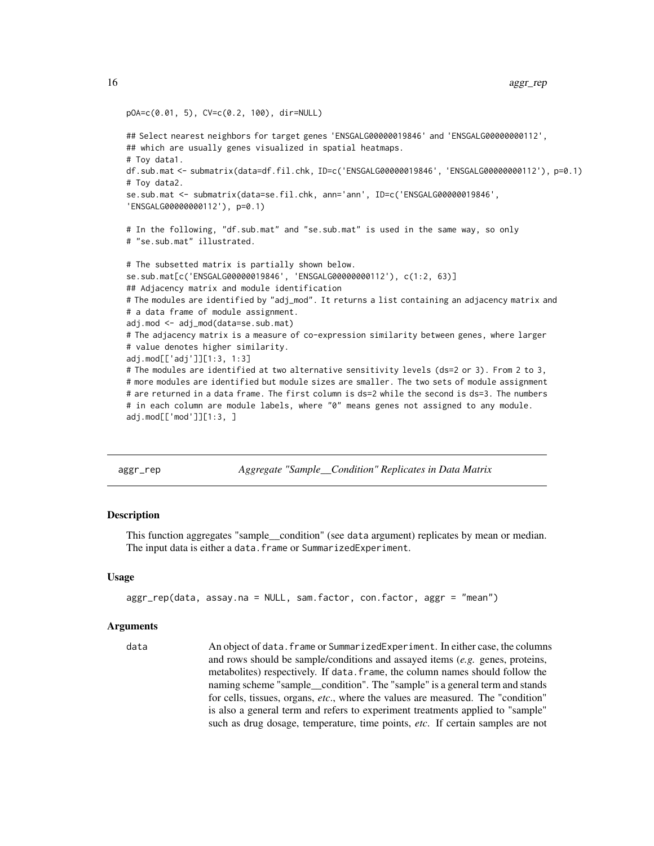```
pOA=c(0.01, 5), CV=c(0.2, 100), dir=NULL)
## Select nearest neighbors for target genes 'ENSGALG00000019846' and 'ENSGALG00000000112',
## which are usually genes visualized in spatial heatmaps.
# Toy data1.
df.sub.mat <- submatrix(data=df.fil.chk, ID=c('ENSGALG00000019846', 'ENSGALG00000000112'), p=0.1)
# Toy data2.
se.sub.mat <- submatrix(data=se.fil.chk, ann='ann', ID=c('ENSGALG00000019846',
'ENSGALG00000000112'), p=0.1)
# In the following, "df.sub.mat" and "se.sub.mat" is used in the same way, so only
# "se.sub.mat" illustrated.
# The subsetted matrix is partially shown below.
se.sub.mat[c('ENSGALG00000019846', 'ENSGALG00000000112'), c(1:2, 63)]
## Adjacency matrix and module identification
# The modules are identified by "adj_mod". It returns a list containing an adjacency matrix and
# a data frame of module assignment.
adj.mod <- adj_mod(data=se.sub.mat)
# The adjacency matrix is a measure of co-expression similarity between genes, where larger
# value denotes higher similarity.
adj.mod[['adj']][1:3, 1:3]
# The modules are identified at two alternative sensitivity levels (ds=2 or 3). From 2 to 3,
# more modules are identified but module sizes are smaller. The two sets of module assignment
# are returned in a data frame. The first column is ds=2 while the second is ds=3. The numbers
# in each column are module labels, where "0" means genes not assigned to any module.
adj.mod[['mod']][1:3, ]
```
<span id="page-15-1"></span>aggr\_rep *Aggregate "Sample\_\_Condition" Replicates in Data Matrix*

#### Description

This function aggregates "sample\_\_condition" (see data argument) replicates by mean or median. The input data is either a data.frame or SummarizedExperiment.

#### Usage

```
aggr_rep(data, assay.na = NULL, sam.factor, con.factor, aggr = "mean")
```
#### Arguments

data An object of data.frame or SummarizedExperiment. In either case, the columns and rows should be sample/conditions and assayed items (*e.g.* genes, proteins, metabolites) respectively. If data.frame, the column names should follow the naming scheme "sample condition". The "sample" is a general term and stands for cells, tissues, organs, *etc*., where the values are measured. The "condition" is also a general term and refers to experiment treatments applied to "sample" such as drug dosage, temperature, time points, *etc*. If certain samples are not

<span id="page-15-0"></span>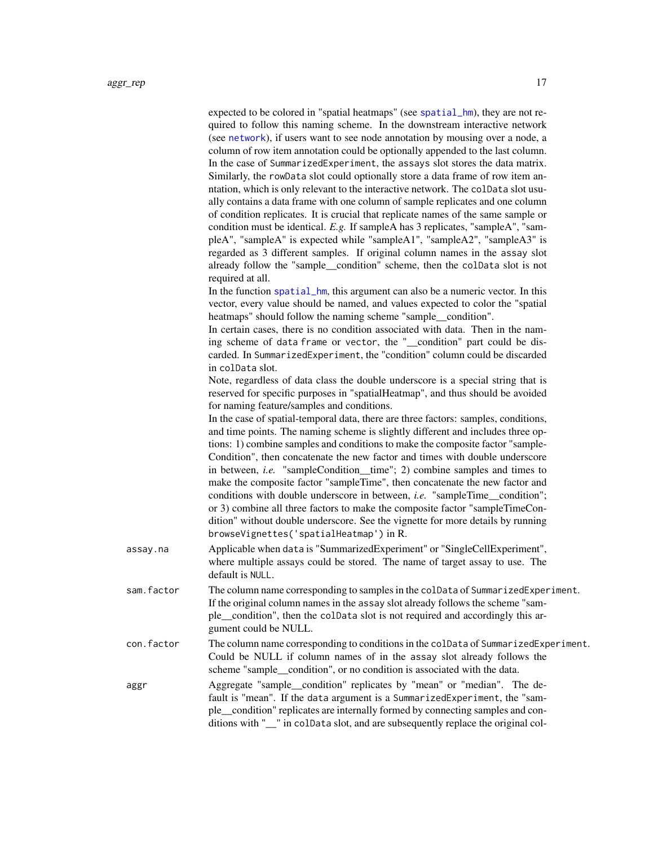| assay.na   | expected to be colored in "spatial heatmaps" (see spatial_hm), they are not re-<br>quired to follow this naming scheme. In the downstream interactive network<br>(see network), if users want to see node annotation by mousing over a node, a<br>column of row item annotation could be optionally appended to the last column.<br>In the case of SummarizedExperiment, the assays slot stores the data matrix.<br>Similarly, the rowData slot could optionally store a data frame of row item an-<br>ntation, which is only relevant to the interactive network. The colData slot usu-<br>ally contains a data frame with one column of sample replicates and one column<br>of condition replicates. It is crucial that replicate names of the same sample or<br>condition must be identical. E.g. If sampleA has 3 replicates, "sampleA", "sam-<br>pleA", "sampleA" is expected while "sampleA1", "sampleA2", "sampleA3" is<br>regarded as 3 different samples. If original column names in the assay slot<br>already follow the "sample_condition" scheme, then the colData slot is not<br>required at all.<br>In the function spatial_hm, this argument can also be a numeric vector. In this<br>vector, every value should be named, and values expected to color the "spatial<br>heatmaps" should follow the naming scheme "sample_condition".<br>In certain cases, there is no condition associated with data. Then in the nam-<br>ing scheme of data frame or vector, the "_condition" part could be dis-<br>carded. In SummarizedExperiment, the "condition" column could be discarded<br>in colData slot.<br>Note, regardless of data class the double underscore is a special string that is<br>reserved for specific purposes in "spatialHeatmap", and thus should be avoided<br>for naming feature/samples and conditions.<br>In the case of spatial-temporal data, there are three factors: samples, conditions,<br>and time points. The naming scheme is slightly different and includes three op-<br>tions: 1) combine samples and conditions to make the composite factor "sample-<br>Condition", then concatenate the new factor and times with double underscore<br>in between, i.e. "sampleCondition_time"; 2) combine samples and times to<br>make the composite factor "sampleTime", then concatenate the new factor and<br>conditions with double underscore in between, <i>i.e.</i> "sampleTime_condition";<br>or 3) combine all three factors to make the composite factor "sampleTimeCon-<br>dition" without double underscore. See the vignette for more details by running<br>browseVignettes('spatialHeatmap') in R.<br>Applicable when data is "SummarizedExperiment" or "SingleCellExperiment",<br>where multiple assays could be stored. The name of target assay to use. The |
|------------|----------------------------------------------------------------------------------------------------------------------------------------------------------------------------------------------------------------------------------------------------------------------------------------------------------------------------------------------------------------------------------------------------------------------------------------------------------------------------------------------------------------------------------------------------------------------------------------------------------------------------------------------------------------------------------------------------------------------------------------------------------------------------------------------------------------------------------------------------------------------------------------------------------------------------------------------------------------------------------------------------------------------------------------------------------------------------------------------------------------------------------------------------------------------------------------------------------------------------------------------------------------------------------------------------------------------------------------------------------------------------------------------------------------------------------------------------------------------------------------------------------------------------------------------------------------------------------------------------------------------------------------------------------------------------------------------------------------------------------------------------------------------------------------------------------------------------------------------------------------------------------------------------------------------------------------------------------------------------------------------------------------------------------------------------------------------------------------------------------------------------------------------------------------------------------------------------------------------------------------------------------------------------------------------------------------------------------------------------------------------------------------------------------------------------------------------------------------------------------------------------------------------------------------------------------------------------------------------------------------------------------------------------------------------------------------------------------------------------------------------------------------------------------------------------------------|
| sam.factor | default is NULL.<br>The column name corresponding to samples in the colData of SummarizedExperiment.<br>If the original column names in the assay slot already follows the scheme "sam-<br>ple_condition", then the colData slot is not required and accordingly this ar-<br>gument could be NULL.                                                                                                                                                                                                                                                                                                                                                                                                                                                                                                                                                                                                                                                                                                                                                                                                                                                                                                                                                                                                                                                                                                                                                                                                                                                                                                                                                                                                                                                                                                                                                                                                                                                                                                                                                                                                                                                                                                                                                                                                                                                                                                                                                                                                                                                                                                                                                                                                                                                                                                             |
| con.factor | The column name corresponding to conditions in the colData of SummarizedExperiment.<br>Could be NULL if column names of in the assay slot already follows the<br>scheme "sample_condition", or no condition is associated with the data.                                                                                                                                                                                                                                                                                                                                                                                                                                                                                                                                                                                                                                                                                                                                                                                                                                                                                                                                                                                                                                                                                                                                                                                                                                                                                                                                                                                                                                                                                                                                                                                                                                                                                                                                                                                                                                                                                                                                                                                                                                                                                                                                                                                                                                                                                                                                                                                                                                                                                                                                                                       |
| aggr       | Aggregate "sample_condition" replicates by "mean" or "median". The de-<br>fault is "mean". If the data argument is a SummarizedExperiment, the "sam-<br>ple_condition" replicates are internally formed by connecting samples and con-<br>ditions with "_" in colData slot, and are subsequently replace the original col-                                                                                                                                                                                                                                                                                                                                                                                                                                                                                                                                                                                                                                                                                                                                                                                                                                                                                                                                                                                                                                                                                                                                                                                                                                                                                                                                                                                                                                                                                                                                                                                                                                                                                                                                                                                                                                                                                                                                                                                                                                                                                                                                                                                                                                                                                                                                                                                                                                                                                     |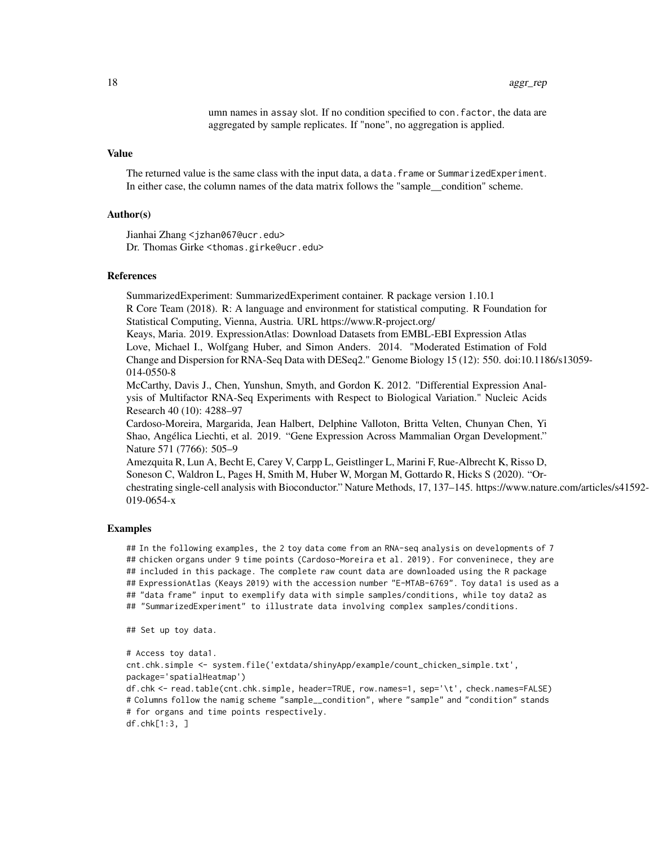umn names in assay slot. If no condition specified to con.factor, the data are aggregated by sample replicates. If "none", no aggregation is applied.

### Value

The returned value is the same class with the input data, a data. frame or SummarizedExperiment. In either case, the column names of the data matrix follows the "sample\_\_condition" scheme.

#### Author(s)

Jianhai Zhang <jzhan067@ucr.edu> Dr. Thomas Girke <thomas.girke@ucr.edu>

#### References

SummarizedExperiment: SummarizedExperiment container. R package version 1.10.1 R Core Team (2018). R: A language and environment for statistical computing. R Foundation for Statistical Computing, Vienna, Austria. URL https://www.R-project.org/

Keays, Maria. 2019. ExpressionAtlas: Download Datasets from EMBL-EBI Expression Atlas Love, Michael I., Wolfgang Huber, and Simon Anders. 2014. "Moderated Estimation of Fold Change and Dispersion for RNA-Seq Data with DESeq2." Genome Biology 15 (12): 550. doi:10.1186/s13059- 014-0550-8

McCarthy, Davis J., Chen, Yunshun, Smyth, and Gordon K. 2012. "Differential Expression Analysis of Multifactor RNA-Seq Experiments with Respect to Biological Variation." Nucleic Acids Research 40 (10): 4288–97

Cardoso-Moreira, Margarida, Jean Halbert, Delphine Valloton, Britta Velten, Chunyan Chen, Yi Shao, Angélica Liechti, et al. 2019. "Gene Expression Across Mammalian Organ Development." Nature 571 (7766): 505–9

Amezquita R, Lun A, Becht E, Carey V, Carpp L, Geistlinger L, Marini F, Rue-Albrecht K, Risso D, Soneson C, Waldron L, Pages H, Smith M, Huber W, Morgan M, Gottardo R, Hicks S (2020). "Orchestrating single-cell analysis with Bioconductor." Nature Methods, 17, 137–145. https://www.nature.com/articles/s41592- 019-0654-x

#### Examples

## In the following examples, the 2 toy data come from an RNA-seq analysis on developments of 7 ## chicken organs under 9 time points (Cardoso-Moreira et al. 2019). For conveninece, they are ## included in this package. The complete raw count data are downloaded using the R package ## ExpressionAtlas (Keays 2019) with the accession number "E-MTAB-6769". Toy data1 is used as a ## "data frame" input to exemplify data with simple samples/conditions, while toy data2 as ## "SummarizedExperiment" to illustrate data involving complex samples/conditions.

```
## Set up toy data.
```

```
# Access toy data1.
cnt.chk.simple <- system.file('extdata/shinyApp/example/count_chicken_simple.txt',
package='spatialHeatmap')
df.chk <- read.table(cnt.chk.simple, header=TRUE, row.names=1, sep='\t', check.names=FALSE)
# Columns follow the namig scheme "sample__condition", where "sample" and "condition" stands
# for organs and time points respectively.
df.chk[1:3, ]
```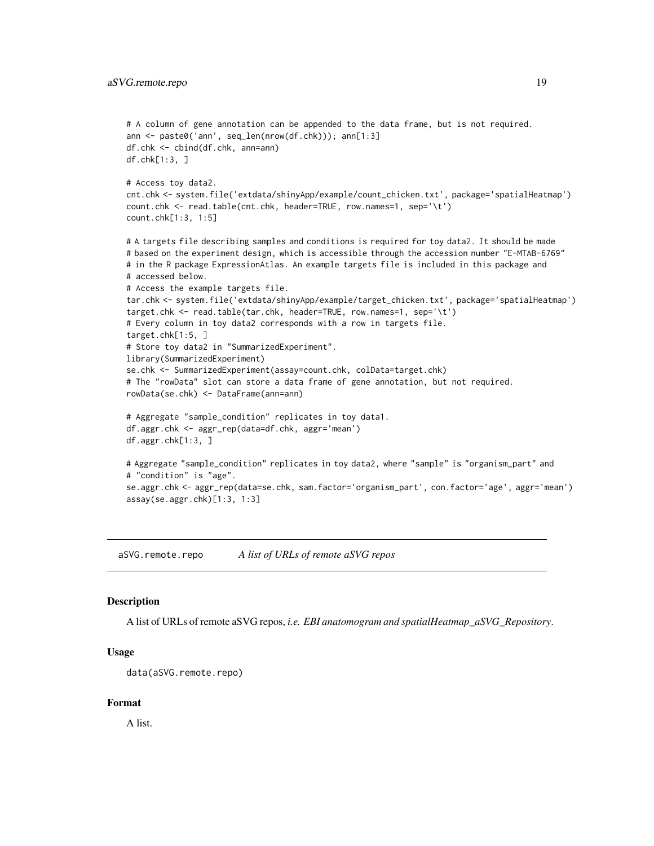```
# A column of gene annotation can be appended to the data frame, but is not required.
ann <- paste0('ann', seq_len(nrow(df.chk))); ann[1:3]
df.chk <- cbind(df.chk, ann=ann)
df.chk[1:3, ]
# Access toy data2.
cnt.chk <- system.file('extdata/shinyApp/example/count_chicken.txt', package='spatialHeatmap')
count.chk <- read.table(cnt.chk, header=TRUE, row.names=1, sep='\t')
count.chk[1:3, 1:5]
# A targets file describing samples and conditions is required for toy data2. It should be made
# based on the experiment design, which is accessible through the accession number "E-MTAB-6769"
# in the R package ExpressionAtlas. An example targets file is included in this package and
# accessed below.
# Access the example targets file.
tar.chk <- system.file('extdata/shinyApp/example/target_chicken.txt', package='spatialHeatmap')
target.chk <- read.table(tar.chk, header=TRUE, row.names=1, sep='\t')
# Every column in toy data2 corresponds with a row in targets file.
target.chk[1:5, ]
# Store toy data2 in "SummarizedExperiment".
library(SummarizedExperiment)
se.chk <- SummarizedExperiment(assay=count.chk, colData=target.chk)
# The "rowData" slot can store a data frame of gene annotation, but not required.
rowData(se.chk) <- DataFrame(ann=ann)
# Aggregate "sample_condition" replicates in toy data1.
df.aggr.chk <- aggr_rep(data=df.chk, aggr='mean')
df.aggr.chk[1:3, ]
# Aggregate "sample_condition" replicates in toy data2, where "sample" is "organism_part" and
# "condition" is "age".
se.aggr.chk <- aggr_rep(data=se.chk, sam.factor='organism_part', con.factor='age', aggr='mean')
assay(se.aggr.chk)[1:3, 1:3]
```
aSVG.remote.repo *A list of URLs of remote aSVG repos*

#### **Description**

A list of URLs of remote aSVG repos, *i.e. EBI anatomogram and spatialHeatmap\_aSVG\_Repository*.

#### Usage

```
data(aSVG.remote.repo)
```
#### Format

A list.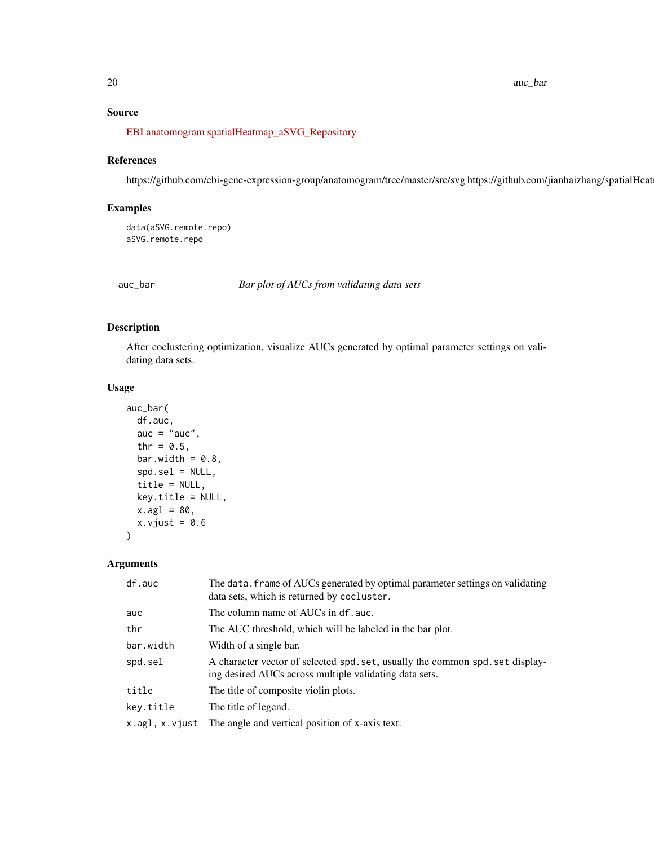# <span id="page-19-0"></span>Source

[EBI anatomogram](https://github.com/ebi-gene-expression-group/anatomogram/tree/master/src/svg) [spatialHeatmap\\_aSVG\\_Repository](https://github.com/jianhaizhang/spatialHeatmap_aSVG_Repository)

# References

https://github.com/ebi-gene-expression-group/anatomogram/tree/master/src/svg https://github.com/jianhaizhang/spatialHeat

#### Examples

data(aSVG.remote.repo) aSVG.remote.repo

auc\_bar *Bar plot of AUCs from validating data sets*

# Description

After coclustering optimization, visualize AUCs generated by optimal parameter settings on validating data sets.

# Usage

```
auc_bar(
 df.auc,
  auc = "auc",
  thr = 0.5,
 bar.width = 0.8,
  spd.sel = NULL,title = NULL,
 key.title = NULL,
  x.ag1 = 80,x.vjust = 0.6\lambda
```
# Arguments

| df.auc         | The data. frame of AUCs generated by optimal parameter settings on validating<br>data sets, which is returned by cocluster.             |
|----------------|-----------------------------------------------------------------------------------------------------------------------------------------|
| auc            | The column name of AUCs in df. auc.                                                                                                     |
| thr            | The AUC threshold, which will be labeled in the bar plot.                                                                               |
| bar.width      | Width of a single bar.                                                                                                                  |
| spd.sel        | A character vector of selected spd. set, usually the common spd. set display-<br>ing desired AUCs across multiple validating data sets. |
| title          | The title of composite violin plots.                                                                                                    |
| kev.title      | The title of legend.                                                                                                                    |
| x.agl, x.vjust | The angle and vertical position of x-axis text.                                                                                         |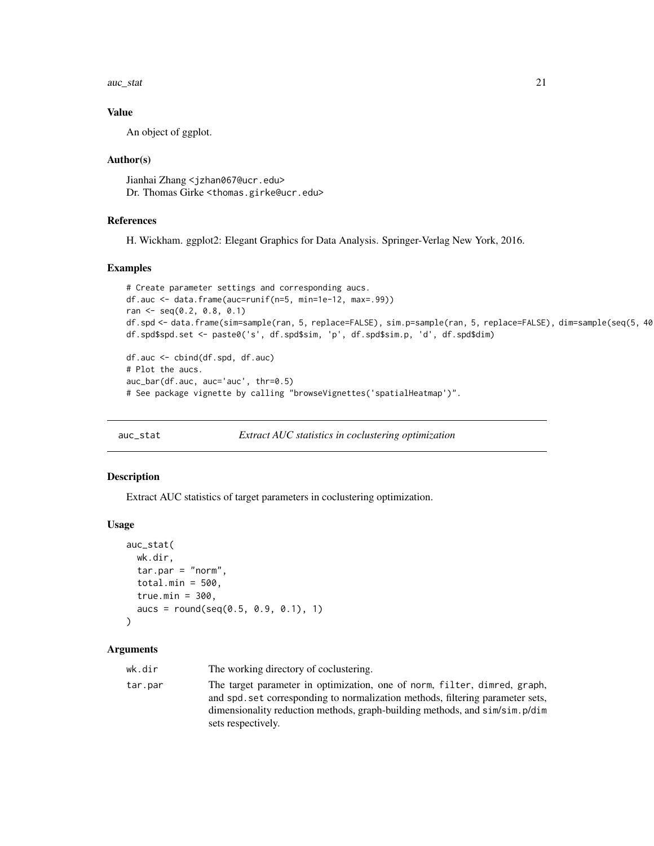<span id="page-20-0"></span>auc\_stat 21

#### Value

An object of ggplot.

#### Author(s)

Jianhai Zhang <jzhan067@ucr.edu> Dr. Thomas Girke <thomas.girke@ucr.edu>

### References

H. Wickham. ggplot2: Elegant Graphics for Data Analysis. Springer-Verlag New York, 2016.

#### Examples

```
# Create parameter settings and corresponding aucs.
df.auc <- data.frame(auc=runif(n=5, min=1e-12, max=.99))
ran <- seq(0.2, 0.8, 0.1)
df.spd <- data.frame(sim=sample(ran, 5, replace=FALSE), sim.p=sample(ran, 5, replace=FALSE), dim=sample(seq(5, 40
df.spd$spd.set <- paste0('s', df.spd$sim, 'p', df.spd$sim.p, 'd', df.spd$dim)
df.auc <- cbind(df.spd, df.auc)
```

```
# Plot the aucs.
auc_bar(df.auc, auc='auc', thr=0.5)
# See package vignette by calling "browseVignettes('spatialHeatmap')".
```
auc\_stat *Extract AUC statistics in coclustering optimization*

#### Description

Extract AUC statistics of target parameters in coclustering optimization.

#### Usage

```
auc_stat(
 wk.dir,
  tar.par = "norm",
  total.min = 500,
  true.min = 300,
  aucs = round(seq(0.5, 0.9, 0.1), 1))
```
### Arguments

wk.dir The working directory of coclustering. tar.par The target parameter in optimization, one of norm, filter, dimred, graph, and spd.set corresponding to normalization methods, filtering parameter sets, dimensionality reduction methods, graph-building methods, and sim/sim.p/dim sets respectively.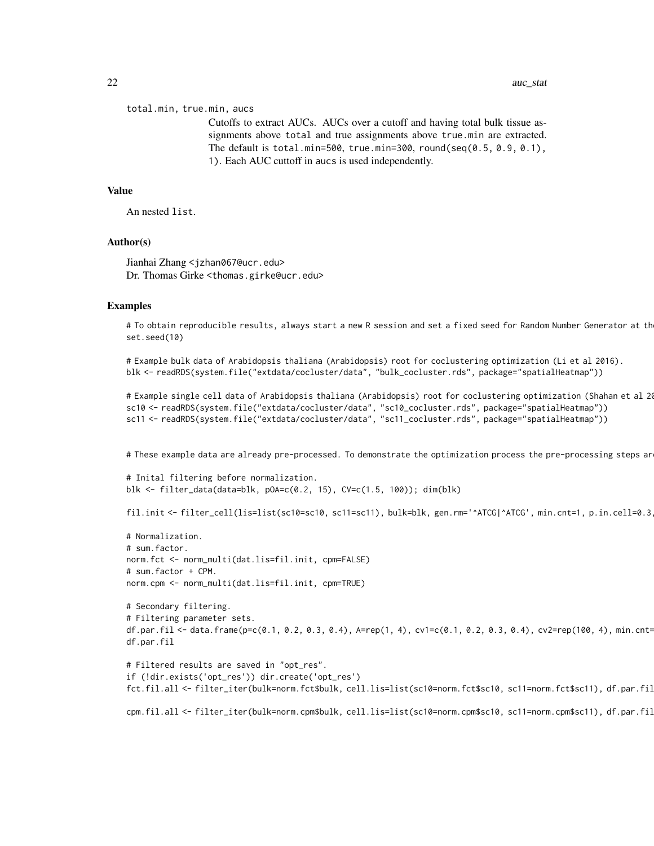total.min, true.min, aucs

Cutoffs to extract AUCs. AUCs over a cutoff and having total bulk tissue assignments above total and true assignments above true.min are extracted. The default is total.min=500, true.min=300, round(seq(0.5, 0.9, 0.1), 1). Each AUC cuttoff in aucs is used independently.

#### Value

An nested list.

#### Author(s)

Jianhai Zhang <jzhan067@ucr.edu> Dr. Thomas Girke <thomas.girke@ucr.edu>

#### Examples

# To obtain reproducible results, always start a new R session and set a fixed seed for Random Number Generator at th set.seed(10)

```
# Example bulk data of Arabidopsis thaliana (Arabidopsis) root for coclustering optimization (Li et al 2016).
blk <- readRDS(system.file("extdata/cocluster/data", "bulk_cocluster.rds", package="spatialHeatmap"))
```

```
# Example single cell data of Arabidopsis thaliana (Arabidopsis) root for coclustering optimization (Shahan et al 20
sc10 <- readRDS(system.file("extdata/cocluster/data", "sc10_cocluster.rds", package="spatialHeatmap"))
sc11 <- readRDS(system.file("extdata/cocluster/data", "sc11_cocluster.rds", package="spatialHeatmap"))
```
# These example data are already pre-processed. To demonstrate the optimization process the pre-processing steps ar

```
# Inital filtering before normalization.
blk <- filter_data(data=blk, pOA=c(0.2, 15), CV=c(1.5, 100)); dim(blk)
```
fil.init <- filter\_cell(lis=list(sc10=sc10, sc11=sc11), bulk=blk, gen.rm='^ATCG|^ATCG', min.cnt=1, p.in.cell=0.3

```
# Normalization.
# sum.factor.
norm.fct <- norm_multi(dat.lis=fil.init, cpm=FALSE)
# sum.factor + CPM.
norm.cpm <- norm_multi(dat.lis=fil.init, cpm=TRUE)
```

```
# Secondary filtering.
# Filtering parameter sets.
df.par.fil <- data.frame(p=c(0.1, 0.2, 0.3, 0.4), A=rep(1, 4), cv1=c(0.1, 0.2, 0.3, 0.4), cv2=rep(100, 4), min.cnt=
df.par.fil
```

```
# Filtered results are saved in "opt_res".
if (!dir.exists('opt_res')) dir.create('opt_res')
fct.fil.all <- filter_iter(bulk=norm.fct$bulk, cell.lis=list(sc10=norm.fct$sc10, sc11=norm.fct$sc11), df.par.fil
```
cpm.fil.all <- filter\_iter(bulk=norm.cpm\$bulk, cell.lis=list(sc10=norm.cpm\$sc10, sc11=norm.cpm\$sc11), df.par.fil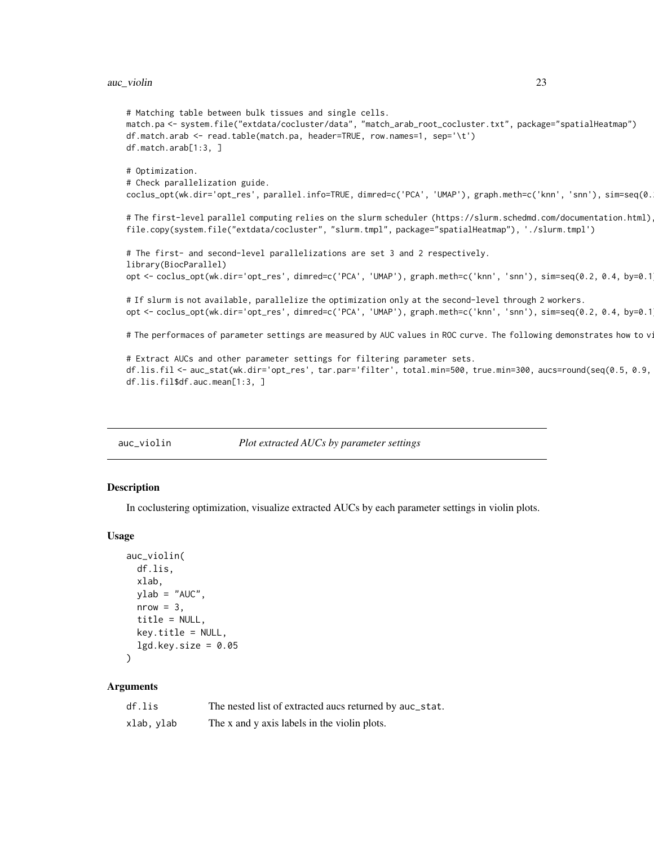#### <span id="page-22-0"></span>auc\_violin 23

```
# Matching table between bulk tissues and single cells.
match.pa <- system.file("extdata/cocluster/data", "match_arab_root_cocluster.txt", package="spatialHeatmap")
df.match.arab <- read.table(match.pa, header=TRUE, row.names=1, sep='\t')
df.match.arab[1:3, ]
# Optimization.
# Check parallelization guide.
coclus_opt(wk.dir='opt_res', parallel.info=TRUE, dimred=c('PCA', 'UMAP'), graph.meth=c('knn', 'snn'), sim=seq(0.
# The first-level parallel computing relies on the slurm scheduler (https://slurm.schedmd.com/documentation.html)
file.copy(system.file("extdata/cocluster", "slurm.tmpl", package="spatialHeatmap"), './slurm.tmpl')
# The first- and second-level parallelizations are set 3 and 2 respectively.
library(BiocParallel)
opt <- coclus_opt(wk.dir='opt_res', dimred=c('PCA', 'UMAP'), graph.meth=c('knn', 'snn'), sim=seq(0.2, 0.4, by=0.1
# If slurm is not available, parallelize the optimization only at the second-level through 2 workers.
opt <- coclus_opt(wk.dir='opt_res', dimred=c('PCA', 'UMAP'), graph.meth=c('knn', 'snn'), sim=seq(0.2, 0.4, by=0.1
# The performaces of parameter settings are measured by AUC values in ROC curve. The following demonstrates how to v
# Extract AUCs and other parameter settings for filtering parameter sets.
```

```
df.lis.fil <- auc_stat(wk.dir='opt_res', tar.par='filter', total.min=500, true.min=300, aucs=round(seq(0.5, 0.9,
df.lis.fil$df.auc.mean[1:3, ]
```
auc\_violin *Plot extracted AUCs by parameter settings*

#### Description

In coclustering optimization, visualize extracted AUCs by each parameter settings in violin plots.

#### Usage

```
auc_violin(
 df.lis,
 xlab,
 ylab = "AUC",nrow = 3,
  title = NULL,
 key.title = NULL,
  lgd(key.size = 0.05)
```
# Arguments

| df.lis     | The nested list of extracted aucs returned by auc_stat. |
|------------|---------------------------------------------------------|
| xlab, ylab | The x and y axis labels in the violin plots.            |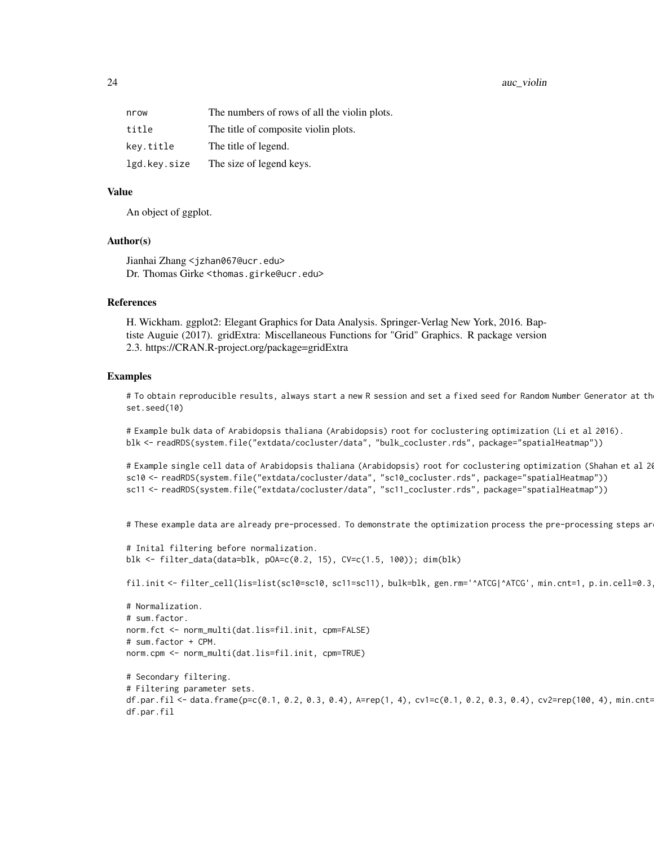#### 24 auc\_violin auc\_violin auc\_violin auc\_violin auc\_violin auc\_violin auc\_violin auc\_violin auc\_violin auc\_violin

| nrow         | The numbers of rows of all the violin plots. |
|--------------|----------------------------------------------|
| title        | The title of composite violin plots.         |
| key.title    | The title of legend.                         |
| lgd.key.size | The size of legend keys.                     |

#### Value

An object of ggplot.

#### Author(s)

Jianhai Zhang <jzhan067@ucr.edu> Dr. Thomas Girke <thomas.girke@ucr.edu>

#### References

H. Wickham. ggplot2: Elegant Graphics for Data Analysis. Springer-Verlag New York, 2016. Baptiste Auguie (2017). gridExtra: Miscellaneous Functions for "Grid" Graphics. R package version 2.3. https://CRAN.R-project.org/package=gridExtra

#### Examples

# To obtain reproducible results, always start a new R session and set a fixed seed for Random Number Generator at th set.seed(10)

# Example bulk data of Arabidopsis thaliana (Arabidopsis) root for coclustering optimization (Li et al 2016). blk <- readRDS(system.file("extdata/cocluster/data", "bulk\_cocluster.rds", package="spatialHeatmap"))

# Example single cell data of Arabidopsis thaliana (Arabidopsis) root for coclustering optimization (Shahan et al 20 sc10 <- readRDS(system.file("extdata/cocluster/data", "sc10\_cocluster.rds", package="spatialHeatmap")) sc11 <- readRDS(system.file("extdata/cocluster/data", "sc11\_cocluster.rds", package="spatialHeatmap"))

# These example data are already pre-processed. To demonstrate the optimization process the pre-processing steps ar

```
# Inital filtering before normalization.
blk <- filter_data(data=blk, pOA=c(0.2, 15), CV=c(1.5, 100)); dim(blk)
```
fil.init <- filter\_cell(lis=list(sc10=sc10, sc11=sc11), bulk=blk, gen.rm='^ATCG|^ATCG', min.cnt=1, p.in.cell=0.3

```
# Normalization.
# sum.factor.
norm.fct <- norm_multi(dat.lis=fil.init, cpm=FALSE)
# sum.factor + CPM.
norm.cpm <- norm_multi(dat.lis=fil.init, cpm=TRUE)
```
# Secondary filtering. # Filtering parameter sets. df.par.fil <- data.frame(p=c(0.1, 0.2, 0.3, 0.4), A=rep(1, 4), cv1=c(0.1, 0.2, 0.3, 0.4), cv2=rep(100, 4), min.cnt= df.par.fil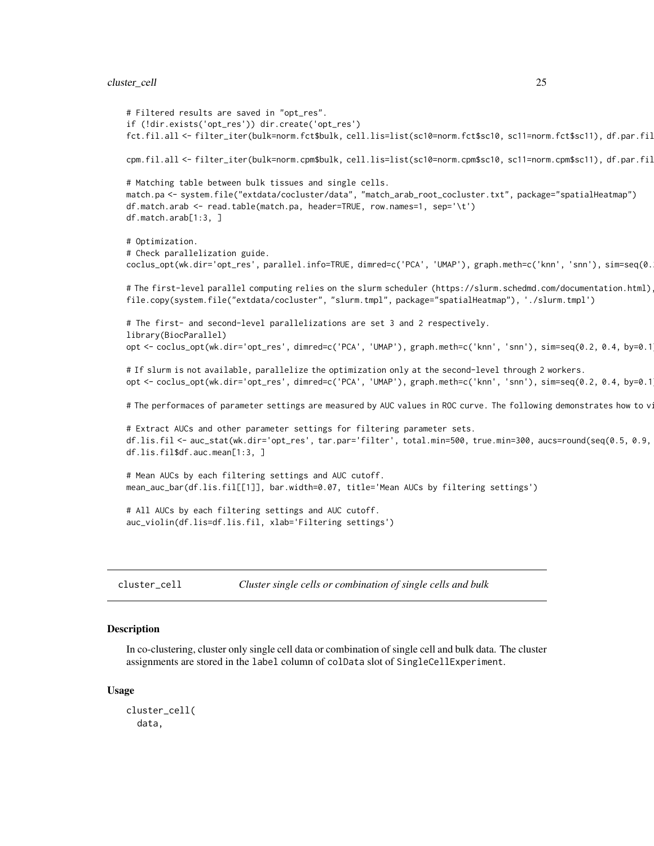#### <span id="page-24-0"></span>cluster\_cell 25

```
# Filtered results are saved in "opt_res".
if (!dir.exists('opt_res')) dir.create('opt_res')
fct.fil.all <- filter_iter(bulk=norm.fct$bulk, cell.lis=list(sc10=norm.fct$sc10, sc11=norm.fct$sc11), df.par.fil
cpm.fil.all <- filter_iter(bulk=norm.cpm$bulk, cell.lis=list(sc10=norm.cpm$sc10, sc11=norm.cpm$sc11), df.par.fil
# Matching table between bulk tissues and single cells.
match.pa <- system.file("extdata/cocluster/data", "match_arab_root_cocluster.txt", package="spatialHeatmap")
df.match.arab <- read.table(match.pa, header=TRUE, row.names=1, sep='\t')
df.match.arab[1:3, ]
# Optimization.
# Check parallelization guide.
coclus_opt(wk.dir='opt_res', parallel.info=TRUE, dimred=c('PCA', 'UMAP'), graph.meth=c('knn', 'snn'), sim=seq(0.
# The first-level parallel computing relies on the slurm scheduler (https://slurm.schedmd.com/documentation.html)
file.copy(system.file("extdata/cocluster", "slurm.tmpl", package="spatialHeatmap"), './slurm.tmpl')
# The first- and second-level parallelizations are set 3 and 2 respectively.
library(BiocParallel)
opt <- coclus_opt(wk.dir='opt_res', dimred=c('PCA', 'UMAP'), graph.meth=c('knn', 'snn'), sim=seq(0.2, 0.4, by=0.1
# If slurm is not available, parallelize the optimization only at the second-level through 2 workers.
opt <- coclus_opt(wk.dir='opt_res', dimred=c('PCA', 'UMAP'), graph.meth=c('knn', 'snn'), sim=seq(0.2, 0.4, by=0.1
# The performaces of parameter settings are measured by AUC values in ROC curve. The following demonstrates how to v
# Extract AUCs and other parameter settings for filtering parameter sets.
df.lis.fil <- auc_stat(wk.dir='opt_res', tar.par='filter', total.min=500, true.min=300, aucs=round(seq(0.5, 0.9, 0.1), 1))
df.lis.fil$df.auc.mean[1:3, ]
# Mean AUCs by each filtering settings and AUC cutoff.
mean_auc_bar(df.lis.fil[[1]], bar.width=0.07, title='Mean AUCs by filtering settings')
# All AUCs by each filtering settings and AUC cutoff.
auc_violin(df.lis=df.lis.fil, xlab='Filtering settings')
```
cluster\_cell *Cluster single cells or combination of single cells and bulk*

#### Description

In co-clustering, cluster only single cell data or combination of single cell and bulk data. The cluster assignments are stored in the label column of colData slot of SingleCellExperiment.

#### Usage

```
cluster_cell(
  data,
```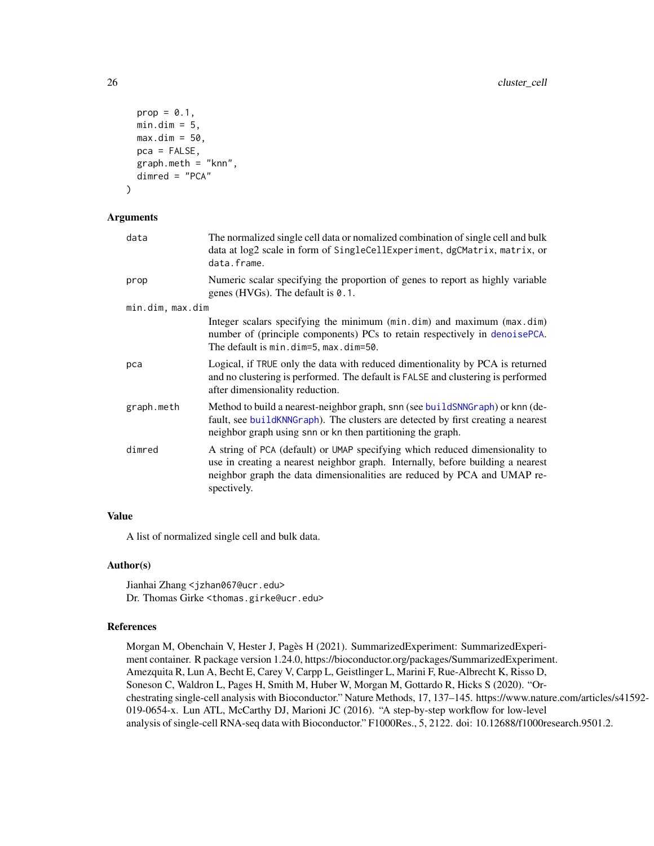```
prop = 0.1,
 min.dim = 5,
 max.dim = 50,
 pca = FALSE,
 graph.meth = "knn",
 dimred = "PCA"
)
```
# Arguments

| data             | The normalized single cell data or nomalized combination of single cell and bulk<br>data at log2 scale in form of SingleCellExperiment, dgCMatrix, matrix, or<br>data.frame.                                                                               |
|------------------|------------------------------------------------------------------------------------------------------------------------------------------------------------------------------------------------------------------------------------------------------------|
| prop             | Numeric scalar specifying the proportion of genes to report as highly variable<br>genes (HVGs). The default is $0.1$ .                                                                                                                                     |
| min.dim, max.dim |                                                                                                                                                                                                                                                            |
|                  | Integer scalars specifying the minimum (min.dim) and maximum (max.dim)<br>number of (principle components) PCs to retain respectively in denoisePCA.<br>The default is min.dim=5, max.dim=50.                                                              |
| pca              | Logical, if TRUE only the data with reduced dimentionality by PCA is returned<br>and no clustering is performed. The default is FALSE and clustering is performed<br>after dimensionality reduction.                                                       |
| graph.meth       | Method to build a nearest-neighbor graph, snn (see build SNNGraph) or knn (de-<br>fault, see buildKNNGraph). The clusters are detected by first creating a nearest<br>neighbor graph using snn or kn then partitioning the graph.                          |
| dimred           | A string of PCA (default) or UMAP specifying which reduced dimensionality to<br>use in creating a nearest neighbor graph. Internally, before building a nearest<br>neighbor graph the data dimensionalities are reduced by PCA and UMAP re-<br>spectively. |

# Value

A list of normalized single cell and bulk data.

#### Author(s)

Jianhai Zhang <jzhan067@ucr.edu> Dr. Thomas Girke <thomas.girke@ucr.edu>

### References

Morgan M, Obenchain V, Hester J, Pagès H (2021). SummarizedExperiment: SummarizedExperiment container. R package version 1.24.0, https://bioconductor.org/packages/SummarizedExperiment. Amezquita R, Lun A, Becht E, Carey V, Carpp L, Geistlinger L, Marini F, Rue-Albrecht K, Risso D, Soneson C, Waldron L, Pages H, Smith M, Huber W, Morgan M, Gottardo R, Hicks S (2020). "Orchestrating single-cell analysis with Bioconductor." Nature Methods, 17, 137–145. https://www.nature.com/articles/s41592- 019-0654-x. Lun ATL, McCarthy DJ, Marioni JC (2016). "A step-by-step workflow for low-level analysis of single-cell RNA-seq data with Bioconductor." F1000Res., 5, 2122. doi: 10.12688/f1000research.9501.2.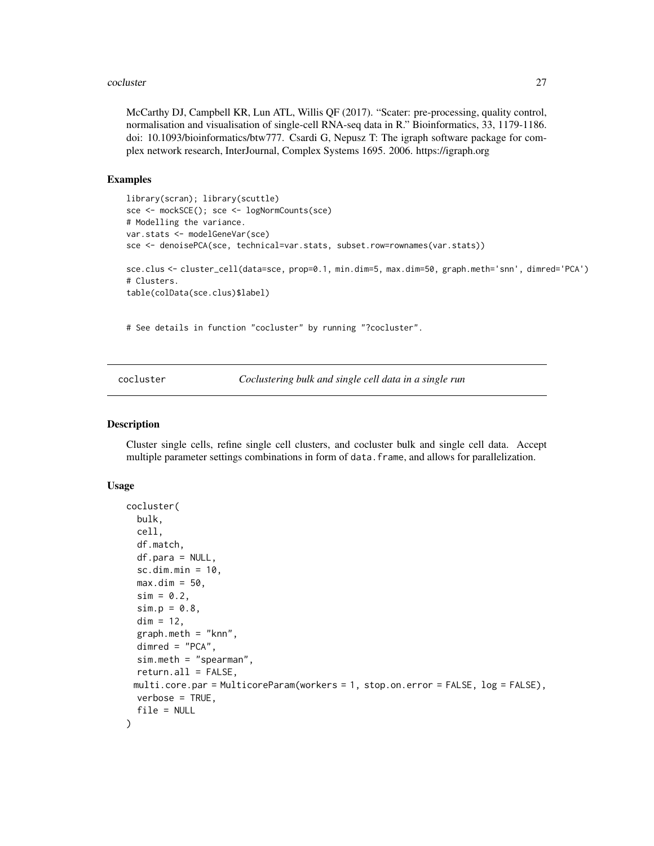#### <span id="page-26-0"></span>cocluster 27

McCarthy DJ, Campbell KR, Lun ATL, Willis QF (2017). "Scater: pre-processing, quality control, normalisation and visualisation of single-cell RNA-seq data in R." Bioinformatics, 33, 1179-1186. doi: 10.1093/bioinformatics/btw777. Csardi G, Nepusz T: The igraph software package for complex network research, InterJournal, Complex Systems 1695. 2006. https://igraph.org

#### Examples

```
library(scran); library(scuttle)
sce <- mockSCE(); sce <- logNormCounts(sce)
# Modelling the variance.
var.stats <- modelGeneVar(sce)
sce <- denoisePCA(sce, technical=var.stats, subset.row=rownames(var.stats))
sce.clus <- cluster_cell(data=sce, prop=0.1, min.dim=5, max.dim=50, graph.meth='snn', dimred='PCA')
# Clusters.
table(colData(sce.clus)$label)
```
# See details in function "cocluster" by running "?cocluster".

cocluster *Coclustering bulk and single cell data in a single run*

#### **Description**

Cluster single cells, refine single cell clusters, and cocluster bulk and single cell data. Accept multiple parameter settings combinations in form of data. frame, and allows for parallelization.

#### Usage

```
cocluster(
  bulk,
  cell,
  df.match,
  df.para = NULL,
  sc.dim.min = 10,max.dim = 50,
  sim = 0.2,
  sim.p = 0.8,
  dim = 12,
  graph.meth = "knn",
 dimred = "PCA",
  sim.meth = "spearman",
  return.all = FALSE,
 multi.core.par = MulticoreParam(workers = 1, stop.on.error = FALSE, log = FALSE),
 verbose = TRUE,
  file = NULL
)
```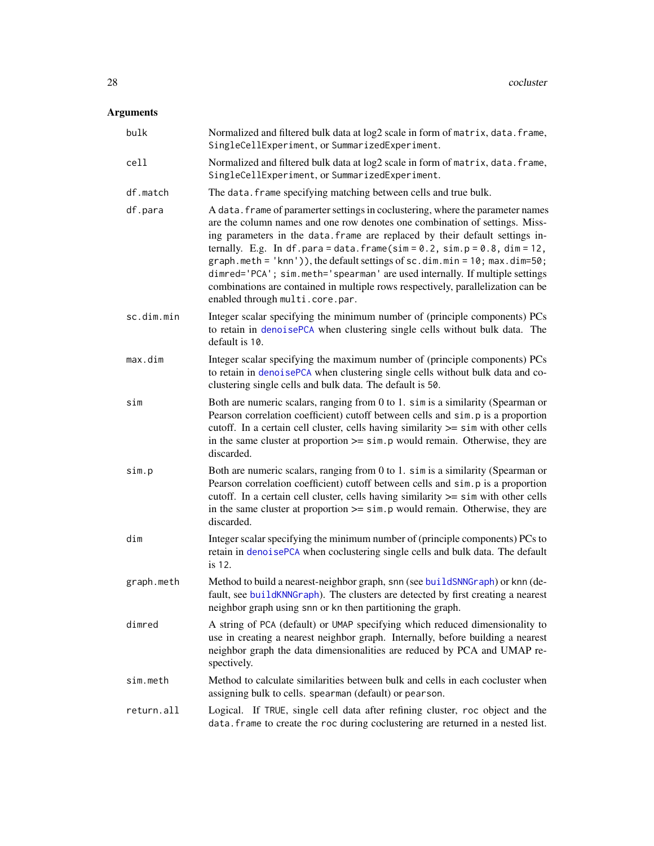# Arguments

| bulk       | Normalized and filtered bulk data at log2 scale in form of matrix, data. frame,<br>SingleCellExperiment, or SummarizedExperiment.                                                                                                                                                                                                                                                                                                                                                                                                                                                                         |
|------------|-----------------------------------------------------------------------------------------------------------------------------------------------------------------------------------------------------------------------------------------------------------------------------------------------------------------------------------------------------------------------------------------------------------------------------------------------------------------------------------------------------------------------------------------------------------------------------------------------------------|
| cell       | Normalized and filtered bulk data at log2 scale in form of matrix, data. frame,<br>SingleCellExperiment, or SummarizedExperiment.                                                                                                                                                                                                                                                                                                                                                                                                                                                                         |
| df.match   | The data. frame specifying matching between cells and true bulk.                                                                                                                                                                                                                                                                                                                                                                                                                                                                                                                                          |
| df.para    | A data. frame of paramerter settings in coclustering, where the parameter names<br>are the column names and one row denotes one combination of settings. Miss-<br>ing parameters in the data. frame are replaced by their default settings in-<br>ternally. E.g. In df.para=data.frame(sim=0.2, sim.p=0.8, dim=12,<br>graph.meth = 'knn')), the default settings of $sc.dim.min = 10$ ; max.dim=50;<br>dimred='PCA'; sim.meth='spearman' are used internally. If multiple settings<br>combinations are contained in multiple rows respectively, parallelization can be<br>enabled through multi.core.par. |
| sc.dim.min | Integer scalar specifying the minimum number of (principle components) PCs<br>to retain in denoisePCA when clustering single cells without bulk data. The<br>default is 10.                                                                                                                                                                                                                                                                                                                                                                                                                               |
| max.dim    | Integer scalar specifying the maximum number of (principle components) PCs<br>to retain in denoisePCA when clustering single cells without bulk data and co-<br>clustering single cells and bulk data. The default is 50.                                                                                                                                                                                                                                                                                                                                                                                 |
| sim        | Both are numeric scalars, ranging from 0 to 1. sim is a similarity (Spearman or<br>Pearson correlation coefficient) cutoff between cells and sim. p is a proportion<br>cutoff. In a certain cell cluster, cells having similarity $\ge$ = sim with other cells<br>in the same cluster at proportion $\ge$ = sim. p would remain. Otherwise, they are<br>discarded.                                                                                                                                                                                                                                        |
| sim.p      | Both are numeric scalars, ranging from 0 to 1. sim is a similarity (Spearman or<br>Pearson correlation coefficient) cutoff between cells and sim.p is a proportion<br>cutoff. In a certain cell cluster, cells having similarity >= sim with other cells<br>in the same cluster at proportion $\ge$ = sim. p would remain. Otherwise, they are<br>discarded.                                                                                                                                                                                                                                              |
| dim        | Integer scalar specifying the minimum number of (principle components) PCs to<br>retain in denoisePCA when coclustering single cells and bulk data. The default<br>is 12.                                                                                                                                                                                                                                                                                                                                                                                                                                 |
| graph.meth | Method to build a nearest-neighbor graph, snn (see buildSNNGraph) or knn (de-<br>fault, see buildKNNGraph). The clusters are detected by first creating a nearest<br>neighbor graph using snn or kn then partitioning the graph.                                                                                                                                                                                                                                                                                                                                                                          |
| dimred     | A string of PCA (default) or UMAP specifying which reduced dimensionality to<br>use in creating a nearest neighbor graph. Internally, before building a nearest<br>neighbor graph the data dimensionalities are reduced by PCA and UMAP re-<br>spectively.                                                                                                                                                                                                                                                                                                                                                |
| sim.meth   | Method to calculate similarities between bulk and cells in each cocluster when<br>assigning bulk to cells. spearman (default) or pearson.                                                                                                                                                                                                                                                                                                                                                                                                                                                                 |
| return.all | Logical. If TRUE, single cell data after refining cluster, roc object and the<br>data. frame to create the roc during coclustering are returned in a nested list.                                                                                                                                                                                                                                                                                                                                                                                                                                         |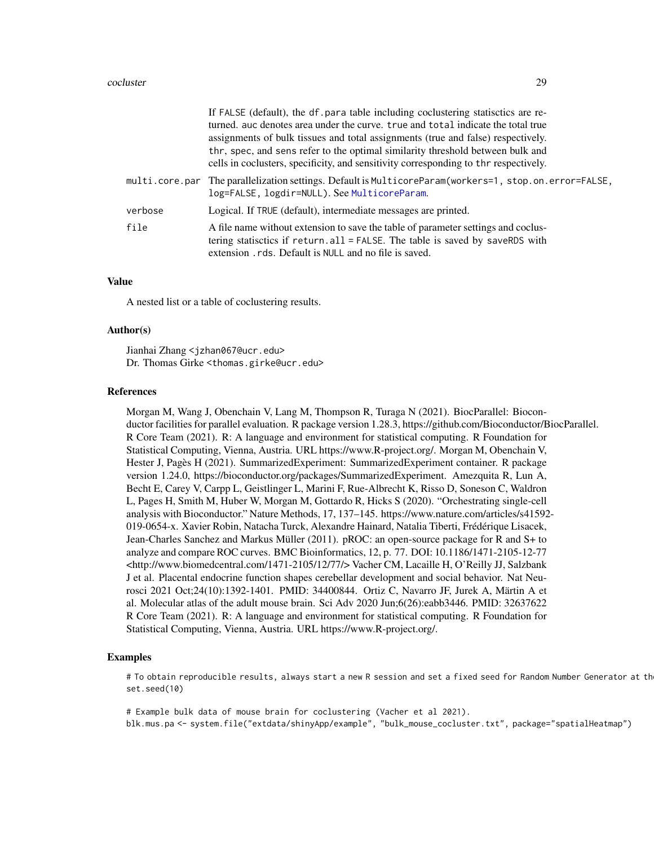#### cocluster 29

|                | If FALSE (default), the df. para table including coclustering statisctics are re-<br>turned, auc denotes area under the curve, true and total indicate the total true<br>assignments of bulk tissues and total assignments (true and false) respectively.<br>thr, spec, and sens refer to the optimal similarity threshold between bulk and<br>cells in coclusters, specificity, and sensitivity corresponding to thr respectively. |
|----------------|-------------------------------------------------------------------------------------------------------------------------------------------------------------------------------------------------------------------------------------------------------------------------------------------------------------------------------------------------------------------------------------------------------------------------------------|
| multi.core.par | The parallelization settings. Default is MulticoreParam(workers=1, stop.on.error=FALSE,<br>log=FALSE, logdir=NULL). See MulticoreParam.                                                                                                                                                                                                                                                                                             |
| verbose        | Logical. If TRUE (default), intermediate messages are printed.                                                                                                                                                                                                                                                                                                                                                                      |
| file           | A file name without extension to save the table of parameter settings and coclus-<br>tering statisctics if return.all = FALSE. The table is saved by saveRDS with<br>extension. rds. Default is NULL and no file is saved.                                                                                                                                                                                                          |

#### Value

A nested list or a table of coclustering results.

#### Author(s)

Jianhai Zhang <jzhan067@ucr.edu> Dr. Thomas Girke <thomas.girke@ucr.edu>

#### References

Morgan M, Wang J, Obenchain V, Lang M, Thompson R, Turaga N (2021). BiocParallel: Bioconductor facilities for parallel evaluation. R package version 1.28.3, https://github.com/Bioconductor/BiocParallel. R Core Team (2021). R: A language and environment for statistical computing. R Foundation for Statistical Computing, Vienna, Austria. URL https://www.R-project.org/. Morgan M, Obenchain V, Hester J, Pagès H (2021). SummarizedExperiment: SummarizedExperiment container. R package version 1.24.0, https://bioconductor.org/packages/SummarizedExperiment. Amezquita R, Lun A, Becht E, Carey V, Carpp L, Geistlinger L, Marini F, Rue-Albrecht K, Risso D, Soneson C, Waldron L, Pages H, Smith M, Huber W, Morgan M, Gottardo R, Hicks S (2020). "Orchestrating single-cell analysis with Bioconductor." Nature Methods, 17, 137–145. https://www.nature.com/articles/s41592- 019-0654-x. Xavier Robin, Natacha Turck, Alexandre Hainard, Natalia Tiberti, Frédérique Lisacek, Jean-Charles Sanchez and Markus Müller (2011). pROC: an open-source package for R and S+ to analyze and compare ROC curves. BMC Bioinformatics, 12, p. 77. DOI: 10.1186/1471-2105-12-77 <http://www.biomedcentral.com/1471-2105/12/77/> Vacher CM, Lacaille H, O'Reilly JJ, Salzbank J et al. Placental endocrine function shapes cerebellar development and social behavior. Nat Neurosci 2021 Oct;24(10):1392-1401. PMID: 34400844. Ortiz C, Navarro JF, Jurek A, Märtin A et al. Molecular atlas of the adult mouse brain. Sci Adv 2020 Jun;6(26):eabb3446. PMID: 32637622 R Core Team (2021). R: A language and environment for statistical computing. R Foundation for Statistical Computing, Vienna, Austria. URL https://www.R-project.org/.

#### Examples

# To obtain reproducible results, always start a new R session and set a fixed seed for Random Number Generator at th set.seed(10)

# Example bulk data of mouse brain for coclustering (Vacher et al 2021). blk.mus.pa <- system.file("extdata/shinyApp/example", "bulk\_mouse\_cocluster.txt", package="spatialHeatmap")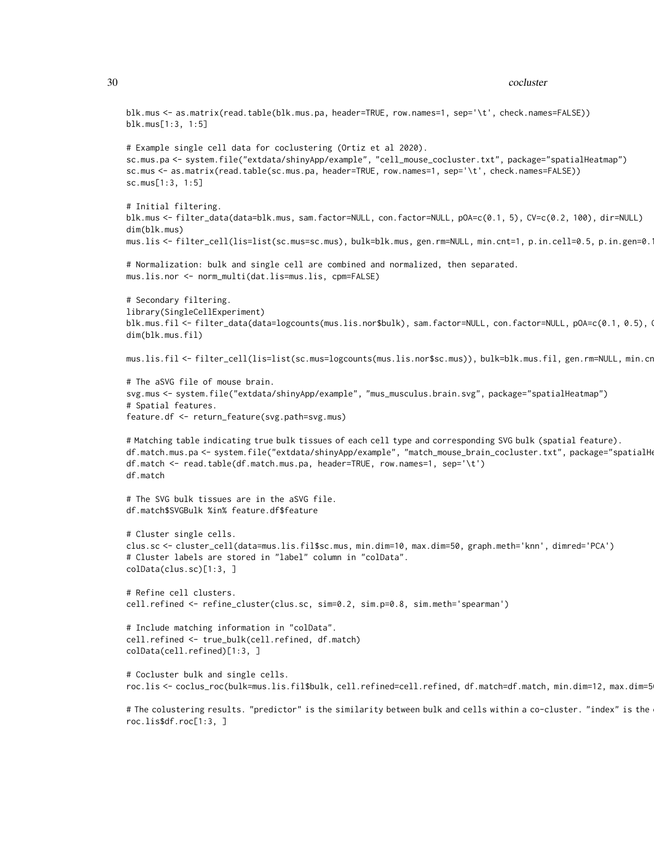```
blk.mus <- as.matrix(read.table(blk.mus.pa, header=TRUE, row.names=1, sep='\t', check.names=FALSE))
blk.mus[1:3, 1:5]
# Example single cell data for coclustering (Ortiz et al 2020).
sc.mus.pa <- system.file("extdata/shinyApp/example", "cell_mouse_cocluster.txt", package="spatialHeatmap")
sc.mus <- as.matrix(read.table(sc.mus.pa, header=TRUE, row.names=1, sep='\t', check.names=FALSE))
sc.mus[1:3, 1:5]
# Initial filtering.
blk.mus <- filter_data(data=blk.mus, sam.factor=NULL, con.factor=NULL, pOA=c(0.1, 5), CV=c(0.2, 100), dir=NULL)
dim(blk.mus)
mus.lis <- filter_cell(lis=list(sc.mus=sc.mus), bulk=blk.mus, gen.rm=NULL, min.cnt=1, p.in.cell=0.5, p.in.gen=0.1)
# Normalization: bulk and single cell are combined and normalized, then separated.
mus.lis.nor <- norm_multi(dat.lis=mus.lis, cpm=FALSE)
# Secondary filtering.
library(SingleCellExperiment)
blk.mus.fil <- filter_data(data=logcounts(mus.lis.nor$bulk), sam.factor=NULL, con.factor=NULL, pOA=c(0.1, 0.5), Q
dim(blk.mus.fil)
mus.lis.fil <- filter_cell(lis=list(sc.mus=logcounts(mus.lis.nor$sc.mus)), bulk=blk.mus.fil, gen.rm=NULL, min.cr
# The aSVG file of mouse brain.
svg.mus <- system.file("extdata/shinyApp/example", "mus_musculus.brain.svg", package="spatialHeatmap")
# Spatial features.
feature.df <- return_feature(svg.path=svg.mus)
# Matching table indicating true bulk tissues of each cell type and corresponding SVG bulk (spatial feature).
df.match.mus.pa <- system.file("extdata/shinyApp/example", "match_mouse_brain_cocluster.txt", package="spatialHe
df.match <- read.table(df.match.mus.pa, header=TRUE, row.names=1, sep='\t')
df.match
# The SVG bulk tissues are in the aSVG file.
df.match$SVGBulk %in% feature.df$feature
# Cluster single cells.
clus.sc <- cluster_cell(data=mus.lis.fil$sc.mus, min.dim=10, max.dim=50, graph.meth='knn', dimred='PCA')
# Cluster labels are stored in "label" column in "colData".
colData(clus.sc)[1:3, ]
# Refine cell clusters.
cell.refined <- refine_cluster(clus.sc, sim=0.2, sim.p=0.8, sim.meth='spearman')
# Include matching information in "colData".
cell.refined <- true_bulk(cell.refined, df.match)
colData(cell.refined)[1:3, ]
# Cocluster bulk and single cells.
roc.lis <- coclus_roc(bulk=mus.lis.fil$bulk, cell.refined=cell.refined, df.match=df.match, min.dim=12, max.dim=5
```
# The colustering results. "predictor" is the similarity between bulk and cells within a co-cluster. "index" is the roc.lis\$df.roc[1:3, ]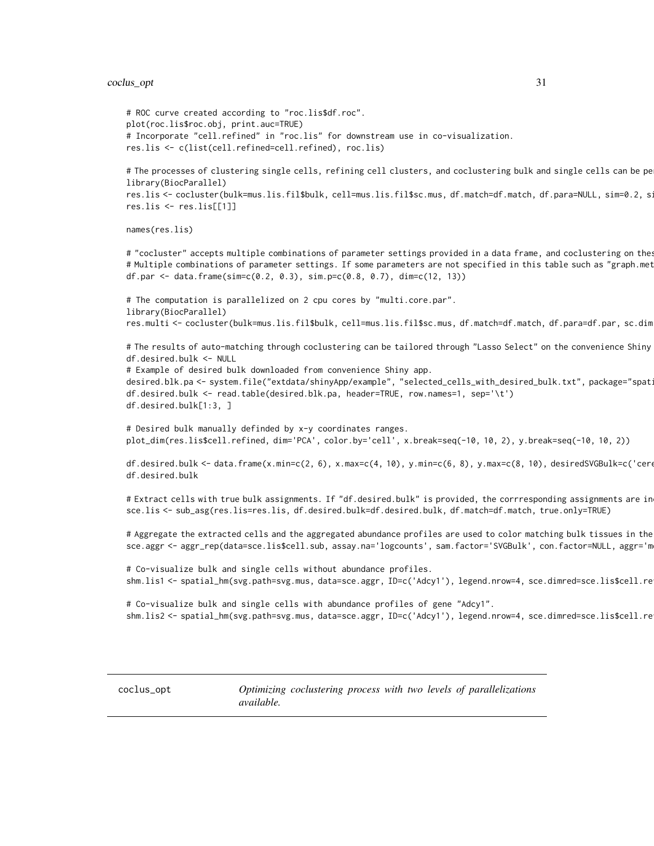#### <span id="page-30-0"></span>coclus\_opt 31

```
# ROC curve created according to "roc.lis$df.roc".
plot(roc.lis$roc.obj, print.auc=TRUE)
# Incorporate "cell.refined" in "roc.lis" for downstream use in co-visualization.
res.lis <- c(list(cell.refined=cell.refined), roc.lis)
```
# The processes of clustering single cells, refining cell clusters, and coclustering bulk and single cells can be pe library(BiocParallel)

```
res.lis <- cocluster(bulk=mus.lis.fil$bulk, cell=mus.lis.fil$sc.mus, df.match=df.match, df.para=NULL, sim=0.2, s:
res.lis <- res.lis[[1]]
```
#### names(res.lis)

# "cocluster" accepts multiple combinations of parameter settings provided in a data frame, and coclustering on the # Multiple combinations of parameter settings. If some parameters are not specified in this table such as "graph.met df.par <- data.frame(sim=c(0.2, 0.3), sim.p=c(0.8, 0.7), dim=c(12, 13))

```
# The computation is parallelized on 2 cpu cores by "multi.core.par".
library(BiocParallel)
res.multi <- cocluster(bulk=mus.lis.fil$bulk, cell=mus.lis.fil$sc.mus, df.match=df.match, df.para=df.par, sc.dim
```
# The results of auto-matching through coclustering can be tailored through "Lasso Select" on the convenience Shiny df.desired.bulk <- NULL

# Example of desired bulk downloaded from convenience Shiny app. desired.blk.pa <- system.file("extdata/shinyApp/example", "selected\_cells\_with\_desired\_bulk.txt", package="spat df.desired.bulk <- read.table(desired.blk.pa, header=TRUE, row.names=1, sep='\t') df.desired.bulk[1:3, ]

# Desired bulk manually definded by x-y coordinates ranges. plot\_dim(res.lis\$cell.refined, dim='PCA', color.by='cell', x.break=seq(-10, 10, 2), y.break=seq(-10, 10, 2))

df.desired.bulk <- data.frame(x.min=c(2, 6), x.max=c(4, 10), y.min=c(6, 8), y.max=c(8, 10), desiredSVGBulk=c('cerebral.cortex', 'cerebral.cortex'), dimred='PCA') df.desired.bulk

# Extract cells with true bulk assignments. If "df.desired.bulk" is provided, the corrresponding assignments are in sce.lis <- sub\_asg(res.lis=res.lis, df.desired.bulk=df.desired.bulk, df.match=df.match, true.only=TRUE)

# Aggregate the extracted cells and the aggregated abundance profiles are used to color matching bulk tissues in the sce.aggr <- aggr\_rep(data=sce.lis\$cell.sub, assay.na='logcounts', sam.factor='SVGBulk', con.factor=NULL, aggr='m

# Co-visualize bulk and single cells without abundance profiles. shm.lis1 <- spatial\_hm(svg.path=svg.mus, data=sce.aggr, ID=c('Adcy1'), legend.nrow=4, sce.dimred=sce.lis\$cell.re

# Co-visualize bulk and single cells with abundance profiles of gene "Adcy1". shm.lis2 <- spatial\_hm(svg.path=svg.mus, data=sce.aggr, ID=c('Adcy1'), legend.nrow=4, sce.dimred=sce.lis\$cell.re

coclus\_opt *Optimizing coclustering process with two levels of parallelizations available.*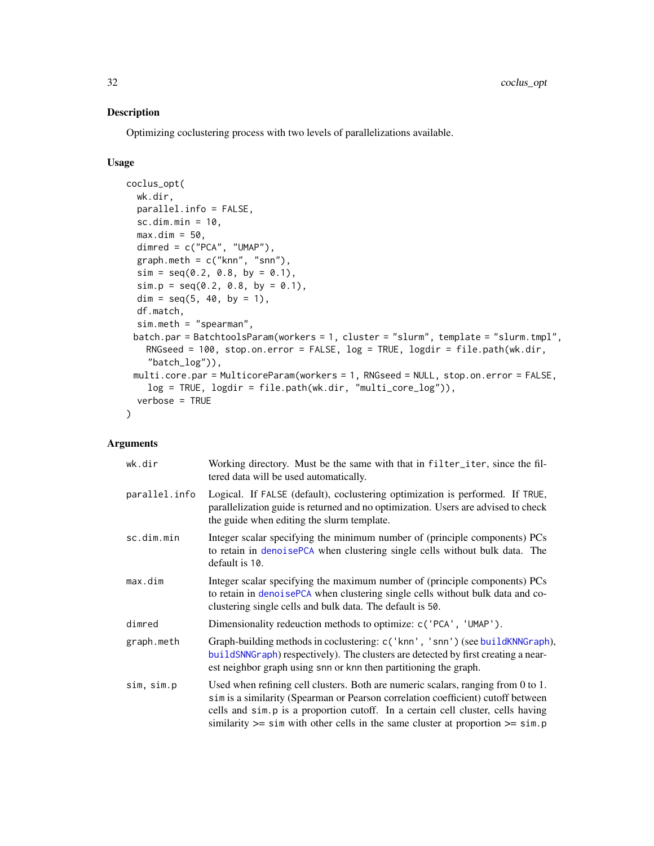# Description

Optimizing coclustering process with two levels of parallelizations available.

# Usage

```
coclus_opt(
 wk.dir,
 parallel.info = FALSE,
  sc.dim.min = 10,
 max.dim = 50,
  dimred = c("PCA", "UMAP"),graph.meth = c("knn", "snn"),
  sim = seq(0.2, 0.8, by = 0.1),
  sim.p = seq(0.2, 0.8, by = 0.1),dim = seq(5, 40, by = 1),
  df.match,
  sim.meth = "spearman",
 batch.par = BatchtoolsParam(workers = 1, cluster = "slurm", template = "slurm.tmpl",
   RNGseed = 100, stop.on.error = FALSE, log = TRUE, logdir = file.path(wk.dir,
    "batch_log")),
 multi.core.par = MulticoreParam(workers = 1, RNGseed = NULL, stop.on.error = FALSE,
    log = TRUE, logdir = file.path(wk.dir, "multi_core_log")),
  verbose = TRUE
\lambda
```
# Arguments

| wk.dir        | Working directory. Must be the same with that in filter_iter, since the fil-<br>tered data will be used automatically.                                                                                                                                                                                                                              |
|---------------|-----------------------------------------------------------------------------------------------------------------------------------------------------------------------------------------------------------------------------------------------------------------------------------------------------------------------------------------------------|
| parallel.info | Logical. If FALSE (default), coclustering optimization is performed. If TRUE,<br>parallelization guide is returned and no optimization. Users are advised to check<br>the guide when editing the slurm template.                                                                                                                                    |
| sc.dim.min    | Integer scalar specifying the minimum number of (principle components) PCs<br>to retain in denoisePCA when clustering single cells without bulk data. The<br>default is 10.                                                                                                                                                                         |
| max.dim       | Integer scalar specifying the maximum number of (principle components) PCs<br>to retain in denoisePCA when clustering single cells without bulk data and co-<br>clustering single cells and bulk data. The default is 50.                                                                                                                           |
| dimred        | Dimensionality redeuction methods to optimize: c('PCA', 'UMAP').                                                                                                                                                                                                                                                                                    |
| graph.meth    | Graph-building methods in coclustering: c('knn', 'snn') (see build KNNG raph),<br>buildSNNGraph) respectively). The clusters are detected by first creating a near-<br>est neighbor graph using snn or knn then partitioning the graph.                                                                                                             |
| sim, sim.p    | Used when refining cell clusters. Both are numeric scalars, ranging from 0 to 1.<br>sim is a similarity (Spearman or Pearson correlation coefficient) cutoff between<br>cells and simple is a proportion cutoff. In a certain cell cluster, cells having<br>similarity $\ge$ = sim with other cells in the same cluster at proportion $\ge$ = sim.p |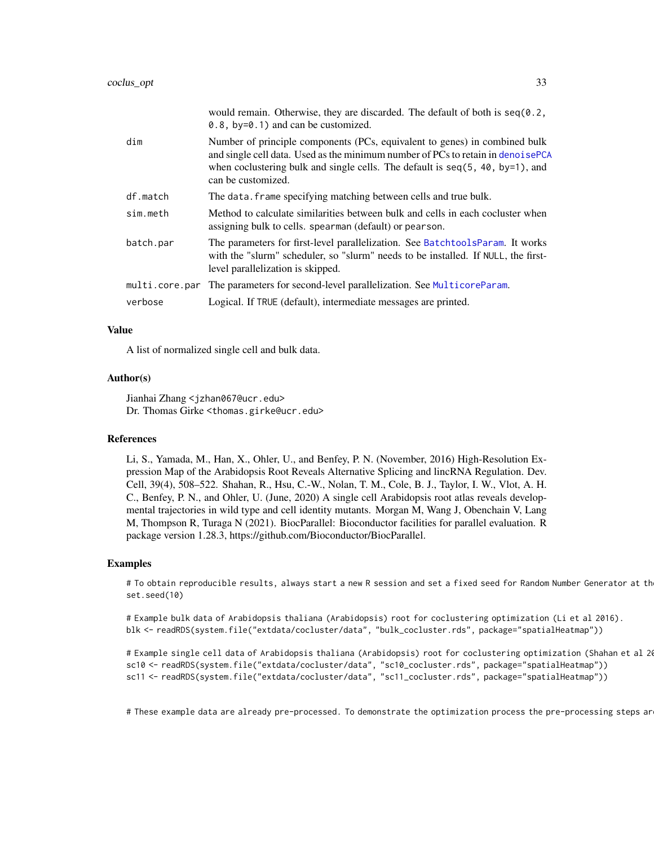| would remain. Otherwise, they are discarded. The default of both is $seq(0.2, 1)$<br>0.8, $by=0.1$ ) and can be customized.                                                                                                                                             |
|-------------------------------------------------------------------------------------------------------------------------------------------------------------------------------------------------------------------------------------------------------------------------|
| Number of principle components (PCs, equivalent to genes) in combined bulk<br>and single cell data. Used as the minimum number of PCs to retain in denoisePCA<br>when coclustering bulk and single cells. The default is $seq(5, 40, by=1)$ , and<br>can be customized. |
| The data. frame specifying matching between cells and true bulk.                                                                                                                                                                                                        |
| Method to calculate similarities between bulk and cells in each cocluster when<br>assigning bulk to cells. spearman (default) or pearson.                                                                                                                               |
| The parameters for first-level parallelization. See BatchtoolsParam. It works<br>with the "slurm" scheduler, so "slurm" needs to be installed. If NULL, the first-<br>level parallelization is skipped.                                                                 |
| The parameters for second-level parallelization. See MulticoreParam.                                                                                                                                                                                                    |
| Logical. If TRUE (default), intermediate messages are printed.                                                                                                                                                                                                          |
|                                                                                                                                                                                                                                                                         |

#### Value

A list of normalized single cell and bulk data.

#### Author(s)

Jianhai Zhang <jzhan067@ucr.edu> Dr. Thomas Girke <thomas.girke@ucr.edu>

#### References

Li, S., Yamada, M., Han, X., Ohler, U., and Benfey, P. N. (November, 2016) High-Resolution Expression Map of the Arabidopsis Root Reveals Alternative Splicing and lincRNA Regulation. Dev. Cell, 39(4), 508–522. Shahan, R., Hsu, C.-W., Nolan, T. M., Cole, B. J., Taylor, I. W., Vlot, A. H. C., Benfey, P. N., and Ohler, U. (June, 2020) A single cell Arabidopsis root atlas reveals developmental trajectories in wild type and cell identity mutants. Morgan M, Wang J, Obenchain V, Lang M, Thompson R, Turaga N (2021). BiocParallel: Bioconductor facilities for parallel evaluation. R package version 1.28.3, https://github.com/Bioconductor/BiocParallel.

#### Examples

# To obtain reproducible results, always start a new R session and set a fixed seed for Random Number Generator at th set.seed(10)

# Example bulk data of Arabidopsis thaliana (Arabidopsis) root for coclustering optimization (Li et al 2016). blk <- readRDS(system.file("extdata/cocluster/data", "bulk\_cocluster.rds", package="spatialHeatmap"))

# Example single cell data of Arabidopsis thaliana (Arabidopsis) root for coclustering optimization (Shahan et al 2020). sc10 <- readRDS(system.file("extdata/cocluster/data", "sc10\_cocluster.rds", package="spatialHeatmap")) sc11 <- readRDS(system.file("extdata/cocluster/data", "sc11\_cocluster.rds", package="spatialHeatmap"))

# These example data are already pre-processed. To demonstrate the optimization process the pre-processing steps ar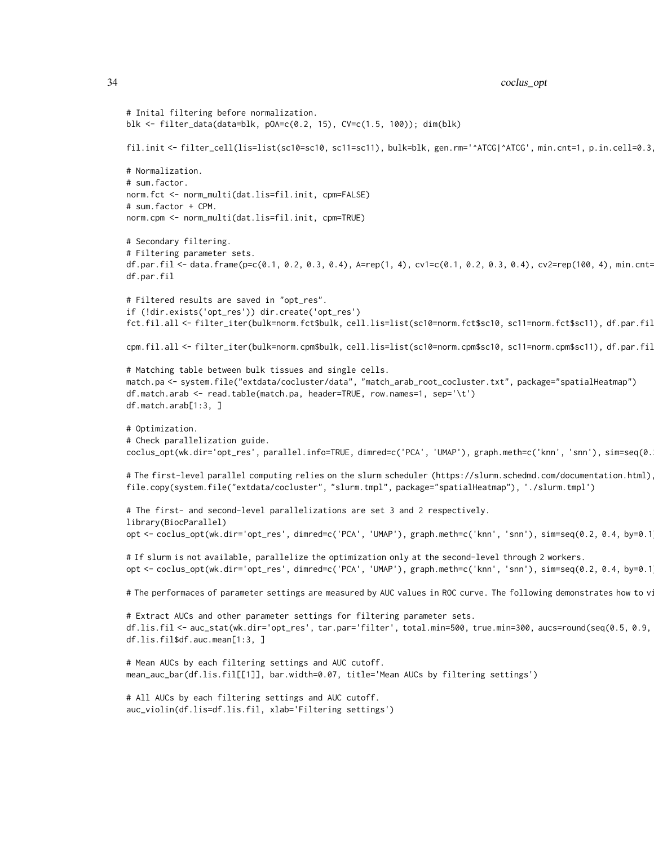```
34 coclus_opt
```

```
# Inital filtering before normalization.
blk <- filter_data(data=blk, pOA=c(0.2, 15), CV=c(1.5, 100)); dim(blk)
fil.init <- filter_cell(lis=list(sc10=sc10, sc11=sc11), bulk=blk, gen.rm='^ATCG|^ATCG', min.cnt=1, p.in.cell=0.3
# Normalization.
# sum.factor.
norm.fct <- norm_multi(dat.lis=fil.init, cpm=FALSE)
# sum.factor + CPM.
norm.cpm <- norm_multi(dat.lis=fil.init, cpm=TRUE)
# Secondary filtering.
# Filtering parameter sets.
df.par.fil <- data.frame(p=c(0.1, 0.2, 0.3, 0.4), A=rep(1, 4), cv1=c(0.1, 0.2, 0.3, 0.4), cv2=rep(100, 4), min.cnt=
df.par.fil
# Filtered results are saved in "opt_res".
if (!dir.exists('opt_res')) dir.create('opt_res')
fct.fil.all <- filter_iter(bulk=norm.fct$bulk, cell.lis=list(sc10=norm.fct$sc10, sc11=norm.fct$sc11), df.par.fil
cpm.fil.all <- filter_iter(bulk=norm.cpm$bulk, cell.lis=list(sc10=norm.cpm$sc10, sc11=norm.cpm$sc11), df.par.fil
# Matching table between bulk tissues and single cells.
match.pa <- system.file("extdata/cocluster/data", "match_arab_root_cocluster.txt", package="spatialHeatmap")
df.match.arab <- read.table(match.pa, header=TRUE, row.names=1, sep='\t')
df.match.arab[1:3, ]
# Optimization.
# Check parallelization guide.
coclus_opt(wk.dir='opt_res', parallel.info=TRUE, dimred=c('PCA', 'UMAP'), graph.meth=c('knn', 'snn'), sim=seq(0.
# The first-level parallel computing relies on the slurm scheduler (https://slurm.schedmd.com/documentation.html)
file.copy(system.file("extdata/cocluster", "slurm.tmpl", package="spatialHeatmap"), './slurm.tmpl')
# The first- and second-level parallelizations are set 3 and 2 respectively.
library(BiocParallel)
opt <- coclus_opt(wk.dir='opt_res', dimred=c('PCA', 'UMAP'), graph.meth=c('knn', 'snn'), sim=seq(0.2, 0.4, by=0.1
# If slurm is not available, parallelize the optimization only at the second-level through 2 workers.
opt <- coclus_opt(wk.dir='opt_res', dimred=c('PCA', 'UMAP'), graph.meth=c('knn', 'snn'), sim=seq(0.2, 0.4, by=0.1
# The performaces of parameter settings are measured by AUC values in ROC curve. The following demonstrates how to vi
# Extract AUCs and other parameter settings for filtering parameter sets.
df.lis.fil <- auc_stat(wk.dir='opt_res', tar.par='filter', total.min=500, true.min=300, aucs=round(seq(0.5, 0.9, 0.1), 1))
df.lis.fil$df.auc.mean[1:3, ]
# Mean AUCs by each filtering settings and AUC cutoff.
mean_auc_bar(df.lis.fil[[1]], bar.width=0.07, title='Mean AUCs by filtering settings')
# All AUCs by each filtering settings and AUC cutoff.
auc_violin(df.lis=df.lis.fil, xlab='Filtering settings')
```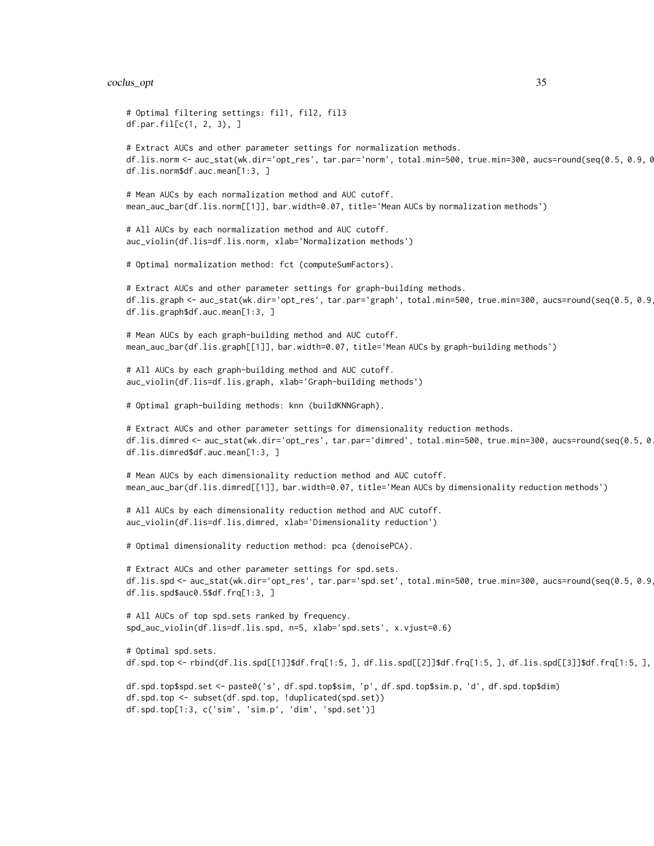#### coclus\_opt 35

```
# Optimal filtering settings: fil1, fil2, fil3
df.par.fil[c(1, 2, 3), ]
# Extract AUCs and other parameter settings for normalization methods.
df.lis.norm <- auc_stat(wk.dir='opt_res', tar.par='norm', total.min=500, true.min=300, aucs=round(seq(0.5, 0.9, 0
df.lis.norm$df.auc.mean[1:3, ]
# Mean AUCs by each normalization method and AUC cutoff.
mean_auc_bar(df.lis.norm[[1]], bar.width=0.07, title='Mean AUCs by normalization methods')
# All AUCs by each normalization method and AUC cutoff.
auc_violin(df.lis=df.lis.norm, xlab='Normalization methods')
# Optimal normalization method: fct (computeSumFactors).
# Extract AUCs and other parameter settings for graph-building methods.
df.lis.graph <- auc_stat(wk.dir='opt_res', tar.par='graph', total.min=500, true.min=300, aucs=round(seq(0.5, 0.9, 0.1), 1))
df.lis.graph$df.auc.mean[1:3, ]
# Mean AUCs by each graph-building method and AUC cutoff.
mean_auc_bar(df.lis.graph[[1]], bar.width=0.07, title='Mean AUCs by graph-building methods')
# All AUCs by each graph-building method and AUC cutoff.
auc_violin(df.lis=df.lis.graph, xlab='Graph-building methods')
# Optimal graph-building methods: knn (buildKNNGraph).
# Extract AUCs and other parameter settings for dimensionality reduction methods.
df.lis.dimred <- auc_stat(wk.dir='opt_res', tar.par='dimred', total.min=500, true.min=300, aucs=round(seq(0.5, 0.9, 0.1), 1))
df.lis.dimred$df.auc.mean[1:3, ]
# Mean AUCs by each dimensionality reduction method and AUC cutoff.
mean_auc_bar(df.lis.dimred[[1]], bar.width=0.07, title='Mean AUCs by dimensionality reduction methods')
# All AUCs by each dimensionality reduction method and AUC cutoff.
auc_violin(df.lis=df.lis.dimred, xlab='Dimensionality reduction')
# Optimal dimensionality reduction method: pca (denoisePCA).
# Extract AUCs and other parameter settings for spd.sets.
df.lis.spd <- auc_stat(wk.dir='opt_res', tar.par='spd.set', total.min=500, true.min=300, aucs=round(seq(0.5, 0.9, 0.1), 1))
df.lis.spd$auc0.5$df.frq[1:3, ]
# All AUCs of top spd.sets ranked by frequency.
spd_auc_violin(df.lis=df.lis.spd, n=5, xlab='spd.sets', x.vjust=0.6)
# Optimal spd.sets.
df.spd.top <- rbind(df.lis.spd[[1]]$df.frq[1:5, ], df.lis.spd[[2]]$df.frq[1:5, ], df.lis.spd[[3]]$df.frq[1:5, ], df.lis.spd[[4]]$df.frq[1:5, ], df.lis.spd[[5]]$df.frq[1:5, ])
df.spd.top$spd.set <- paste0('s', df.spd.top$sim, 'p', df.spd.top$sim.p, 'd', df.spd.top$dim)
df.spd.top <- subset(df.spd.top, !duplicated(spd.set))
df.spd.top[1:3, c('sim', 'sim.p', 'dim', 'spd.set')]
```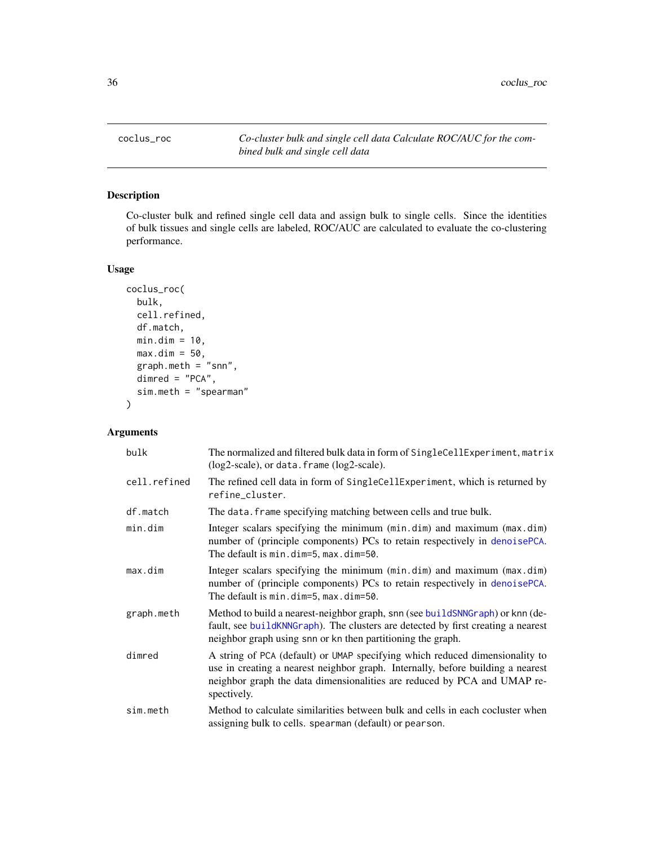<span id="page-35-0"></span>coclus\_roc *Co-cluster bulk and single cell data Calculate ROC/AUC for the combined bulk and single cell data*

# Description

Co-cluster bulk and refined single cell data and assign bulk to single cells. Since the identities of bulk tissues and single cells are labeled, ROC/AUC are calculated to evaluate the co-clustering performance.

# Usage

```
coclus_roc(
 bulk,
  cell.refined,
 df.match,
 min.dim = 10,max.dim = 50,graph.meth = "snn",
  dimred = "PCA",
  sim.meth = "spearman"
)
```
# Arguments

| bulk         | The normalized and filtered bulk data in form of SingleCellExperiment, matrix<br>(log2-scale), or data. frame (log2-scale).                                                                                                                                |
|--------------|------------------------------------------------------------------------------------------------------------------------------------------------------------------------------------------------------------------------------------------------------------|
| cell.refined | The refined cell data in form of SingleCellExperiment, which is returned by<br>refine_cluster.                                                                                                                                                             |
| df.match     | The data. frame specifying matching between cells and true bulk.                                                                                                                                                                                           |
| min.dim      | Integer scalars specifying the minimum (min.dim) and maximum (max.dim)<br>number of (principle components) PCs to retain respectively in denoisePCA.<br>The default is min.dim=5, max.dim=50.                                                              |
| max.dim      | Integer scalars specifying the minimum (min.dim) and maximum (max.dim)<br>number of (principle components) PCs to retain respectively in denoisePCA.<br>The default is min.dim=5, max.dim=50.                                                              |
| graph.meth   | Method to build a nearest-neighbor graph, snn (see build SNNGraph) or knn (de-<br>fault, see build KNNG raph). The clusters are detected by first creating a nearest<br>neighbor graph using snn or kn then partitioning the graph.                        |
| dimred       | A string of PCA (default) or UMAP specifying which reduced dimensionality to<br>use in creating a nearest neighbor graph. Internally, before building a nearest<br>neighbor graph the data dimensionalities are reduced by PCA and UMAP re-<br>spectively. |
| sim.meth     | Method to calculate similarities between bulk and cells in each cocluster when<br>assigning bulk to cells. spearman (default) or pearson.                                                                                                                  |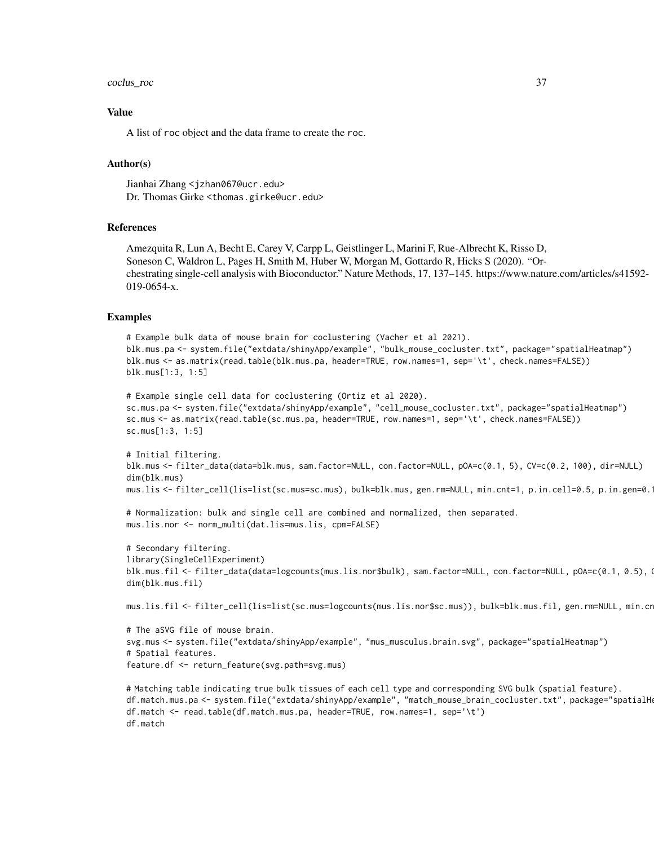## coclus\_roc 37

## Value

A list of roc object and the data frame to create the roc.

# Author(s)

Jianhai Zhang <jzhan067@ucr.edu> Dr. Thomas Girke <thomas.girke@ucr.edu>

# References

Amezquita R, Lun A, Becht E, Carey V, Carpp L, Geistlinger L, Marini F, Rue-Albrecht K, Risso D, Soneson C, Waldron L, Pages H, Smith M, Huber W, Morgan M, Gottardo R, Hicks S (2020). "Orchestrating single-cell analysis with Bioconductor." Nature Methods, 17, 137–145. https://www.nature.com/articles/s41592- 019-0654-x.

# Examples

```
# Example bulk data of mouse brain for coclustering (Vacher et al 2021).
blk.mus.pa <- system.file("extdata/shinyApp/example", "bulk_mouse_cocluster.txt", package="spatialHeatmap")
blk.mus <- as.matrix(read.table(blk.mus.pa, header=TRUE, row.names=1, sep='\t', check.names=FALSE))
blk.mus[1:3, 1:5]
```

```
# Example single cell data for coclustering (Ortiz et al 2020).
sc.mus.pa <- system.file("extdata/shinyApp/example", "cell_mouse_cocluster.txt", package="spatialHeatmap")
sc.mus <- as.matrix(read.table(sc.mus.pa, header=TRUE, row.names=1, sep='\t', check.names=FALSE))
sc.mus[1:3, 1:5]
```

```
# Initial filtering.
blk.mus <- filter_data(data=blk.mus, sam.factor=NULL, con.factor=NULL, pOA=c(0.1, 5), CV=c(0.2, 100), dir=NULL)
dim(blk.mus)
mus.lis <- filter_cell(lis=list(sc.mus=sc.mus), bulk=blk.mus, gen.rm=NULL, min.cnt=1, p.in.cell=0.5, p.in.gen=0.1)
```

```
# Normalization: bulk and single cell are combined and normalized, then separated.
mus.lis.nor <- norm_multi(dat.lis=mus.lis, cpm=FALSE)
```

```
# Secondary filtering.
library(SingleCellExperiment)
blk.mus.fil <- filter_data(data=logcounts(mus.lis.nor$bulk), sam.factor=NULL, con.factor=NULL, pOA=c(0.1, 0.5), Q
dim(blk.mus.fil)
```
mus.lis.fil <- filter\_cell(lis=list(sc.mus=logcounts(mus.lis.nor\$sc.mus)), bulk=blk.mus.fil, gen.rm=NULL, min.cr

```
# The aSVG file of mouse brain.
svg.mus <- system.file("extdata/shinyApp/example", "mus_musculus.brain.svg", package="spatialHeatmap")
# Spatial features.
feature.df <- return_feature(svg.path=svg.mus)
```

```
# Matching table indicating true bulk tissues of each cell type and corresponding SVG bulk (spatial feature).
df.match.mus.pa <- system.file("extdata/shinyApp/example", "match_mouse_brain_cocluster.txt", package="spatialHe
df.match <- read.table(df.match.mus.pa, header=TRUE, row.names=1, sep='\t')
df.match
```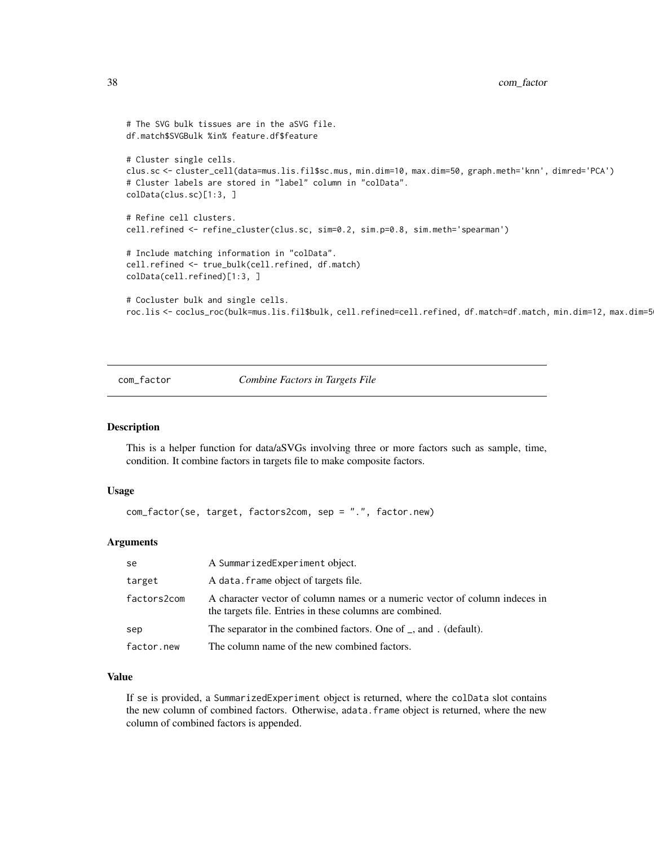```
# The SVG bulk tissues are in the aSVG file.
df.match$SVGBulk %in% feature.df$feature
# Cluster single cells.
clus.sc <- cluster_cell(data=mus.lis.fil$sc.mus, min.dim=10, max.dim=50, graph.meth='knn', dimred='PCA')
# Cluster labels are stored in "label" column in "colData".
colData(clus.sc)[1:3, ]
# Refine cell clusters.
cell.refined <- refine_cluster(clus.sc, sim=0.2, sim.p=0.8, sim.meth='spearman')
# Include matching information in "colData".
cell.refined <- true_bulk(cell.refined, df.match)
colData(cell.refined)[1:3, ]
# Cocluster bulk and single cells.
roc.lis <- coclus_roc(bulk=mus.lis.fil$bulk, cell.refined=cell.refined, df.match=df.match, min.dim=12, max.dim=5
```
com\_factor *Combine Factors in Targets File*

# Description

This is a helper function for data/aSVGs involving three or more factors such as sample, time, condition. It combine factors in targets file to make composite factors.

#### Usage

com\_factor(se, target, factors2com, sep = ".", factor.new)

## Arguments

| se          | A SummarizedExperiment object.                                                                                                          |
|-------------|-----------------------------------------------------------------------------------------------------------------------------------------|
| target      | A data. frame object of targets file.                                                                                                   |
| factors2com | A character vector of column names or a numeric vector of column indeces in<br>the targets file. Entries in these columns are combined. |
| sep         | The separator in the combined factors. One of _, and . (default).                                                                       |
| factor.new  | The column name of the new combined factors.                                                                                            |

## Value

If se is provided, a SummarizedExperiment object is returned, where the colData slot contains the new column of combined factors. Otherwise, adata.frame object is returned, where the new column of combined factors is appended.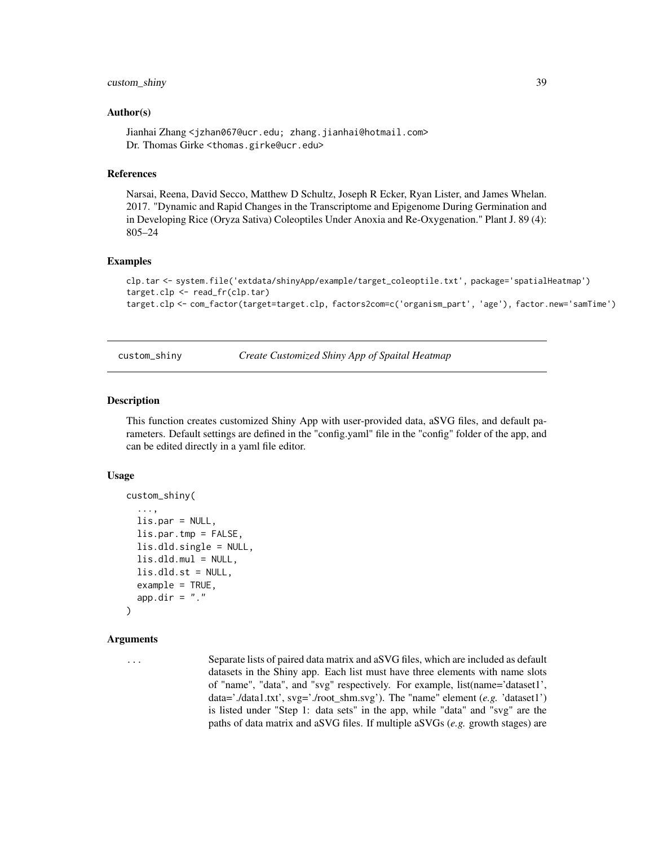# custom\_shiny 39

## Author(s)

Jianhai Zhang <jzhan067@ucr.edu; zhang.jianhai@hotmail.com> Dr. Thomas Girke <thomas.girke@ucr.edu>

# References

Narsai, Reena, David Secco, Matthew D Schultz, Joseph R Ecker, Ryan Lister, and James Whelan. 2017. "Dynamic and Rapid Changes in the Transcriptome and Epigenome During Germination and in Developing Rice (Oryza Sativa) Coleoptiles Under Anoxia and Re-Oxygenation." Plant J. 89 (4): 805–24

#### Examples

```
clp.tar <- system.file('extdata/shinyApp/example/target_coleoptile.txt', package='spatialHeatmap')
target.clp <- read_fr(clp.tar)
target.clp <- com_factor(target=target.clp, factors2com=c('organism_part', 'age'), factor.new='samTime')
```
custom\_shiny *Create Customized Shiny App of Spaital Heatmap*

#### Description

This function creates customized Shiny App with user-provided data, aSVG files, and default parameters. Default settings are defined in the "config.yaml" file in the "config" folder of the app, and can be edited directly in a yaml file editor.

# Usage

```
custom_shiny(
  ...,
  lis.par = NULL,
  lis.par.tmp = FALSE,
  lis.dld.single = NULL,
  lis.dld.mul = NULL,
  lis.dld.st = NULL,example = TRUE,
  app.dir = "."
)
```
# Arguments

... Separate lists of paired data matrix and aSVG files, which are included as default datasets in the Shiny app. Each list must have three elements with name slots of "name", "data", and "svg" respectively. For example, list(name='dataset1', data='./data1.txt', svg='./root\_shm.svg'). The "name" element (*e.g.* 'dataset1') is listed under "Step 1: data sets" in the app, while "data" and "svg" are the paths of data matrix and aSVG files. If multiple aSVGs (*e.g.* growth stages) are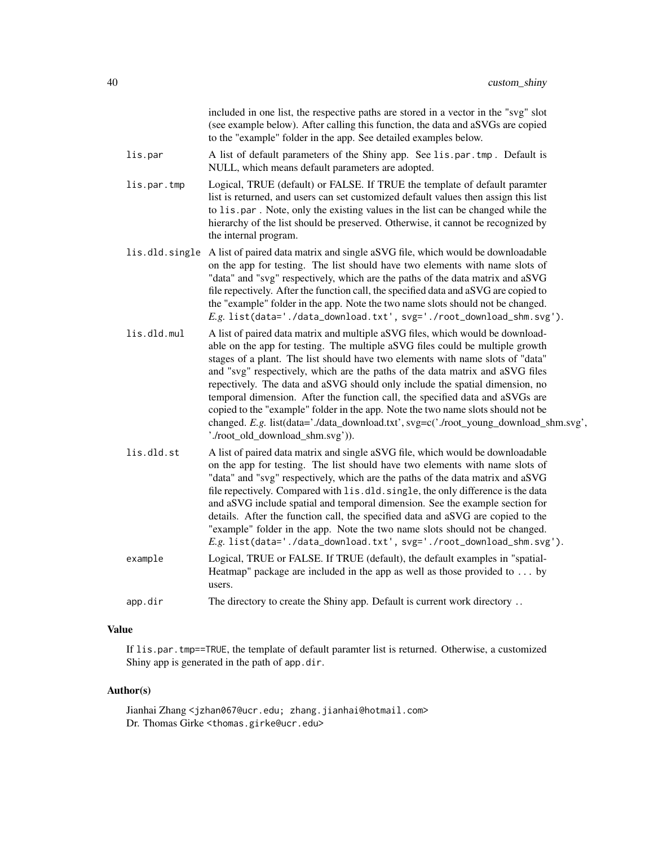|                | included in one list, the respective paths are stored in a vector in the "svg" slot<br>(see example below). After calling this function, the data and aSVGs are copied<br>to the "example" folder in the app. See detailed examples below.                                                                                                                                                                                                                                                                                                                                                                                                                                                                           |
|----------------|----------------------------------------------------------------------------------------------------------------------------------------------------------------------------------------------------------------------------------------------------------------------------------------------------------------------------------------------------------------------------------------------------------------------------------------------------------------------------------------------------------------------------------------------------------------------------------------------------------------------------------------------------------------------------------------------------------------------|
| lis.par        | A list of default parameters of the Shiny app. See lis.par.tmp. Default is<br>NULL, which means default parameters are adopted.                                                                                                                                                                                                                                                                                                                                                                                                                                                                                                                                                                                      |
| lis.par.tmp    | Logical, TRUE (default) or FALSE. If TRUE the template of default paramter<br>list is returned, and users can set customized default values then assign this list<br>to lis.par. Note, only the existing values in the list can be changed while the<br>hierarchy of the list should be preserved. Otherwise, it cannot be recognized by<br>the internal program.                                                                                                                                                                                                                                                                                                                                                    |
| lis.dld.single | A list of paired data matrix and single aSVG file, which would be downloadable<br>on the app for testing. The list should have two elements with name slots of<br>"data" and "svg" respectively, which are the paths of the data matrix and aSVG<br>file repectively. After the function call, the specified data and aSVG are copied to<br>the "example" folder in the app. Note the two name slots should not be changed.<br>E.g. list(data='./data_download.txt', svg='./root_download_shm.svg').                                                                                                                                                                                                                 |
| lis.dld.mul    | A list of paired data matrix and multiple aSVG files, which would be download-<br>able on the app for testing. The multiple aSVG files could be multiple growth<br>stages of a plant. The list should have two elements with name slots of "data"<br>and "svg" respectively, which are the paths of the data matrix and aSVG files<br>repectively. The data and aSVG should only include the spatial dimension, no<br>temporal dimension. After the function call, the specified data and aSVGs are<br>copied to the "example" folder in the app. Note the two name slots should not be<br>changed. E.g. list(data='./data_download.txt', svg=c('./root_young_download_shm.svg',<br>'./root_old_download_shm.svg')). |
| lis.dld.st     | A list of paired data matrix and single aSVG file, which would be downloadable<br>on the app for testing. The list should have two elements with name slots of<br>"data" and "svg" respectively, which are the paths of the data matrix and aSVG<br>file repectively. Compared with lis.dld.single, the only difference is the data<br>and aSVG include spatial and temporal dimension. See the example section for<br>details. After the function call, the specified data and aSVG are copied to the<br>"example" folder in the app. Note the two name slots should not be changed.<br>E.g. list(data='./data_download.txt', svg='./root_download_shm.svg').                                                       |
| example        | Logical, TRUE or FALSE. If TRUE (default), the default examples in "spatial-<br>Heatmap" package are included in the app as well as those provided to $\dots$ by<br>users.                                                                                                                                                                                                                                                                                                                                                                                                                                                                                                                                           |
| app.dir        | The directory to create the Shiny app. Default is current work directory                                                                                                                                                                                                                                                                                                                                                                                                                                                                                                                                                                                                                                             |

# Value

If lis.par.tmp==TRUE, the template of default paramter list is returned. Otherwise, a customized Shiny app is generated in the path of app.dir.

# Author(s)

Jianhai Zhang <jzhan067@ucr.edu; zhang.jianhai@hotmail.com> Dr. Thomas Girke <thomas.girke@ucr.edu>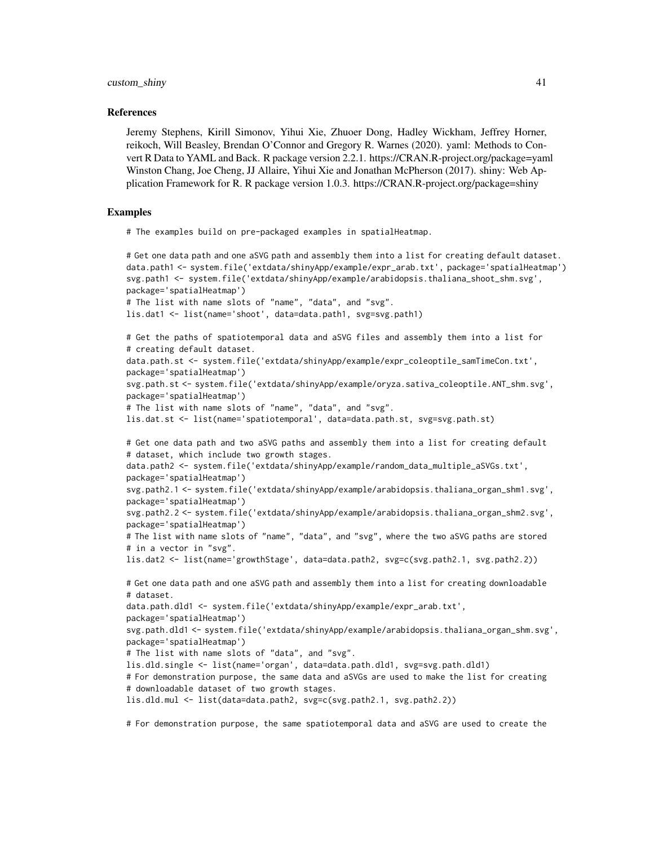## References

Jeremy Stephens, Kirill Simonov, Yihui Xie, Zhuoer Dong, Hadley Wickham, Jeffrey Horner, reikoch, Will Beasley, Brendan O'Connor and Gregory R. Warnes (2020). yaml: Methods to Convert R Data to YAML and Back. R package version 2.2.1. https://CRAN.R-project.org/package=yaml Winston Chang, Joe Cheng, JJ Allaire, Yihui Xie and Jonathan McPherson (2017). shiny: Web Application Framework for R. R package version 1.0.3. https://CRAN.R-project.org/package=shiny

# Examples

# The examples build on pre-packaged examples in spatialHeatmap.

```
# Get one data path and one aSVG path and assembly them into a list for creating default dataset.
data.path1 <- system.file('extdata/shinyApp/example/expr_arab.txt', package='spatialHeatmap')
svg.path1 <- system.file('extdata/shinyApp/example/arabidopsis.thaliana_shoot_shm.svg',
package='spatialHeatmap')
# The list with name slots of "name", "data", and "svg".
lis.dat1 <- list(name='shoot', data=data.path1, svg=svg.path1)
# Get the paths of spatiotemporal data and aSVG files and assembly them into a list for
# creating default dataset.
data.path.st <- system.file('extdata/shinyApp/example/expr_coleoptile_samTimeCon.txt',
package='spatialHeatmap')
svg.path.st <- system.file('extdata/shinyApp/example/oryza.sativa_coleoptile.ANT_shm.svg',
package='spatialHeatmap')
# The list with name slots of "name", "data", and "svg".
lis.dat.st <- list(name='spatiotemporal', data=data.path.st, svg=svg.path.st)
# Get one data path and two aSVG paths and assembly them into a list for creating default
# dataset, which include two growth stages.
data.path2 <- system.file('extdata/shinyApp/example/random_data_multiple_aSVGs.txt',
package='spatialHeatmap')
svg.path2.1 <- system.file('extdata/shinyApp/example/arabidopsis.thaliana_organ_shm1.svg',
package='spatialHeatmap')
svg.path2.2 <- system.file('extdata/shinyApp/example/arabidopsis.thaliana_organ_shm2.svg',
package='spatialHeatmap')
# The list with name slots of "name", "data", and "svg", where the two aSVG paths are stored
# in a vector in "svg".
lis.dat2 <- list(name='growthStage', data=data.path2, svg=c(svg.path2.1, svg.path2.2))
# Get one data path and one aSVG path and assembly them into a list for creating downloadable
# dataset.
data.path.dld1 <- system.file('extdata/shinyApp/example/expr_arab.txt',
package='spatialHeatmap')
svg.path.dld1 <- system.file('extdata/shinyApp/example/arabidopsis.thaliana_organ_shm.svg',
package='spatialHeatmap')
# The list with name slots of "data", and "svg".
lis.dld.single <- list(name='organ', data=data.path.dld1, svg=svg.path.dld1)
# For demonstration purpose, the same data and aSVGs are used to make the list for creating
# downloadable dataset of two growth stages.
lis.dld.mul <- list(data=data.path2, svg=c(svg.path2.1, svg.path2.2))
```
# For demonstration purpose, the same spatiotemporal data and aSVG are used to create the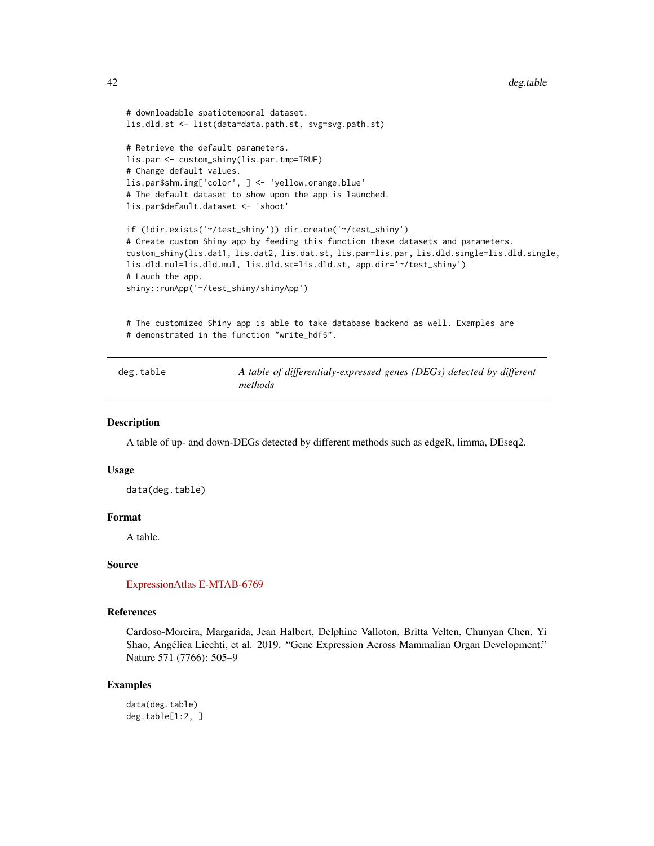```
# downloadable spatiotemporal dataset.
lis.dld.st <- list(data=data.path.st, svg=svg.path.st)
# Retrieve the default parameters.
lis.par <- custom_shiny(lis.par.tmp=TRUE)
# Change default values.
lis.par$shm.img['color', ] <- 'yellow,orange,blue'
# The default dataset to show upon the app is launched.
lis.par$default.dataset <- 'shoot'
if (!dir.exists('~/test_shiny')) dir.create('~/test_shiny')
# Create custom Shiny app by feeding this function these datasets and parameters.
custom_shiny(lis.dat1, lis.dat2, lis.dat.st, lis.par=lis.par, lis.dld.single=lis.dld.single,
lis.dld.mul=lis.dld.mul, lis.dld.st=lis.dld.st, app.dir='~/test_shiny')
# Lauch the app.
shiny::runApp('~/test_shiny/shinyApp')
# The customized Shiny app is able to take database backend as well. Examples are
```

```
# demonstrated in the function "write_hdf5".
```

| deg.table | A table of differentialy-expressed genes (DEGs) detected by different |
|-----------|-----------------------------------------------------------------------|
|           | methods                                                               |

## Description

A table of up- and down-DEGs detected by different methods such as edgeR, limma, DEseq2.

# Usage

data(deg.table)

# Format

A table.

# Source

[ExpressionAtlas E-MTAB-6769](https://www.ebi.ac.uk/arrayexpress/experiments/E-MTAB-6769/)

#### References

Cardoso-Moreira, Margarida, Jean Halbert, Delphine Valloton, Britta Velten, Chunyan Chen, Yi Shao, Angélica Liechti, et al. 2019. "Gene Expression Across Mammalian Organ Development." Nature 571 (7766): 505–9

# Examples

```
data(deg.table)
deg.table[1:2, ]
```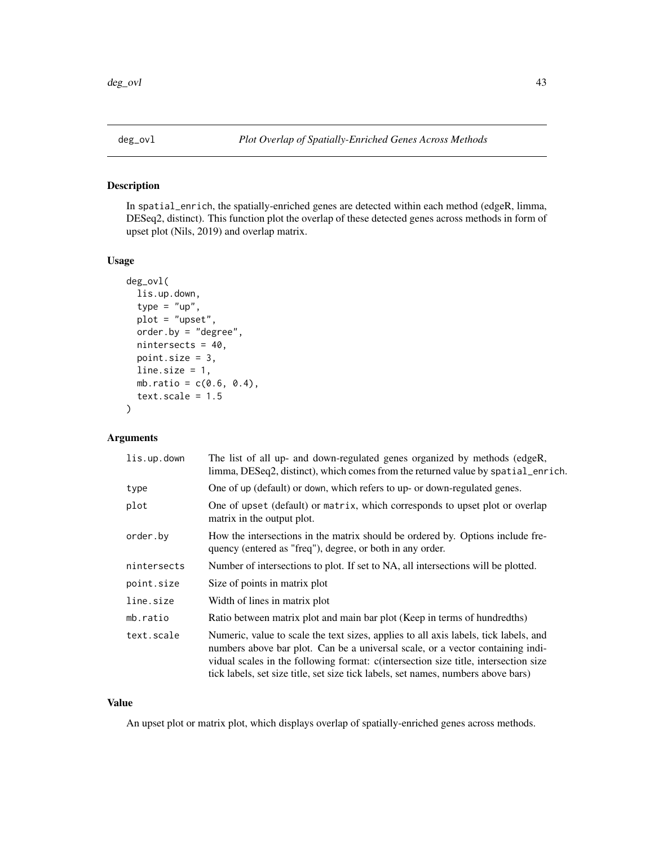# Description

In spatial\_enrich, the spatially-enriched genes are detected within each method (edgeR, limma, DESeq2, distinct). This function plot the overlap of these detected genes across methods in form of upset plot (Nils, 2019) and overlap matrix.

# Usage

```
deg_ovl(
  lis.up.down,
  type = "up",
  plot = "upset",
  order.by = "degree",
  nintersects = 40,
  point.size = 3,
  line.size = 1,
  mb.ratio = c(0.6, 0.4),
  text.scale = <math>1.5</math>)
```
# Arguments

| lis.up.down | The list of all up- and down-regulated genes organized by methods (edgeR,<br>limma, DESeq2, distinct), which comes from the returned value by spatial_enrich.                                                                                                                                                                                      |
|-------------|----------------------------------------------------------------------------------------------------------------------------------------------------------------------------------------------------------------------------------------------------------------------------------------------------------------------------------------------------|
| type        | One of up (default) or down, which refers to up- or down-regulated genes.                                                                                                                                                                                                                                                                          |
| plot        | One of upset (default) or matrix, which corresponds to upset plot or overlap<br>matrix in the output plot.                                                                                                                                                                                                                                         |
| order.by    | How the intersections in the matrix should be ordered by. Options include fre-<br>quency (entered as "freq"), degree, or both in any order.                                                                                                                                                                                                        |
| nintersects | Number of intersections to plot. If set to NA, all intersections will be plotted.                                                                                                                                                                                                                                                                  |
| point.size  | Size of points in matrix plot                                                                                                                                                                                                                                                                                                                      |
| line.size   | Width of lines in matrix plot                                                                                                                                                                                                                                                                                                                      |
| mb.ratio    | Ratio between matrix plot and main bar plot (Keep in terms of hundredths)                                                                                                                                                                                                                                                                          |
| text.scale  | Numeric, value to scale the text sizes, applies to all axis labels, tick labels, and<br>numbers above bar plot. Can be a universal scale, or a vector containing indi-<br>vidual scales in the following format: c(intersection size title, intersection size<br>tick labels, set size title, set size tick labels, set names, numbers above bars) |

# Value

An upset plot or matrix plot, which displays overlap of spatially-enriched genes across methods.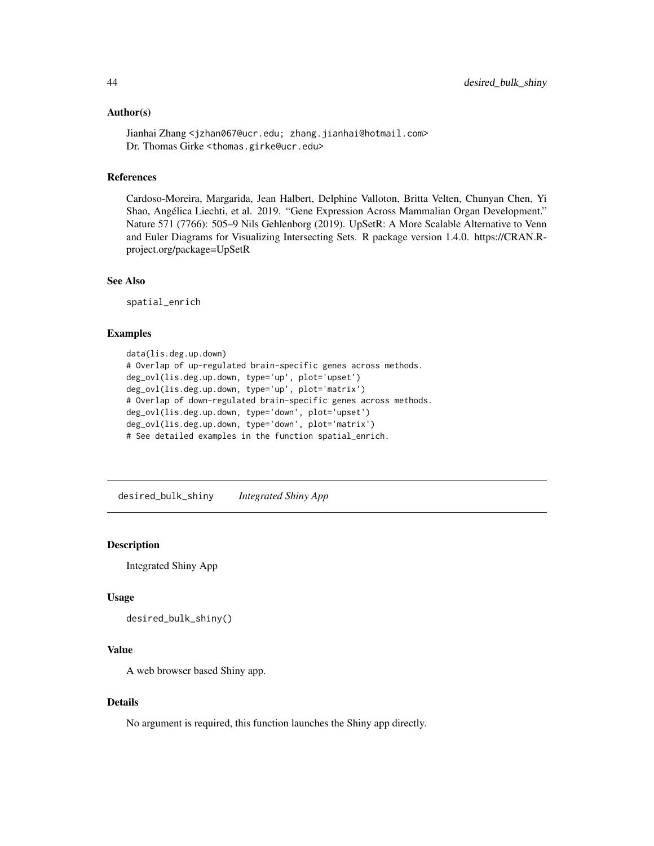## Author(s)

Jianhai Zhang <jzhan067@ucr.edu; zhang.jianhai@hotmail.com> Dr. Thomas Girke <thomas.girke@ucr.edu>

## References

Cardoso-Moreira, Margarida, Jean Halbert, Delphine Valloton, Britta Velten, Chunyan Chen, Yi Shao, Angélica Liechti, et al. 2019. "Gene Expression Across Mammalian Organ Development." Nature 571 (7766): 505–9 Nils Gehlenborg (2019). UpSetR: A More Scalable Alternative to Venn and Euler Diagrams for Visualizing Intersecting Sets. R package version 1.4.0. https://CRAN.Rproject.org/package=UpSetR

# See Also

spatial\_enrich

# Examples

```
data(lis.deg.up.down)
# Overlap of up-regulated brain-specific genes across methods.
deg_ovl(lis.deg.up.down, type='up', plot='upset')
deg_ovl(lis.deg.up.down, type='up', plot='matrix')
# Overlap of down-regulated brain-specific genes across methods.
deg_ovl(lis.deg.up.down, type='down', plot='upset')
deg_ovl(lis.deg.up.down, type='down', plot='matrix')
# See detailed examples in the function spatial_enrich.
```
desired\_bulk\_shiny *Integrated Shiny App*

# Description

Integrated Shiny App

# Usage

```
desired_bulk_shiny()
```
# Value

A web browser based Shiny app.

## Details

No argument is required, this function launches the Shiny app directly.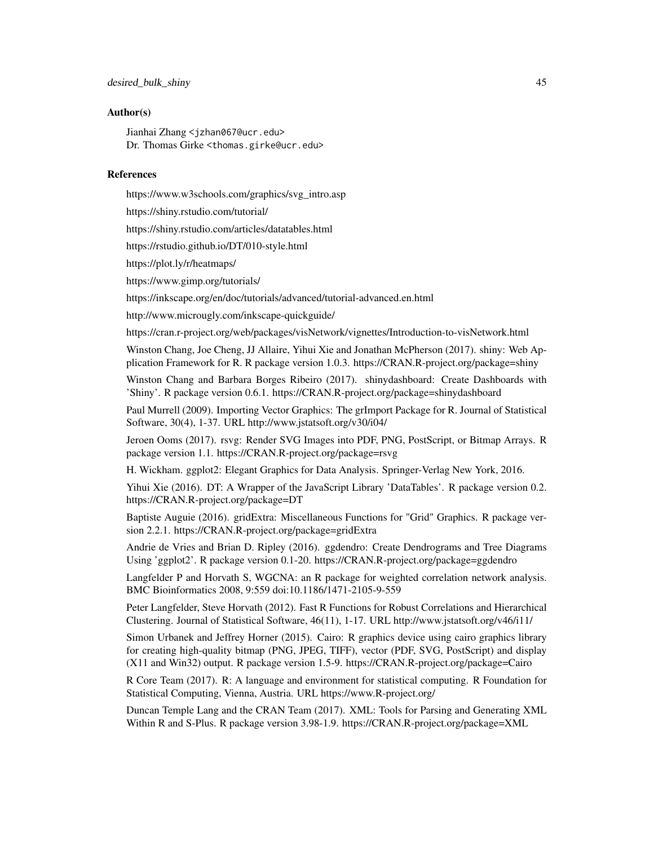# Author(s)

Jianhai Zhang <jzhan067@ucr.edu> Dr. Thomas Girke <thomas.girke@ucr.edu>

# References

https://www.w3schools.com/graphics/svg\_intro.asp

https://shiny.rstudio.com/tutorial/

https://shiny.rstudio.com/articles/datatables.html

https://rstudio.github.io/DT/010-style.html

https://plot.ly/r/heatmaps/

https://www.gimp.org/tutorials/

https://inkscape.org/en/doc/tutorials/advanced/tutorial-advanced.en.html

http://www.microugly.com/inkscape-quickguide/

https://cran.r-project.org/web/packages/visNetwork/vignettes/Introduction-to-visNetwork.html

Winston Chang, Joe Cheng, JJ Allaire, Yihui Xie and Jonathan McPherson (2017). shiny: Web Application Framework for R. R package version 1.0.3. https://CRAN.R-project.org/package=shiny

Winston Chang and Barbara Borges Ribeiro (2017). shinydashboard: Create Dashboards with 'Shiny'. R package version 0.6.1. https://CRAN.R-project.org/package=shinydashboard

Paul Murrell (2009). Importing Vector Graphics: The grImport Package for R. Journal of Statistical Software, 30(4), 1-37. URL http://www.jstatsoft.org/v30/i04/

Jeroen Ooms (2017). rsvg: Render SVG Images into PDF, PNG, PostScript, or Bitmap Arrays. R package version 1.1. https://CRAN.R-project.org/package=rsvg

H. Wickham. ggplot2: Elegant Graphics for Data Analysis. Springer-Verlag New York, 2016.

Yihui Xie (2016). DT: A Wrapper of the JavaScript Library 'DataTables'. R package version 0.2. https://CRAN.R-project.org/package=DT

Baptiste Auguie (2016). gridExtra: Miscellaneous Functions for "Grid" Graphics. R package version 2.2.1. https://CRAN.R-project.org/package=gridExtra

Andrie de Vries and Brian D. Ripley (2016). ggdendro: Create Dendrograms and Tree Diagrams Using 'ggplot2'. R package version 0.1-20. https://CRAN.R-project.org/package=ggdendro

Langfelder P and Horvath S, WGCNA: an R package for weighted correlation network analysis. BMC Bioinformatics 2008, 9:559 doi:10.1186/1471-2105-9-559

Peter Langfelder, Steve Horvath (2012). Fast R Functions for Robust Correlations and Hierarchical Clustering. Journal of Statistical Software, 46(11), 1-17. URL http://www.jstatsoft.org/v46/i11/

Simon Urbanek and Jeffrey Horner (2015). Cairo: R graphics device using cairo graphics library for creating high-quality bitmap (PNG, JPEG, TIFF), vector (PDF, SVG, PostScript) and display (X11 and Win32) output. R package version 1.5-9. https://CRAN.R-project.org/package=Cairo

R Core Team (2017). R: A language and environment for statistical computing. R Foundation for Statistical Computing, Vienna, Austria. URL https://www.R-project.org/

Duncan Temple Lang and the CRAN Team (2017). XML: Tools for Parsing and Generating XML Within R and S-Plus. R package version 3.98-1.9. https://CRAN.R-project.org/package=XML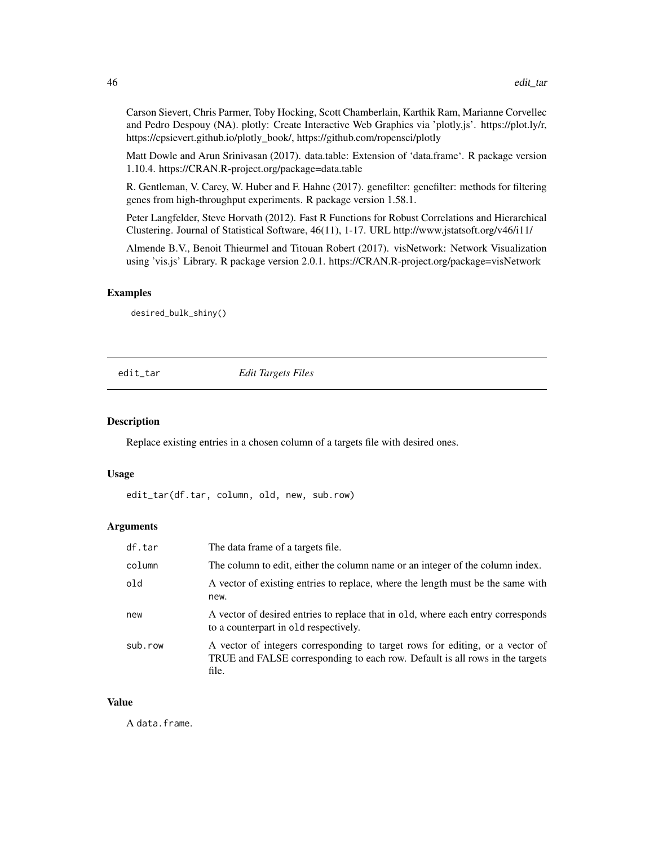Carson Sievert, Chris Parmer, Toby Hocking, Scott Chamberlain, Karthik Ram, Marianne Corvellec and Pedro Despouy (NA). plotly: Create Interactive Web Graphics via 'plotly.js'. https://plot.ly/r, https://cpsievert.github.io/plotly\_book/, https://github.com/ropensci/plotly

Matt Dowle and Arun Srinivasan (2017). data.table: Extension of 'data.frame'. R package version 1.10.4. https://CRAN.R-project.org/package=data.table

R. Gentleman, V. Carey, W. Huber and F. Hahne (2017). genefilter: genefilter: methods for filtering genes from high-throughput experiments. R package version 1.58.1.

Peter Langfelder, Steve Horvath (2012). Fast R Functions for Robust Correlations and Hierarchical Clustering. Journal of Statistical Software, 46(11), 1-17. URL http://www.jstatsoft.org/v46/i11/

Almende B.V., Benoit Thieurmel and Titouan Robert (2017). visNetwork: Network Visualization using 'vis.js' Library. R package version 2.0.1. https://CRAN.R-project.org/package=visNetwork

## Examples

desired\_bulk\_shiny()

edit\_tar *Edit Targets Files*

# Description

Replace existing entries in a chosen column of a targets file with desired ones.

#### Usage

edit\_tar(df.tar, column, old, new, sub.row)

## **Arguments**

| df.tar  | The data frame of a targets file.                                                                                                                                      |
|---------|------------------------------------------------------------------------------------------------------------------------------------------------------------------------|
| column  | The column to edit, either the column name or an integer of the column index.                                                                                          |
| old     | A vector of existing entries to replace, where the length must be the same with<br>new.                                                                                |
| new     | A vector of desired entries to replace that in old, where each entry corresponds<br>to a counterpart in old respectively.                                              |
| sub.row | A vector of integers corresponding to target rows for editing, or a vector of<br>TRUE and FALSE corresponding to each row. Default is all rows in the targets<br>file. |

## Value

A data.frame.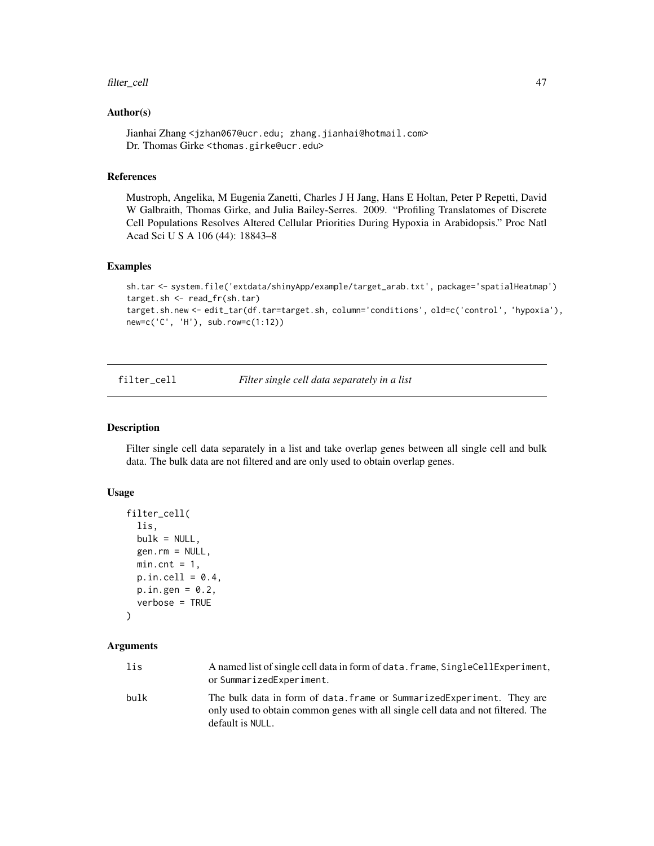## filter\_cell 47

# Author(s)

Jianhai Zhang <jzhan067@ucr.edu; zhang.jianhai@hotmail.com> Dr. Thomas Girke <thomas.girke@ucr.edu>

## References

Mustroph, Angelika, M Eugenia Zanetti, Charles J H Jang, Hans E Holtan, Peter P Repetti, David W Galbraith, Thomas Girke, and Julia Bailey-Serres. 2009. "Profiling Translatomes of Discrete Cell Populations Resolves Altered Cellular Priorities During Hypoxia in Arabidopsis." Proc Natl Acad Sci U S A 106 (44): 18843–8

## Examples

```
sh.tar <- system.file('extdata/shinyApp/example/target_arab.txt', package='spatialHeatmap')
target.sh <- read_fr(sh.tar)
target.sh.new <- edit_tar(df.tar=target.sh, column='conditions', old=c('control', 'hypoxia'),
new=c('C', 'H'), sub.row=c(1:12))
```
filter\_cell *Filter single cell data separately in a list*

## Description

Filter single cell data separately in a list and take overlap genes between all single cell and bulk data. The bulk data are not filtered and are only used to obtain overlap genes.

# Usage

```
filter_cell(
  lis,
  bulk = NULL,gen.rm = NULL,
 min.cnt = 1,
 p.in.cell = 0.4,
 p.in.gen = 0.2,verbose = TRUE
)
```
# Arguments

| lis  | A named list of single cell data in form of data. frame, SingleCellExperiment,<br>or SummarizedExperiment.                                                                     |
|------|--------------------------------------------------------------------------------------------------------------------------------------------------------------------------------|
| bulk | The bulk data in form of data. frame or SummarizedExperiment. They are<br>only used to obtain common genes with all single cell data and not filtered. The<br>default is NULL. |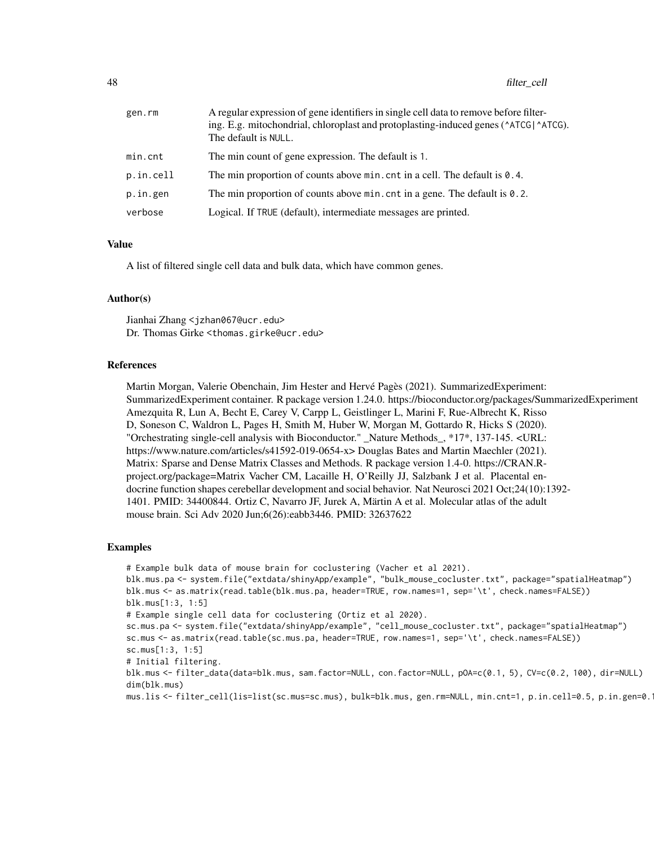| gen.rm    | A regular expression of gene identifiers in single cell data to remove before filter-<br>ing. E.g. mitochondrial, chloroplast and protoplasting-induced genes ( $\triangle$ ATCG) $\triangle$ ATCG).<br>The default is NULL. |
|-----------|------------------------------------------------------------------------------------------------------------------------------------------------------------------------------------------------------------------------------|
| min.cnt   | The min count of gene expression. The default is 1.                                                                                                                                                                          |
| p.in.cell | The min proportion of counts above $min$ . cnt in a cell. The default is $0.4$ .                                                                                                                                             |
| p.in.gen  | The min proportion of counts above $min$ . cnt in a gene. The default is $0.2$ .                                                                                                                                             |
| verbose   | Logical. If TRUE (default), intermediate messages are printed.                                                                                                                                                               |

## Value

A list of filtered single cell data and bulk data, which have common genes.

## Author(s)

Jianhai Zhang <jzhan067@ucr.edu> Dr. Thomas Girke <thomas.girke@ucr.edu>

#### References

Martin Morgan, Valerie Obenchain, Jim Hester and Hervé Pagès (2021). SummarizedExperiment: SummarizedExperiment container. R package version 1.24.0. https://bioconductor.org/packages/SummarizedExperiment Amezquita R, Lun A, Becht E, Carey V, Carpp L, Geistlinger L, Marini F, Rue-Albrecht K, Risso D, Soneson C, Waldron L, Pages H, Smith M, Huber W, Morgan M, Gottardo R, Hicks S (2020). "Orchestrating single-cell analysis with Bioconductor." \_Nature Methods\_, \*17\*, 137-145. <URL: https://www.nature.com/articles/s41592-019-0654-x> Douglas Bates and Martin Maechler (2021). Matrix: Sparse and Dense Matrix Classes and Methods. R package version 1.4-0. https://CRAN.Rproject.org/package=Matrix Vacher CM, Lacaille H, O'Reilly JJ, Salzbank J et al. Placental endocrine function shapes cerebellar development and social behavior. Nat Neurosci 2021 Oct;24(10):1392- 1401. PMID: 34400844. Ortiz C, Navarro JF, Jurek A, Märtin A et al. Molecular atlas of the adult mouse brain. Sci Adv 2020 Jun;6(26):eabb3446. PMID: 32637622

# Examples

# Example bulk data of mouse brain for coclustering (Vacher et al 2021).

blk.mus.pa <- system.file("extdata/shinyApp/example", "bulk\_mouse\_cocluster.txt", package="spatialHeatmap") blk.mus <- as.matrix(read.table(blk.mus.pa, header=TRUE, row.names=1, sep='\t', check.names=FALSE)) blk.mus[1:3, 1:5]

# Example single cell data for coclustering (Ortiz et al 2020).

sc.mus.pa <- system.file("extdata/shinyApp/example", "cell\_mouse\_cocluster.txt", package="spatialHeatmap") sc.mus <- as.matrix(read.table(sc.mus.pa, header=TRUE, row.names=1, sep='\t', check.names=FALSE)) sc.mus[1:3, 1:5]

# Initial filtering.

blk.mus <- filter\_data(data=blk.mus, sam.factor=NULL, con.factor=NULL, pOA=c(0.1, 5), CV=c(0.2, 100), dir=NULL) dim(blk.mus)

mus.lis <- filter\_cell(lis=list(sc.mus=sc.mus), bulk=blk.mus, gen.rm=NULL, min.cnt=1, p.in.cell=0.5, p.in.gen=0.1)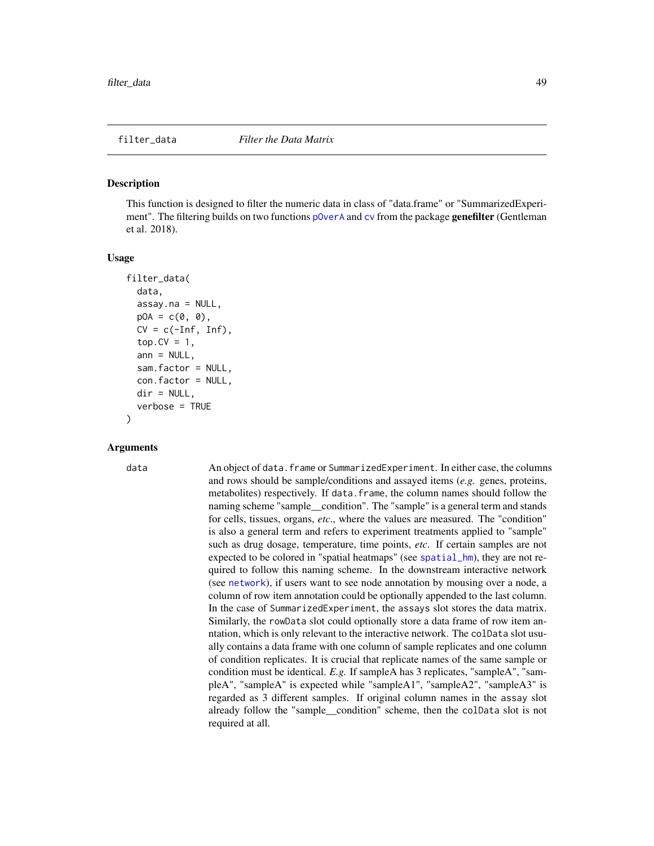#### <span id="page-48-0"></span>**Description**

This function is designed to filter the numeric data in class of "data.frame" or "SummarizedExperiment". The filtering builds on two functions [pOverA](#page-0-0) and [cv](#page-0-0) from the package genefilter (Gentleman et al. 2018).

#### Usage

```
filter_data(
  data,
  assay.na = NULL,pOA = c(0, 0),CV = c(-Inf, Inf),top.CV = 1,
  ann = NULL,sam.factor = NULL,
  con.factor = NULL,
  dir = NULL,
  verbose = TRUE
)
```
# Arguments

data An object of data.frame or SummarizedExperiment. In either case, the columns and rows should be sample/conditions and assayed items (*e.g.* genes, proteins, metabolites) respectively. If data.frame, the column names should follow the naming scheme "sample\_\_condition". The "sample" is a general term and stands for cells, tissues, organs, *etc*., where the values are measured. The "condition" is also a general term and refers to experiment treatments applied to "sample" such as drug dosage, temperature, time points, *etc*. If certain samples are not expected to be colored in "spatial heatmaps" (see [spatial\\_hm](#page-90-0)), they are not required to follow this naming scheme. In the downstream interactive network (see [network](#page-60-0)), if users want to see node annotation by mousing over a node, a column of row item annotation could be optionally appended to the last column. In the case of SummarizedExperiment, the assays slot stores the data matrix. Similarly, the rowData slot could optionally store a data frame of row item anntation, which is only relevant to the interactive network. The colData slot usually contains a data frame with one column of sample replicates and one column of condition replicates. It is crucial that replicate names of the same sample or condition must be identical. *E.g.* If sampleA has 3 replicates, "sampleA", "sampleA", "sampleA" is expected while "sampleA1", "sampleA2", "sampleA3" is regarded as 3 different samples. If original column names in the assay slot already follow the "sample\_\_condition" scheme, then the colData slot is not required at all.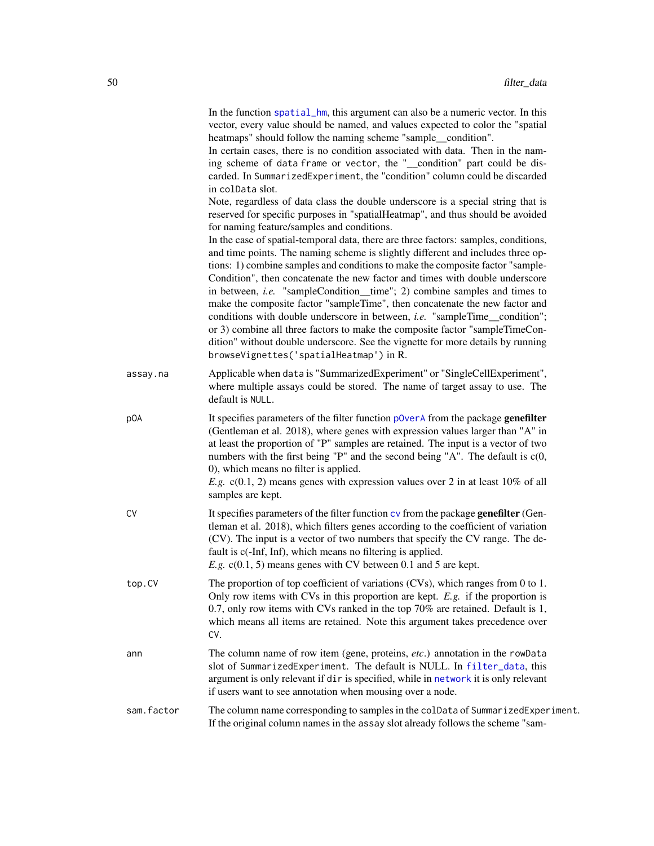| In the function spatial_hm, this argument can also be a numeric vector. In this  |
|----------------------------------------------------------------------------------|
| vector, every value should be named, and values expected to color the "spatial"  |
| heatmaps" should follow the naming scheme "sample_condition".                    |
| In certain cases, there is no condition associated with data. Then in the nam-   |
| ing scheme of data frame or vector, the "__condition" part could be dis-         |
| carded. In SummarizedExperiment, the "condition" column could be discarded       |
| in colData slot.                                                                 |
| Note, regardless of data class the double underscore is a special string that is |
| reserved for specific purposes in "spatialHeatmap", and thus should be avoided   |
| for naming feature/samples and conditions.                                       |

In the case of spatial-temporal data, there are three factors: samples, conditions, and time points. The naming scheme is slightly different and includes three options: 1) combine samples and conditions to make the composite factor "sample-Condition", then concatenate the new factor and times with double underscore in between, *i.e.* "sampleCondition\_\_time"; 2) combine samples and times to make the composite factor "sampleTime", then concatenate the new factor and conditions with double underscore in between, *i.e.* "sampleTime\_\_condition"; or 3) combine all three factors to make the composite factor "sampleTimeCondition" without double underscore. See the vignette for more details by running browseVignettes('spatialHeatmap') in R.

- assay.na Applicable when data is "SummarizedExperiment" or "SingleCellExperiment", where multiple assays could be stored. The name of target assay to use. The default is NULL.
- pOA It specifies parameters of the filter function [pOverA](#page-0-0) from the package genefilter (Gentleman et al. 2018), where genes with expression values larger than "A" in at least the proportion of "P" samples are retained. The input is a vector of two numbers with the first being "P" and the second being "A". The default is c(0, 0), which means no filter is applied.

*E.g.* c(0.1, 2) means genes with expression values over 2 in at least 10% of all samples are kept.

- CV It specifies parameters of the filter function  $cy$  from the package **genefilter** (Gentleman et al. 2018), which filters genes according to the coefficient of variation (CV). The input is a vector of two numbers that specify the CV range. The default is c(-Inf, Inf), which means no filtering is applied. *E.g.* c(0.1, 5) means genes with CV between 0.1 and 5 are kept.
- top.CV The proportion of top coefficient of variations (CVs), which ranges from 0 to 1. Only row items with CVs in this proportion are kept. *E.g.* if the proportion is 0.7, only row items with CVs ranked in the top 70% are retained. Default is 1, which means all items are retained. Note this argument takes precedence over CV.
- ann The column name of row item (gene, proteins, *etc*.) annotation in the rowData slot of SummarizedExperiment. The default is NULL. In [filter\\_data](#page-48-0), this argument is only relevant if dir is specified, while in [network](#page-60-0) it is only relevant if users want to see annotation when mousing over a node.

sam.factor The column name corresponding to samples in the colData of SummarizedExperiment. If the original column names in the assay slot already follows the scheme "sam-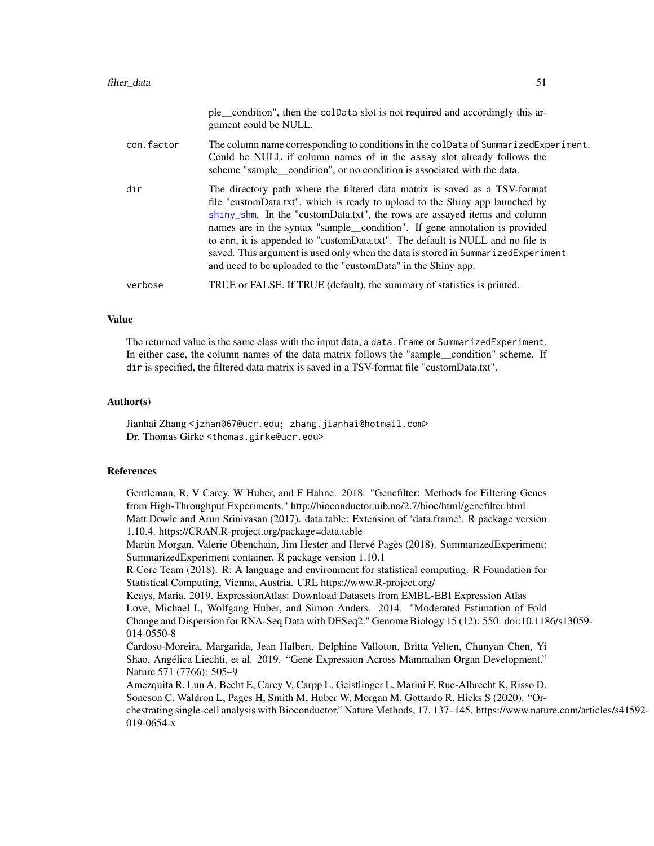|            | ple_condition", then the colData slot is not required and accordingly this ar-<br>gument could be NULL.                                                                                                                                                                                                                                                                                                                                                                                                                                                       |
|------------|---------------------------------------------------------------------------------------------------------------------------------------------------------------------------------------------------------------------------------------------------------------------------------------------------------------------------------------------------------------------------------------------------------------------------------------------------------------------------------------------------------------------------------------------------------------|
| con.factor | The column name corresponding to conditions in the colData of SummarizedExperiment.<br>Could be NULL if column names of in the assay slot already follows the<br>scheme "sample condition", or no condition is associated with the data.                                                                                                                                                                                                                                                                                                                      |
| dir        | The directory path where the filtered data matrix is saved as a TSV-format<br>file "customData.txt", which is ready to upload to the Shiny app launched by<br>shiny_shm. In the "customData.txt", the rows are assayed items and column<br>names are in the syntax "sample_condition". If gene annotation is provided<br>to ann, it is appended to "customData.txt". The default is NULL and no file is<br>saved. This argument is used only when the data is stored in SummarizedExperiment<br>and need to be uploaded to the "customData" in the Shiny app. |
| verbose    | TRUE or FALSE. If TRUE (default), the summary of statistics is printed.                                                                                                                                                                                                                                                                                                                                                                                                                                                                                       |
|            |                                                                                                                                                                                                                                                                                                                                                                                                                                                                                                                                                               |

## Value

The returned value is the same class with the input data, a data. frame or SummarizedExperiment. In either case, the column names of the data matrix follows the "sample condition" scheme. If dir is specified, the filtered data matrix is saved in a TSV-format file "customData.txt".

## Author(s)

Jianhai Zhang <jzhan067@ucr.edu; zhang.jianhai@hotmail.com> Dr. Thomas Girke <thomas.girke@ucr.edu>

#### References

Gentleman, R, V Carey, W Huber, and F Hahne. 2018. "Genefilter: Methods for Filtering Genes from High-Throughput Experiments." http://bioconductor.uib.no/2.7/bioc/html/genefilter.html Matt Dowle and Arun Srinivasan (2017). data.table: Extension of 'data.frame'. R package version 1.10.4. https://CRAN.R-project.org/package=data.table Martin Morgan, Valerie Obenchain, Jim Hester and Hervé Pagès (2018). SummarizedExperiment: SummarizedExperiment container. R package version 1.10.1 R Core Team (2018). R: A language and environment for statistical computing. R Foundation for Statistical Computing, Vienna, Austria. URL https://www.R-project.org/ Keays, Maria. 2019. ExpressionAtlas: Download Datasets from EMBL-EBI Expression Atlas Love, Michael I., Wolfgang Huber, and Simon Anders. 2014. "Moderated Estimation of Fold Change and Dispersion for RNA-Seq Data with DESeq2." Genome Biology 15 (12): 550. doi:10.1186/s13059- 014-0550-8 Cardoso-Moreira, Margarida, Jean Halbert, Delphine Valloton, Britta Velten, Chunyan Chen, Yi Shao, Angélica Liechti, et al. 2019. "Gene Expression Across Mammalian Organ Development." Nature 571 (7766): 505–9 Amezquita R, Lun A, Becht E, Carey V, Carpp L, Geistlinger L, Marini F, Rue-Albrecht K, Risso D, Soneson C, Waldron L, Pages H, Smith M, Huber W, Morgan M, Gottardo R, Hicks S (2020). "Orchestrating single-cell analysis with Bioconductor." Nature Methods, 17, 137–145. https://www.nature.com/articles/s41592- 019-0654-x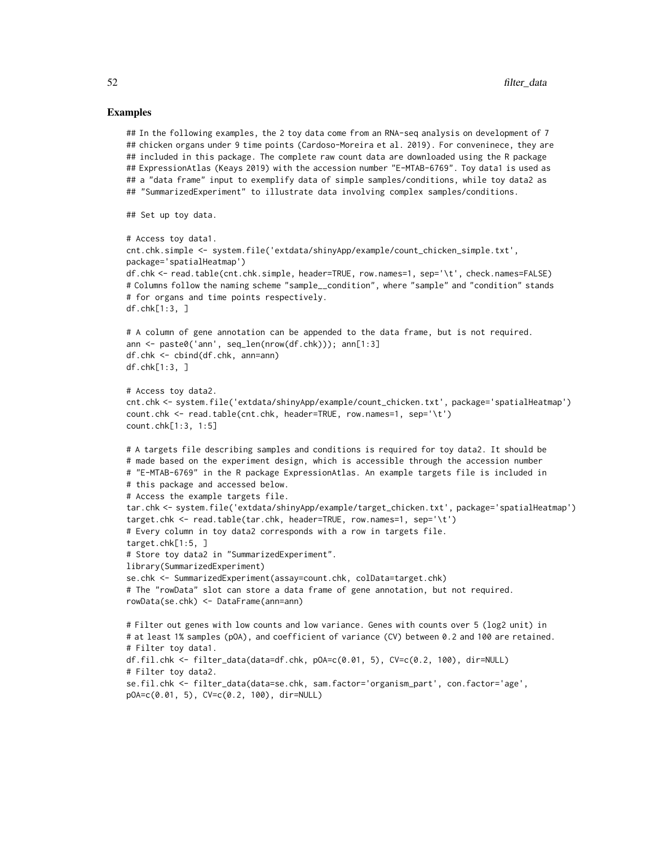## Examples

```
## In the following examples, the 2 toy data come from an RNA-seq analysis on development of 7
## chicken organs under 9 time points (Cardoso-Moreira et al. 2019). For conveninece, they are
## included in this package. The complete raw count data are downloaded using the R package
## ExpressionAtlas (Keays 2019) with the accession number "E-MTAB-6769". Toy data1 is used as
## a "data frame" input to exemplify data of simple samples/conditions, while toy data2 as
## "SummarizedExperiment" to illustrate data involving complex samples/conditions.
## Set up toy data.
# Access toy data1.
cnt.chk.simple <- system.file('extdata/shinyApp/example/count_chicken_simple.txt',
package='spatialHeatmap')
df.chk <- read.table(cnt.chk.simple, header=TRUE, row.names=1, sep='\t', check.names=FALSE)
# Columns follow the naming scheme "sample__condition", where "sample" and "condition" stands
# for organs and time points respectively.
df.chk[1:3, ]
# A column of gene annotation can be appended to the data frame, but is not required.
ann <- paste0('ann', seq_len(nrow(df.chk))); ann[1:3]
df.chk <- cbind(df.chk, ann=ann)
df.chk[1:3, ]
# Access toy data2.
cnt.chk <- system.file('extdata/shinyApp/example/count_chicken.txt', package='spatialHeatmap')
count.chk <- read.table(cnt.chk, header=TRUE, row.names=1, sep='\t')
count.chk[1:3, 1:5]
# A targets file describing samples and conditions is required for toy data2. It should be
# made based on the experiment design, which is accessible through the accession number
# "E-MTAB-6769" in the R package ExpressionAtlas. An example targets file is included in
# this package and accessed below.
# Access the example targets file.
tar.chk <- system.file('extdata/shinyApp/example/target_chicken.txt', package='spatialHeatmap')
target.chk <- read.table(tar.chk, header=TRUE, row.names=1, sep='\t')
# Every column in toy data2 corresponds with a row in targets file.
target.chk[1:5, ]
# Store toy data2 in "SummarizedExperiment".
library(SummarizedExperiment)
se.chk <- SummarizedExperiment(assay=count.chk, colData=target.chk)
# The "rowData" slot can store a data frame of gene annotation, but not required.
rowData(se.chk) <- DataFrame(ann=ann)
# Filter out genes with low counts and low variance. Genes with counts over 5 (log2 unit) in
# at least 1% samples (pOA), and coefficient of variance (CV) between 0.2 and 100 are retained.
# Filter toy data1.
df.fil.chk <- filter_data(data=df.chk, pOA=c(0.01, 5), CV=c(0.2, 100), dir=NULL)
# Filter toy data2.
se.fil.chk <- filter_data(data=se.chk, sam.factor='organism_part', con.factor='age',
pOA=c(0.01, 5), CV=c(0.2, 100), dir=NULL)
```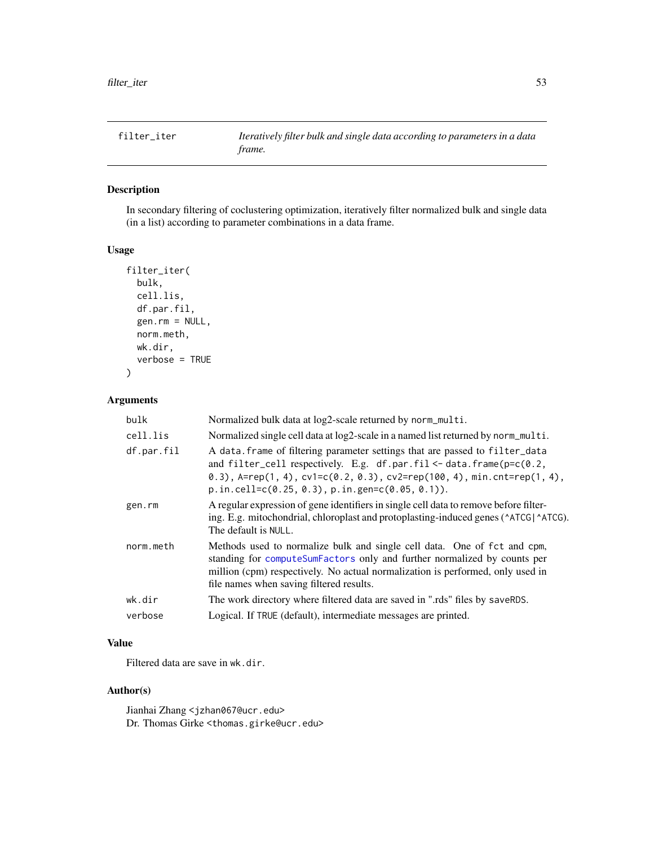# Description

In secondary filtering of coclustering optimization, iteratively filter normalized bulk and single data (in a list) according to parameter combinations in a data frame.

# Usage

```
filter_iter(
 bulk,
  cell.lis,
  df.par.fil,
  gen.rm = NULL,
  norm.meth,
 wk.dir,
  verbose = TRUE
)
```
# Arguments

| bulk       | Normalized bulk data at log2-scale returned by norm_multi.                                                                                                                                                                                                                                             |
|------------|--------------------------------------------------------------------------------------------------------------------------------------------------------------------------------------------------------------------------------------------------------------------------------------------------------|
| cell.lis   | Normalized single cell data at log2-scale in a named list returned by norm_multi.                                                                                                                                                                                                                      |
| df.par.fil | A data. frame of filtering parameter settings that are passed to filter_data<br>and filter_cell respectively. E.g. df.par.fil <- data.frame( $p=c(0.2,$<br>0.3), $A = rep(1, 4)$ , $cv1 = c(0.2, 0.3)$ , $cv2 = rep(100, 4)$ , min.cnt=rep(1, 4),<br>$p.in.cell=c(0.25, 0.3), p.in.gen=c(0.05, 0.1)).$ |
| gen.rm     | A regular expression of gene identifiers in single cell data to remove before filter-<br>ing. E.g. mitochondrial, chloroplast and protoplasting-induced genes ( $\triangle$ ATCG).<br>The default is NULL.                                                                                             |
| norm.meth  | Methods used to normalize bulk and single cell data. One of fct and cpm,<br>standing for computeSumFactors only and further normalized by counts per<br>million (cpm) respectively. No actual normalization is performed, only used in<br>file names when saving filtered results.                     |
| wk.dir     | The work directory where filtered data are saved in ".rds" files by saveRDS.                                                                                                                                                                                                                           |
| verbose    | Logical. If TRUE (default), intermediate messages are printed.                                                                                                                                                                                                                                         |

# Value

Filtered data are save in wk.dir.

# Author(s)

Jianhai Zhang <jzhan067@ucr.edu> Dr. Thomas Girke <thomas.girke@ucr.edu>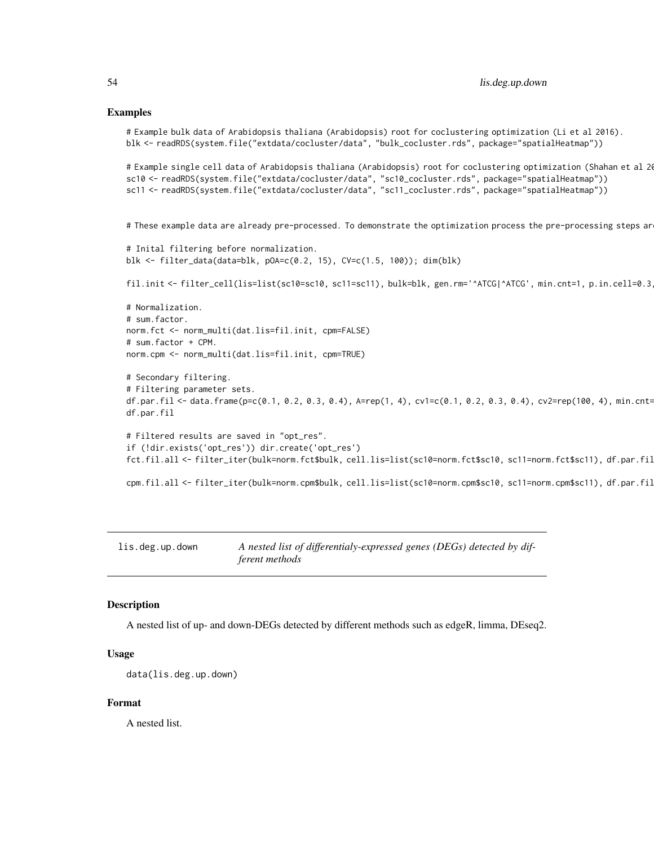#### Examples

```
# Example bulk data of Arabidopsis thaliana (Arabidopsis) root for coclustering optimization (Li et al 2016).
blk <- readRDS(system.file("extdata/cocluster/data", "bulk_cocluster.rds", package="spatialHeatmap"))
```

```
# Example single cell data of Arabidopsis thaliana (Arabidopsis) root for coclustering optimization (Shahan et al 20
sc10 <- readRDS(system.file("extdata/cocluster/data", "sc10_cocluster.rds", package="spatialHeatmap"))
sc11 <- readRDS(system.file("extdata/cocluster/data", "sc11_cocluster.rds", package="spatialHeatmap"))
```
# These example data are already pre-processed. To demonstrate the optimization process the pre-processing steps ar

```
# Inital filtering before normalization.
blk <- filter_data(data=blk, pOA=c(0.2, 15), CV=c(1.5, 100)); dim(blk)
```
fil.init <- filter\_cell(lis=list(sc10=sc10, sc11=sc11), bulk=blk, gen.rm='^ATCG|^ATCG', min.cnt=1, p.in.cell=0.3

```
# Normalization.
# sum.factor.
norm.fct <- norm_multi(dat.lis=fil.init, cpm=FALSE)
# sum.factor + CPM.
norm.cpm <- norm_multi(dat.lis=fil.init, cpm=TRUE)
```

```
# Secondary filtering.
# Filtering parameter sets.
df.par.fil <- data.frame(p=c(0.1, 0.2, 0.3, 0.4), A=rep(1, 4), cv1=c(0.1, 0.2, 0.3, 0.4), cv2=rep(100, 4), min.cnt=
df.par.fil
```

```
# Filtered results are saved in "opt_res".
if (!dir.exists('opt_res')) dir.create('opt_res')
fct.fil.all <- filter_iter(bulk=norm.fct$bulk, cell.lis=list(sc10=norm.fct$sc10, sc11=norm.fct$sc11), df.par.fil
```

```
cpm.fil.all <- filter_iter(bulk=norm.cpm$bulk, cell.lis=list(sc10=norm.cpm$sc10, sc11=norm.cpm$sc11), df.par.fil
```
lis.deg.up.down *A nested list of differentialy-expressed genes (DEGs) detected by different methods*

#### Description

A nested list of up- and down-DEGs detected by different methods such as edgeR, limma, DEseq2.

# Usage

data(lis.deg.up.down)

# Format

A nested list.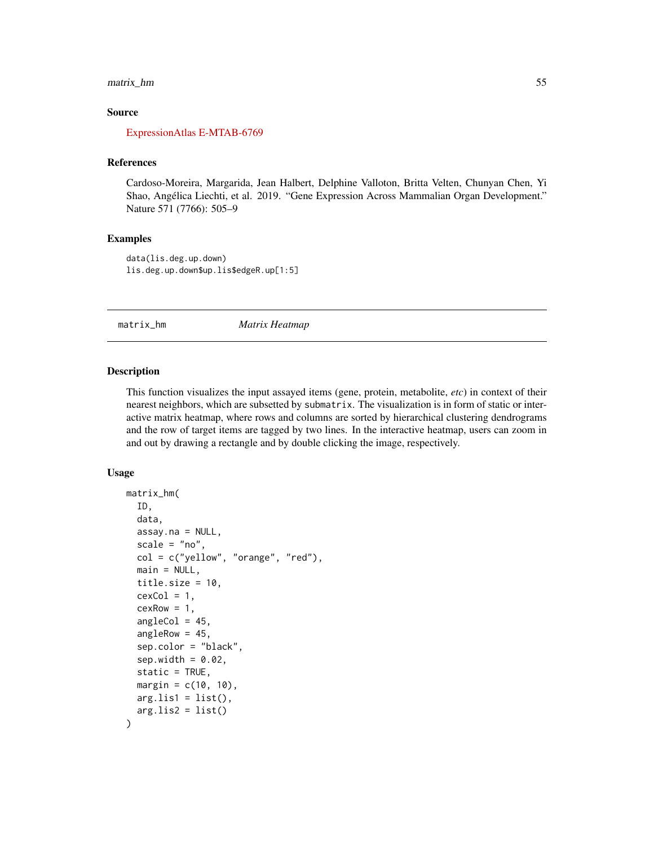# matrix\_hm 55

## Source

#### [ExpressionAtlas E-MTAB-6769](https://www.ebi.ac.uk/arrayexpress/experiments/E-MTAB-6769/)

# References

Cardoso-Moreira, Margarida, Jean Halbert, Delphine Valloton, Britta Velten, Chunyan Chen, Yi Shao, Angélica Liechti, et al. 2019. "Gene Expression Across Mammalian Organ Development." Nature 571 (7766): 505–9

## Examples

data(lis.deg.up.down) lis.deg.up.down\$up.lis\$edgeR.up[1:5]

matrix\_hm *Matrix Heatmap*

## **Description**

This function visualizes the input assayed items (gene, protein, metabolite, *etc*) in context of their nearest neighbors, which are subsetted by submatrix. The visualization is in form of static or interactive matrix heatmap, where rows and columns are sorted by hierarchical clustering dendrograms and the row of target items are tagged by two lines. In the interactive heatmap, users can zoom in and out by drawing a rectangle and by double clicking the image, respectively.

## Usage

```
matrix_hm(
  ID,
  data,
  assay.na = NULL,scale = "no",col = c("yellow", "orange", "red"),main = NULL,title.size = 10,
  cexCol = 1,
  cexRow = 1,
  angleCol = 45,
  angleRow = 45,
  sep.color = "black",
  sep.width = 0.02,
  static = TRUE,
  margin = c(10, 10),
 arg.lis1 = list(),arg.lis2 = list())
```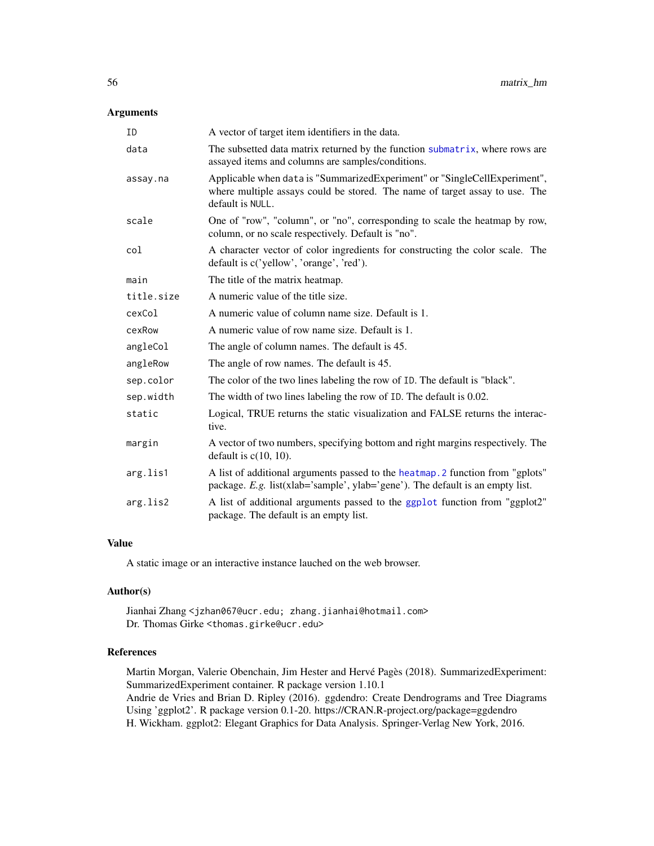# Arguments

| ID         | A vector of target item identifiers in the data.                                                                                                                             |
|------------|------------------------------------------------------------------------------------------------------------------------------------------------------------------------------|
| data       | The subsetted data matrix returned by the function submatrix, where rows are<br>assayed items and columns are samples/conditions.                                            |
| assay.na   | Applicable when data is "SummarizedExperiment" or "SingleCellExperiment",<br>where multiple assays could be stored. The name of target assay to use. The<br>default is NULL. |
| scale      | One of "row", "column", or "no", corresponding to scale the heatmap by row,<br>column, or no scale respectively. Default is "no".                                            |
| col        | A character vector of color ingredients for constructing the color scale. The<br>default is c('yellow', 'orange', 'red').                                                    |
| main       | The title of the matrix heatmap.                                                                                                                                             |
| title.size | A numeric value of the title size.                                                                                                                                           |
| cexCol     | A numeric value of column name size. Default is 1.                                                                                                                           |
| cexRow     | A numeric value of row name size. Default is 1.                                                                                                                              |
| angleCol   | The angle of column names. The default is 45.                                                                                                                                |
| angleRow   | The angle of row names. The default is 45.                                                                                                                                   |
| sep.color  | The color of the two lines labeling the row of ID. The default is "black".                                                                                                   |
| sep.width  | The width of two lines labeling the row of ID. The default is 0.02.                                                                                                          |
| static     | Logical, TRUE returns the static visualization and FALSE returns the interac-<br>tive.                                                                                       |
| margin     | A vector of two numbers, specifying bottom and right margins respectively. The<br>default is $c(10, 10)$ .                                                                   |
| arg.lis1   | A list of additional arguments passed to the heatmap. 2 function from "gplots"<br>package. E.g. list(xlab='sample', ylab='gene'). The default is an empty list.              |
| arg.lis2   | A list of additional arguments passed to the ggplot function from "ggplot2"<br>package. The default is an empty list.                                                        |

# Value

A static image or an interactive instance lauched on the web browser.

# Author(s)

Jianhai Zhang <jzhan067@ucr.edu; zhang.jianhai@hotmail.com> Dr. Thomas Girke <thomas.girke@ucr.edu>

# References

Martin Morgan, Valerie Obenchain, Jim Hester and Hervé Pagès (2018). SummarizedExperiment: SummarizedExperiment container. R package version 1.10.1 Andrie de Vries and Brian D. Ripley (2016). ggdendro: Create Dendrograms and Tree Diagrams Using 'ggplot2'. R package version 0.1-20. https://CRAN.R-project.org/package=ggdendro H. Wickham. ggplot2: Elegant Graphics for Data Analysis. Springer-Verlag New York, 2016.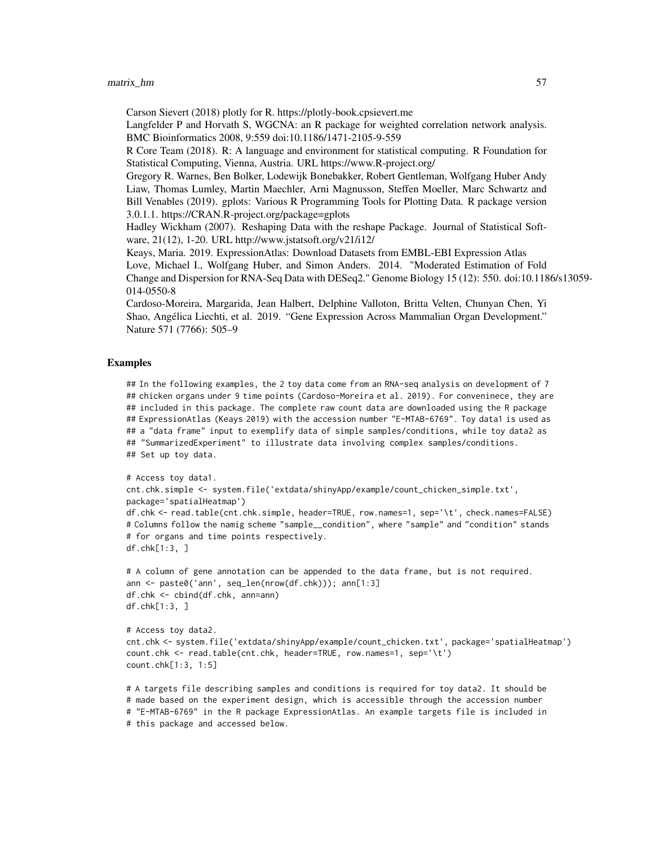## $matrix_h$ m 57

Carson Sievert (2018) plotly for R. https://plotly-book.cpsievert.me

Langfelder P and Horvath S, WGCNA: an R package for weighted correlation network analysis. BMC Bioinformatics 2008, 9:559 doi:10.1186/1471-2105-9-559

R Core Team (2018). R: A language and environment for statistical computing. R Foundation for Statistical Computing, Vienna, Austria. URL https://www.R-project.org/

Gregory R. Warnes, Ben Bolker, Lodewijk Bonebakker, Robert Gentleman, Wolfgang Huber Andy Liaw, Thomas Lumley, Martin Maechler, Arni Magnusson, Steffen Moeller, Marc Schwartz and Bill Venables (2019). gplots: Various R Programming Tools for Plotting Data. R package version 3.0.1.1. https://CRAN.R-project.org/package=gplots

Hadley Wickham (2007). Reshaping Data with the reshape Package. Journal of Statistical Software, 21(12), 1-20. URL http://www.jstatsoft.org/v21/i12/

Keays, Maria. 2019. ExpressionAtlas: Download Datasets from EMBL-EBI Expression Atlas

Love, Michael I., Wolfgang Huber, and Simon Anders. 2014. "Moderated Estimation of Fold Change and Dispersion for RNA-Seq Data with DESeq2." Genome Biology 15 (12): 550. doi:10.1186/s13059- 014-0550-8

Cardoso-Moreira, Margarida, Jean Halbert, Delphine Valloton, Britta Velten, Chunyan Chen, Yi Shao, Angélica Liechti, et al. 2019. "Gene Expression Across Mammalian Organ Development." Nature 571 (7766): 505–9

## Examples

## In the following examples, the 2 toy data come from an RNA-seq analysis on development of 7 ## chicken organs under 9 time points (Cardoso-Moreira et al. 2019). For conveninece, they are ## included in this package. The complete raw count data are downloaded using the R package ## ExpressionAtlas (Keays 2019) with the accession number "E-MTAB-6769". Toy data1 is used as ## a "data frame" input to exemplify data of simple samples/conditions, while toy data2 as ## "SummarizedExperiment" to illustrate data involving complex samples/conditions. ## Set up toy data.

```
# Access toy data1.
cnt.chk.simple <- system.file('extdata/shinyApp/example/count_chicken_simple.txt',
package='spatialHeatmap')
df.chk <- read.table(cnt.chk.simple, header=TRUE, row.names=1, sep='\t', check.names=FALSE)
# Columns follow the namig scheme "sample__condition", where "sample" and "condition" stands
# for organs and time points respectively.
df.chk[1:3, ]
```

```
# A column of gene annotation can be appended to the data frame, but is not required.
ann <- paste0('ann', seq_len(nrow(df.chk))); ann[1:3]
df.chk <- cbind(df.chk, ann=ann)
df.chk[1:3, ]
```

```
# Access toy data2.
cnt.chk <- system.file('extdata/shinyApp/example/count_chicken.txt', package='spatialHeatmap')
count.chk <- read.table(cnt.chk, header=TRUE, row.names=1, sep='\t')
count.chk[1:3, 1:5]
```

```
# A targets file describing samples and conditions is required for toy data2. It should be
# made based on the experiment design, which is accessible through the accession number
# "E-MTAB-6769" in the R package ExpressionAtlas. An example targets file is included in
# this package and accessed below.
```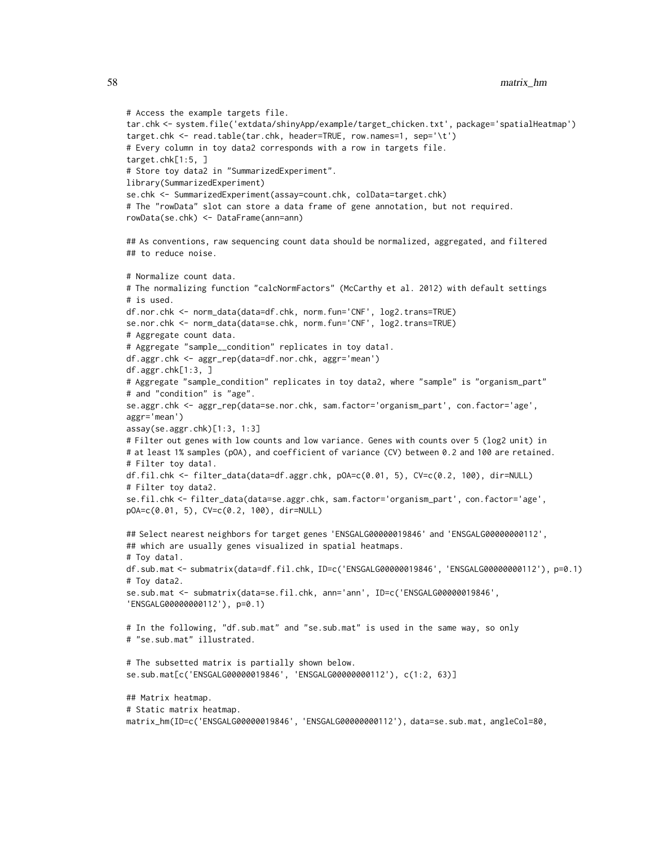```
# Access the example targets file.
tar.chk <- system.file('extdata/shinyApp/example/target_chicken.txt', package='spatialHeatmap')
target.chk <- read.table(tar.chk, header=TRUE, row.names=1, sep='\t')
# Every column in toy data2 corresponds with a row in targets file.
target.chk[1:5, ]
# Store toy data2 in "SummarizedExperiment".
library(SummarizedExperiment)
se.chk <- SummarizedExperiment(assay=count.chk, colData=target.chk)
# The "rowData" slot can store a data frame of gene annotation, but not required.
rowData(se.chk) <- DataFrame(ann=ann)
## As conventions, raw sequencing count data should be normalized, aggregated, and filtered
## to reduce noise.
# Normalize count data.
# The normalizing function "calcNormFactors" (McCarthy et al. 2012) with default settings
# is used.
df.nor.chk <- norm_data(data=df.chk, norm.fun='CNF', log2.trans=TRUE)
se.nor.chk <- norm_data(data=se.chk, norm.fun='CNF', log2.trans=TRUE)
# Aggregate count data.
# Aggregate "sample__condition" replicates in toy data1.
df.aggr.chk <- aggr_rep(data=df.nor.chk, aggr='mean')
df.aggr.chk[1:3, ]
# Aggregate "sample_condition" replicates in toy data2, where "sample" is "organism_part"
# and "condition" is "age".
se.aggr.chk <- aggr_rep(data=se.nor.chk, sam.factor='organism_part', con.factor='age',
aggr='mean')
assay(se.aggr.chk)[1:3, 1:3]
# Filter out genes with low counts and low variance. Genes with counts over 5 (log2 unit) in
# at least 1% samples (pOA), and coefficient of variance (CV) between 0.2 and 100 are retained.
# Filter toy data1.
df.fil.chk <- filter_data(data=df.aggr.chk, pOA=c(0.01, 5), CV=c(0.2, 100), dir=NULL)
# Filter toy data2.
se.fil.chk <- filter_data(data=se.aggr.chk, sam.factor='organism_part', con.factor='age',
pOA=c(0.01, 5), CV=c(0.2, 100), dir=NULL)
## Select nearest neighbors for target genes 'ENSGALG00000019846' and 'ENSGALG00000000112',
## which are usually genes visualized in spatial heatmaps.
# Toy data1.
df.sub.mat <- submatrix(data=df.fil.chk, ID=c('ENSGALG00000019846', 'ENSGALG00000000112'), p=0.1)
# Toy data2.
se.sub.mat <- submatrix(data=se.fil.chk, ann='ann', ID=c('ENSGALG00000019846',
'ENSGALG00000000112'), p=0.1)
# In the following, "df.sub.mat" and "se.sub.mat" is used in the same way, so only
# "se.sub.mat" illustrated.
# The subsetted matrix is partially shown below.
se.sub.mat[c('ENSGALG00000019846', 'ENSGALG00000000112'), c(1:2, 63)]
## Matrix heatmap.
# Static matrix heatmap.
matrix_hm(ID=c('ENSGALG00000019846', 'ENSGALG00000000112'), data=se.sub.mat, angleCol=80,
```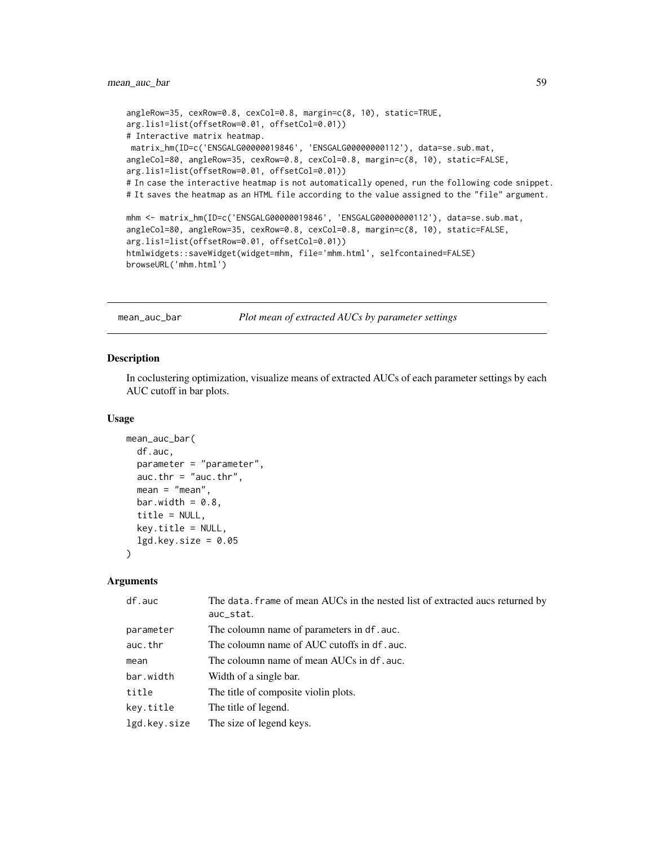# mean\_auc\_bar 59

```
angleRow=35, cexRow=0.8, cexCol=0.8, margin=c(8, 10), static=TRUE,
arg.lis1=list(offsetRow=0.01, offsetCol=0.01))
# Interactive matrix heatmap.
matrix_hm(ID=c('ENSGALG00000019846', 'ENSGALG00000000112'), data=se.sub.mat,
angleCol=80, angleRow=35, cexRow=0.8, cexCol=0.8, margin=c(8, 10), static=FALSE,
arg.lis1=list(offsetRow=0.01, offsetCol=0.01))
# In case the interactive heatmap is not automatically opened, run the following code snippet.
# It saves the heatmap as an HTML file according to the value assigned to the "file" argument.
mhm <- matrix_hm(ID=c('ENSGALG00000019846', 'ENSGALG00000000112'), data=se.sub.mat,
angleCol=80, angleRow=35, cexRow=0.8, cexCol=0.8, margin=c(8, 10), static=FALSE,
arg.lis1=list(offsetRow=0.01, offsetCol=0.01))
htmlwidgets::saveWidget(widget=mhm, file='mhm.html', selfcontained=FALSE)
browseURL('mhm.html')
```
mean\_auc\_bar *Plot mean of extracted AUCs by parameter settings*

## Description

In coclustering optimization, visualize means of extracted AUCs of each parameter settings by each AUC cutoff in bar plots.

## Usage

```
mean_auc_bar(
  df.auc,
  parameter = "parameter",
  auc.thr = "auc.thr",mean = "mean".bar.width = 0.8,
  title = NULL,
  key.title = NULL,
  lgd.key.size = 0.05\lambda
```
# Arguments

| df.auc       | The data. Frame of mean AUCs in the nested list of extracted aucs returned by<br>auc_stat. |
|--------------|--------------------------------------------------------------------------------------------|
| parameter    | The coloumn name of parameters in df. auc.                                                 |
| auc.thr      | The coloumn name of AUC cutoffs in df. auc.                                                |
| mean         | The coloumn name of mean AUCs in df. auc.                                                  |
| bar.width    | Width of a single bar.                                                                     |
| title        | The title of composite violin plots.                                                       |
| key.title    | The title of legend.                                                                       |
| lgd.key.size | The size of legend keys.                                                                   |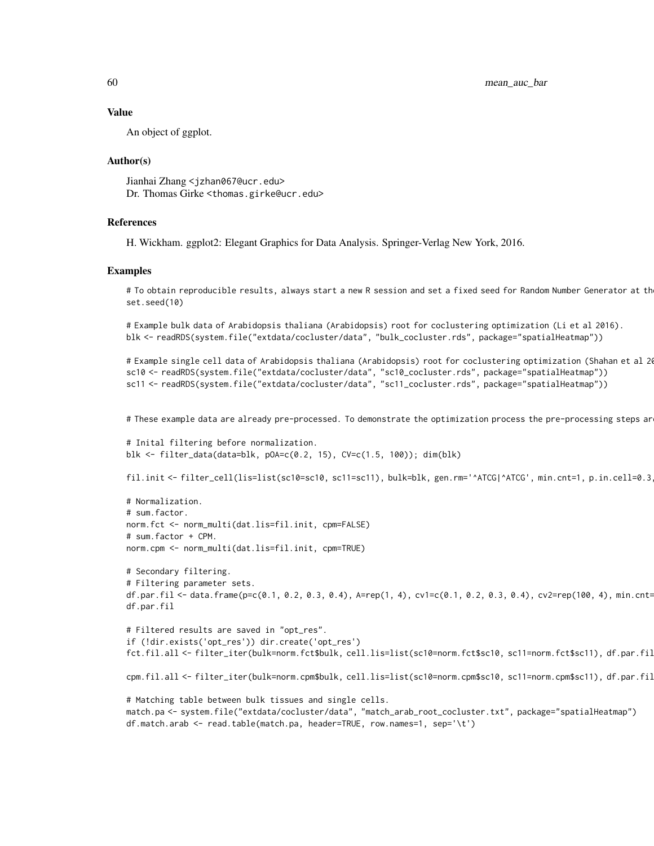60 mean\_auc\_bar

#### Value

An object of ggplot.

## Author(s)

Jianhai Zhang <jzhan067@ucr.edu> Dr. Thomas Girke <thomas.girke@ucr.edu>

## References

H. Wickham. ggplot2: Elegant Graphics for Data Analysis. Springer-Verlag New York, 2016.

#### Examples

# To obtain reproducible results, always start a new R session and set a fixed seed for Random Number Generator at th set.seed(10)

```
# Example bulk data of Arabidopsis thaliana (Arabidopsis) root for coclustering optimization (Li et al 2016).
blk <- readRDS(system.file("extdata/cocluster/data", "bulk_cocluster.rds", package="spatialHeatmap"))
```

```
# Example single cell data of Arabidopsis thaliana (Arabidopsis) root for coclustering optimization (Shahan et al 20
sc10 <- readRDS(system.file("extdata/cocluster/data", "sc10_cocluster.rds", package="spatialHeatmap"))
sc11 <- readRDS(system.file("extdata/cocluster/data", "sc11_cocluster.rds", package="spatialHeatmap"))
```
# These example data are already pre-processed. To demonstrate the optimization process the pre-processing steps ar

```
# Inital filtering before normalization.
blk <- filter_data(data=blk, pOA=c(0.2, 15), CV=c(1.5, 100)); dim(blk)
```
fil.init <- filter\_cell(lis=list(sc10=sc10, sc11=sc11), bulk=blk, gen.rm='^ATCG|^ATCG', min.cnt=1, p.in.cell=0.3

```
# Normalization.
# sum.factor.
norm.fct <- norm_multi(dat.lis=fil.init, cpm=FALSE)
# sum.factor + CPM.
norm.cpm <- norm_multi(dat.lis=fil.init, cpm=TRUE)
```

```
# Secondary filtering.
# Filtering parameter sets.
df.par.fil <- data.frame(p=c(0.1, 0.2, 0.3, 0.4), A=rep(1, 4), cv1=c(0.1, 0.2, 0.3, 0.4), cv2=rep(100, 4), min.cnt=
df.par.fil
```

```
# Filtered results are saved in "opt_res".
if (!dir.exists('opt_res')) dir.create('opt_res')
fct.fil.all <- filter_iter(bulk=norm.fct$bulk, cell.lis=list(sc10=norm.fct$sc10, sc11=norm.fct$sc11), df.par.fil
```

```
cpm.fil.all <- filter_iter(bulk=norm.cpm$bulk, cell.lis=list(sc10=norm.cpm$sc10, sc11=norm.cpm$sc11), df.par.fil
```

```
# Matching table between bulk tissues and single cells.
match.pa <- system.file("extdata/cocluster/data", "match_arab_root_cocluster.txt", package="spatialHeatmap")
df.match.arab <- read.table(match.pa, header=TRUE, row.names=1, sep='\t')
```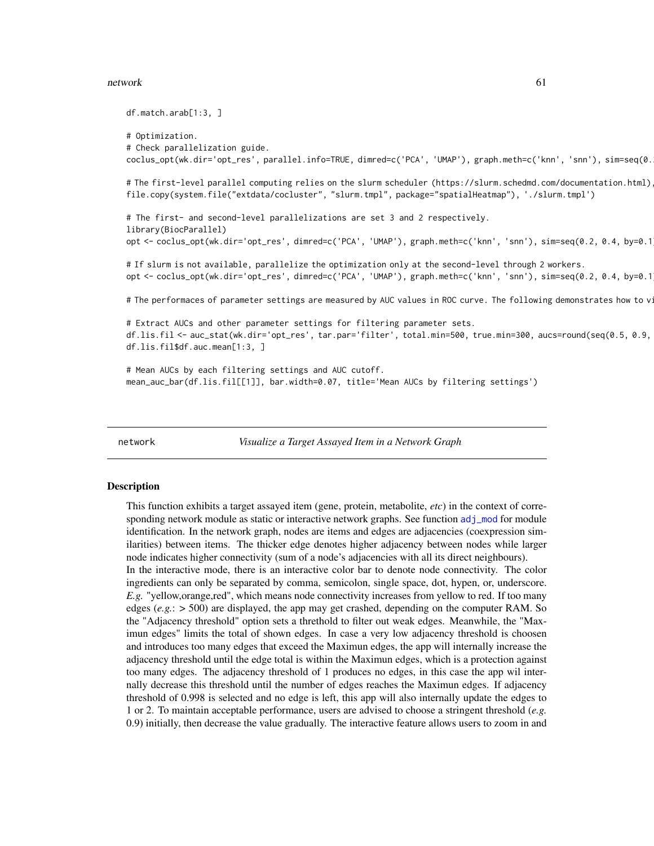## network 61

```
df.match.arab[1:3, ]
# Optimization.
# Check parallelization guide.
coclus_opt(wk.dir='opt_res', parallel.info=TRUE, dimred=c('PCA', 'UMAP'), graph.meth=c('knn', 'snn'), sim=seq(0.
# The first-level parallel computing relies on the slurm scheduler (https://slurm.schedmd.com/documentation.html)
file.copy(system.file("extdata/cocluster", "slurm.tmpl", package="spatialHeatmap"), './slurm.tmpl')
# The first- and second-level parallelizations are set 3 and 2 respectively.
library(BiocParallel)
opt <- coclus_opt(wk.dir='opt_res',dimred=c('PCA','UMAP'),graph.meth=c('knn','snn'),sim=seq(0.2,0.4,by=0.1
# If slurm is not available, parallelize the optimization only at the second-level through 2 workers.
opt <- coclus_opt(wk.dir='opt_res',dimred=c('PCA','UMAP'),graph.meth=c('knn','snn'),sim=seq(0.2,0.4,by=0.1
# The performaces of parameter settings are measured by AUC values in ROC curve. The following demonstrates how to v
# Extract AUCs and other parameter settings for filtering parameter sets.
df.lis.fil <- auc_stat(wk.dir='opt_res', tar.par='filter', total.min=500, true.min=300, aucs=round(seq(0.5, 0.9, 0.1), 1))
df.lis.fil$df.auc.mean[1:3, ]
# Mean AUCs by each filtering settings and AUC cutoff.
mean_auc_bar(df.lis.fil[[1]], bar.width=0.07, title='Mean AUCs by filtering settings')
```
<span id="page-60-0"></span>

network *Visualize a Target Assayed Item in a Network Graph*

#### Description

This function exhibits a target assayed item (gene, protein, metabolite, *etc*) in the context of corresponding network module as static or interactive network graphs. See function [adj\\_mod](#page-11-0) for module identification. In the network graph, nodes are items and edges are adjacencies (coexpression similarities) between items. The thicker edge denotes higher adjacency between nodes while larger node indicates higher connectivity (sum of a node's adjacencies with all its direct neighbours). In the interactive mode, there is an interactive color bar to denote node connectivity. The color ingredients can only be separated by comma, semicolon, single space, dot, hypen, or, underscore. *E.g.* "yellow,orange,red", which means node connectivity increases from yellow to red. If too many edges (*e.g.*: > 500) are displayed, the app may get crashed, depending on the computer RAM. So the "Adjacency threshold" option sets a threthold to filter out weak edges. Meanwhile, the "Maximun edges" limits the total of shown edges. In case a very low adjacency threshold is choosen and introduces too many edges that exceed the Maximun edges, the app will internally increase the adjacency threshold until the edge total is within the Maximun edges, which is a protection against too many edges. The adjacency threshold of 1 produces no edges, in this case the app wil internally decrease this threshold until the number of edges reaches the Maximun edges. If adjacency threshold of 0.998 is selected and no edge is left, this app will also internally update the edges to 1 or 2. To maintain acceptable performance, users are advised to choose a stringent threshold (*e.g.* 0.9) initially, then decrease the value gradually. The interactive feature allows users to zoom in and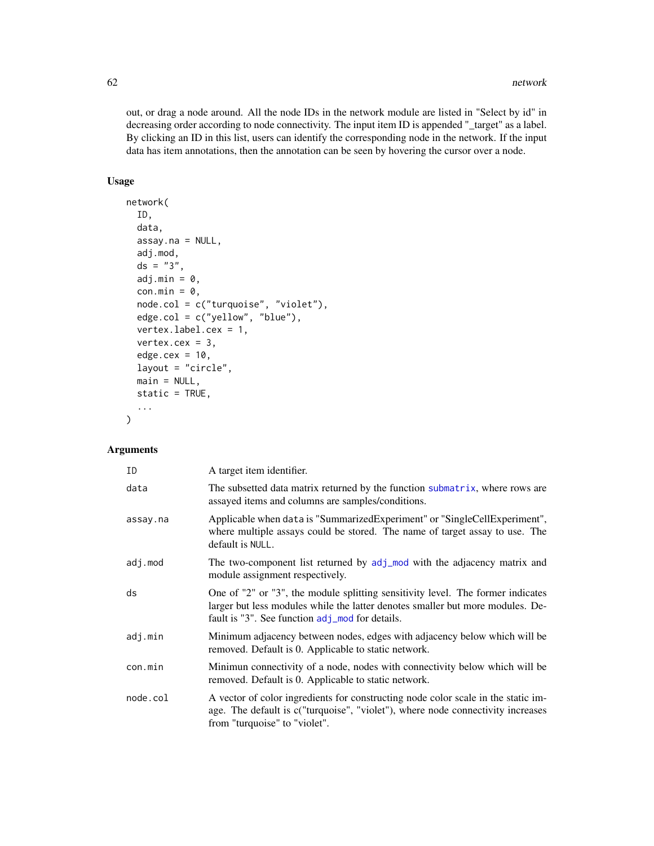out, or drag a node around. All the node IDs in the network module are listed in "Select by id" in decreasing order according to node connectivity. The input item ID is appended "\_target" as a label. By clicking an ID in this list, users can identify the corresponding node in the network. If the input data has item annotations, then the annotation can be seen by hovering the cursor over a node.

# Usage

```
network(
  ID,
  data,
  assay.na = NULL,
  adj.mod,
  ds = "3",adj.min = 0,con.min = 0,node.col = c("turquoise", "violet"),
  edge.col = c("yellow", "blue"),
  vertex.label.cex = 1,
  vertex.cex = 3,
  edge.cex = 10,
  layout = "circle",
  main = NULL,
  static = TRUE,
  ...
\mathcal{L}
```
# Arguments

| ID       | A target item identifier.                                                                                                                                                                                            |
|----------|----------------------------------------------------------------------------------------------------------------------------------------------------------------------------------------------------------------------|
| data     | The subsetted data matrix returned by the function submatrix, where rows are<br>assayed items and columns are samples/conditions.                                                                                    |
| assay.na | Applicable when data is "SummarizedExperiment" or "SingleCellExperiment",<br>where multiple assays could be stored. The name of target assay to use. The<br>default is NULL.                                         |
| adj.mod  | The two-component list returned by adj_mod with the adjacency matrix and<br>module assignment respectively.                                                                                                          |
| ds       | One of "2" or "3", the module splitting sensitivity level. The former indicates<br>larger but less modules while the latter denotes smaller but more modules. De-<br>fault is "3". See function adj_mod for details. |
| adj.min  | Minimum adjacency between nodes, edges with adjacency below which will be<br>removed. Default is 0. Applicable to static network.                                                                                    |
| con.min  | Minimun connectivity of a node, nodes with connectivity below which will be<br>removed. Default is 0. Applicable to static network.                                                                                  |
| node.col | A vector of color ingredients for constructing node color scale in the static im-<br>age. The default is c("turquoise", "violet"), where node connectivity increases<br>from "turquoise" to "violet".                |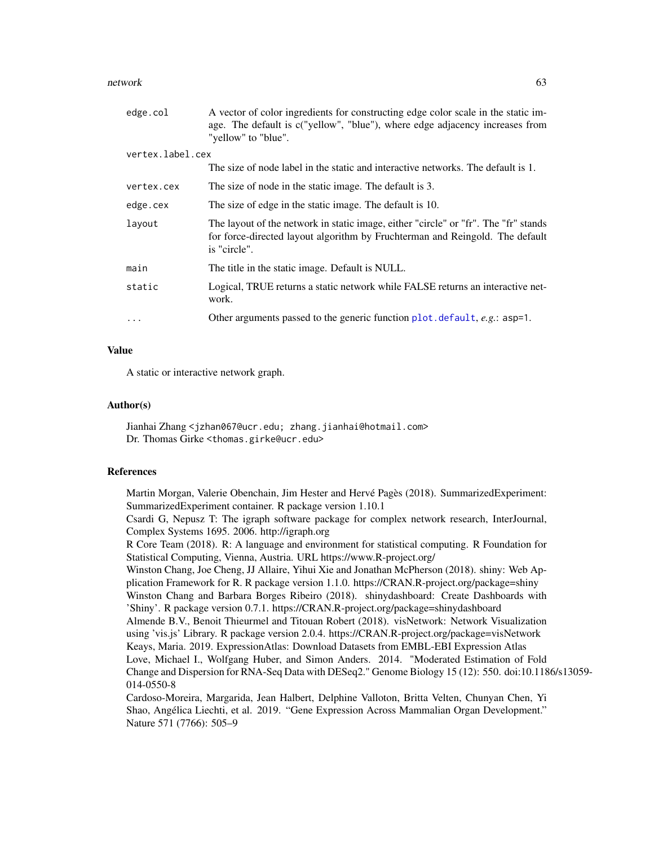## network 63

| edge.col         | A vector of color ingredients for constructing edge color scale in the static im-<br>age. The default is c("yellow", "blue"), where edge adjacency increases from<br>"yellow" to "blue". |
|------------------|------------------------------------------------------------------------------------------------------------------------------------------------------------------------------------------|
| vertex.label.cex |                                                                                                                                                                                          |
|                  | The size of node label in the static and interactive networks. The default is 1.                                                                                                         |
| vertex.cex       | The size of node in the static image. The default is 3.                                                                                                                                  |
| edge.cex         | The size of edge in the static image. The default is 10.                                                                                                                                 |
| layout           | The layout of the network in static image, either "circle" or "fr". The "fr" stands<br>for force-directed layout algorithm by Fruchterman and Reingold. The default<br>is "circle".      |
| main             | The title in the static image. Default is NULL.                                                                                                                                          |
| static           | Logical, TRUE returns a static network while FALSE returns an interactive net-<br>work.                                                                                                  |
| $\ddots$ .       | Other arguments passed to the generic function plot. default, e.g.: asp=1.                                                                                                               |

# Value

A static or interactive network graph.

## Author(s)

Jianhai Zhang <jzhan067@ucr.edu; zhang.jianhai@hotmail.com> Dr. Thomas Girke <thomas.girke@ucr.edu>

## References

Martin Morgan, Valerie Obenchain, Jim Hester and Hervé Pagès (2018). SummarizedExperiment: SummarizedExperiment container. R package version 1.10.1

Csardi G, Nepusz T: The igraph software package for complex network research, InterJournal, Complex Systems 1695. 2006. http://igraph.org

R Core Team (2018). R: A language and environment for statistical computing. R Foundation for Statistical Computing, Vienna, Austria. URL https://www.R-project.org/

Winston Chang, Joe Cheng, JJ Allaire, Yihui Xie and Jonathan McPherson (2018). shiny: Web Application Framework for R. R package version 1.1.0. https://CRAN.R-project.org/package=shiny Winston Chang and Barbara Borges Ribeiro (2018). shinydashboard: Create Dashboards with 'Shiny'. R package version 0.7.1. https://CRAN.R-project.org/package=shinydashboard Almende B.V., Benoit Thieurmel and Titouan Robert (2018). visNetwork: Network Visualization

using 'vis.js' Library. R package version 2.0.4. https://CRAN.R-project.org/package=visNetwork Keays, Maria. 2019. ExpressionAtlas: Download Datasets from EMBL-EBI Expression Atlas Love, Michael I., Wolfgang Huber, and Simon Anders. 2014. "Moderated Estimation of Fold Change and Dispersion for RNA-Seq Data with DESeq2." Genome Biology 15 (12): 550. doi:10.1186/s13059- 014-0550-8

Cardoso-Moreira, Margarida, Jean Halbert, Delphine Valloton, Britta Velten, Chunyan Chen, Yi Shao, Angélica Liechti, et al. 2019. "Gene Expression Across Mammalian Organ Development." Nature 571 (7766): 505–9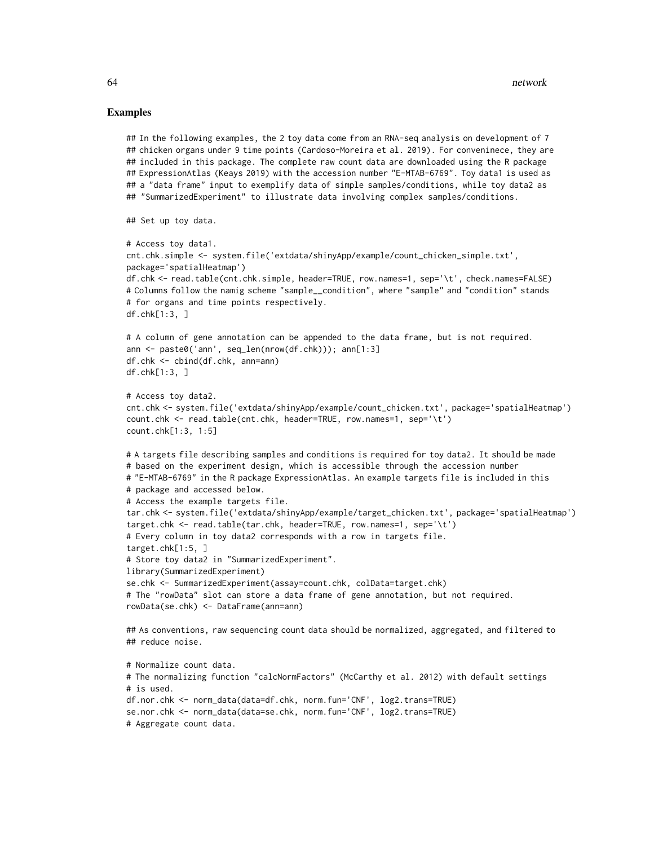#### Examples

```
## In the following examples, the 2 toy data come from an RNA-seq analysis on development of 7
## chicken organs under 9 time points (Cardoso-Moreira et al. 2019). For conveninece, they are
## included in this package. The complete raw count data are downloaded using the R package
## ExpressionAtlas (Keays 2019) with the accession number "E-MTAB-6769". Toy data1 is used as
## a "data frame" input to exemplify data of simple samples/conditions, while toy data2 as
## "SummarizedExperiment" to illustrate data involving complex samples/conditions.
## Set up toy data.
# Access toy data1.
cnt.chk.simple <- system.file('extdata/shinyApp/example/count_chicken_simple.txt',
package='spatialHeatmap')
df.chk <- read.table(cnt.chk.simple, header=TRUE, row.names=1, sep='\t', check.names=FALSE)
# Columns follow the namig scheme "sample__condition", where "sample" and "condition" stands
# for organs and time points respectively.
df.chk[1:3, ]
# A column of gene annotation can be appended to the data frame, but is not required.
ann <- paste0('ann', seq_len(nrow(df.chk))); ann[1:3]
df.chk <- cbind(df.chk, ann=ann)
df.chk[1:3, ]
# Access toy data2.
cnt.chk <- system.file('extdata/shinyApp/example/count_chicken.txt', package='spatialHeatmap')
count.chk <- read.table(cnt.chk, header=TRUE, row.names=1, sep='\t')
count.chk[1:3, 1:5]
# A targets file describing samples and conditions is required for toy data2. It should be made
# based on the experiment design, which is accessible through the accession number
# "E-MTAB-6769" in the R package ExpressionAtlas. An example targets file is included in this
# package and accessed below.
# Access the example targets file.
tar.chk <- system.file('extdata/shinyApp/example/target_chicken.txt', package='spatialHeatmap')
target.chk <- read.table(tar.chk, header=TRUE, row.names=1, sep='\t')
# Every column in toy data2 corresponds with a row in targets file.
target.chk[1:5, ]
# Store toy data2 in "SummarizedExperiment".
library(SummarizedExperiment)
se.chk <- SummarizedExperiment(assay=count.chk, colData=target.chk)
# The "rowData" slot can store a data frame of gene annotation, but not required.
rowData(se.chk) <- DataFrame(ann=ann)
## As conventions, raw sequencing count data should be normalized, aggregated, and filtered to
## reduce noise.
# Normalize count data.
# The normalizing function "calcNormFactors" (McCarthy et al. 2012) with default settings
# is used.
df.nor.chk <- norm_data(data=df.chk, norm.fun='CNF', log2.trans=TRUE)
se.nor.chk <- norm_data(data=se.chk, norm.fun='CNF', log2.trans=TRUE)
# Aggregate count data.
```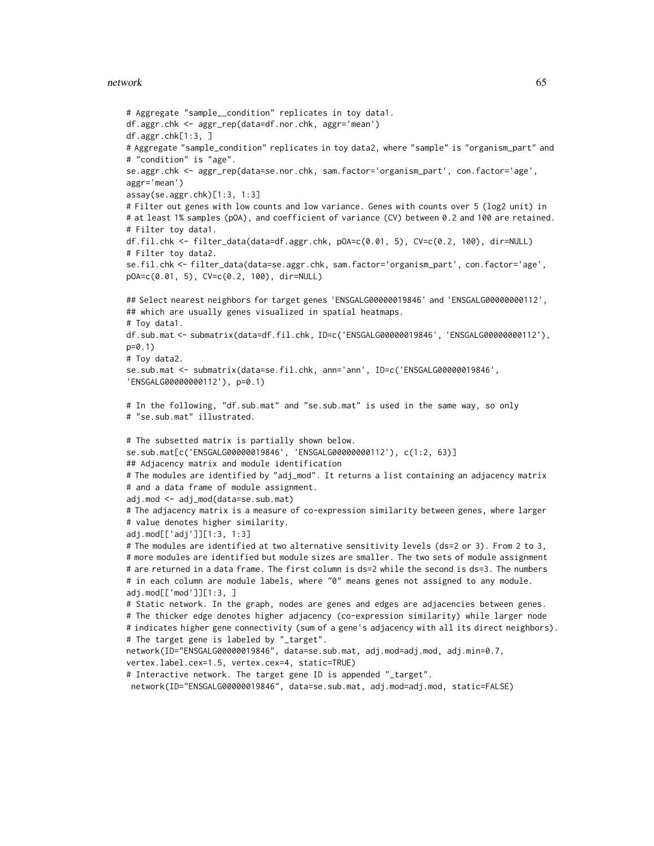## network 65

```
# Aggregate "sample__condition" replicates in toy data1.
df.aggr.chk <- aggr_rep(data=df.nor.chk, aggr='mean')
df.aggr.chk[1:3, ]
# Aggregate "sample_condition" replicates in toy data2, where "sample" is "organism_part" and
# "condition" is "age".
se.aggr.chk <- aggr_rep(data=se.nor.chk, sam.factor='organism_part', con.factor='age',
aggr='mean')
assay(se.aggr.chk)[1:3, 1:3]
# Filter out genes with low counts and low variance. Genes with counts over 5 (log2 unit) in
# at least 1% samples (pOA), and coefficient of variance (CV) between 0.2 and 100 are retained.
# Filter toy data1.
df.fil.chk <- filter_data(data=df.aggr.chk, pOA=c(0.01, 5), CV=c(0.2, 100), dir=NULL)
# Filter toy data2.
se.fil.chk <- filter_data(data=se.aggr.chk, sam.factor='organism_part', con.factor='age',
pOA=c(0.01, 5), CV=c(0.2, 100), dir=NULL)
## Select nearest neighbors for target genes 'ENSGALG00000019846' and 'ENSGALG00000000112',
## which are usually genes visualized in spatial heatmaps.
# Toy data1.
df.sub.mat <- submatrix(data=df.fil.chk, ID=c('ENSGALG00000019846', 'ENSGALG00000000112'),
p=0.1)
# Toy data2.
se.sub.mat <- submatrix(data=se.fil.chk, ann='ann', ID=c('ENSGALG00000019846',
'ENSGALG00000000112'), p=0.1)
# In the following, "df.sub.mat" and "se.sub.mat" is used in the same way, so only
# "se.sub.mat" illustrated.
# The subsetted matrix is partially shown below.
se.sub.mat[c('ENSGALG00000019846', 'ENSGALG00000000112'), c(1:2, 63)]
## Adjacency matrix and module identification
# The modules are identified by "adj_mod". It returns a list containing an adjacency matrix
# and a data frame of module assignment.
adj.mod <- adj_mod(data=se.sub.mat)
# The adjacency matrix is a measure of co-expression similarity between genes, where larger
# value denotes higher similarity.
adj.mod[['adj']][1:3, 1:3]
# The modules are identified at two alternative sensitivity levels (ds=2 or 3). From 2 to 3,
# more modules are identified but module sizes are smaller. The two sets of module assignment
# are returned in a data frame. The first column is ds=2 while the second is ds=3. The numbers
# in each column are module labels, where "0" means genes not assigned to any module.
adj.mod[['mod']][1:3, ]
# Static network. In the graph, nodes are genes and edges are adjacencies between genes.
# The thicker edge denotes higher adjacency (co-expression similarity) while larger node
# indicates higher gene connectivity (sum of a gene's adjacency with all its direct neighbors).
# The target gene is labeled by "_target".
network(ID="ENSGALG00000019846", data=se.sub.mat, adj.mod=adj.mod, adj.min=0.7,
vertex.label.cex=1.5, vertex.cex=4, static=TRUE)
# Interactive network. The target gene ID is appended "_target".
network(ID="ENSGALG00000019846", data=se.sub.mat, adj.mod=adj.mod, static=FALSE)
```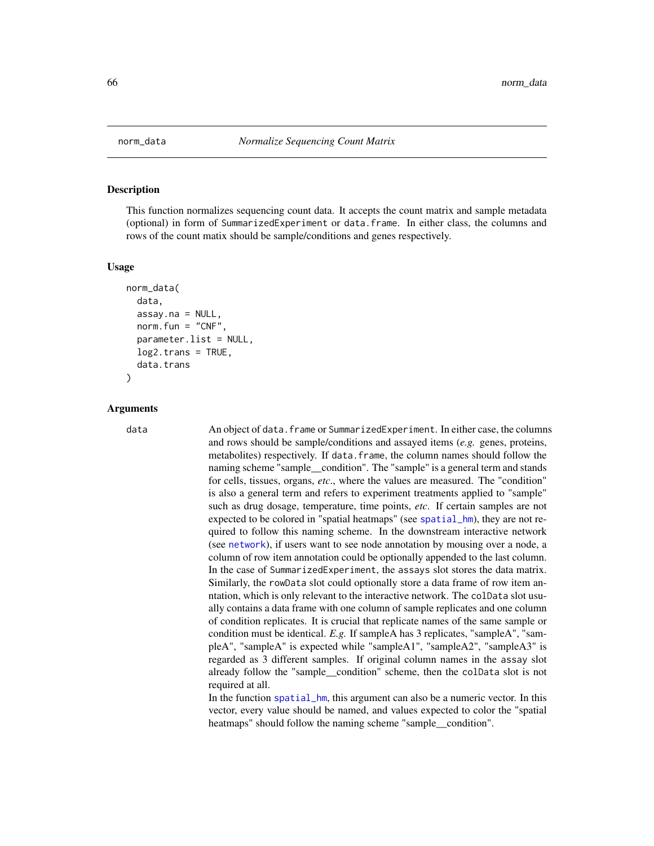## **Description**

This function normalizes sequencing count data. It accepts the count matrix and sample metadata (optional) in form of SummarizedExperiment or data.frame. In either class, the columns and rows of the count matix should be sample/conditions and genes respectively.

#### Usage

```
norm_data(
  data,
  assay.na = NULL,norm.fun = "CNF",
  parameter.list = NULL,
  log2.trans = TRUE,
  data.trans
)
```
## Arguments

data An object of data.frame or SummarizedExperiment. In either case, the columns and rows should be sample/conditions and assayed items (*e.g.* genes, proteins, metabolites) respectively. If data.frame, the column names should follow the naming scheme "sample\_condition". The "sample" is a general term and stands for cells, tissues, organs, *etc*., where the values are measured. The "condition" is also a general term and refers to experiment treatments applied to "sample" such as drug dosage, temperature, time points, *etc*. If certain samples are not expected to be colored in "spatial heatmaps" (see [spatial\\_hm](#page-90-0)), they are not required to follow this naming scheme. In the downstream interactive network (see [network](#page-60-0)), if users want to see node annotation by mousing over a node, a column of row item annotation could be optionally appended to the last column. In the case of SummarizedExperiment, the assays slot stores the data matrix. Similarly, the rowData slot could optionally store a data frame of row item anntation, which is only relevant to the interactive network. The colData slot usually contains a data frame with one column of sample replicates and one column of condition replicates. It is crucial that replicate names of the same sample or condition must be identical. *E.g.* If sampleA has 3 replicates, "sampleA", "sampleA", "sampleA" is expected while "sampleA1", "sampleA2", "sampleA3" is regarded as 3 different samples. If original column names in the assay slot already follow the "sample\_\_condition" scheme, then the colData slot is not required at all.

> In the function [spatial\\_hm](#page-90-0), this argument can also be a numeric vector. In this vector, every value should be named, and values expected to color the "spatial heatmaps" should follow the naming scheme "sample\_\_condition".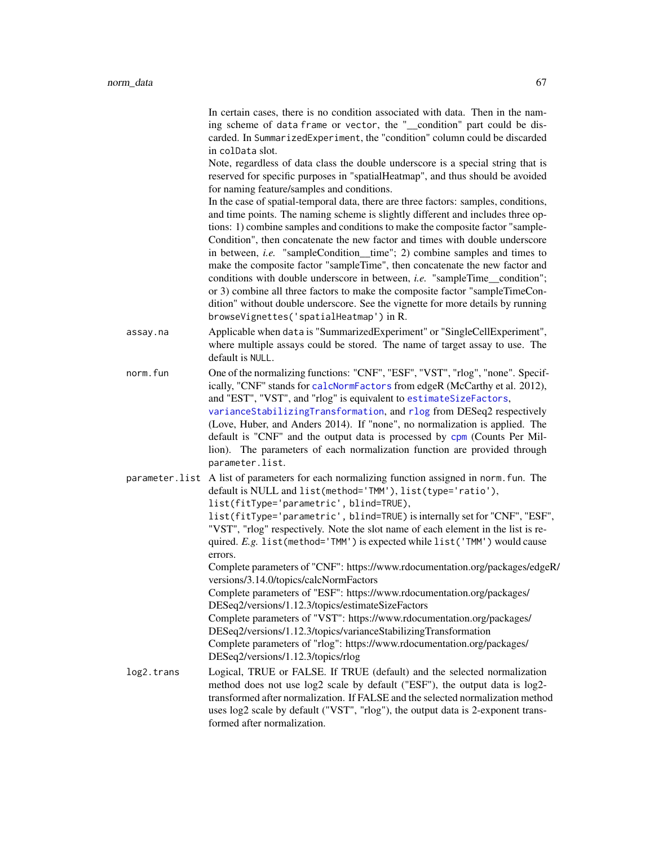In certain cases, there is no condition associated with data. Then in the naming scheme of data frame or vector, the "\_\_condition" part could be discarded. In SummarizedExperiment, the "condition" column could be discarded in colData slot.

Note, regardless of data class the double underscore is a special string that is reserved for specific purposes in "spatialHeatmap", and thus should be avoided for naming feature/samples and conditions.

In the case of spatial-temporal data, there are three factors: samples, conditions, and time points. The naming scheme is slightly different and includes three options: 1) combine samples and conditions to make the composite factor "sample-Condition", then concatenate the new factor and times with double underscore in between, *i.e.* "sampleCondition\_\_time"; 2) combine samples and times to make the composite factor "sampleTime", then concatenate the new factor and conditions with double underscore in between, *i.e.* "sampleTime\_\_condition"; or 3) combine all three factors to make the composite factor "sampleTimeCondition" without double underscore. See the vignette for more details by running browseVignettes('spatialHeatmap') in R.

- assay.na Applicable when data is "SummarizedExperiment" or "SingleCellExperiment", where multiple assays could be stored. The name of target assay to use. The default is NULL.
- norm. fun One of the normalizing functions: "CNF", "ESF", "VST", "rlog", "none". Specifically, "CNF" stands for [calcNormFactors](#page-0-0) from edgeR (McCarthy et al. 2012), and "EST", "VST", and "rlog" is equivalent to [estimateSizeFactors](#page-0-0), [varianceStabilizingTransformation](#page-0-0), and [rlog](#page-0-0) from DESeq2 respectively (Love, Huber, and Anders 2014). If "none", no normalization is applied. The default is "CNF" and the output data is processed by [cpm](#page-0-0) (Counts Per Million). The parameters of each normalization function are provided through parameter.list.

parameter.list A list of parameters for each normalizing function assigned in norm.fun. The default is NULL and list(method='TMM'), list(type='ratio'), list(fitType='parametric', blind=TRUE), list(fitType='parametric', blind=TRUE) is internally set for "CNF", "ESF", "VST", "rlog" respectively. Note the slot name of each element in the list is re-

quired. *E.g.* list(method='TMM') is expected while list('TMM') would cause errors.

Complete parameters of "CNF": https://www.rdocumentation.org/packages/edgeR/ versions/3.14.0/topics/calcNormFactors

Complete parameters of "ESF": https://www.rdocumentation.org/packages/ DESeq2/versions/1.12.3/topics/estimateSizeFactors

Complete parameters of "VST": https://www.rdocumentation.org/packages/ DESeq2/versions/1.12.3/topics/varianceStabilizingTransformation Complete parameters of "rlog": https://www.rdocumentation.org/packages/ DESeq2/versions/1.12.3/topics/rlog

log2.trans Logical, TRUE or FALSE. If TRUE (default) and the selected normalization method does not use log2 scale by default ("ESF"), the output data is log2 transformed after normalization. If FALSE and the selected normalization method uses log2 scale by default ("VST", "rlog"), the output data is 2-exponent transformed after normalization.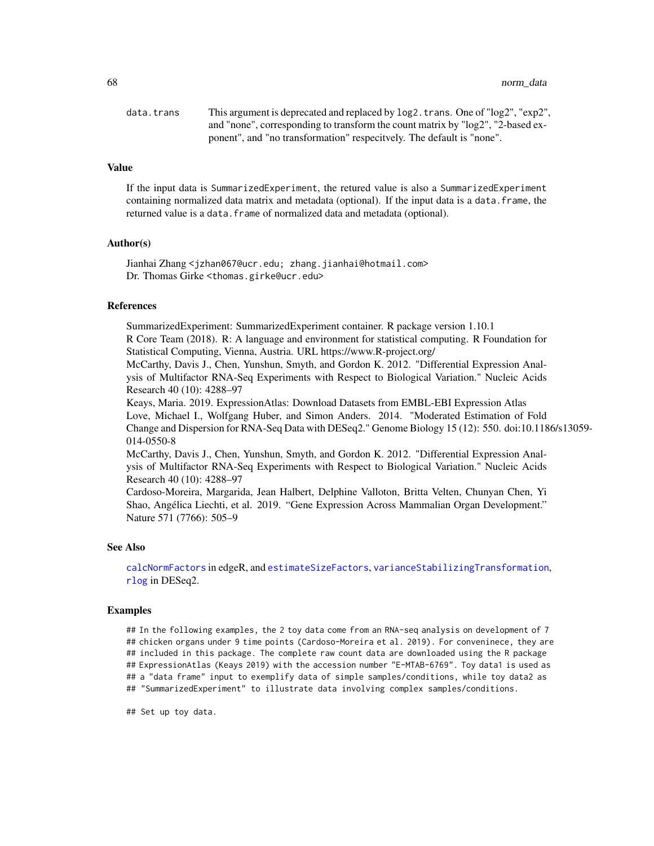68 norm\_data and  $\sim$  100 norm\_data and  $\sim$  100 norm\_data and  $\sim$  100 norm\_data

| data.trans | This argument is deprecated and replaced by log2. trans. One of "log2", "exp2", |
|------------|---------------------------------------------------------------------------------|
|            | and "none", corresponding to transform the count matrix by "log2", "2-based ex- |
|            | ponent", and "no transformation" respecitvely. The default is "none".           |

# Value

If the input data is SummarizedExperiment, the retured value is also a SummarizedExperiment containing normalized data matrix and metadata (optional). If the input data is a data.frame, the returned value is a data. frame of normalized data and metadata (optional).

## Author(s)

Jianhai Zhang <jzhan067@ucr.edu; zhang.jianhai@hotmail.com> Dr. Thomas Girke <thomas.girke@ucr.edu>

# References

SummarizedExperiment: SummarizedExperiment container. R package version 1.10.1 R Core Team (2018). R: A language and environment for statistical computing. R Foundation for Statistical Computing, Vienna, Austria. URL https://www.R-project.org/

McCarthy, Davis J., Chen, Yunshun, Smyth, and Gordon K. 2012. "Differential Expression Analysis of Multifactor RNA-Seq Experiments with Respect to Biological Variation." Nucleic Acids Research 40 (10): 4288–97

Keays, Maria. 2019. ExpressionAtlas: Download Datasets from EMBL-EBI Expression Atlas Love, Michael I., Wolfgang Huber, and Simon Anders. 2014. "Moderated Estimation of Fold Change and Dispersion for RNA-Seq Data with DESeq2." Genome Biology 15 (12): 550. doi:10.1186/s13059- 014-0550-8

McCarthy, Davis J., Chen, Yunshun, Smyth, and Gordon K. 2012. "Differential Expression Analysis of Multifactor RNA-Seq Experiments with Respect to Biological Variation." Nucleic Acids Research 40 (10): 4288–97

Cardoso-Moreira, Margarida, Jean Halbert, Delphine Valloton, Britta Velten, Chunyan Chen, Yi Shao, Angélica Liechti, et al. 2019. "Gene Expression Across Mammalian Organ Development." Nature 571 (7766): 505–9

# See Also

[calcNormFactors](#page-0-0) in edgeR, and [estimateSizeFactors](#page-0-0), [varianceStabilizingTransformation](#page-0-0), [rlog](#page-0-0) in DESeq2.

#### Examples

## In the following examples, the 2 toy data come from an RNA-seq analysis on development of 7 ## chicken organs under 9 time points (Cardoso-Moreira et al. 2019). For conveninece, they are ## included in this package. The complete raw count data are downloaded using the R package ## ExpressionAtlas (Keays 2019) with the accession number "E-MTAB-6769". Toy data1 is used as ## a "data frame" input to exemplify data of simple samples/conditions, while toy data2 as ## "SummarizedExperiment" to illustrate data involving complex samples/conditions.

## Set up toy data.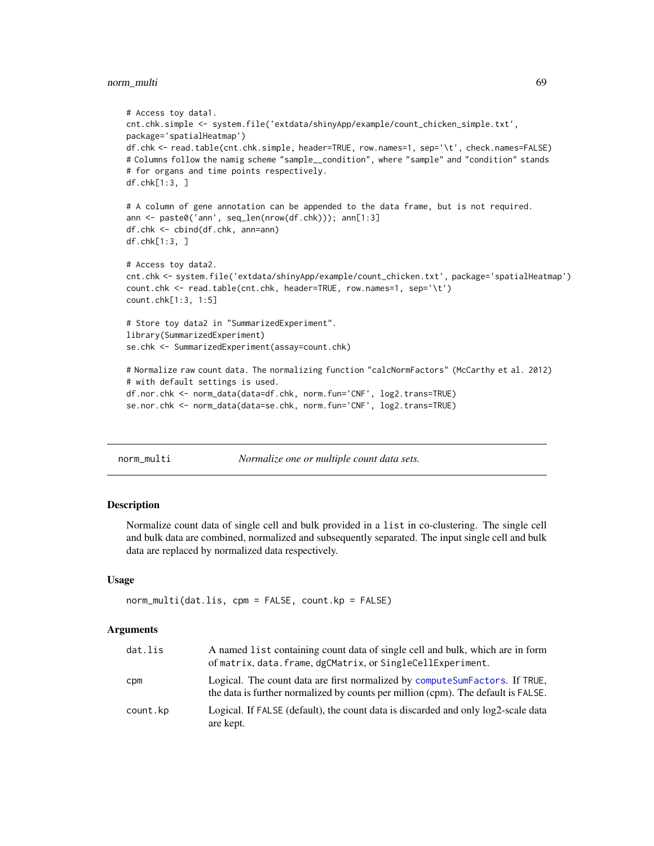# norm\_multi 69

```
# Access toy data1.
cnt.chk.simple <- system.file('extdata/shinyApp/example/count_chicken_simple.txt',
package='spatialHeatmap')
df.chk <- read.table(cnt.chk.simple, header=TRUE, row.names=1, sep='\t', check.names=FALSE)
# Columns follow the namig scheme "sample__condition", where "sample" and "condition" stands
# for organs and time points respectively.
df.chk[1:3, ]
# A column of gene annotation can be appended to the data frame, but is not required.
ann <- paste0('ann', seq_len(nrow(df.chk))); ann[1:3]
df.chk <- cbind(df.chk, ann=ann)
df.chk[1:3, ]
# Access toy data2.
cnt.chk <- system.file('extdata/shinyApp/example/count_chicken.txt', package='spatialHeatmap')
count.chk <- read.table(cnt.chk, header=TRUE, row.names=1, sep='\t')
count.chk[1:3, 1:5]
# Store toy data2 in "SummarizedExperiment".
library(SummarizedExperiment)
se.chk <- SummarizedExperiment(assay=count.chk)
# Normalize raw count data. The normalizing function "calcNormFactors" (McCarthy et al. 2012)
# with default settings is used.
df.nor.chk <- norm_data(data=df.chk, norm.fun='CNF', log2.trans=TRUE)
se.nor.chk <- norm_data(data=se.chk, norm.fun='CNF', log2.trans=TRUE)
```
norm\_multi *Normalize one or multiple count data sets.*

# Description

Normalize count data of single cell and bulk provided in a list in co-clustering. The single cell and bulk data are combined, normalized and subsequently separated. The input single cell and bulk data are replaced by normalized data respectively.

#### Usage

```
norm_multi(dat.lis, cpm = FALSE, count.kp = FALSE)
```
## **Arguments**

| dat.lis  | A named list containing count data of single cell and bulk, which are in form<br>of matrix, data. frame, dgCMatrix, or SingleCellExperiment.                       |
|----------|--------------------------------------------------------------------------------------------------------------------------------------------------------------------|
| cpm      | Logical. The count data are first normalized by compute Sum Factors. If TRUE,<br>the data is further normalized by counts per million (cpm). The default is FALSE. |
| count.kp | Logical. If FALSE (default), the count data is discarded and only log2-scale data<br>are kept.                                                                     |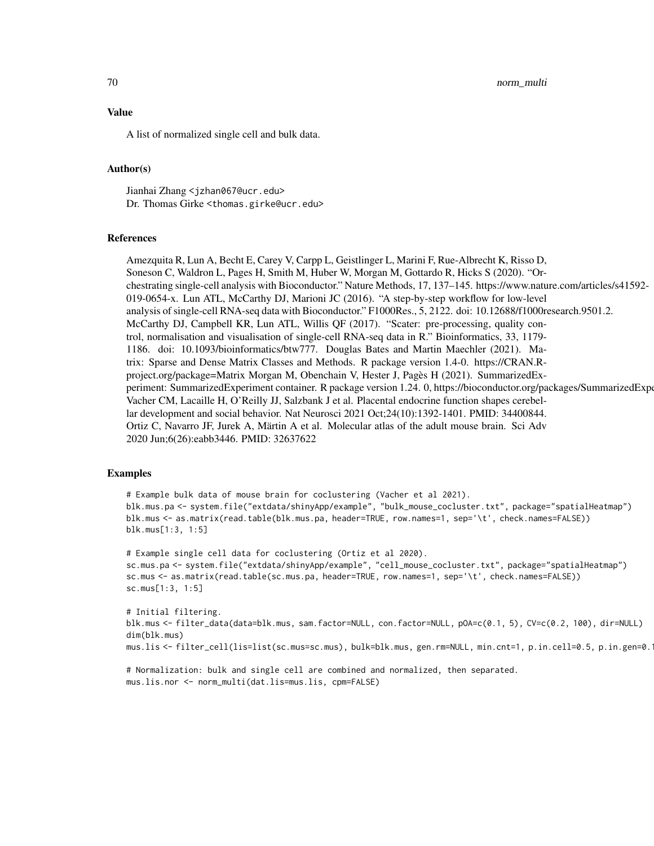70 norm\_multi

## Value

A list of normalized single cell and bulk data.

# Author(s)

Jianhai Zhang <jzhan067@ucr.edu> Dr. Thomas Girke <thomas.girke@ucr.edu>

## **References**

Amezquita R, Lun A, Becht E, Carey V, Carpp L, Geistlinger L, Marini F, Rue-Albrecht K, Risso D, Soneson C, Waldron L, Pages H, Smith M, Huber W, Morgan M, Gottardo R, Hicks S (2020). "Orchestrating single-cell analysis with Bioconductor." Nature Methods, 17, 137–145. https://www.nature.com/articles/s41592- 019-0654-x. Lun ATL, McCarthy DJ, Marioni JC (2016). "A step-by-step workflow for low-level analysis of single-cell RNA-seq data with Bioconductor." F1000Res., 5, 2122. doi: 10.12688/f1000research.9501.2. McCarthy DJ, Campbell KR, Lun ATL, Willis QF (2017). "Scater: pre-processing, quality control, normalisation and visualisation of single-cell RNA-seq data in R." Bioinformatics, 33, 1179- 1186. doi: 10.1093/bioinformatics/btw777. Douglas Bates and Martin Maechler (2021). Matrix: Sparse and Dense Matrix Classes and Methods. R package version 1.4-0. https://CRAN.Rproject.org/package=Matrix Morgan M, Obenchain V, Hester J, Pagès H (2021). SummarizedExperiment: SummarizedExperiment container. R package version 1.24. 0, https://bioconductor.org/packages/SummarizedExperiment Vacher CM, Lacaille H, O'Reilly JJ, Salzbank J et al. Placental endocrine function shapes cerebellar development and social behavior. Nat Neurosci 2021 Oct;24(10):1392-1401. PMID: 34400844. Ortiz C, Navarro JF, Jurek A, Märtin A et al. Molecular atlas of the adult mouse brain. Sci Adv 2020 Jun;6(26):eabb3446. PMID: 32637622

#### Examples

# Example bulk data of mouse brain for coclustering (Vacher et al 2021). blk.mus.pa <- system.file("extdata/shinyApp/example", "bulk\_mouse\_cocluster.txt", package="spatialHeatmap") blk.mus <- as.matrix(read.table(blk.mus.pa, header=TRUE, row.names=1, sep='\t', check.names=FALSE)) blk.mus[1:3, 1:5]

# Example single cell data for coclustering (Ortiz et al 2020). sc.mus.pa <- system.file("extdata/shinyApp/example", "cell\_mouse\_cocluster.txt", package="spatialHeatmap") sc.mus <- as.matrix(read.table(sc.mus.pa, header=TRUE, row.names=1, sep='\t', check.names=FALSE)) sc.mus[1:3, 1:5]

# Initial filtering. blk.mus <- filter\_data(data=blk.mus, sam.factor=NULL, con.factor=NULL, pOA=c(0.1, 5), CV=c(0.2, 100), dir=NULL) dim(blk.mus) mus.lis <- filter\_cell(lis=list(sc.mus=sc.mus), bulk=blk.mus, gen.rm=NULL, min.cnt=1, p.in.cell=0.5, p.in.gen=0.1)

# Normalization: bulk and single cell are combined and normalized, then separated. mus.lis.nor <- norm\_multi(dat.lis=mus.lis, cpm=FALSE)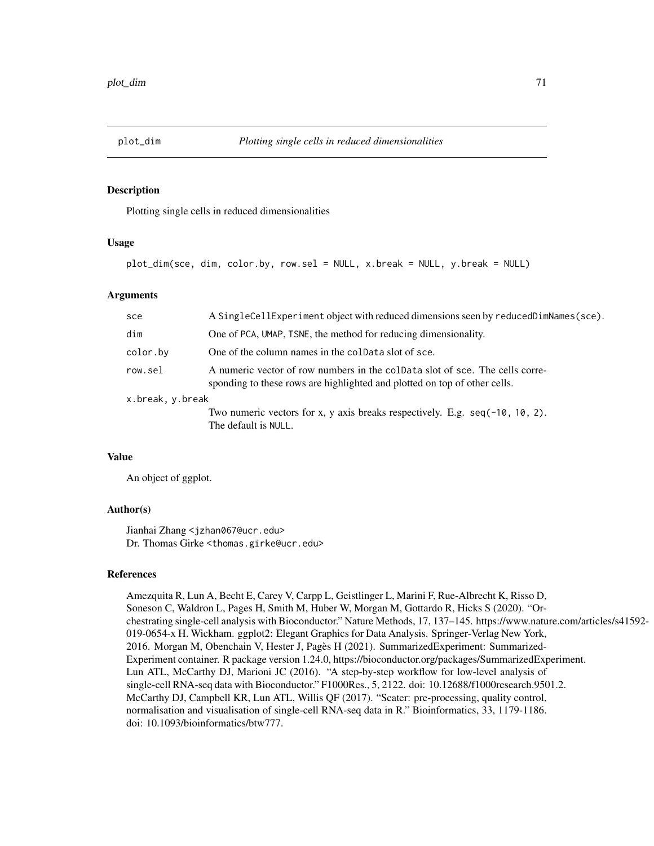## Description

Plotting single cells in reduced dimensionalities

## Usage

plot\_dim(sce, dim, color.by, row.sel = NULL, x.break = NULL, y.break = NULL)

## Arguments

| sce              | A SingleCellExperiment object with reduced dimensions seen by reducedDimNames(sce).                                                                       |  |
|------------------|-----------------------------------------------------------------------------------------------------------------------------------------------------------|--|
| dim              | One of PCA, UMAP, TSNE, the method for reducing dimensionality.                                                                                           |  |
| color.by         | One of the column names in the coldata slot of sce.                                                                                                       |  |
| row.sel          | A numeric vector of row numbers in the coldata slot of sce. The cells corre-<br>sponding to these rows are highlighted and plotted on top of other cells. |  |
| x.break, y.break |                                                                                                                                                           |  |
|                  | Two numeric vectors for x, y axis breaks respectively. E.g. $seq(-10, 10, 2)$ .<br>The default is NULL.                                                   |  |

# Value

An object of ggplot.

# Author(s)

Jianhai Zhang <jzhan067@ucr.edu> Dr. Thomas Girke <thomas.girke@ucr.edu>

## References

Amezquita R, Lun A, Becht E, Carey V, Carpp L, Geistlinger L, Marini F, Rue-Albrecht K, Risso D, Soneson C, Waldron L, Pages H, Smith M, Huber W, Morgan M, Gottardo R, Hicks S (2020). "Orchestrating single-cell analysis with Bioconductor." Nature Methods, 17, 137–145. https://www.nature.com/articles/s41592- 019-0654-x H. Wickham. ggplot2: Elegant Graphics for Data Analysis. Springer-Verlag New York, 2016. Morgan M, Obenchain V, Hester J, Pagès H (2021). SummarizedExperiment: Summarized-Experiment container. R package version 1.24.0, https://bioconductor.org/packages/SummarizedExperiment. Lun ATL, McCarthy DJ, Marioni JC (2016). "A step-by-step workflow for low-level analysis of single-cell RNA-seq data with Bioconductor." F1000Res., 5, 2122. doi: 10.12688/f1000research.9501.2. McCarthy DJ, Campbell KR, Lun ATL, Willis QF (2017). "Scater: pre-processing, quality control, normalisation and visualisation of single-cell RNA-seq data in R." Bioinformatics, 33, 1179-1186. doi: 10.1093/bioinformatics/btw777.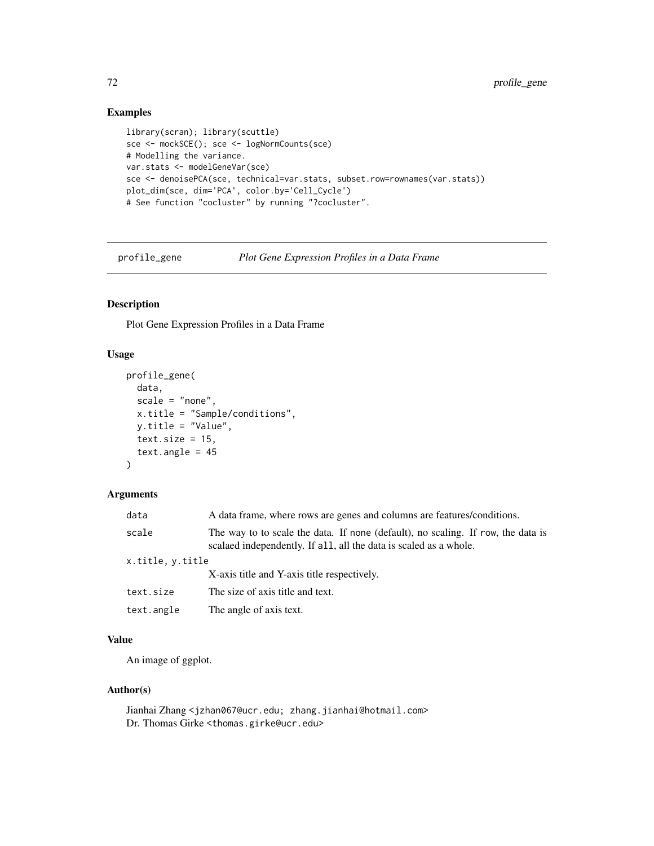# Examples

```
library(scran); library(scuttle)
sce <- mockSCE(); sce <- logNormCounts(sce)
# Modelling the variance.
var.stats <- modelGeneVar(sce)
sce <- denoisePCA(sce, technical=var.stats, subset.row=rownames(var.stats))
plot_dim(sce, dim='PCA', color.by='Cell_Cycle')
# See function "cocluster" by running "?cocluster".
```
profile\_gene *Plot Gene Expression Profiles in a Data Frame*

# Description

Plot Gene Expression Profiles in a Data Frame

## Usage

```
profile_gene(
  data,
  scale = "none",
 x.title = "Sample/conditions",
 y.title = "Value",
  text.size = 15,
  text. angle = 45)
```
# Arguments

| data             | A data frame, where rows are genes and columns are features/conditions.                                                                               |
|------------------|-------------------------------------------------------------------------------------------------------------------------------------------------------|
| scale            | The way to to scale the data. If none (default), no scaling. If row, the data is<br>scalaed independently. If all, all the data is scaled as a whole. |
| x.title, y.title |                                                                                                                                                       |
|                  | X-axis title and Y-axis title respectively.                                                                                                           |
| text.size        | The size of axis title and text.                                                                                                                      |
| text.angle       | The angle of axis text.                                                                                                                               |

# Value

An image of ggplot.

# Author(s)

Jianhai Zhang <jzhan067@ucr.edu; zhang.jianhai@hotmail.com> Dr. Thomas Girke <thomas.girke@ucr.edu>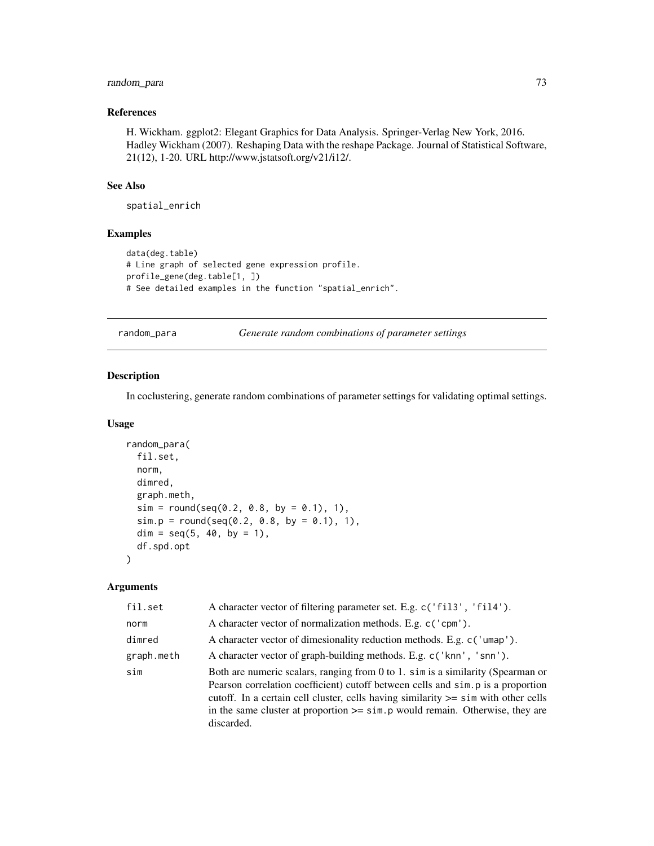# random\_para 73

# References

H. Wickham. ggplot2: Elegant Graphics for Data Analysis. Springer-Verlag New York, 2016. Hadley Wickham (2007). Reshaping Data with the reshape Package. Journal of Statistical Software, 21(12), 1-20. URL http://www.jstatsoft.org/v21/i12/.

# See Also

spatial\_enrich

# Examples

```
data(deg.table)
# Line graph of selected gene expression profile.
profile_gene(deg.table[1, ])
# See detailed examples in the function "spatial_enrich".
```
random\_para *Generate random combinations of parameter settings*

# Description

In coclustering, generate random combinations of parameter settings for validating optimal settings.

#### Usage

```
random_para(
  fil.set,
 norm,
 dimred,
  graph.meth,
  sim = round(seq(0.2, 0.8, by = 0.1), 1),sim.p = round(seq(0.2, 0.8, by = 0.1), 1),dim = seq(5, 40, by = 1),df.spd.opt
)
```
# Arguments

| fil.set    | A character vector of filtering parameter set. E.g. c('fil3', 'fil4').                                                                                                                                                                                                                                                                                             |
|------------|--------------------------------------------------------------------------------------------------------------------------------------------------------------------------------------------------------------------------------------------------------------------------------------------------------------------------------------------------------------------|
| norm       | A character vector of normalization methods. E.g. c('cpm').                                                                                                                                                                                                                                                                                                        |
| dimred     | A character vector of dimesionality reduction methods. E.g. c('umap').                                                                                                                                                                                                                                                                                             |
| graph.meth | A character vector of graph-building methods. E.g. c('knn', 'snn').                                                                                                                                                                                                                                                                                                |
| sim        | Both are numeric scalars, ranging from 0 to 1. sim is a similarity (Spearman or<br>Pearson correlation coefficient) cutoff between cells and sim. p is a proportion<br>cutoff. In a certain cell cluster, cells having similarity $\ge$ = sim with other cells<br>in the same cluster at proportion $\ge$ = sim. p would remain. Otherwise, they are<br>discarded. |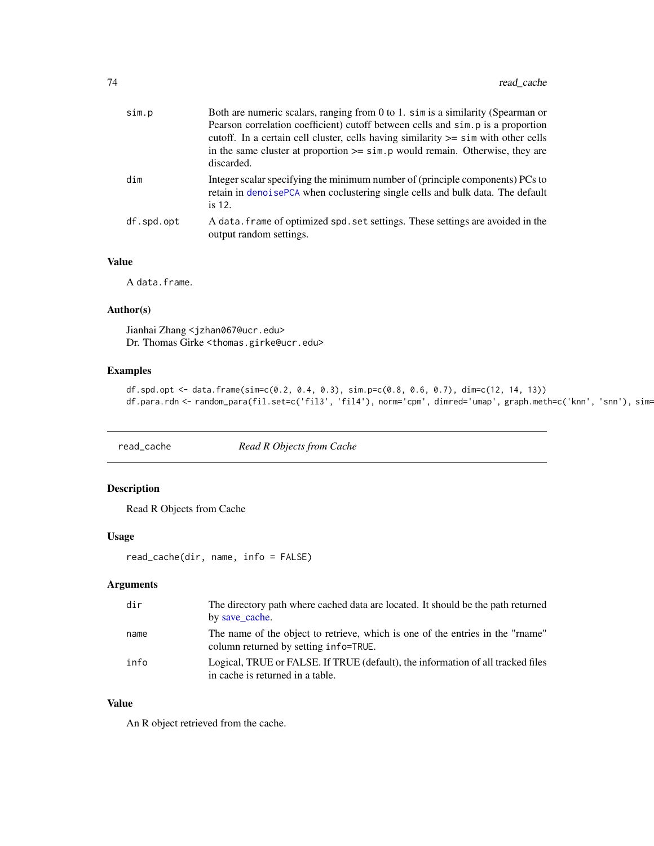| sim.p      | Both are numeric scalars, ranging from 0 to 1. sim is a similarity (Spearman or<br>Pearson correlation coefficient) cutoff between cells and simples a proportion<br>cutoff. In a certain cell cluster, cells having similarity $\ge$ = sim with other cells<br>in the same cluster at proportion $\geq$ sim. p would remain. Otherwise, they are<br>discarded. |
|------------|-----------------------------------------------------------------------------------------------------------------------------------------------------------------------------------------------------------------------------------------------------------------------------------------------------------------------------------------------------------------|
| dim        | Integer scalar specifying the minimum number of (principle components) PCs to<br>retain in denoisePCA when coclustering single cells and bulk data. The default<br>is 12.                                                                                                                                                                                       |
| df.spd.opt | A data. frame of optimized spd. set settings. These settings are avoided in the<br>output random settings.                                                                                                                                                                                                                                                      |

# Value

A data.frame.

# Author(s)

Jianhai Zhang <jzhan067@ucr.edu> Dr. Thomas Girke <thomas.girke@ucr.edu>

# Examples

```
df.spd.opt <- data.frame(sim=c(0.2, 0.4, 0.3), sim.p=c(0.8, 0.6, 0.7), dim=c(12, 14, 13))
df.para.rdn <- random_para(fil.set=c('fil3', 'fil4'), norm='cpm', dimred='umap', graph.meth=c('knn', 'snn'), sim=
```
read\_cache *Read R Objects from Cache*

# Description

Read R Objects from Cache

# Usage

```
read_cache(dir, name, info = FALSE)
```
# Arguments

| dir  | The directory path where cached data are located. It should be the path returned<br>by save cache.                      |
|------|-------------------------------------------------------------------------------------------------------------------------|
| name | The name of the object to retrieve, which is one of the entries in the "rname"<br>column returned by setting info=TRUE. |
| info | Logical, TRUE or FALSE. If TRUE (default), the information of all tracked files<br>in cache is returned in a table.     |

# Value

An R object retrieved from the cache.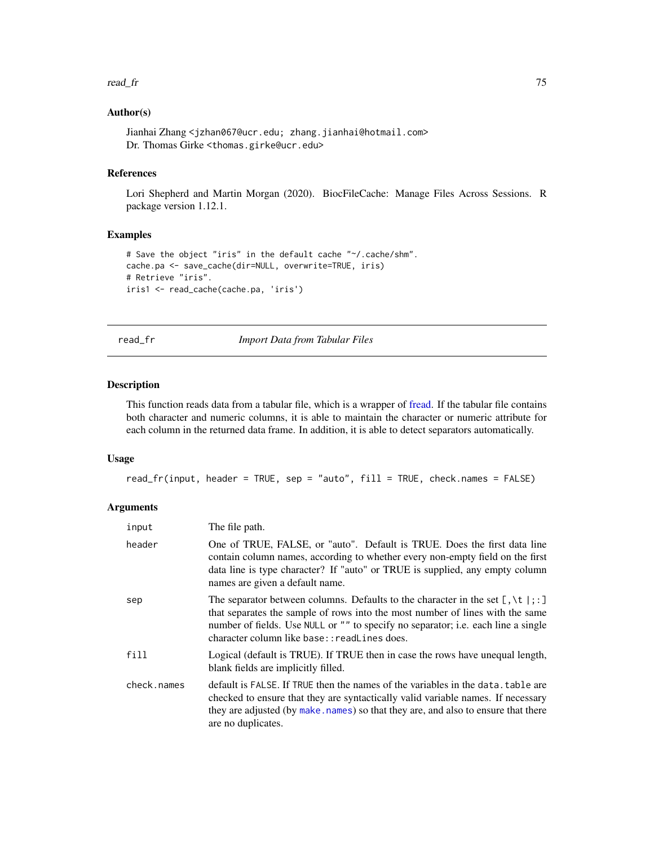#### read\_fr 75

# Author(s)

Jianhai Zhang <jzhan067@ucr.edu; zhang.jianhai@hotmail.com> Dr. Thomas Girke <thomas.girke@ucr.edu>

# References

Lori Shepherd and Martin Morgan (2020). BiocFileCache: Manage Files Across Sessions. R package version 1.12.1.

# Examples

```
# Save the object "iris" in the default cache "~/.cache/shm".
cache.pa <- save_cache(dir=NULL, overwrite=TRUE, iris)
# Retrieve "iris".
iris1 <- read_cache(cache.pa, 'iris')
```
read\_fr *Import Data from Tabular Files*

# Description

This function reads data from a tabular file, which is a wrapper of [fread.](#page-0-0) If the tabular file contains both character and numeric columns, it is able to maintain the character or numeric attribute for each column in the returned data frame. In addition, it is able to detect separators automatically.

# Usage

```
read_fr(input, header = TRUE, sep = "auto", fill = TRUE, check.names = FALSE)
```
# **Arguments**

| input       | The file path.                                                                                                                                                                                                                                                                                                               |
|-------------|------------------------------------------------------------------------------------------------------------------------------------------------------------------------------------------------------------------------------------------------------------------------------------------------------------------------------|
| header      | One of TRUE, FALSE, or "auto". Default is TRUE. Does the first data line<br>contain column names, according to whether every non-empty field on the first<br>data line is type character? If "auto" or TRUE is supplied, any empty column<br>names are given a default name.                                                 |
| sep         | The separator between columns. Defaults to the character in the set $[\, , \setminus t \,   \, ; \, ]$<br>that separates the sample of rows into the most number of lines with the same<br>number of fields. Use NULL or "" to specify no separator; i.e. each line a single<br>character column like base:: readLines does. |
| fill        | Logical (default is TRUE). If TRUE then in case the rows have unequal length,<br>blank fields are implicitly filled.                                                                                                                                                                                                         |
| check.names | default is FALSE. If TRUE then the names of the variables in the data, table are<br>checked to ensure that they are syntactically valid variable names. If necessary<br>they are adjusted (by make, names) so that they are, and also to ensure that there<br>are no duplicates.                                             |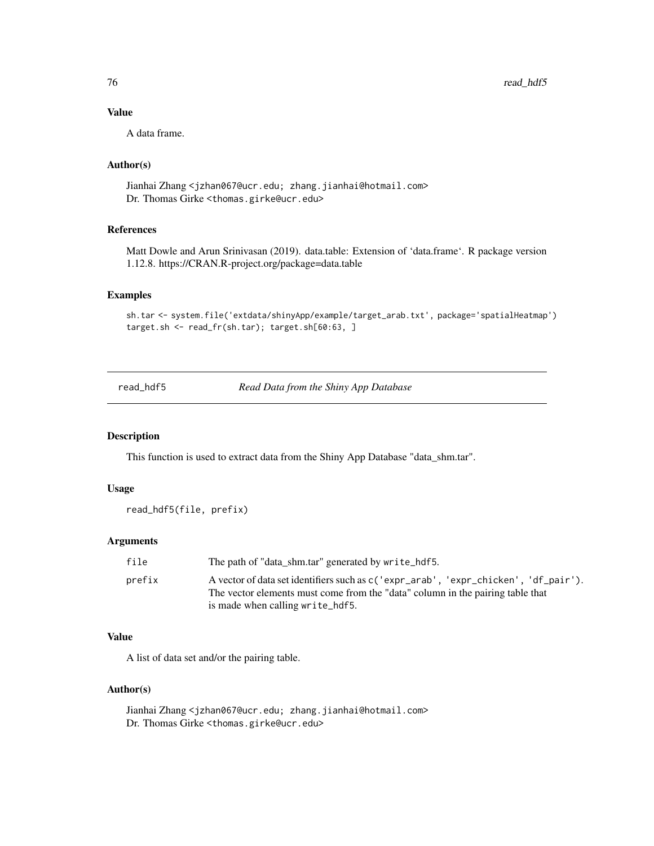# Value

A data frame.

# Author(s)

Jianhai Zhang <jzhan067@ucr.edu; zhang.jianhai@hotmail.com> Dr. Thomas Girke <thomas.girke@ucr.edu>

# References

Matt Dowle and Arun Srinivasan (2019). data.table: Extension of 'data.frame'. R package version 1.12.8. https://CRAN.R-project.org/package=data.table

#### Examples

sh.tar <- system.file('extdata/shinyApp/example/target\_arab.txt', package='spatialHeatmap') target.sh <- read\_fr(sh.tar); target.sh[60:63, ]

read\_hdf5 *Read Data from the Shiny App Database*

# Description

This function is used to extract data from the Shiny App Database "data\_shm.tar".

#### Usage

```
read_hdf5(file, prefix)
```
#### **Arguments**

| file   | The path of "data shm.tar" generated by write hdf5.                                                                                                                                                         |
|--------|-------------------------------------------------------------------------------------------------------------------------------------------------------------------------------------------------------------|
| prefix | A vector of data set identifiers such as $c('expr_arab', 'expr_chicken', 'df_pair').$<br>The vector elements must come from the "data" column in the pairing table that<br>is made when calling write_hdf5. |

# Value

A list of data set and/or the pairing table.

#### Author(s)

Jianhai Zhang <jzhan067@ucr.edu; zhang.jianhai@hotmail.com> Dr. Thomas Girke <thomas.girke@ucr.edu>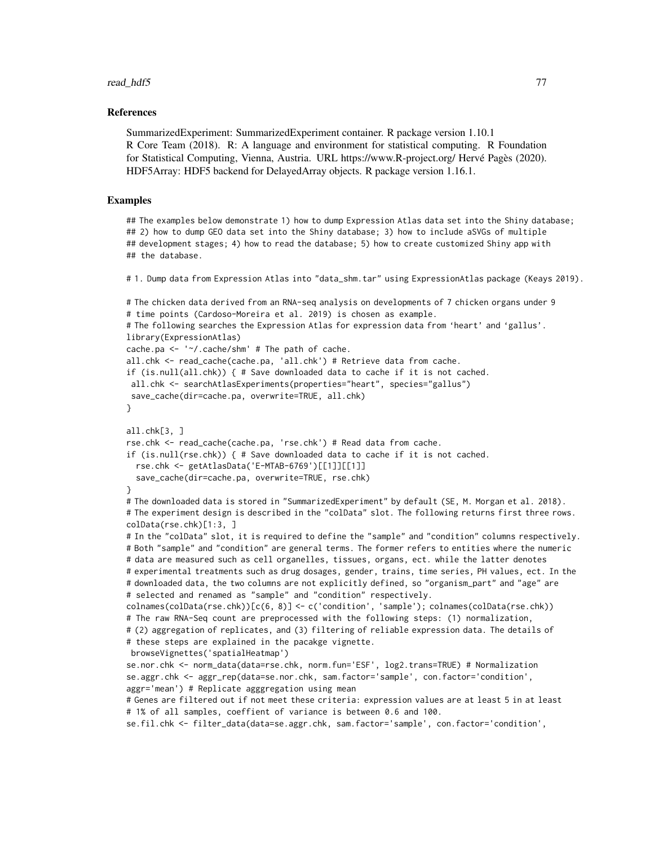## References

SummarizedExperiment: SummarizedExperiment container. R package version 1.10.1 R Core Team (2018). R: A language and environment for statistical computing. R Foundation for Statistical Computing, Vienna, Austria. URL https://www.R-project.org/ Hervé Pagès (2020). HDF5Array: HDF5 backend for DelayedArray objects. R package version 1.16.1.

# Examples

## The examples below demonstrate 1) how to dump Expression Atlas data set into the Shiny database; ## 2) how to dump GEO data set into the Shiny database; 3) how to include aSVGs of multiple ## development stages; 4) how to read the database; 5) how to create customized Shiny app with ## the database.

# 1. Dump data from Expression Atlas into "data\_shm.tar" using ExpressionAtlas package (Keays 2019).

```
# The chicken data derived from an RNA-seq analysis on developments of 7 chicken organs under 9
# time points (Cardoso-Moreira et al. 2019) is chosen as example.
# The following searches the Expression Atlas for expression data from 'heart' and 'gallus'.
library(ExpressionAtlas)
cache.pa <- '~/.cache/shm' # The path of cache.
all.chk <- read_cache(cache.pa, 'all.chk') # Retrieve data from cache.
if (is.null(all.chk)) { # Save downloaded data to cache if it is not cached.
all.chk <- searchAtlasExperiments(properties="heart", species="gallus")
save_cache(dir=cache.pa, overwrite=TRUE, all.chk)
}
all.chk[3, ]
rse.chk <- read_cache(cache.pa, 'rse.chk') # Read data from cache.
if (is.null(rse.chk)) { # Save downloaded data to cache if it is not cached.
 rse.chk <- getAtlasData('E-MTAB-6769')[[1]][[1]]
 save_cache(dir=cache.pa, overwrite=TRUE, rse.chk)
}
# The downloaded data is stored in "SummarizedExperiment" by default (SE, M. Morgan et al. 2018).
# The experiment design is described in the "colData" slot. The following returns first three rows.
colData(rse.chk)[1:3, ]
# In the "colData" slot, it is required to define the "sample" and "condition" columns respectively.
# Both "sample" and "condition" are general terms. The former refers to entities where the numeric
# data are measured such as cell organelles, tissues, organs, ect. while the latter denotes
# experimental treatments such as drug dosages, gender, trains, time series, PH values, ect. In the
# downloaded data, the two columns are not explicitly defined, so "organism_part" and "age" are
# selected and renamed as "sample" and "condition" respectively.
colnames(colData(rse.chk))[c(6, 8)] <- c('condition', 'sample'); colnames(colData(rse.chk))
# The raw RNA-Seq count are preprocessed with the following steps: (1) normalization,
# (2) aggregation of replicates, and (3) filtering of reliable expression data. The details of
# these steps are explained in the pacakge vignette.
browseVignettes('spatialHeatmap')
se.nor.chk <- norm_data(data=rse.chk, norm.fun='ESF', log2.trans=TRUE) # Normalization
se.aggr.chk <- aggr_rep(data=se.nor.chk, sam.factor='sample', con.factor='condition',
aggr='mean') # Replicate agggregation using mean
# Genes are filtered out if not meet these criteria: expression values are at least 5 in at least
# 1% of all samples, coeffient of variance is between 0.6 and 100.
se.fil.chk <- filter_data(data=se.aggr.chk, sam.factor='sample', con.factor='condition',
```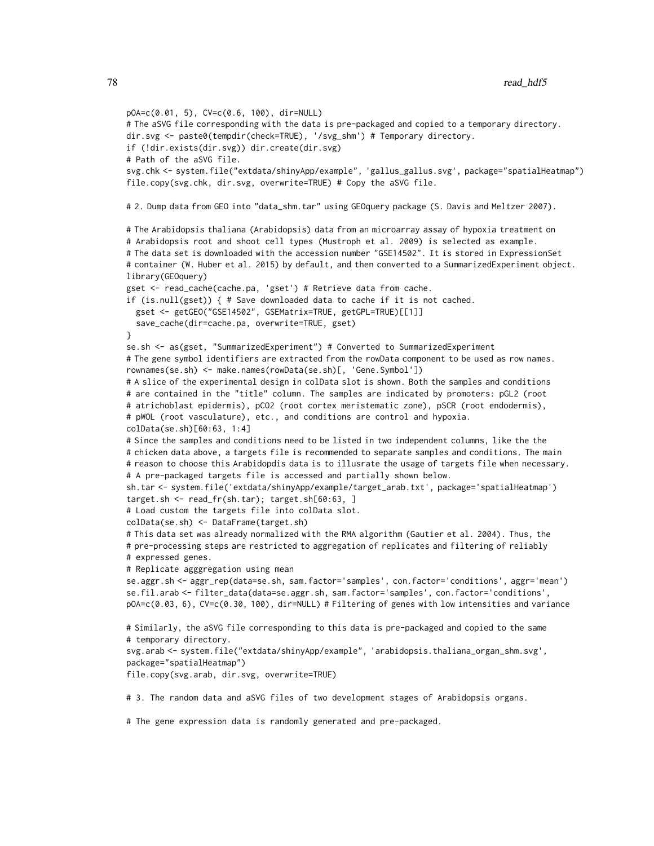```
pOA=c(0.01, 5), CV=c(0.6, 100), dir=NULL)
# The aSVG file corresponding with the data is pre-packaged and copied to a temporary directory.
dir.svg <- paste0(tempdir(check=TRUE), '/svg_shm') # Temporary directory.
if (!dir.exists(dir.svg)) dir.create(dir.svg)
# Path of the aSVG file.
svg.chk <- system.file("extdata/shinyApp/example", 'gallus_gallus.svg', package="spatialHeatmap")
file.copy(svg.chk, dir.svg, overwrite=TRUE) # Copy the aSVG file.
# 2. Dump data from GEO into "data_shm.tar" using GEOquery package (S. Davis and Meltzer 2007).
# The Arabidopsis thaliana (Arabidopsis) data from an microarray assay of hypoxia treatment on
# Arabidopsis root and shoot cell types (Mustroph et al. 2009) is selected as example.
# The data set is downloaded with the accession number "GSE14502". It is stored in ExpressionSet
# container (W. Huber et al. 2015) by default, and then converted to a SummarizedExperiment object.
library(GEOquery)
gset <- read_cache(cache.pa, 'gset') # Retrieve data from cache.
if (is.null(gset)) { # Save downloaded data to cache if it is not cached.
 gset <- getGEO("GSE14502", GSEMatrix=TRUE, getGPL=TRUE)[[1]]
  save_cache(dir=cache.pa, overwrite=TRUE, gset)
}
se.sh <- as(gset, "SummarizedExperiment") # Converted to SummarizedExperiment
# The gene symbol identifiers are extracted from the rowData component to be used as row names.
rownames(se.sh) <- make.names(rowData(se.sh)[, 'Gene.Symbol'])
# A slice of the experimental design in colData slot is shown. Both the samples and conditions
# are contained in the "title" column. The samples are indicated by promoters: pGL2 (root
# atrichoblast epidermis), pCO2 (root cortex meristematic zone), pSCR (root endodermis),
# pWOL (root vasculature), etc., and conditions are control and hypoxia.
colData(se.sh)[60:63, 1:4]
# Since the samples and conditions need to be listed in two independent columns, like the the
# chicken data above, a targets file is recommended to separate samples and conditions. The main
# reason to choose this Arabidopdis data is to illusrate the usage of targets file when necessary.
# A pre-packaged targets file is accessed and partially shown below.
sh.tar <- system.file('extdata/shinyApp/example/target_arab.txt', package='spatialHeatmap')
target.sh <- read_fr(sh.tar); target.sh[60:63, ]
# Load custom the targets file into colData slot.
colData(se.sh) <- DataFrame(target.sh)
# This data set was already normalized with the RMA algorithm (Gautier et al. 2004). Thus, the
# pre-processing steps are restricted to aggregation of replicates and filtering of reliably
# expressed genes.
# Replicate agggregation using mean
se.aggr.sh <- aggr_rep(data=se.sh, sam.factor='samples', con.factor='conditions', aggr='mean')
se.fil.arab <- filter_data(data=se.aggr.sh, sam.factor='samples', con.factor='conditions',
pOA=c(0.03, 6), CV=c(0.30, 100), dir=NULL) # Filtering of genes with low intensities and variance
# Similarly, the aSVG file corresponding to this data is pre-packaged and copied to the same
# temporary directory.
svg.arab <- system.file("extdata/shinyApp/example", 'arabidopsis.thaliana_organ_shm.svg',
package="spatialHeatmap")
file.copy(svg.arab, dir.svg, overwrite=TRUE)
# 3. The random data and aSVG files of two development stages of Arabidopsis organs.
```
# The gene expression data is randomly generated and pre-packaged.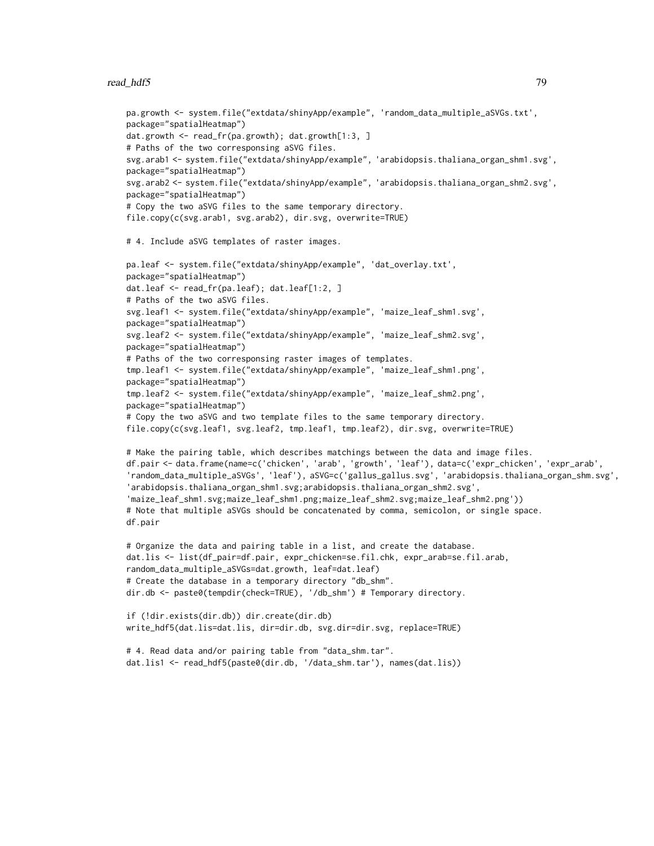#### read\_hdf5 79

```
pa.growth <- system.file("extdata/shinyApp/example", 'random_data_multiple_aSVGs.txt',
package="spatialHeatmap")
dat.growth <- read_fr(pa.growth); dat.growth[1:3, ]
# Paths of the two corresponsing aSVG files.
svg.arab1 <- system.file("extdata/shinyApp/example", 'arabidopsis.thaliana_organ_shm1.svg',
package="spatialHeatmap")
svg.arab2 <- system.file("extdata/shinyApp/example", 'arabidopsis.thaliana_organ_shm2.svg',
package="spatialHeatmap")
# Copy the two aSVG files to the same temporary directory.
file.copy(c(svg.arab1, svg.arab2), dir.svg, overwrite=TRUE)
# 4. Include aSVG templates of raster images.
pa.leaf <- system.file("extdata/shinyApp/example", 'dat_overlay.txt',
package="spatialHeatmap")
dat.leaf <- read_fr(pa.leaf); dat.leaf[1:2, ]
# Paths of the two aSVG files.
svg.leaf1 <- system.file("extdata/shinyApp/example", 'maize_leaf_shm1.svg',
package="spatialHeatmap")
svg.leaf2 <- system.file("extdata/shinyApp/example", 'maize_leaf_shm2.svg',
package="spatialHeatmap")
# Paths of the two corresponsing raster images of templates.
tmp.leaf1 <- system.file("extdata/shinyApp/example", 'maize_leaf_shm1.png',
package="spatialHeatmap")
tmp.leaf2 <- system.file("extdata/shinyApp/example", 'maize_leaf_shm2.png',
package="spatialHeatmap")
# Copy the two aSVG and two template files to the same temporary directory.
file.copy(c(svg.leaf1, svg.leaf2, tmp.leaf1, tmp.leaf2), dir.svg, overwrite=TRUE)
# Make the pairing table, which describes matchings between the data and image files.
df.pair <- data.frame(name=c('chicken', 'arab', 'growth', 'leaf'), data=c('expr_chicken', 'expr_arab',
'random_data_multiple_aSVGs', 'leaf'), aSVG=c('gallus_gallus.svg', 'arabidopsis.thaliana_organ_shm.svg',
'arabidopsis.thaliana_organ_shm1.svg;arabidopsis.thaliana_organ_shm2.svg',
'maize_leaf_shm1.svg;maize_leaf_shm1.png;maize_leaf_shm2.svg;maize_leaf_shm2.png'))
# Note that multiple aSVGs should be concatenated by comma, semicolon, or single space.
df.pair
# Organize the data and pairing table in a list, and create the database.
dat.lis <- list(df_pair=df.pair, expr_chicken=se.fil.chk, expr_arab=se.fil.arab,
random_data_multiple_aSVGs=dat.growth, leaf=dat.leaf)
# Create the database in a temporary directory "db_shm".
dir.db <- paste0(tempdir(check=TRUE), '/db_shm') # Temporary directory.
if (!dir.exists(dir.db)) dir.create(dir.db)
write_hdf5(dat.lis=dat.lis, dir=dir.db, svg.dir=dir.svg, replace=TRUE)
# 4. Read data and/or pairing table from "data_shm.tar".
dat.lis1 <- read_hdf5(paste0(dir.db, '/data_shm.tar'), names(dat.lis))
```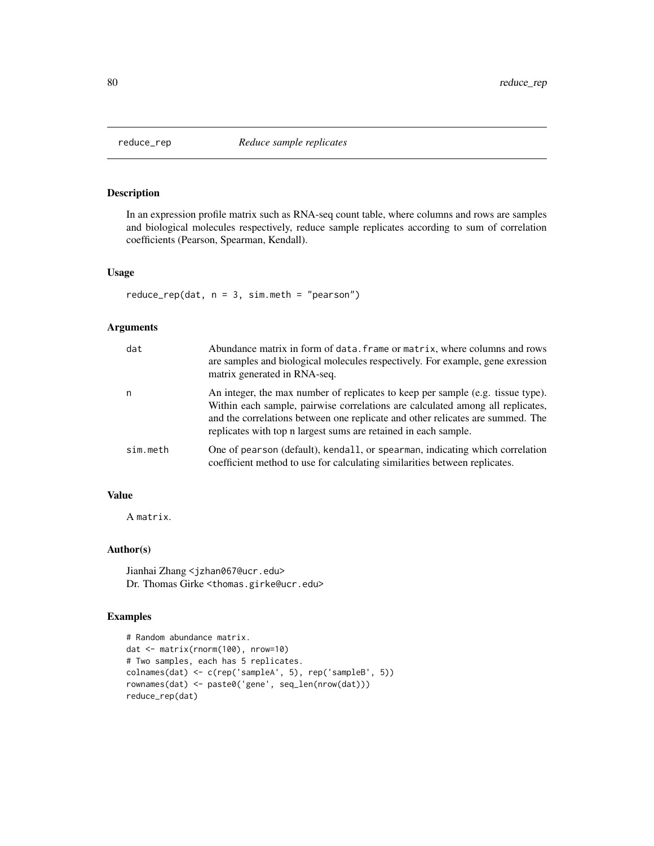# Description

In an expression profile matrix such as RNA-seq count table, where columns and rows are samples and biological molecules respectively, reduce sample replicates according to sum of correlation coefficients (Pearson, Spearman, Kendall).

#### Usage

 $reduce_rep(data, n = 3, sim.meth = "pearson")$ 

#### Arguments

| dat      | Abundance matrix in form of data, frame or matrix, where columns and rows<br>are samples and biological molecules respectively. For example, gene exression<br>matrix generated in RNA-seq.                                                                                                                            |
|----------|------------------------------------------------------------------------------------------------------------------------------------------------------------------------------------------------------------------------------------------------------------------------------------------------------------------------|
| n        | An integer, the max number of replicates to keep per sample (e.g. tissue type).<br>Within each sample, pairwise correlations are calculated among all replicates,<br>and the correlations between one replicate and other relicates are summed. The<br>replicates with top n largest sums are retained in each sample. |
| sim.meth | One of pearson (default), kendall, or spearman, indicating which correlation<br>coefficient method to use for calculating similarities between replicates.                                                                                                                                                             |

# Value

A matrix.

#### Author(s)

Jianhai Zhang <jzhan067@ucr.edu> Dr. Thomas Girke <thomas.girke@ucr.edu>

# Examples

```
# Random abundance matrix.
dat <- matrix(rnorm(100), nrow=10)
# Two samples, each has 5 replicates.
colnames(dat) <- c(rep('sampleA', 5), rep('sampleB', 5))
rownames(dat) <- paste0('gene', seq_len(nrow(dat)))
reduce_rep(dat)
```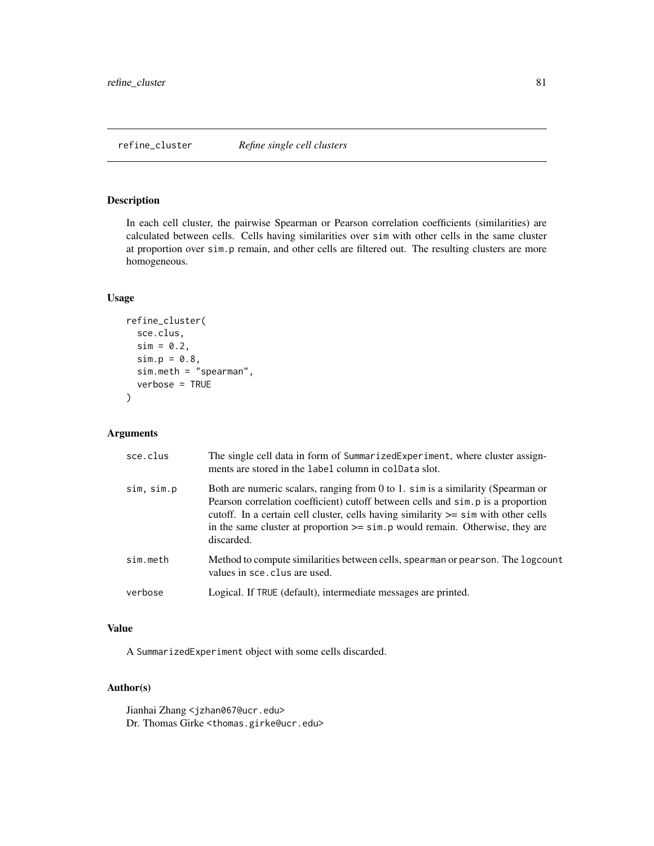# Description

In each cell cluster, the pairwise Spearman or Pearson correlation coefficients (similarities) are calculated between cells. Cells having similarities over sim with other cells in the same cluster at proportion over sim.p remain, and other cells are filtered out. The resulting clusters are more homogeneous.

## Usage

```
refine_cluster(
  sce.clus,
  sim = 0.2,
  sim.p = 0.8,
  sim.meth = "spearman",
  verbose = TRUE
)
```
# Arguments

| sce.clus   | The single cell data in form of SummarizedExperiment, where cluster assign-<br>ments are stored in the label column in coldata slot.                                                                                                                                                                                                                             |
|------------|------------------------------------------------------------------------------------------------------------------------------------------------------------------------------------------------------------------------------------------------------------------------------------------------------------------------------------------------------------------|
| sim, sim.p | Both are numeric scalars, ranging from 0 to 1. sim is a similarity (Spearman or<br>Pearson correlation coefficient) cutoff between cells and simples a proportion<br>cutoff. In a certain cell cluster, cells having similarity $\ge$ = sim with other cells<br>in the same cluster at proportion $\ge$ = sim. p would remain. Otherwise, they are<br>discarded. |
| sim.meth   | Method to compute similarities between cells, spearman or pearson. The logcount<br>values in sce. clus are used.                                                                                                                                                                                                                                                 |
| verbose    | Logical. If TRUE (default), intermediate messages are printed.                                                                                                                                                                                                                                                                                                   |

# Value

A SummarizedExperiment object with some cells discarded.

# Author(s)

Jianhai Zhang <jzhan067@ucr.edu> Dr. Thomas Girke <thomas.girke@ucr.edu>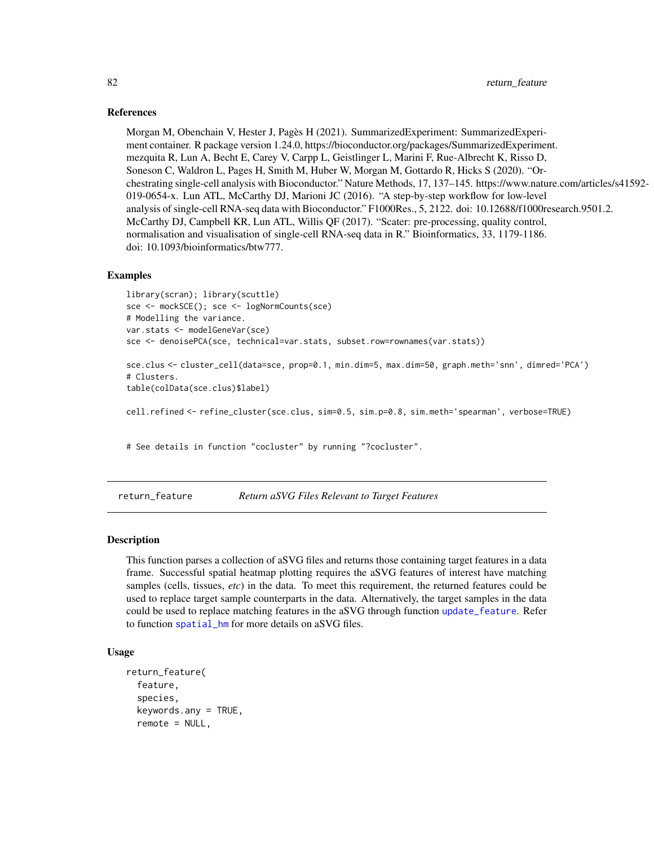#### References

Morgan M, Obenchain V, Hester J, Pagès H (2021). SummarizedExperiment: SummarizedExperiment container. R package version 1.24.0, https://bioconductor.org/packages/SummarizedExperiment. mezquita R, Lun A, Becht E, Carey V, Carpp L, Geistlinger L, Marini F, Rue-Albrecht K, Risso D, Soneson C, Waldron L, Pages H, Smith M, Huber W, Morgan M, Gottardo R, Hicks S (2020). "Orchestrating single-cell analysis with Bioconductor." Nature Methods, 17, 137–145. https://www.nature.com/articles/s41592- 019-0654-x. Lun ATL, McCarthy DJ, Marioni JC (2016). "A step-by-step workflow for low-level analysis of single-cell RNA-seq data with Bioconductor." F1000Res., 5, 2122. doi: 10.12688/f1000research.9501.2. McCarthy DJ, Campbell KR, Lun ATL, Willis QF (2017). "Scater: pre-processing, quality control, normalisation and visualisation of single-cell RNA-seq data in R." Bioinformatics, 33, 1179-1186. doi: 10.1093/bioinformatics/btw777.

#### Examples

```
library(scran); library(scuttle)
sce <- mockSCE(); sce <- logNormCounts(sce)
# Modelling the variance.
var.stats <- modelGeneVar(sce)
sce <- denoisePCA(sce, technical=var.stats, subset.row=rownames(var.stats))
```
sce.clus <- cluster\_cell(data=sce, prop=0.1, min.dim=5, max.dim=50, graph.meth='snn', dimred='PCA') # Clusters.

table(colData(sce.clus)\$label)

cell.refined <- refine\_cluster(sce.clus, sim=0.5, sim.p=0.8, sim.meth='spearman', verbose=TRUE)

# See details in function "cocluster" by running "?cocluster".

<span id="page-81-0"></span>return\_feature *Return aSVG Files Relevant to Target Features*

#### Description

This function parses a collection of aSVG files and returns those containing target features in a data frame. Successful spatial heatmap plotting requires the aSVG features of interest have matching samples (cells, tissues, *etc*) in the data. To meet this requirement, the returned features could be used to replace target sample counterparts in the data. Alternatively, the target samples in the data could be used to replace matching features in the aSVG through function [update\\_feature](#page-117-0). Refer to function [spatial\\_hm](#page-90-0) for more details on aSVG files.

# Usage

```
return_feature(
  feature,
  species,
  keywords.any = TRUE,
  remote = NULL,
```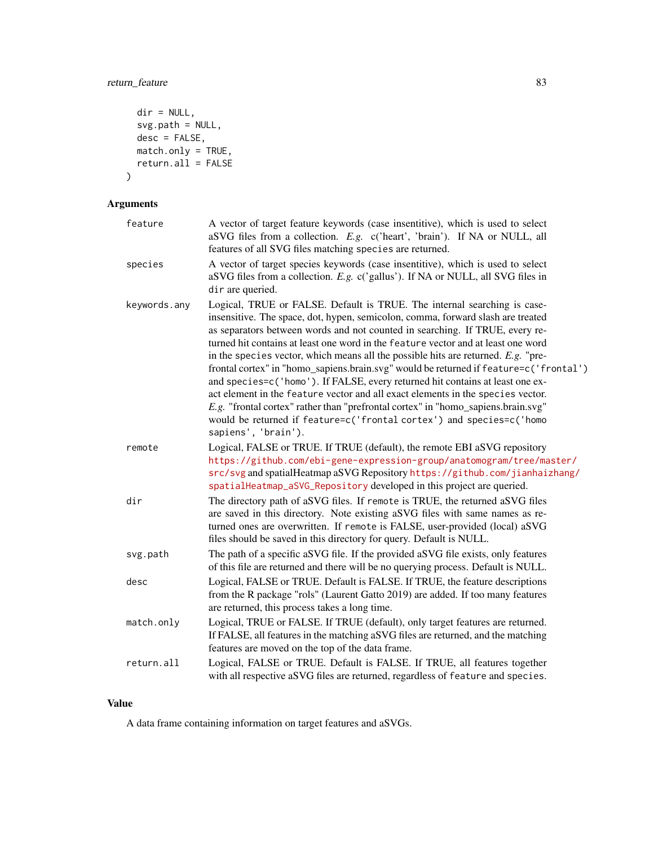# return\_feature 83

```
dir = NULL,svg.path = NULL,
 desc = FALSE,match.only = TRUE,
 return. a11 = FALSE)
```
# Arguments

| feature      | A vector of target feature keywords (case insentitive), which is used to select<br>aSVG files from a collection. E.g. c('heart', 'brain'). If NA or NULL, all<br>features of all SVG files matching species are returned.                                                                                                                                                                                                                                                                                                                                                                                                                                                                                                                                                                                                                                                |
|--------------|--------------------------------------------------------------------------------------------------------------------------------------------------------------------------------------------------------------------------------------------------------------------------------------------------------------------------------------------------------------------------------------------------------------------------------------------------------------------------------------------------------------------------------------------------------------------------------------------------------------------------------------------------------------------------------------------------------------------------------------------------------------------------------------------------------------------------------------------------------------------------|
| species      | A vector of target species keywords (case insentitive), which is used to select<br>aSVG files from a collection. E.g. c('gallus'). If NA or NULL, all SVG files in<br>dir are queried.                                                                                                                                                                                                                                                                                                                                                                                                                                                                                                                                                                                                                                                                                   |
| keywords.any | Logical, TRUE or FALSE. Default is TRUE. The internal searching is case-<br>insensitive. The space, dot, hypen, semicolon, comma, forward slash are treated<br>as separators between words and not counted in searching. If TRUE, every re-<br>turned hit contains at least one word in the feature vector and at least one word<br>in the species vector, which means all the possible hits are returned. $E.g.$ "pre-<br>frontal cortex" in "homo_sapiens.brain.svg" would be returned if feature=c('frontal')<br>and species=c('homo'). If FALSE, every returned hit contains at least one ex-<br>act element in the feature vector and all exact elements in the species vector.<br>E.g. "frontal cortex" rather than "prefrontal cortex" in "homo_sapiens.brain.svg"<br>would be returned if feature=c('frontal cortex') and species=c('homo<br>sapiens', 'brain'). |
| remote       | Logical, FALSE or TRUE. If TRUE (default), the remote EBI aSVG repository<br>https://github.com/ebi-gene-expression-group/anatomogram/tree/master/<br>src/svg and spatialHeatmap aSVG Repository https://github.com/jianhaizhang/<br>spatialHeatmap_aSVG_Repository developed in this project are queried.                                                                                                                                                                                                                                                                                                                                                                                                                                                                                                                                                               |
| dir          | The directory path of aSVG files. If remote is TRUE, the returned aSVG files<br>are saved in this directory. Note existing aSVG files with same names as re-<br>turned ones are overwritten. If remote is FALSE, user-provided (local) aSVG<br>files should be saved in this directory for query. Default is NULL.                                                                                                                                                                                                                                                                                                                                                                                                                                                                                                                                                       |
| svg.path     | The path of a specific aSVG file. If the provided aSVG file exists, only features<br>of this file are returned and there will be no querying process. Default is NULL.                                                                                                                                                                                                                                                                                                                                                                                                                                                                                                                                                                                                                                                                                                   |
| desc         | Logical, FALSE or TRUE. Default is FALSE. If TRUE, the feature descriptions<br>from the R package "rols" (Laurent Gatto 2019) are added. If too many features<br>are returned, this process takes a long time.                                                                                                                                                                                                                                                                                                                                                                                                                                                                                                                                                                                                                                                           |
| match.only   | Logical, TRUE or FALSE. If TRUE (default), only target features are returned.<br>If FALSE, all features in the matching aSVG files are returned, and the matching<br>features are moved on the top of the data frame.                                                                                                                                                                                                                                                                                                                                                                                                                                                                                                                                                                                                                                                    |
| return.all   | Logical, FALSE or TRUE. Default is FALSE. If TRUE, all features together<br>with all respective aSVG files are returned, regardless of feature and species.                                                                                                                                                                                                                                                                                                                                                                                                                                                                                                                                                                                                                                                                                                              |

# Value

A data frame containing information on target features and aSVGs.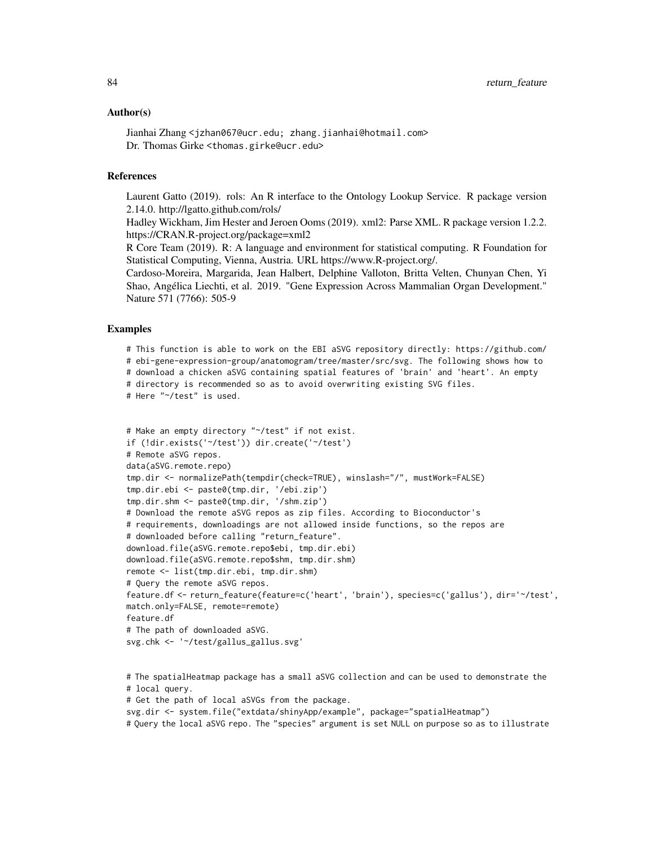#### Author(s)

Jianhai Zhang <jzhan067@ucr.edu; zhang.jianhai@hotmail.com> Dr. Thomas Girke <thomas.girke@ucr.edu>

# References

Laurent Gatto (2019). rols: An R interface to the Ontology Lookup Service. R package version 2.14.0. http://lgatto.github.com/rols/

Hadley Wickham, Jim Hester and Jeroen Ooms (2019). xml2: Parse XML. R package version 1.2.2. https://CRAN.R-project.org/package=xml2

R Core Team (2019). R: A language and environment for statistical computing. R Foundation for Statistical Computing, Vienna, Austria. URL https://www.R-project.org/.

Cardoso-Moreira, Margarida, Jean Halbert, Delphine Valloton, Britta Velten, Chunyan Chen, Yi Shao, Angélica Liechti, et al. 2019. "Gene Expression Across Mammalian Organ Development." Nature 571 (7766): 505-9

#### Examples

# This function is able to work on the EBI aSVG repository directly: https://github.com/ # ebi-gene-expression-group/anatomogram/tree/master/src/svg. The following shows how to # download a chicken aSVG containing spatial features of 'brain' and 'heart'. An empty # directory is recommended so as to avoid overwriting existing SVG files. # Here "~/test" is used.

```
# Make an empty directory "~/test" if not exist.
if (!dir.exists('~/test')) dir.create('~/test')
# Remote aSVG repos.
data(aSVG.remote.repo)
tmp.dir <- normalizePath(tempdir(check=TRUE), winslash="/", mustWork=FALSE)
tmp.dir.ebi <- paste0(tmp.dir, '/ebi.zip')
tmp.dir.shm <- paste0(tmp.dir, '/shm.zip')
# Download the remote aSVG repos as zip files. According to Bioconductor's
# requirements, downloadings are not allowed inside functions, so the repos are
# downloaded before calling "return_feature".
download.file(aSVG.remote.repo$ebi, tmp.dir.ebi)
download.file(aSVG.remote.repo$shm, tmp.dir.shm)
remote <- list(tmp.dir.ebi, tmp.dir.shm)
# Query the remote aSVG repos.
feature.df <- return_feature(feature=c('heart', 'brain'), species=c('gallus'), dir='~/test',
match.only=FALSE, remote=remote)
feature.df
# The path of downloaded aSVG.
svg.chk <- '~/test/gallus_gallus.svg'
```
# The spatialHeatmap package has a small aSVG collection and can be used to demonstrate the # local query.

# Get the path of local aSVGs from the package.

svg.dir <- system.file("extdata/shinyApp/example", package="spatialHeatmap")

# Query the local aSVG repo. The "species" argument is set NULL on purpose so as to illustrate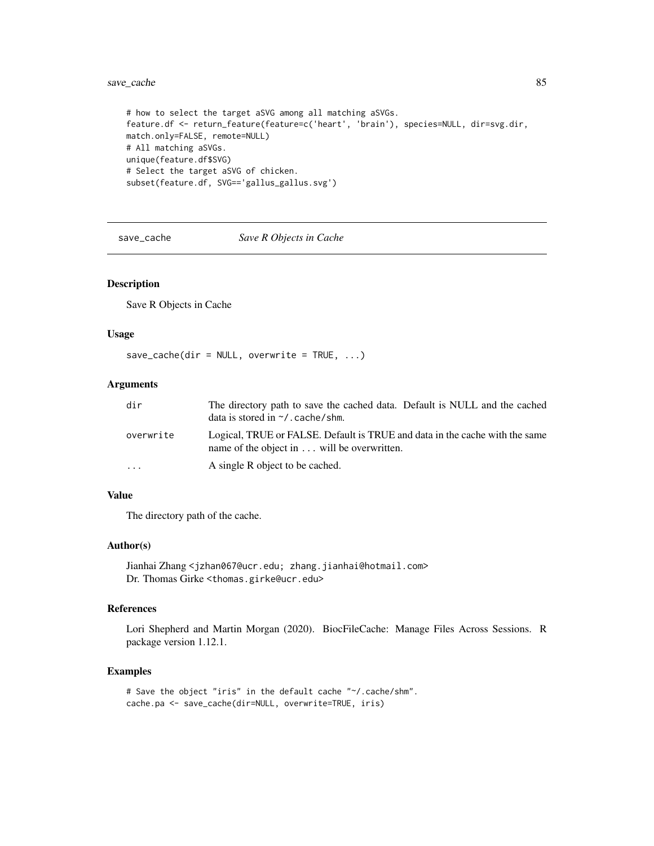# save\_cache 85

```
# how to select the target aSVG among all matching aSVGs.
feature.df <- return_feature(feature=c('heart', 'brain'), species=NULL, dir=svg.dir,
match.only=FALSE, remote=NULL)
# All matching aSVGs.
unique(feature.df$SVG)
# Select the target aSVG of chicken.
subset(feature.df, SVG=='gallus_gallus.svg')
```
# <span id="page-84-0"></span>save\_cache *Save R Objects in Cache*

#### Description

Save R Objects in Cache

#### Usage

 $save\_cache(dir = NULL, overtime = TRUE, ...)$ 

# Arguments

| dir       | The directory path to save the cached data. Default is NULL and the cached<br>data is stored in $\sim$ /. cache/shm.      |
|-----------|---------------------------------------------------------------------------------------------------------------------------|
| overwrite | Logical, TRUE or FALSE. Default is TRUE and data in the cache with the same<br>name of the object in will be overwritten. |
| $\ddots$  | A single R object to be cached.                                                                                           |

# Value

The directory path of the cache.

# Author(s)

Jianhai Zhang <jzhan067@ucr.edu; zhang.jianhai@hotmail.com> Dr. Thomas Girke <thomas.girke@ucr.edu>

## References

Lori Shepherd and Martin Morgan (2020). BiocFileCache: Manage Files Across Sessions. R package version 1.12.1.

#### Examples

```
# Save the object "iris" in the default cache "~/.cache/shm".
cache.pa <- save_cache(dir=NULL, overwrite=TRUE, iris)
```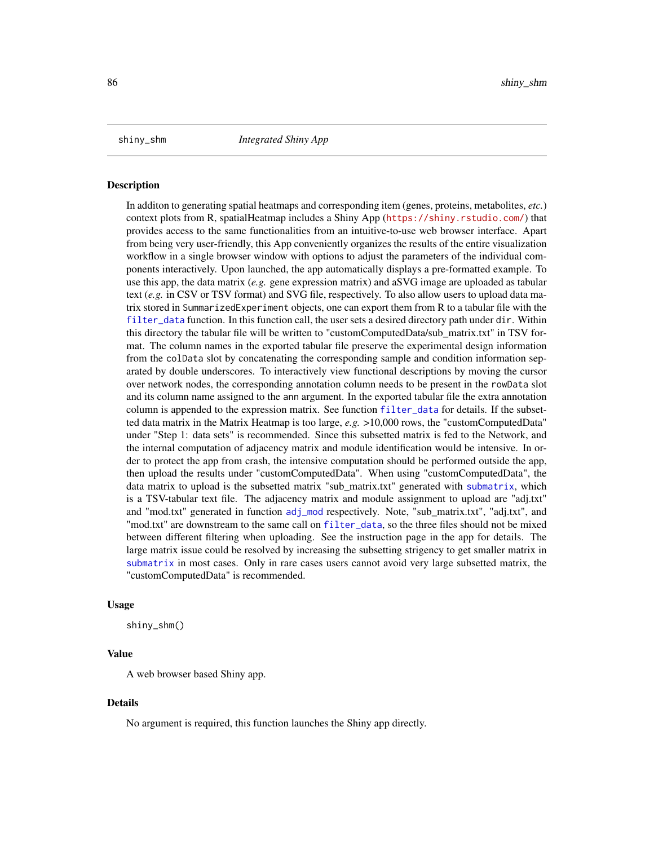#### Description

In additon to generating spatial heatmaps and corresponding item (genes, proteins, metabolites, *etc.*) context plots from R, spatialHeatmap includes a Shiny App (<https://shiny.rstudio.com/>) that provides access to the same functionalities from an intuitive-to-use web browser interface. Apart from being very user-friendly, this App conveniently organizes the results of the entire visualization workflow in a single browser window with options to adjust the parameters of the individual components interactively. Upon launched, the app automatically displays a pre-formatted example. To use this app, the data matrix (*e.g.* gene expression matrix) and aSVG image are uploaded as tabular text (*e.g.* in CSV or TSV format) and SVG file, respectively. To also allow users to upload data matrix stored in SummarizedExperiment objects, one can export them from R to a tabular file with the [filter\\_data](#page-48-0) function. In this function call, the user sets a desired directory path under dir. Within this directory the tabular file will be written to "customComputedData/sub\_matrix.txt" in TSV format. The column names in the exported tabular file preserve the experimental design information from the colData slot by concatenating the corresponding sample and condition information separated by double underscores. To interactively view functional descriptions by moving the cursor over network nodes, the corresponding annotation column needs to be present in the rowData slot and its column name assigned to the ann argument. In the exported tabular file the extra annotation column is appended to the expression matrix. See function [filter\\_data](#page-48-0) for details. If the subsetted data matrix in the Matrix Heatmap is too large, *e.g.* >10,000 rows, the "customComputedData" under "Step 1: data sets" is recommended. Since this subsetted matrix is fed to the Network, and the internal computation of adjacency matrix and module identification would be intensive. In order to protect the app from crash, the intensive computation should be performed outside the app, then upload the results under "customComputedData". When using "customComputedData", the data matrix to upload is the subsetted matrix "sub\_matrix.txt" generated with [submatrix](#page-106-0), which is a TSV-tabular text file. The adjacency matrix and module assignment to upload are "adj.txt" and "mod.txt" generated in function [adj\\_mod](#page-11-0) respectively. Note, "sub\_matrix.txt", "adj.txt", and "mod.txt" are downstream to the same call on [filter\\_data](#page-48-0), so the three files should not be mixed between different filtering when uploading. See the instruction page in the app for details. The large matrix issue could be resolved by increasing the subsetting strigency to get smaller matrix in [submatrix](#page-106-0) in most cases. Only in rare cases users cannot avoid very large subsetted matrix, the "customComputedData" is recommended.

#### Usage

shiny\_shm()

# Value

A web browser based Shiny app.

#### Details

No argument is required, this function launches the Shiny app directly.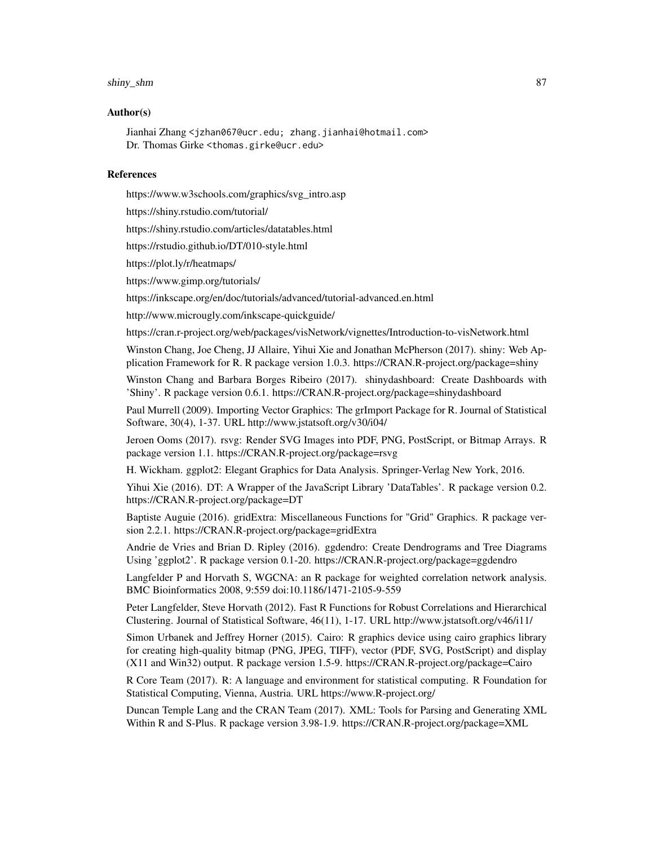#### shiny\_shm 87

#### Author(s)

Jianhai Zhang <jzhan067@ucr.edu; zhang.jianhai@hotmail.com> Dr. Thomas Girke <thomas.girke@ucr.edu>

#### References

https://www.w3schools.com/graphics/svg\_intro.asp

https://shiny.rstudio.com/tutorial/

https://shiny.rstudio.com/articles/datatables.html

https://rstudio.github.io/DT/010-style.html

https://plot.ly/r/heatmaps/

https://www.gimp.org/tutorials/

https://inkscape.org/en/doc/tutorials/advanced/tutorial-advanced.en.html

http://www.microugly.com/inkscape-quickguide/

https://cran.r-project.org/web/packages/visNetwork/vignettes/Introduction-to-visNetwork.html

Winston Chang, Joe Cheng, JJ Allaire, Yihui Xie and Jonathan McPherson (2017). shiny: Web Application Framework for R. R package version 1.0.3. https://CRAN.R-project.org/package=shiny

Winston Chang and Barbara Borges Ribeiro (2017). shinydashboard: Create Dashboards with 'Shiny'. R package version 0.6.1. https://CRAN.R-project.org/package=shinydashboard

Paul Murrell (2009). Importing Vector Graphics: The grImport Package for R. Journal of Statistical Software, 30(4), 1-37. URL http://www.jstatsoft.org/v30/i04/

Jeroen Ooms (2017). rsvg: Render SVG Images into PDF, PNG, PostScript, or Bitmap Arrays. R package version 1.1. https://CRAN.R-project.org/package=rsvg

H. Wickham. ggplot2: Elegant Graphics for Data Analysis. Springer-Verlag New York, 2016.

Yihui Xie (2016). DT: A Wrapper of the JavaScript Library 'DataTables'. R package version 0.2. https://CRAN.R-project.org/package=DT

Baptiste Auguie (2016). gridExtra: Miscellaneous Functions for "Grid" Graphics. R package version 2.2.1. https://CRAN.R-project.org/package=gridExtra

Andrie de Vries and Brian D. Ripley (2016). ggdendro: Create Dendrograms and Tree Diagrams Using 'ggplot2'. R package version 0.1-20. https://CRAN.R-project.org/package=ggdendro

Langfelder P and Horvath S, WGCNA: an R package for weighted correlation network analysis. BMC Bioinformatics 2008, 9:559 doi:10.1186/1471-2105-9-559

Peter Langfelder, Steve Horvath (2012). Fast R Functions for Robust Correlations and Hierarchical Clustering. Journal of Statistical Software, 46(11), 1-17. URL http://www.jstatsoft.org/v46/i11/

Simon Urbanek and Jeffrey Horner (2015). Cairo: R graphics device using cairo graphics library for creating high-quality bitmap (PNG, JPEG, TIFF), vector (PDF, SVG, PostScript) and display (X11 and Win32) output. R package version 1.5-9. https://CRAN.R-project.org/package=Cairo

R Core Team (2017). R: A language and environment for statistical computing. R Foundation for Statistical Computing, Vienna, Austria. URL https://www.R-project.org/

Duncan Temple Lang and the CRAN Team (2017). XML: Tools for Parsing and Generating XML Within R and S-Plus. R package version 3.98-1.9. https://CRAN.R-project.org/package=XML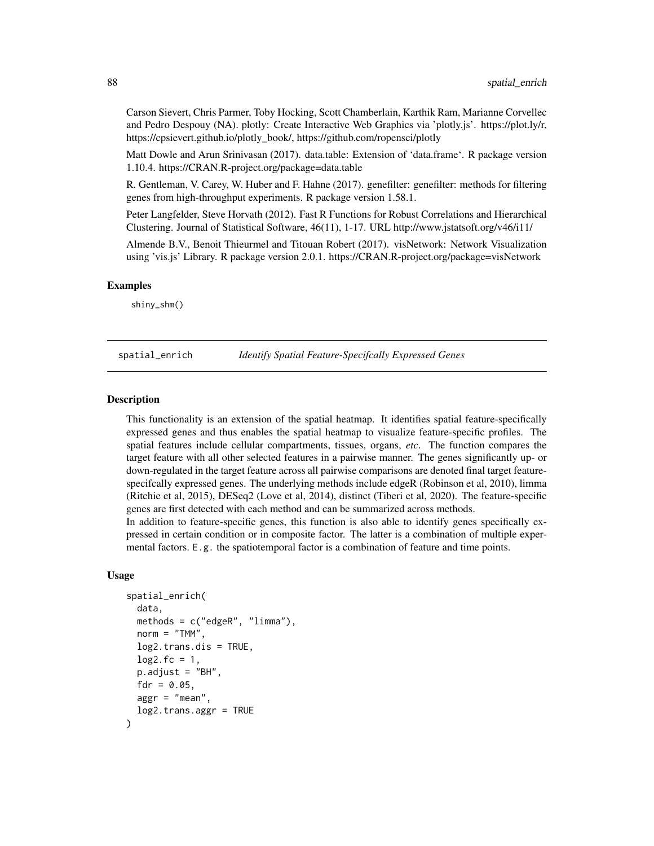Carson Sievert, Chris Parmer, Toby Hocking, Scott Chamberlain, Karthik Ram, Marianne Corvellec and Pedro Despouy (NA). plotly: Create Interactive Web Graphics via 'plotly.js'. https://plot.ly/r, https://cpsievert.github.io/plotly\_book/, https://github.com/ropensci/plotly

Matt Dowle and Arun Srinivasan (2017). data.table: Extension of 'data.frame'. R package version 1.10.4. https://CRAN.R-project.org/package=data.table

R. Gentleman, V. Carey, W. Huber and F. Hahne (2017). genefilter: genefilter: methods for filtering genes from high-throughput experiments. R package version 1.58.1.

Peter Langfelder, Steve Horvath (2012). Fast R Functions for Robust Correlations and Hierarchical Clustering. Journal of Statistical Software, 46(11), 1-17. URL http://www.jstatsoft.org/v46/i11/

Almende B.V., Benoit Thieurmel and Titouan Robert (2017). visNetwork: Network Visualization using 'vis.js' Library. R package version 2.0.1. https://CRAN.R-project.org/package=visNetwork

## Examples

shiny\_shm()

spatial\_enrich *Identify Spatial Feature-Specifcally Expressed Genes*

#### Description

This functionality is an extension of the spatial heatmap. It identifies spatial feature-specifically expressed genes and thus enables the spatial heatmap to visualize feature-specific profiles. The spatial features include cellular compartments, tissues, organs, *etc*. The function compares the target feature with all other selected features in a pairwise manner. The genes significantly up- or down-regulated in the target feature across all pairwise comparisons are denoted final target featurespecifcally expressed genes. The underlying methods include edgeR (Robinson et al, 2010), limma (Ritchie et al, 2015), DESeq2 (Love et al, 2014), distinct (Tiberi et al, 2020). The feature-specific genes are first detected with each method and can be summarized across methods.

In addition to feature-specific genes, this function is also able to identify genes specifically expressed in certain condition or in composite factor. The latter is a combination of multiple expermental factors. E.g. the spatiotemporal factor is a combination of feature and time points.

#### Usage

```
spatial_enrich(
  data,
  methods = c("edgeR", "limma"),
  norm = "TMM",log2.trans.dis = TRUE,
  log2.fc = 1,
  p.addjust = "BH",fdr = 0.05,
  aggr = "mean",log2.trans.aggr = TRUE
)
```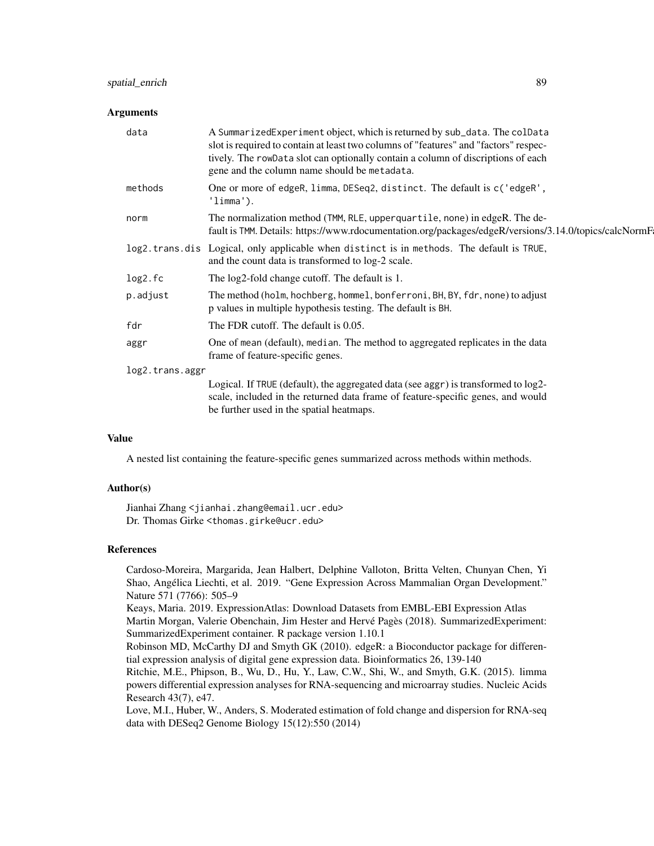# spatial\_enrich 89

#### **Arguments**

| A SummarizedExperiment object, which is returned by sub_data. The colData<br>slot is required to contain at least two columns of "features" and "factors" respec-<br>tively. The rowData slot can optionally contain a column of discriptions of each<br>gene and the column name should be metadata. |  |  |
|-------------------------------------------------------------------------------------------------------------------------------------------------------------------------------------------------------------------------------------------------------------------------------------------------------|--|--|
| One or more of edgeR, limma, DESeq2, distinct. The default is c('edgeR',<br>'limma'.                                                                                                                                                                                                                  |  |  |
| The normalization method (TMM, RLE, upper quartile, none) in edgeR. The de-<br>fault is TMM. Details: https://www.rdocumentation.org/packages/edgeR/versions/3.14.0/topics/calcNormF                                                                                                                  |  |  |
| log2.trans.dis Logical, only applicable when distinct is in methods. The default is TRUE,<br>and the count data is transformed to log-2 scale.                                                                                                                                                        |  |  |
| The log2-fold change cutoff. The default is 1.                                                                                                                                                                                                                                                        |  |  |
| The method (holm, hochberg, hommel, bonferroni, BH, BY, fdr, none) to adjust<br>p values in multiple hypothesis testing. The default is BH.                                                                                                                                                           |  |  |
| The FDR cutoff. The default is 0.05.                                                                                                                                                                                                                                                                  |  |  |
| One of mean (default), median. The method to aggregated replicates in the data<br>frame of feature-specific genes.                                                                                                                                                                                    |  |  |
| log2.trans.aggr                                                                                                                                                                                                                                                                                       |  |  |
| Logical. If TRUE (default), the aggregated data (see aggr) is transformed to log2-<br>scale, included in the returned data frame of feature-specific genes, and would<br>be further used in the spatial heatmaps.                                                                                     |  |  |
|                                                                                                                                                                                                                                                                                                       |  |  |

#### Value

A nested list containing the feature-specific genes summarized across methods within methods.

#### Author(s)

Jianhai Zhang <jianhai.zhang@email.ucr.edu> Dr. Thomas Girke <thomas.girke@ucr.edu>

#### References

Cardoso-Moreira, Margarida, Jean Halbert, Delphine Valloton, Britta Velten, Chunyan Chen, Yi Shao, Angélica Liechti, et al. 2019. "Gene Expression Across Mammalian Organ Development." Nature 571 (7766): 505–9

Keays, Maria. 2019. ExpressionAtlas: Download Datasets from EMBL-EBI Expression Atlas Martin Morgan, Valerie Obenchain, Jim Hester and Hervé Pagès (2018). SummarizedExperiment: SummarizedExperiment container. R package version 1.10.1

Robinson MD, McCarthy DJ and Smyth GK (2010). edgeR: a Bioconductor package for differential expression analysis of digital gene expression data. Bioinformatics 26, 139-140

Ritchie, M.E., Phipson, B., Wu, D., Hu, Y., Law, C.W., Shi, W., and Smyth, G.K. (2015). limma powers differential expression analyses for RNA-sequencing and microarray studies. Nucleic Acids Research 43(7), e47.

Love, M.I., Huber, W., Anders, S. Moderated estimation of fold change and dispersion for RNA-seq data with DESeq2 Genome Biology 15(12):550 (2014)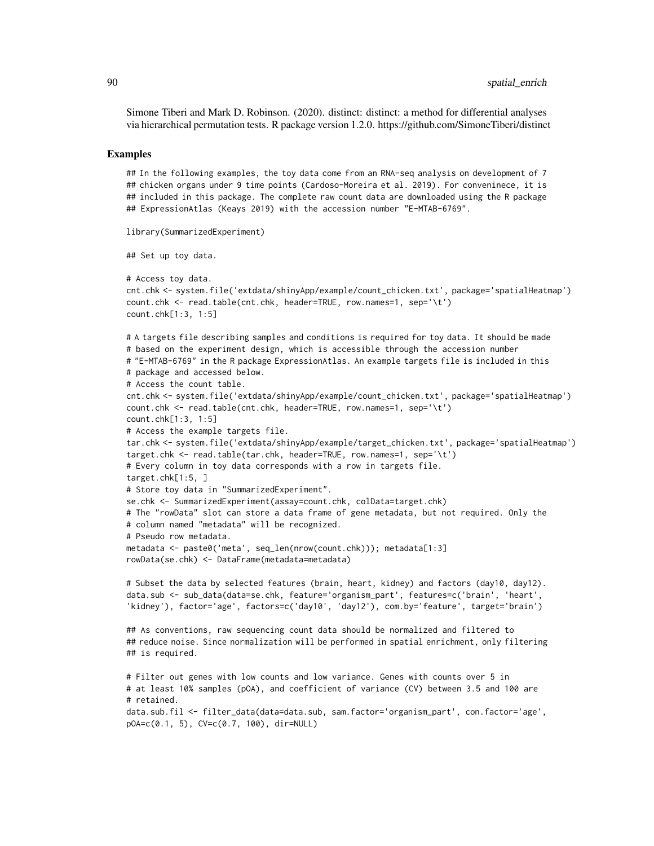Simone Tiberi and Mark D. Robinson. (2020). distinct: distinct: a method for differential analyses via hierarchical permutation tests. R package version 1.2.0. https://github.com/SimoneTiberi/distinct

#### Examples

## In the following examples, the toy data come from an RNA-seq analysis on development of 7 ## chicken organs under 9 time points (Cardoso-Moreira et al. 2019). For conveninece, it is ## included in this package. The complete raw count data are downloaded using the R package ## ExpressionAtlas (Keays 2019) with the accession number "E-MTAB-6769".

```
library(SummarizedExperiment)
```

```
## Set up toy data.
```

```
# Access toy data.
cnt.chk <- system.file('extdata/shinyApp/example/count_chicken.txt', package='spatialHeatmap')
count.chk <- read.table(cnt.chk, header=TRUE, row.names=1, sep='\t')
count.chk[1:3, 1:5]
# A targets file describing samples and conditions is required for toy data. It should be made
```

```
# based on the experiment design, which is accessible through the accession number
# "E-MTAB-6769" in the R package ExpressionAtlas. An example targets file is included in this
# package and accessed below.
# Access the count table.
cnt.chk <- system.file('extdata/shinyApp/example/count_chicken.txt', package='spatialHeatmap')
count.chk <- read.table(cnt.chk, header=TRUE, row.names=1, sep='\t')
count.chk[1:3, 1:5]
# Access the example targets file.
tar.chk <- system.file('extdata/shinyApp/example/target_chicken.txt', package='spatialHeatmap')
target.chk <- read.table(tar.chk, header=TRUE, row.names=1, sep='\t')
# Every column in toy data corresponds with a row in targets file.
target.chk[1:5, ]
# Store toy data in "SummarizedExperiment".
se.chk <- SummarizedExperiment(assay=count.chk, colData=target.chk)
# The "rowData" slot can store a data frame of gene metadata, but not required. Only the
# column named "metadata" will be recognized.
# Pseudo row metadata.
metadata <- paste0('meta', seq_len(nrow(count.chk))); metadata[1:3]
rowData(se.chk) <- DataFrame(metadata=metadata)
# Subset the data by selected features (brain, heart, kidney) and factors (day10, day12).
data.sub <- sub_data(data=se.chk, feature='organism_part', features=c('brain', 'heart',
'kidney'), factor='age', factors=c('day10', 'day12'), com.by='feature', target='brain')
```

```
## As conventions, raw sequencing count data should be normalized and filtered to
## reduce noise. Since normalization will be performed in spatial enrichment, only filtering
## is required.
```

```
# Filter out genes with low counts and low variance. Genes with counts over 5 in
# at least 10% samples (pOA), and coefficient of variance (CV) between 3.5 and 100 are
# retained.
data.sub.fil <- filter_data(data=data.sub, sam.factor='organism_part', con.factor='age',
pOA=c(0.1, 5), CV=c(0.7, 100), dir=NULL)
```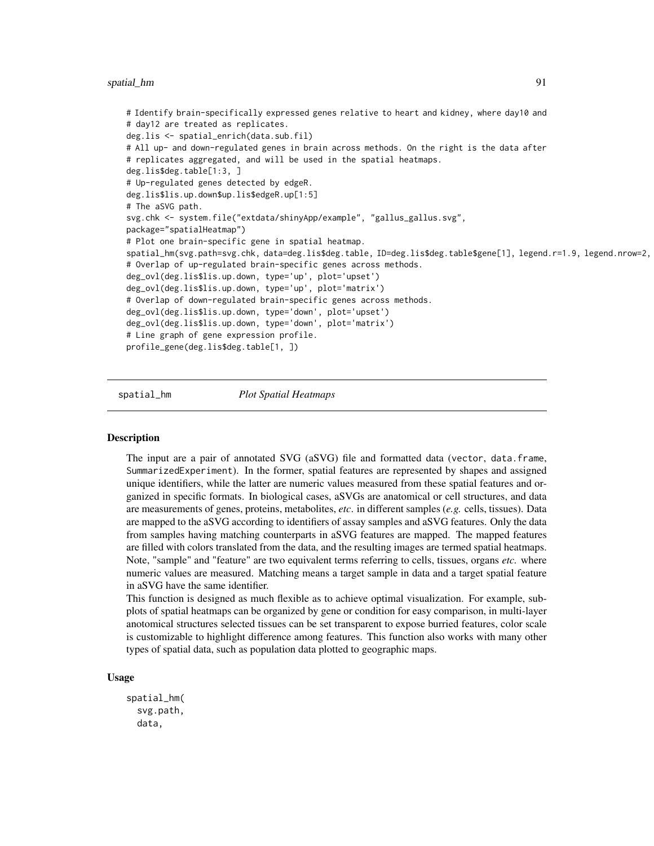```
# Identify brain-specifically expressed genes relative to heart and kidney, where day10 and
# day12 are treated as replicates.
deg.lis <- spatial_enrich(data.sub.fil)
# All up- and down-regulated genes in brain across methods. On the right is the data after
# replicates aggregated, and will be used in the spatial heatmaps.
deg.lis$deg.table[1:3, ]
# Up-regulated genes detected by edgeR.
deg.lis$lis.up.down$up.lis$edgeR.up[1:5]
# The aSVG path.
svg.chk <- system.file("extdata/shinyApp/example", "gallus_gallus.svg",
package="spatialHeatmap")
# Plot one brain-specific gene in spatial heatmap.
spatial_hm(svg.path=svg.chk, data=deg.lis$deg.table, ID=deg.lis$deg.table$gene[1], legend.r=1.9, legend.nrow=2,
# Overlap of up-regulated brain-specific genes across methods.
deg_ovl(deg.lis$lis.up.down, type='up', plot='upset')
deg_ovl(deg.lis$lis.up.down, type='up', plot='matrix')
# Overlap of down-regulated brain-specific genes across methods.
deg_ovl(deg.lis$lis.up.down, type='down', plot='upset')
deg_ovl(deg.lis$lis.up.down, type='down', plot='matrix')
# Line graph of gene expression profile.
profile_gene(deg.lis$deg.table[1, ])
```
spatial\_hm *Plot Spatial Heatmaps*

## **Description**

The input are a pair of annotated SVG (aSVG) file and formatted data (vector, data.frame, SummarizedExperiment). In the former, spatial features are represented by shapes and assigned unique identifiers, while the latter are numeric values measured from these spatial features and organized in specific formats. In biological cases, aSVGs are anatomical or cell structures, and data are measurements of genes, proteins, metabolites, *etc*. in different samples (*e.g.* cells, tissues). Data are mapped to the aSVG according to identifiers of assay samples and aSVG features. Only the data from samples having matching counterparts in aSVG features are mapped. The mapped features are filled with colors translated from the data, and the resulting images are termed spatial heatmaps. Note, "sample" and "feature" are two equivalent terms referring to cells, tissues, organs *etc.* where numeric values are measured. Matching means a target sample in data and a target spatial feature in aSVG have the same identifier.

This function is designed as much flexible as to achieve optimal visualization. For example, subplots of spatial heatmaps can be organized by gene or condition for easy comparison, in multi-layer anotomical structures selected tissues can be set transparent to expose burried features, color scale is customizable to highlight difference among features. This function also works with many other types of spatial data, such as population data plotted to geographic maps.

# Usage

```
spatial_hm(
  svg.path,
  data,
```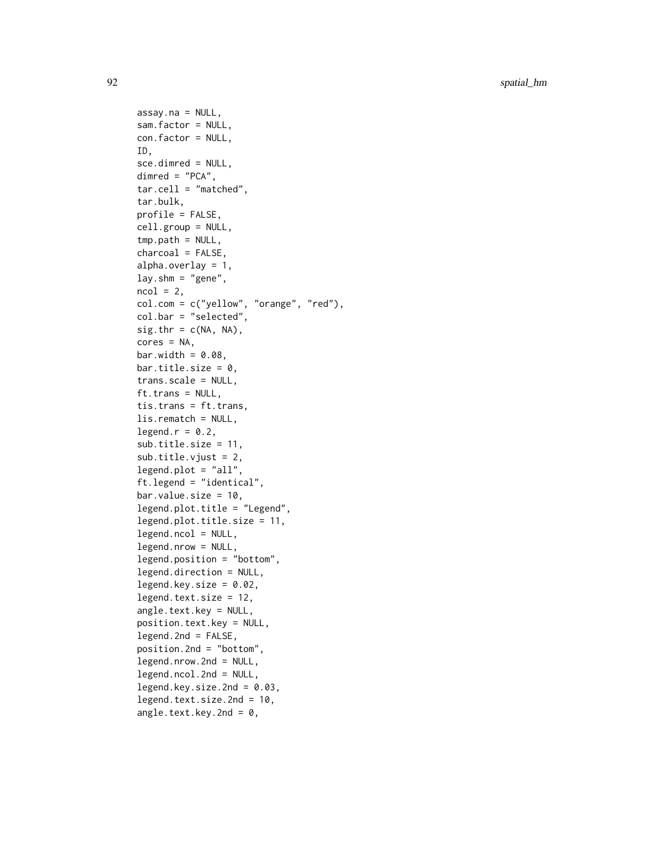```
assay.na = NULL,
sam.factor = NULL,
con.factor = NULL,
ID,
sce.dimred = NULL,
dimred = "PCA",
tar.cell = "matched",
tar.bulk,
profile = FALSE,
cell.group = NULL,
tmp.path = NULL,charcoal = FALSE,
alpha.overlay = 1,
lay.shm = "gene",ncol = 2,
col.com = c("yellow", "orange", "red"),
col.bar = "selected",
sig.thr = c(NA, NA),
cores = NA,
bar.width = 0.08,
bar.title.size = 0,
trans.scale = NULL,
ft.trans = NULL,
tis.trans = ft.trans,
lis.rematch = NULL,
legend.r = 0.2,
sub.title.size = 11,
sub.title.vjust = 2,
legend.plot = "all",ft.legend = "identical",
bar.values.size = 10,
legend.plot.title = "Legend",
legend.plot.title.size = 11,
legend.ncol = NULL,
legend.nrow = NULL,
legend.position = "bottom",
legend.direction = NULL,
legend.key.size = 0.02,
legend.text.size = 12,
angle.text.key = NULL,
position.text.key = NULL,
legend.2nd = FALSE,
position.2nd = "bottom",
legend.nrow.2nd = NULL,
legend.ncol.2nd = NULL,
legend.key.size.2nd = 0.03,
legend.text.size.2nd = 10,
angle.text.key.2nd = 0,
```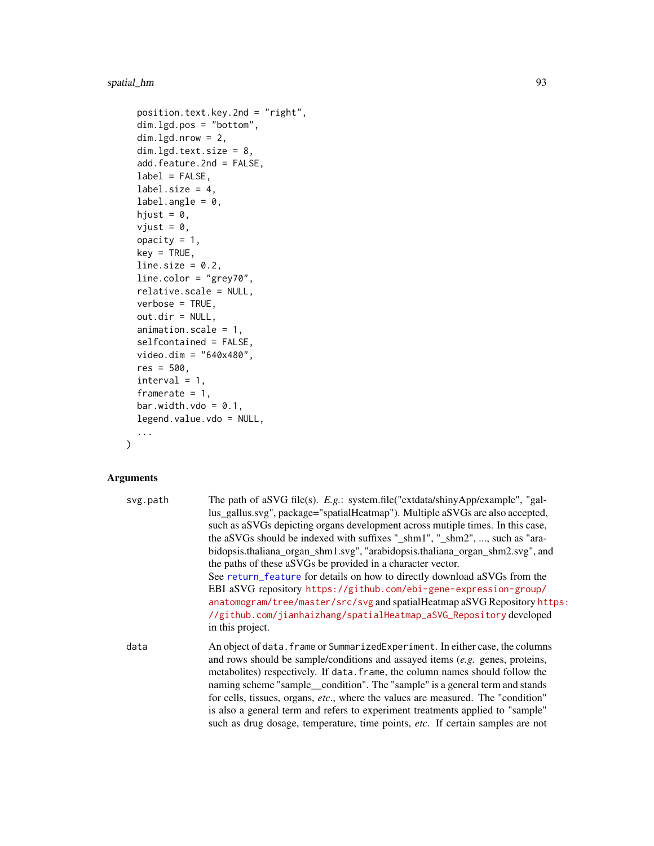```
position.text.key.2nd = "right",
dim.lgd.pos = "bottom",
dim.lgd.nrow = 2,
dim.lgd.text.size = 8,
add.feature.2nd = FALSE,
label = FALSE,
label.size = 4,
label.angle = 0,
hjust = 0,
vjust = \theta,
opacity = 1,
key = TRUE,line.size = 0.2,
line.color = "grey70",
relative.scale = NULL,
verbose = TRUE,
out.dir = NULL,
animation.scale = 1,
selfcontained = FALSE,
video.dim = "640x480",
res = 500,
interval = 1,
framerate = 1,
bar.width.vdo = 0.1,
legend.value.vdo = NULL,
...
```
# Arguments

 $\mathcal{L}$ 

| svg.path | The path of aSVG file(s). $E.g.:$ system.file("extdata/shinyApp/example", "gal-<br>lus_gallus.svg", package="spatialHeatmap"). Multiple aSVGs are also accepted,<br>such as a SVGs depicting organs development across mutiple times. In this case,<br>the aSVGs should be indexed with suffixes "_shm1", "_shm2", , such as "ara-<br>bidopsis.thaliana_organ_shm1.svg", "arabidopsis.thaliana_organ_shm2.svg", and<br>the paths of these aSVGs be provided in a character vector.<br>See return_feature for details on how to directly download aSVGs from the<br>EBI aSVG repository https://github.com/ebi-gene-expression-group/<br>anatomogram/tree/master/src/svg and spatialHeatmap aSVG Repository https: |
|----------|-------------------------------------------------------------------------------------------------------------------------------------------------------------------------------------------------------------------------------------------------------------------------------------------------------------------------------------------------------------------------------------------------------------------------------------------------------------------------------------------------------------------------------------------------------------------------------------------------------------------------------------------------------------------------------------------------------------------|
|          | //github.com/jianhaizhang/spatialHeatmap_aSVG_Repository developed<br>in this project.                                                                                                                                                                                                                                                                                                                                                                                                                                                                                                                                                                                                                            |
| data     | An object of data. frame or SummarizedExperiment. In either case, the columns<br>and rows should be sample/conditions and assayed items $(e.g.$ genes, proteins,<br>metabolites) respectively. If data. frame, the column names should follow the<br>naming scheme "sample_condition". The "sample" is a general term and stands<br>for cells, tissues, organs, etc., where the values are measured. The "condition"<br>is also a general term and refers to experiment treatments applied to "sample"<br>such as drug dosage, temperature, time points, etc. If certain samples are not                                                                                                                          |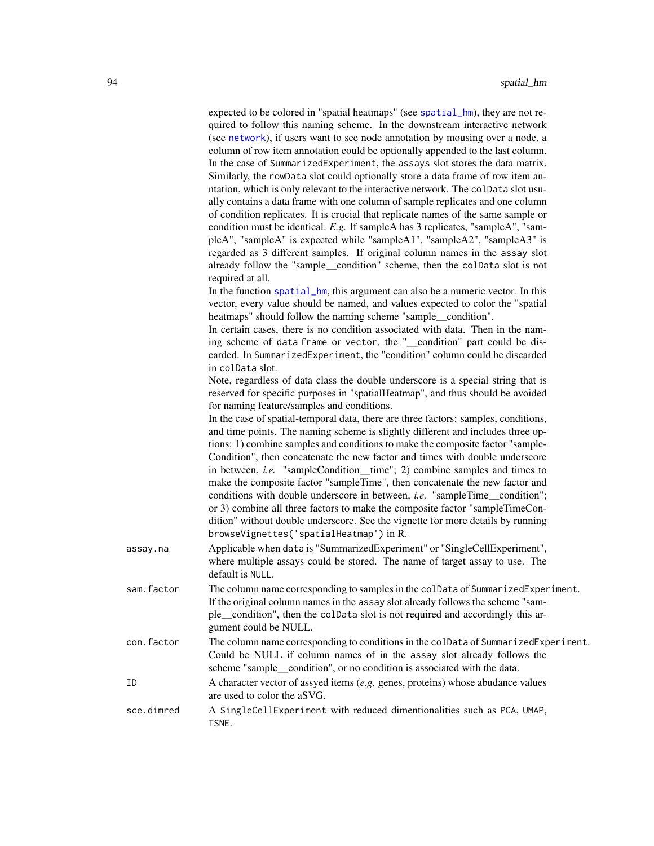expected to be colored in "spatial heatmaps" (see [spatial\\_hm](#page-90-0)), they are not required to follow this naming scheme. In the downstream interactive network (see [network](#page-60-0)), if users want to see node annotation by mousing over a node, a column of row item annotation could be optionally appended to the last column. In the case of SummarizedExperiment, the assays slot stores the data matrix. Similarly, the rowData slot could optionally store a data frame of row item anntation, which is only relevant to the interactive network. The colData slot usually contains a data frame with one column of sample replicates and one column of condition replicates. It is crucial that replicate names of the same sample or condition must be identical. *E.g.* If sampleA has 3 replicates, "sampleA", "sampleA", "sampleA" is expected while "sampleA1", "sampleA2", "sampleA3" is regarded as 3 different samples. If original column names in the assay slot already follow the "sample\_\_condition" scheme, then the colData slot is not required at all.

In the function [spatial\\_hm](#page-90-0), this argument can also be a numeric vector. In this vector, every value should be named, and values expected to color the "spatial heatmaps" should follow the naming scheme "sample\_\_condition".

In certain cases, there is no condition associated with data. Then in the naming scheme of data frame or vector, the "\_\_condition" part could be discarded. In SummarizedExperiment, the "condition" column could be discarded in colData slot.

Note, regardless of data class the double underscore is a special string that is reserved for specific purposes in "spatialHeatmap", and thus should be avoided for naming feature/samples and conditions.

In the case of spatial-temporal data, there are three factors: samples, conditions, and time points. The naming scheme is slightly different and includes three options: 1) combine samples and conditions to make the composite factor "sample-Condition", then concatenate the new factor and times with double underscore in between, *i.e.* "sampleCondition\_\_time"; 2) combine samples and times to make the composite factor "sampleTime", then concatenate the new factor and conditions with double underscore in between, *i.e.* "sampleTime\_\_condition"; or 3) combine all three factors to make the composite factor "sampleTimeCondition" without double underscore. See the vignette for more details by running browseVignettes('spatialHeatmap') in R.

- assay.na Applicable when data is "SummarizedExperiment" or "SingleCellExperiment", where multiple assays could be stored. The name of target assay to use. The default is NULL.
- sam.factor The column name corresponding to samples in the colData of SummarizedExperiment. If the original column names in the assay slot already follows the scheme "sample\_\_condition", then the colData slot is not required and accordingly this argument could be NULL.
- con.factor The column name corresponding to conditions in the colData of SummarizedExperiment. Could be NULL if column names of in the assay slot already follows the scheme "sample condition", or no condition is associated with the data.
- ID A character vector of assyed items (*e.g.* genes, proteins) whose abudance values are used to color the aSVG.
- sce.dimred A SingleCellExperiment with reduced dimentionalities such as PCA, UMAP, TSNE.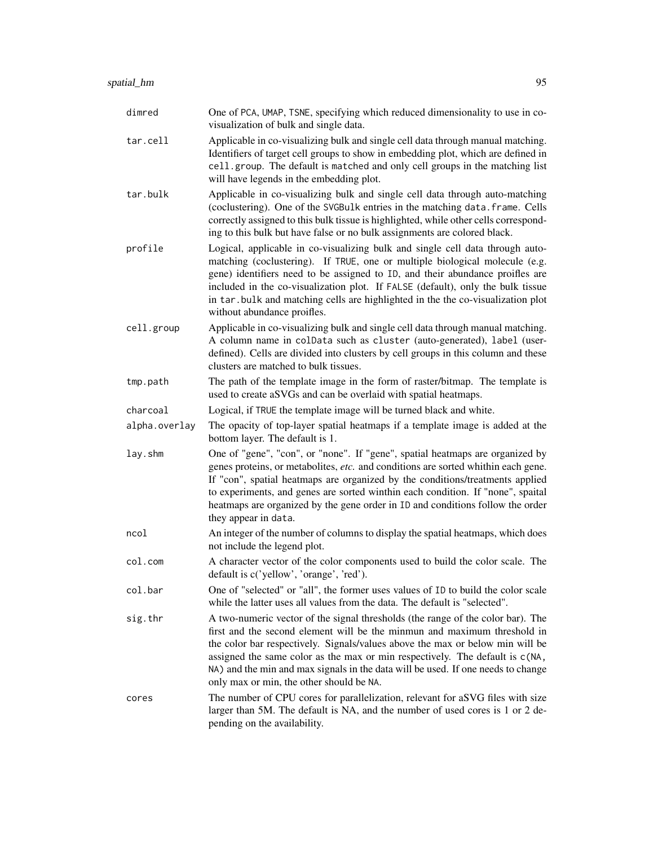| dimred        | One of PCA, UMAP, TSNE, specifying which reduced dimensionality to use in co-<br>visualization of bulk and single data.                                                                                                                                                                                                                                                                                                                                      |
|---------------|--------------------------------------------------------------------------------------------------------------------------------------------------------------------------------------------------------------------------------------------------------------------------------------------------------------------------------------------------------------------------------------------------------------------------------------------------------------|
| tar.cell      | Applicable in co-visualizing bulk and single cell data through manual matching.<br>Identifiers of target cell groups to show in embedding plot, which are defined in<br>cell.group. The default is matched and only cell groups in the matching list<br>will have legends in the embedding plot.                                                                                                                                                             |
| tar.bulk      | Applicable in co-visualizing bulk and single cell data through auto-matching<br>(coclustering). One of the SVGBulk entries in the matching data. frame. Cells<br>correctly assigned to this bulk tissue is highlighted, while other cells correspond-<br>ing to this bulk but have false or no bulk assignments are colored black.                                                                                                                           |
| profile       | Logical, applicable in co-visualizing bulk and single cell data through auto-<br>matching (coclustering). If TRUE, one or multiple biological molecule (e.g.<br>gene) identifiers need to be assigned to ID, and their abundance proifles are<br>included in the co-visualization plot. If FALSE (default), only the bulk tissue<br>in tar.bulk and matching cells are highlighted in the the co-visualization plot<br>without abundance proifles.           |
| cell.group    | Applicable in co-visualizing bulk and single cell data through manual matching.<br>A column name in colData such as cluster (auto-generated), label (user-<br>defined). Cells are divided into clusters by cell groups in this column and these<br>clusters are matched to bulk tissues.                                                                                                                                                                     |
| tmp.path      | The path of the template image in the form of raster/bitmap. The template is<br>used to create aSVGs and can be overlaid with spatial heatmaps.                                                                                                                                                                                                                                                                                                              |
| charcoal      | Logical, if TRUE the template image will be turned black and white.                                                                                                                                                                                                                                                                                                                                                                                          |
| alpha.overlay | The opacity of top-layer spatial heatmaps if a template image is added at the<br>bottom layer. The default is 1.                                                                                                                                                                                                                                                                                                                                             |
| lay.shm       | One of "gene", "con", or "none". If "gene", spatial heatmaps are organized by<br>genes proteins, or metabolites, etc. and conditions are sorted whithin each gene.<br>If "con", spatial heatmaps are organized by the conditions/treatments applied<br>to experiments, and genes are sorted winthin each condition. If "none", spaital<br>heatmaps are organized by the gene order in ID and conditions follow the order<br>they appear in data.             |
| ncol          | An integer of the number of columns to display the spatial heatmaps, which does<br>not include the legend plot.                                                                                                                                                                                                                                                                                                                                              |
| col.com       | A character vector of the color components used to build the color scale. The<br>default is c('yellow', 'orange', 'red').                                                                                                                                                                                                                                                                                                                                    |
| col.bar       | One of "selected" or "all", the former uses values of ID to build the color scale<br>while the latter uses all values from the data. The default is "selected".                                                                                                                                                                                                                                                                                              |
| sig.thr       | A two-numeric vector of the signal thresholds (the range of the color bar). The<br>first and the second element will be the minmun and maximum threshold in<br>the color bar respectively. Signals/values above the max or below min will be<br>assigned the same color as the max or min respectively. The default is c(NA,<br>NA) and the min and max signals in the data will be used. If one needs to change<br>only max or min, the other should be NA. |
| cores         | The number of CPU cores for parallelization, relevant for aSVG files with size<br>larger than 5M. The default is NA, and the number of used cores is 1 or 2 de-<br>pending on the availability.                                                                                                                                                                                                                                                              |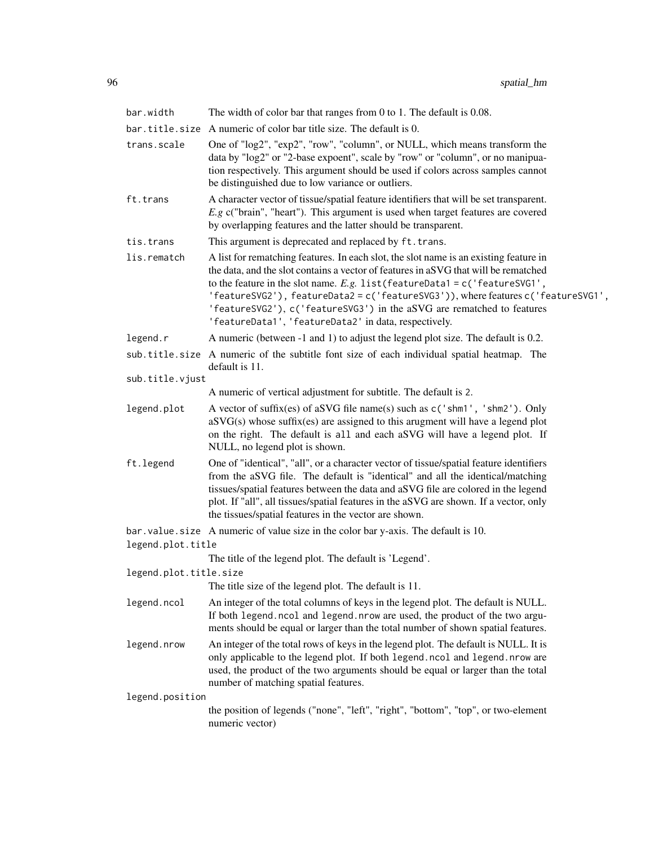| bar.width              | The width of color bar that ranges from 0 to 1. The default is $0.08$ .                                                                                                                                                                                                                                                                                                                                                                                                             |  |
|------------------------|-------------------------------------------------------------------------------------------------------------------------------------------------------------------------------------------------------------------------------------------------------------------------------------------------------------------------------------------------------------------------------------------------------------------------------------------------------------------------------------|--|
| bar.title.size         | A numeric of color bar title size. The default is 0.                                                                                                                                                                                                                                                                                                                                                                                                                                |  |
| trans.scale            | One of "log2", "exp2", "row", "column", or NULL, which means transform the<br>data by "log2" or "2-base expoent", scale by "row" or "column", or no manipua-<br>tion respectively. This argument should be used if colors across samples cannot<br>be distinguished due to low variance or outliers.                                                                                                                                                                                |  |
| ft.trans               | A character vector of tissue/spatial feature identifiers that will be set transparent.<br>$E.g.$ c("brain", "heart"). This argument is used when target features are covered<br>by overlapping features and the latter should be transparent.                                                                                                                                                                                                                                       |  |
| tis.trans              | This argument is deprecated and replaced by ft.trans.                                                                                                                                                                                                                                                                                                                                                                                                                               |  |
| lis.rematch            | A list for rematching features. In each slot, the slot name is an existing feature in<br>the data, and the slot contains a vector of features in aSVG that will be rematched<br>to the feature in the slot name. E.g. list (featureData1 = $c$ ('featureSVG1',<br>'featureSVG2'), featureData2=c('featureSVG3')), where featuresc('featureSVG1',<br>'featureSVG2'), c('featureSVG3') in the aSVG are rematched to features<br>'featureData1', 'featureData2' in data, respectively. |  |
| legend.r               | A numeric (between -1 and 1) to adjust the legend plot size. The default is 0.2.                                                                                                                                                                                                                                                                                                                                                                                                    |  |
|                        | sub.title.size A numeric of the subtitle font size of each individual spatial heatmap. The<br>default is 11.                                                                                                                                                                                                                                                                                                                                                                        |  |
| sub.title.vjust        |                                                                                                                                                                                                                                                                                                                                                                                                                                                                                     |  |
|                        | A numeric of vertical adjustment for subtitle. The default is 2.                                                                                                                                                                                                                                                                                                                                                                                                                    |  |
| legend.plot            | A vector of suffix(es) of aSVG file name(s) such as $c('shm1', 'shm2').$ Only<br>$aSVG(s)$ whose suffix(es) are assigned to this arugment will have a legend plot<br>on the right. The default is all and each aSVG will have a legend plot. If<br>NULL, no legend plot is shown.                                                                                                                                                                                                   |  |
| ft.legend              | One of "identical", "all", or a character vector of tissue/spatial feature identifiers<br>from the aSVG file. The default is "identical" and all the identical/matching<br>tissues/spatial features between the data and aSVG file are colored in the legend<br>plot. If "all", all tissues/spatial features in the aSVG are shown. If a vector, only<br>the tissues/spatial features in the vector are shown.                                                                      |  |
|                        | bar. value. size A numeric of value size in the color bar y-axis. The default is 10.                                                                                                                                                                                                                                                                                                                                                                                                |  |
| legend.plot.title      |                                                                                                                                                                                                                                                                                                                                                                                                                                                                                     |  |
|                        | The title of the legend plot. The default is 'Legend'.                                                                                                                                                                                                                                                                                                                                                                                                                              |  |
| legend.plot.title.size | The title size of the legend plot. The default is 11.                                                                                                                                                                                                                                                                                                                                                                                                                               |  |
|                        |                                                                                                                                                                                                                                                                                                                                                                                                                                                                                     |  |
| legend.ncol            | An integer of the total columns of keys in the legend plot. The default is NULL.<br>If both legend.ncol and legend.nrow are used, the product of the two argu-<br>ments should be equal or larger than the total number of shown spatial features.                                                                                                                                                                                                                                  |  |
| legend.nrow            | An integer of the total rows of keys in the legend plot. The default is NULL. It is<br>only applicable to the legend plot. If both legend.ncol and legend.nrow are<br>used, the product of the two arguments should be equal or larger than the total<br>number of matching spatial features.                                                                                                                                                                                       |  |
| legend.position        |                                                                                                                                                                                                                                                                                                                                                                                                                                                                                     |  |
|                        | the position of legends ("none", "left", "right", "bottom", "top", or two-element<br>numeric vector)                                                                                                                                                                                                                                                                                                                                                                                |  |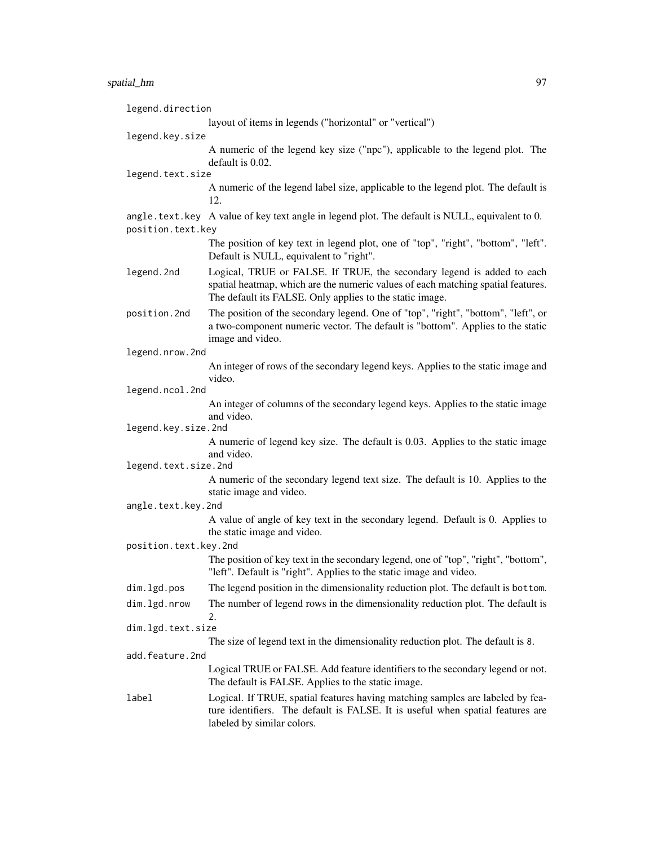| legend.direction      |                                                                                                                                                                                                                        |
|-----------------------|------------------------------------------------------------------------------------------------------------------------------------------------------------------------------------------------------------------------|
|                       | layout of items in legends ("horizontal" or "vertical")                                                                                                                                                                |
| legend.key.size       |                                                                                                                                                                                                                        |
|                       | A numeric of the legend key size ("npc"), applicable to the legend plot. The                                                                                                                                           |
| legend.text.size      | default is 0.02.                                                                                                                                                                                                       |
|                       | A numeric of the legend label size, applicable to the legend plot. The default is<br>12.                                                                                                                               |
|                       | angle. text. key A value of key text angle in legend plot. The default is NULL, equivalent to 0.                                                                                                                       |
| position.text.key     |                                                                                                                                                                                                                        |
|                       | The position of key text in legend plot, one of "top", "right", "bottom", "left".<br>Default is NULL, equivalent to "right".                                                                                           |
| legend.2nd            | Logical, TRUE or FALSE. If TRUE, the secondary legend is added to each<br>spatial heatmap, which are the numeric values of each matching spatial features.<br>The default its FALSE. Only applies to the static image. |
| position.2nd          | The position of the secondary legend. One of "top", "right", "bottom", "left", or<br>a two-component numeric vector. The default is "bottom". Applies to the static<br>image and video.                                |
| legend.nrow.2nd       |                                                                                                                                                                                                                        |
|                       | An integer of rows of the secondary legend keys. Applies to the static image and                                                                                                                                       |
| legend.ncol.2nd       | video.                                                                                                                                                                                                                 |
|                       | An integer of columns of the secondary legend keys. Applies to the static image                                                                                                                                        |
| legend.key.size.2nd   | and video.                                                                                                                                                                                                             |
|                       | A numeric of legend key size. The default is 0.03. Applies to the static image<br>and video.                                                                                                                           |
| legend.text.size.2nd  |                                                                                                                                                                                                                        |
|                       | A numeric of the secondary legend text size. The default is 10. Applies to the<br>static image and video.                                                                                                              |
| angle.text.key.2nd    |                                                                                                                                                                                                                        |
|                       | A value of angle of key text in the secondary legend. Default is 0. Applies to<br>the static image and video.                                                                                                          |
| position.text.key.2nd |                                                                                                                                                                                                                        |
|                       | The position of key text in the secondary legend, one of "top", "right", "bottom",<br>"left". Default is "right". Applies to the static image and video.                                                               |
| dim.lgd.pos           | The legend position in the dimensionality reduction plot. The default is bottom.                                                                                                                                       |
| dim.lgd.nrow          | The number of legend rows in the dimensionality reduction plot. The default is<br>2.                                                                                                                                   |
| dim.lgd.text.size     |                                                                                                                                                                                                                        |
|                       | The size of legend text in the dimensionality reduction plot. The default is 8.                                                                                                                                        |
| add.feature.2nd       | Logical TRUE or FALSE. Add feature identifiers to the secondary legend or not.                                                                                                                                         |
|                       | The default is FALSE. Applies to the static image.                                                                                                                                                                     |
| label                 | Logical. If TRUE, spatial features having matching samples are labeled by fea-<br>ture identifiers. The default is FALSE. It is useful when spatial features are<br>labeled by similar colors.                         |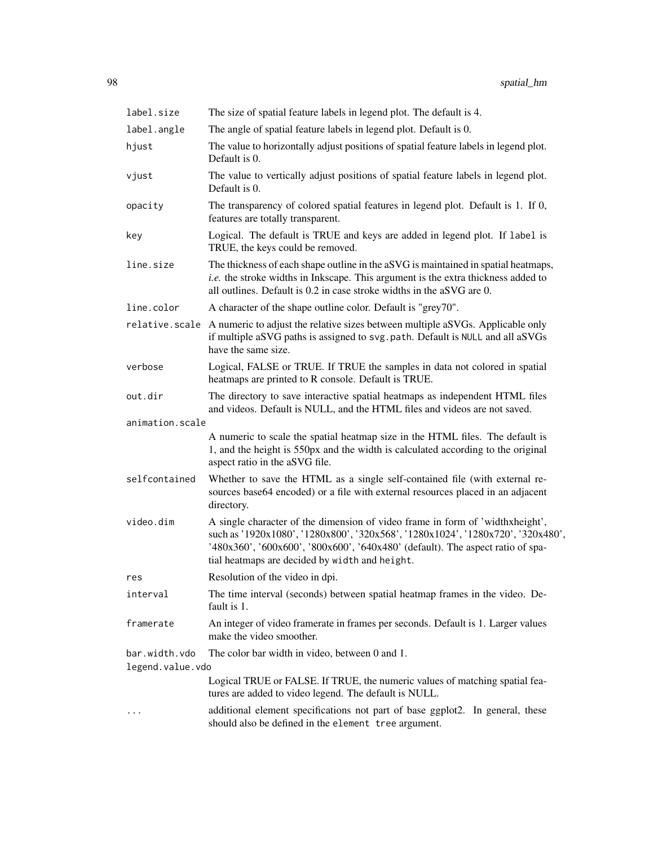| label.size       | The size of spatial feature labels in legend plot. The default is 4.                                                                                                                                                                                                                                 |  |
|------------------|------------------------------------------------------------------------------------------------------------------------------------------------------------------------------------------------------------------------------------------------------------------------------------------------------|--|
| label.angle      | The angle of spatial feature labels in legend plot. Default is 0.                                                                                                                                                                                                                                    |  |
| hjust            | The value to horizontally adjust positions of spatial feature labels in legend plot.<br>Default is 0.                                                                                                                                                                                                |  |
| vjust            | The value to vertically adjust positions of spatial feature labels in legend plot.<br>Default is 0.                                                                                                                                                                                                  |  |
| opacity          | The transparency of colored spatial features in legend plot. Default is 1. If 0,<br>features are totally transparent.                                                                                                                                                                                |  |
| key              | Logical. The default is TRUE and keys are added in legend plot. If label is<br>TRUE, the keys could be removed.                                                                                                                                                                                      |  |
| line.size        | The thickness of each shape outline in the aSVG is maintained in spatial heatmaps,<br><i>i.e.</i> the stroke widths in Inkscape. This argument is the extra thickness added to<br>all outlines. Default is 0.2 in case stroke widths in the aSVG are 0.                                              |  |
| line.color       | A character of the shape outline color. Default is "grey70".                                                                                                                                                                                                                                         |  |
|                  | relative. scale A numeric to adjust the relative sizes between multiple aSVGs. Applicable only<br>if multiple aSVG paths is assigned to svg. path. Default is NULL and all aSVGs<br>have the same size.                                                                                              |  |
| verbose          | Logical, FALSE or TRUE. If TRUE the samples in data not colored in spatial<br>heatmaps are printed to R console. Default is TRUE.                                                                                                                                                                    |  |
| out.dir          | The directory to save interactive spatial heatmaps as independent HTML files<br>and videos. Default is NULL, and the HTML files and videos are not saved.                                                                                                                                            |  |
| animation.scale  |                                                                                                                                                                                                                                                                                                      |  |
|                  | A numeric to scale the spatial heatmap size in the HTML files. The default is<br>1, and the height is 550px and the width is calculated according to the original<br>aspect ratio in the aSVG file.                                                                                                  |  |
| selfcontained    | Whether to save the HTML as a single self-contained file (with external re-<br>sources base64 encoded) or a file with external resources placed in an adjacent<br>directory.                                                                                                                         |  |
| video.dim        | A single character of the dimension of video frame in form of 'widthxheight',<br>such as '1920x1080', '1280x800', '320x568', '1280x1024', '1280x720', '320x480',<br>'480x360', '600x600', '800x600', '640x480' (default). The aspect ratio of spa-<br>tial heatmaps are decided by width and height. |  |
| res              | Resolution of the video in dpi.                                                                                                                                                                                                                                                                      |  |
| interval         | The time interval (seconds) between spatial heatmap frames in the video. De-<br>fault is 1.                                                                                                                                                                                                          |  |
| framerate        | An integer of video framerate in frames per seconds. Default is 1. Larger values<br>make the video smoother.                                                                                                                                                                                         |  |
| bar.width.vdo    | The color bar width in video, between 0 and 1.                                                                                                                                                                                                                                                       |  |
| legend.value.vdo |                                                                                                                                                                                                                                                                                                      |  |
|                  | Logical TRUE or FALSE. If TRUE, the numeric values of matching spatial fea-<br>tures are added to video legend. The default is NULL.                                                                                                                                                                 |  |
|                  | additional element specifications not part of base ggplot2. In general, these<br>should also be defined in the element tree argument.                                                                                                                                                                |  |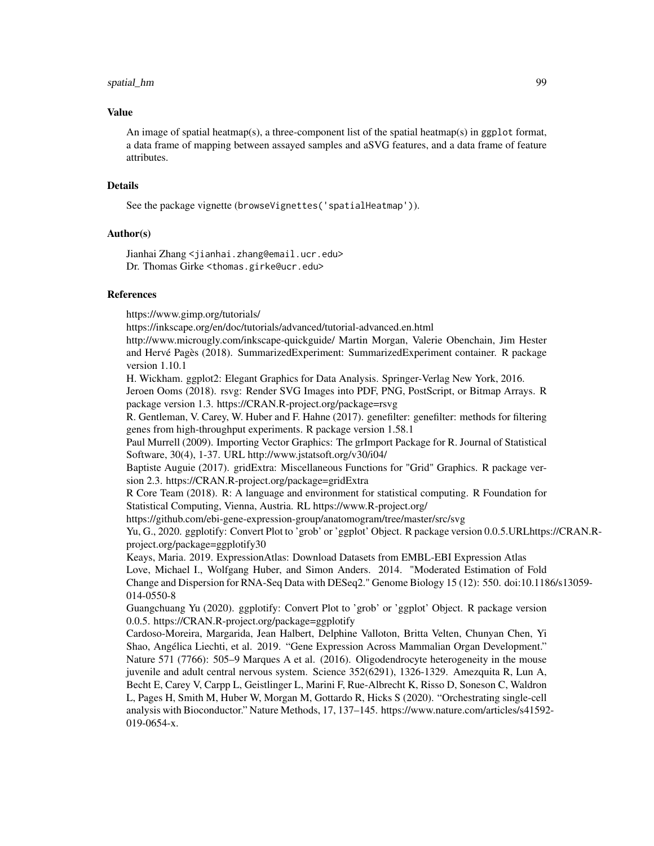#### Value

An image of spatial heatmap(s), a three-component list of the spatial heatmap(s) in ggp1ot format, a data frame of mapping between assayed samples and aSVG features, and a data frame of feature attributes.

## Details

See the package vignette (browseVignettes('spatialHeatmap')).

# Author(s)

Jianhai Zhang <jianhai.zhang@email.ucr.edu> Dr. Thomas Girke <thomas.girke@ucr.edu>

# References

https://www.gimp.org/tutorials/

https://inkscape.org/en/doc/tutorials/advanced/tutorial-advanced.en.html

http://www.microugly.com/inkscape-quickguide/ Martin Morgan, Valerie Obenchain, Jim Hester and Hervé Pagès (2018). SummarizedExperiment: SummarizedExperiment container. R package version 1.10.1

H. Wickham. ggplot2: Elegant Graphics for Data Analysis. Springer-Verlag New York, 2016.

Jeroen Ooms (2018). rsvg: Render SVG Images into PDF, PNG, PostScript, or Bitmap Arrays. R package version 1.3. https://CRAN.R-project.org/package=rsvg

R. Gentleman, V. Carey, W. Huber and F. Hahne (2017). genefilter: genefilter: methods for filtering genes from high-throughput experiments. R package version 1.58.1

Paul Murrell (2009). Importing Vector Graphics: The grImport Package for R. Journal of Statistical Software, 30(4), 1-37. URL http://www.jstatsoft.org/v30/i04/

Baptiste Auguie (2017). gridExtra: Miscellaneous Functions for "Grid" Graphics. R package version 2.3. https://CRAN.R-project.org/package=gridExtra

R Core Team (2018). R: A language and environment for statistical computing. R Foundation for Statistical Computing, Vienna, Austria. RL https://www.R-project.org/

https://github.com/ebi-gene-expression-group/anatomogram/tree/master/src/svg

Yu, G., 2020. ggplotify: Convert Plot to 'grob' or 'ggplot' Object. R package version 0.0.5.URLhttps://CRAN.Rproject.org/package=ggplotify30

Keays, Maria. 2019. ExpressionAtlas: Download Datasets from EMBL-EBI Expression Atlas Love, Michael I., Wolfgang Huber, and Simon Anders. 2014. "Moderated Estimation of Fold

Change and Dispersion for RNA-Seq Data with DESeq2." Genome Biology 15 (12): 550. doi:10.1186/s13059- 014-0550-8

Guangchuang Yu (2020). ggplotify: Convert Plot to 'grob' or 'ggplot' Object. R package version 0.0.5. https://CRAN.R-project.org/package=ggplotify

Cardoso-Moreira, Margarida, Jean Halbert, Delphine Valloton, Britta Velten, Chunyan Chen, Yi Shao, Angélica Liechti, et al. 2019. "Gene Expression Across Mammalian Organ Development." Nature 571 (7766): 505–9 Marques A et al. (2016). Oligodendrocyte heterogeneity in the mouse juvenile and adult central nervous system. Science 352(6291), 1326-1329. Amezquita R, Lun A, Becht E, Carey V, Carpp L, Geistlinger L, Marini F, Rue-Albrecht K, Risso D, Soneson C, Waldron L, Pages H, Smith M, Huber W, Morgan M, Gottardo R, Hicks S (2020). "Orchestrating single-cell analysis with Bioconductor." Nature Methods, 17, 137–145. https://www.nature.com/articles/s41592- 019-0654-x.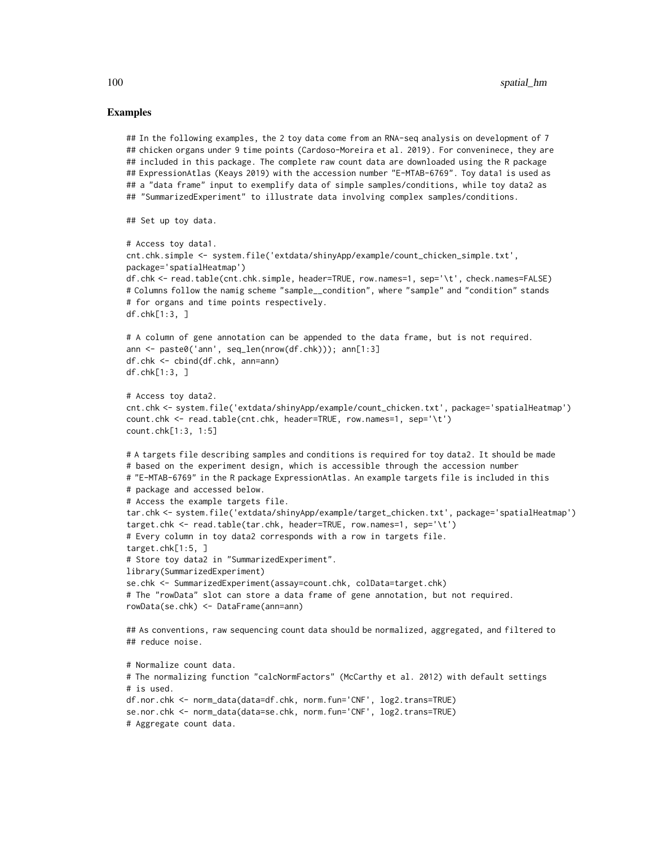#### Examples

```
## In the following examples, the 2 toy data come from an RNA-seq analysis on development of 7
## chicken organs under 9 time points (Cardoso-Moreira et al. 2019). For conveninece, they are
## included in this package. The complete raw count data are downloaded using the R package
## ExpressionAtlas (Keays 2019) with the accession number "E-MTAB-6769". Toy data1 is used as
## a "data frame" input to exemplify data of simple samples/conditions, while toy data2 as
## "SummarizedExperiment" to illustrate data involving complex samples/conditions.
## Set up toy data.
# Access toy data1.
cnt.chk.simple <- system.file('extdata/shinyApp/example/count_chicken_simple.txt',
package='spatialHeatmap')
df.chk <- read.table(cnt.chk.simple, header=TRUE, row.names=1, sep='\t', check.names=FALSE)
# Columns follow the namig scheme "sample__condition", where "sample" and "condition" stands
# for organs and time points respectively.
df.chk[1:3, ]
# A column of gene annotation can be appended to the data frame, but is not required.
ann <- paste0('ann', seq_len(nrow(df.chk))); ann[1:3]
df.chk <- cbind(df.chk, ann=ann)
df.chk[1:3, ]
# Access toy data2.
cnt.chk <- system.file('extdata/shinyApp/example/count_chicken.txt', package='spatialHeatmap')
count.chk <- read.table(cnt.chk, header=TRUE, row.names=1, sep='\t')
count.chk[1:3, 1:5]
# A targets file describing samples and conditions is required for toy data2. It should be made
# based on the experiment design, which is accessible through the accession number
# "E-MTAB-6769" in the R package ExpressionAtlas. An example targets file is included in this
# package and accessed below.
# Access the example targets file.
tar.chk <- system.file('extdata/shinyApp/example/target_chicken.txt', package='spatialHeatmap')
target.chk <- read.table(tar.chk, header=TRUE, row.names=1, sep='\t')
# Every column in toy data2 corresponds with a row in targets file.
target.chk[1:5, ]
# Store toy data2 in "SummarizedExperiment".
library(SummarizedExperiment)
se.chk <- SummarizedExperiment(assay=count.chk, colData=target.chk)
# The "rowData" slot can store a data frame of gene annotation, but not required.
rowData(se.chk) <- DataFrame(ann=ann)
## As conventions, raw sequencing count data should be normalized, aggregated, and filtered to
## reduce noise.
# Normalize count data.
# The normalizing function "calcNormFactors" (McCarthy et al. 2012) with default settings
# is used.
df.nor.chk <- norm_data(data=df.chk, norm.fun='CNF', log2.trans=TRUE)
se.nor.chk <- norm_data(data=se.chk, norm.fun='CNF', log2.trans=TRUE)
# Aggregate count data.
```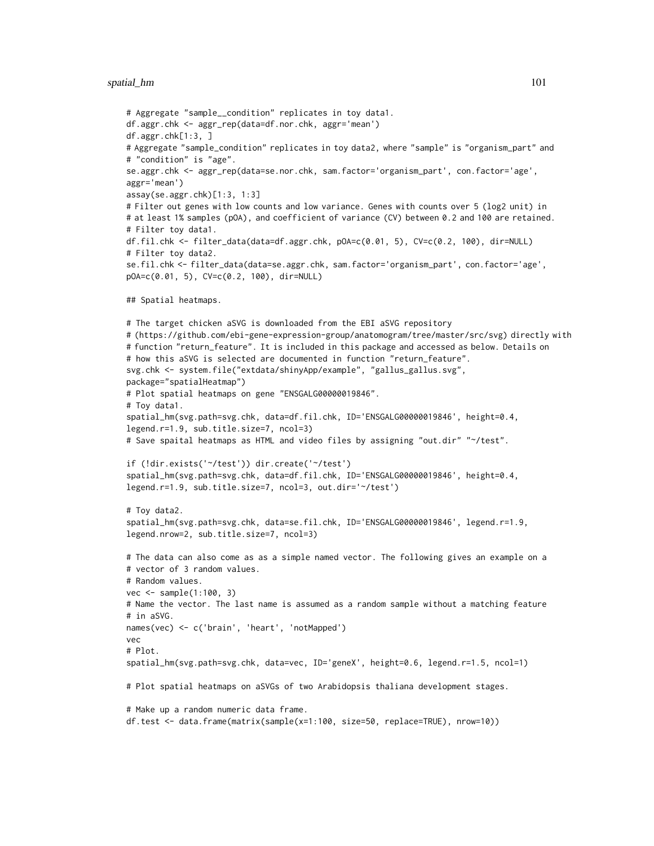```
# Aggregate "sample__condition" replicates in toy data1.
df.aggr.chk <- aggr_rep(data=df.nor.chk, aggr='mean')
df.aggr.chk[1:3, ]
# Aggregate "sample_condition" replicates in toy data2, where "sample" is "organism_part" and
# "condition" is "age".
se.aggr.chk <- aggr_rep(data=se.nor.chk, sam.factor='organism_part', con.factor='age',
aggr='mean')
assay(se.aggr.chk)[1:3, 1:3]
# Filter out genes with low counts and low variance. Genes with counts over 5 (log2 unit) in
# at least 1% samples (pOA), and coefficient of variance (CV) between 0.2 and 100 are retained.
# Filter toy data1.
df.fil.chk <- filter_data(data=df.aggr.chk, pOA=c(0.01, 5), CV=c(0.2, 100), dir=NULL)
# Filter toy data2.
se.fil.chk <- filter_data(data=se.aggr.chk, sam.factor='organism_part', con.factor='age',
pOA=c(0.01, 5), CV=c(0.2, 100), dir=NULL)
## Spatial heatmaps.
# The target chicken aSVG is downloaded from the EBI aSVG repository
# (https://github.com/ebi-gene-expression-group/anatomogram/tree/master/src/svg) directly with
# function "return_feature". It is included in this package and accessed as below. Details on
# how this aSVG is selected are documented in function "return_feature".
svg.chk <- system.file("extdata/shinyApp/example", "gallus_gallus.svg",
package="spatialHeatmap")
# Plot spatial heatmaps on gene "ENSGALG00000019846".
# Toy data1.
spatial_hm(svg.path=svg.chk, data=df.fil.chk, ID='ENSGALG00000019846', height=0.4,
legend.r=1.9, sub.title.size=7, ncol=3)
# Save spaital heatmaps as HTML and video files by assigning "out.dir" "~/test".
if (!dir.exists('~/test')) dir.create('~/test')
spatial_hm(svg.path=svg.chk, data=df.fil.chk, ID='ENSGALG00000019846', height=0.4,
legend.r=1.9, sub.title.size=7, ncol=3, out.dir='~/test')
# Toy data2.
spatial_hm(svg.path=svg.chk, data=se.fil.chk, ID='ENSGALG00000019846', legend.r=1.9,
legend.nrow=2, sub.title.size=7, ncol=3)
# The data can also come as as a simple named vector. The following gives an example on a
# vector of 3 random values.
# Random values.
vec <- sample(1:100, 3)
# Name the vector. The last name is assumed as a random sample without a matching feature
# in aSVG.
names(vec) <- c('brain', 'heart', 'notMapped')
vec
# Plot.
spatial_hm(svg.path=svg.chk, data=vec, ID='geneX', height=0.6, legend.r=1.5, ncol=1)
# Plot spatial heatmaps on aSVGs of two Arabidopsis thaliana development stages.
# Make up a random numeric data frame.
df.test <- data.frame(matrix(sample(x=1:100, size=50, replace=TRUE), nrow=10))
```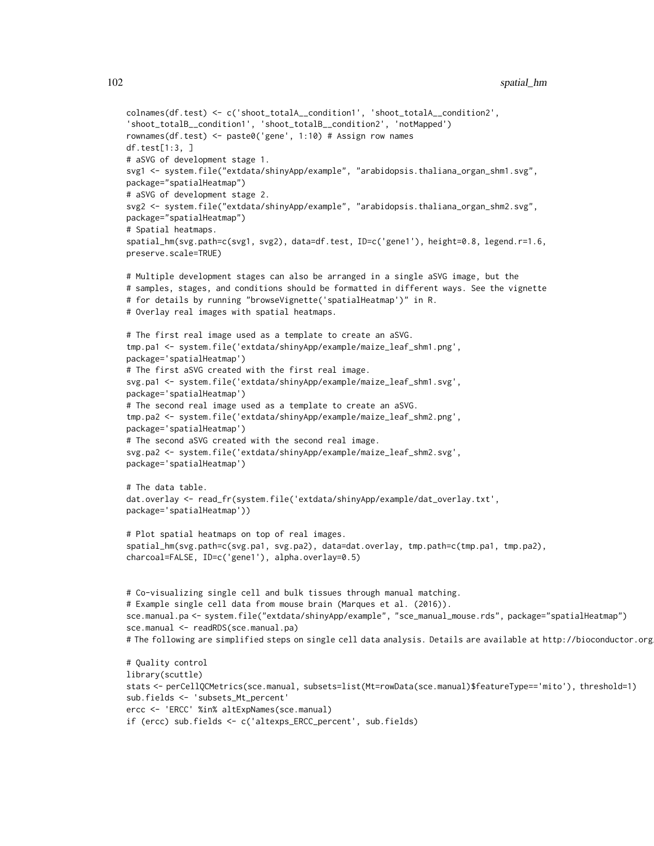```
colnames(df.test) <- c('shoot_totalA__condition1', 'shoot_totalA__condition2',
'shoot_totalB__condition1', 'shoot_totalB__condition2', 'notMapped')
rownames(df.test) <- paste0('gene', 1:10) # Assign row names
df.test[1:3, ]
# aSVG of development stage 1.
svg1 <- system.file("extdata/shinyApp/example", "arabidopsis.thaliana_organ_shm1.svg",
package="spatialHeatmap")
# aSVG of development stage 2.
svg2 <- system.file("extdata/shinyApp/example", "arabidopsis.thaliana_organ_shm2.svg",
package="spatialHeatmap")
# Spatial heatmaps.
spatial_hm(svg.path=c(svg1, svg2), data=df.test, ID=c('gene1'), height=0.8, legend.r=1.6,
preserve.scale=TRUE)
# Multiple development stages can also be arranged in a single aSVG image, but the
# samples, stages, and conditions should be formatted in different ways. See the vignette
# for details by running "browseVignette('spatialHeatmap')" in R.
# Overlay real images with spatial heatmaps.
# The first real image used as a template to create an aSVG.
tmp.pa1 <- system.file('extdata/shinyApp/example/maize_leaf_shm1.png',
package='spatialHeatmap')
# The first aSVG created with the first real image.
svg.pa1 <- system.file('extdata/shinyApp/example/maize_leaf_shm1.svg',
package='spatialHeatmap')
# The second real image used as a template to create an aSVG.
tmp.pa2 <- system.file('extdata/shinyApp/example/maize_leaf_shm2.png',
package='spatialHeatmap')
# The second aSVG created with the second real image.
svg.pa2 <- system.file('extdata/shinyApp/example/maize_leaf_shm2.svg',
package='spatialHeatmap')
# The data table.
dat.overlay <- read_fr(system.file('extdata/shinyApp/example/dat_overlay.txt',
package='spatialHeatmap'))
# Plot spatial heatmaps on top of real images.
spatial_hm(svg.path=c(svg.pa1, svg.pa2), data=dat.overlay, tmp.path=c(tmp.pa1, tmp.pa2),
charcoal=FALSE, ID=c('gene1'), alpha.overlay=0.5)
# Co-visualizing single cell and bulk tissues through manual matching.
# Example single cell data from mouse brain (Marques et al. (2016)).
sce.manual.pa <- system.file("extdata/shinyApp/example", "sce_manual_mouse.rds", package="spatialHeatmap")
sce.manual <- readRDS(sce.manual.pa)
# The following are simplified steps on single cell data analysis. Details are available at http://bioconductor.org
# Quality control
library(scuttle)
stats <- perCellQCMetrics(sce.manual, subsets=list(Mt=rowData(sce.manual)$featureType=='mito'), threshold=1)
sub.fields <- 'subsets_Mt_percent'
ercc <- 'ERCC' %in% altExpNames(sce.manual)
```

```
if (ercc) sub.fields <- c('altexps_ERCC_percent', sub.fields)
```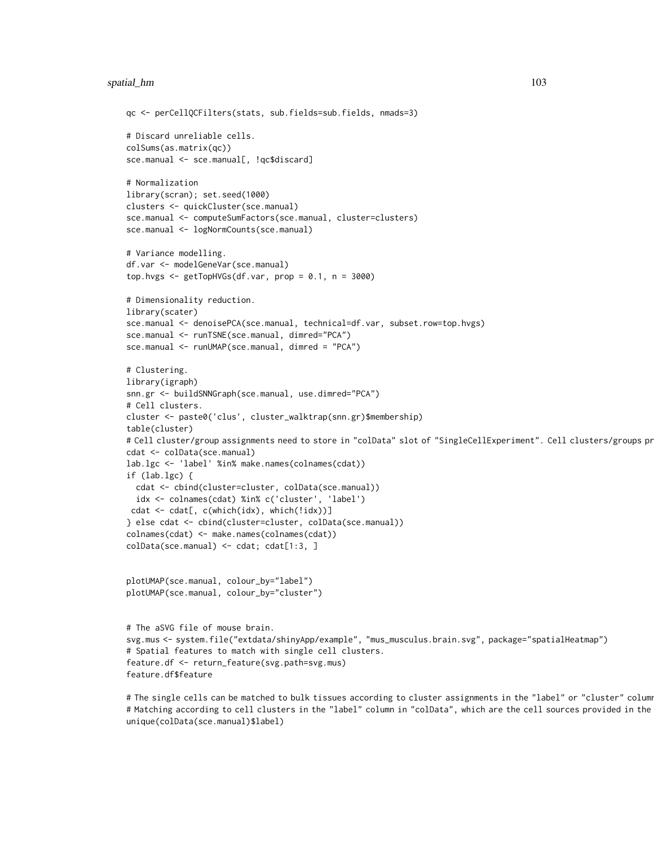```
qc <- perCellQCFilters(stats, sub.fields=sub.fields, nmads=3)
# Discard unreliable cells.
colSums(as.matrix(qc))
sce.manual <- sce.manual[, !qc$discard]
# Normalization
library(scran); set.seed(1000)
clusters <- quickCluster(sce.manual)
sce.manual <- computeSumFactors(sce.manual, cluster=clusters)
sce.manual <- logNormCounts(sce.manual)
# Variance modelling.
df.var <- modelGeneVar(sce.manual)
top.hvgs \leq getTopHVGs(df.var, prop = 0.1, n = 3000)
# Dimensionality reduction.
library(scater)
sce.manual <- denoisePCA(sce.manual, technical=df.var, subset.row=top.hvgs)
sce.manual <- runTSNE(sce.manual, dimred="PCA")
sce.manual <- runUMAP(sce.manual, dimred = "PCA")
# Clustering.
library(igraph)
snn.gr <- buildSNNGraph(sce.manual, use.dimred="PCA")
# Cell clusters.
cluster <- paste0('clus', cluster_walktrap(snn.gr)$membership)
table(cluster)
# Cell cluster/group assignments need to store in "colData" slot of "SingleCellExperiment". Cell clusters/groups pr
cdat <- colData(sce.manual)
lab.lgc <- 'label' %in% make.names(colnames(cdat))
if (lab.lgc) {
 cdat <- cbind(cluster=cluster, colData(sce.manual))
 idx <- colnames(cdat) %in% c('cluster', 'label')
cdat <- cdat[, c(which(idx), which(!idx))]
} else cdat <- cbind(cluster=cluster, colData(sce.manual))
colnames(cdat) <- make.names(colnames(cdat))
colData(sce.manual) <- cdat; cdat[1:3, ]
plotUMAP(sce.manual, colour_by="label")
plotUMAP(sce.manual, colour_by="cluster")
# The aSVG file of mouse brain.
svg.mus <- system.file("extdata/shinyApp/example", "mus_musculus.brain.svg", package="spatialHeatmap")
# Spatial features to match with single cell clusters.
feature.df <- return_feature(svg.path=svg.mus)
feature.df$feature
```
# The single cells can be matched to bulk tissues according to cluster assignments in the "label" or "cluster" column # Matching according to cell clusters in the "label" column in "colData", which are the cell sources provided in the unique(colData(sce.manual)\$label)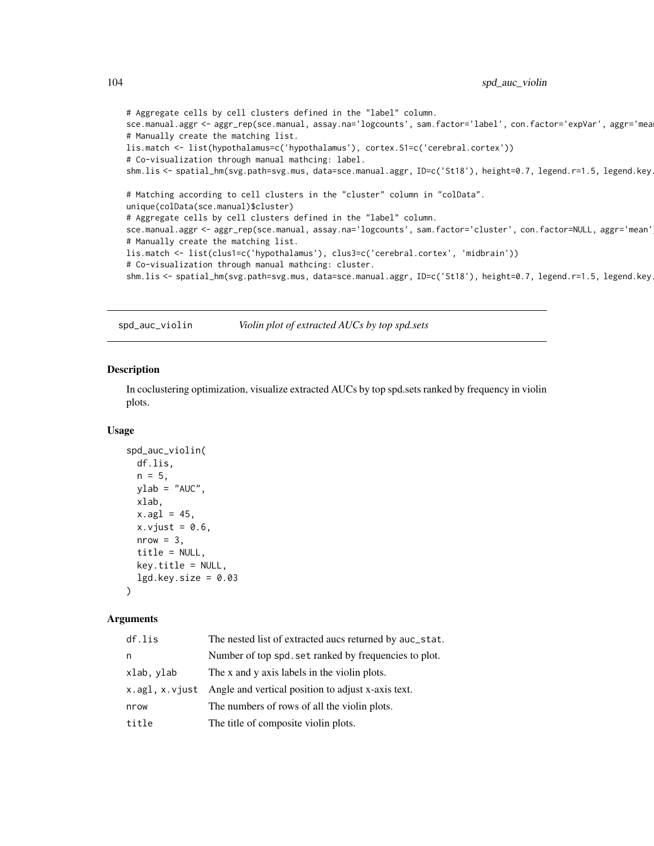```
# Aggregate cells by cell clusters defined in the "label" column.
sce.manual.aggr <- aggr_rep(sce.manual, assay.na='logcounts', sam.factor='label', con.factor='expVar', aggr='mea
# Manually create the matching list.
lis.match <- list(hypothalamus=c('hypothalamus'), cortex.S1=c('cerebral.cortex'))
# Co-visualization through manual mathcing: label.
shm.lis <- spatial_hm(svg.path=svg.mus, data=sce.manual.aggr, ID=c('St18'), height=0.7, legend.r=1.5, legend.key
# Matching according to cell clusters in the "cluster" column in "colData".
unique(colData(sce.manual)$cluster)
# Aggregate cells by cell clusters defined in the "label" column.
sce.manual.aggr <- aggr_rep(sce.manual, assay.na='logcounts', sam.factor='cluster', con.factor=NULL, aggr='mean')
# Manually create the matching list.
lis.match <- list(clus1=c('hypothalamus'), clus3=c('cerebral.cortex', 'midbrain'))
# Co-visualization through manual mathcing: cluster.
shm.lis <- spatial_hm(svg.path=svg.mus, data=sce.manual.aggr, ID=c('St18'), height=0.7, legend.r=1.5, legend.key
```
spd\_auc\_violin *Violin plot of extracted AUCs by top spd.sets*

# Description

In coclustering optimization, visualize extracted AUCs by top spd.sets ranked by frequency in violin plots.

#### Usage

```
spd_auc_violin(
  df.lis,
 n = 5,
 ylab = "AUC",xlab,
 x.agl = 45,
  x.vjust = 0.6,
 nrow = 3,
  title = NULL,
 key.title = NULL,
  lgd.key.size = 0.03)
```
#### Arguments

| df.lis         | The nested list of extracted aucs returned by auc_stat. |
|----------------|---------------------------------------------------------|
| n              | Number of top spd. set ranked by frequencies to plot.   |
| xlab, ylab     | The x and y axis labels in the violin plots.            |
| x.agl, x.vjust | Angle and vertical position to adjust x-axis text.      |
| nrow           | The numbers of rows of all the violin plots.            |
| title          | The title of composite violin plots.                    |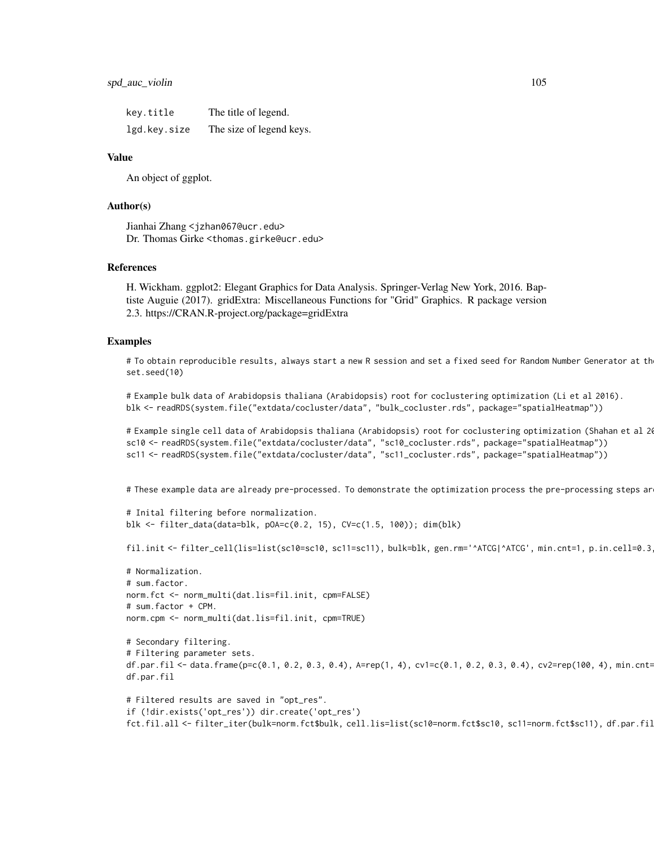| key.title    | The title of legend.     |
|--------------|--------------------------|
| lgd.key.size | The size of legend keys. |

#### Value

An object of ggplot.

# Author(s)

Jianhai Zhang <jzhan067@ucr.edu> Dr. Thomas Girke <thomas.girke@ucr.edu>

#### References

H. Wickham. ggplot2: Elegant Graphics for Data Analysis. Springer-Verlag New York, 2016. Baptiste Auguie (2017). gridExtra: Miscellaneous Functions for "Grid" Graphics. R package version 2.3. https://CRAN.R-project.org/package=gridExtra

# Examples

# To obtain reproducible results, always start a new R session and set a fixed seed for Random Number Generator at th set.seed(10)

```
# Example bulk data of Arabidopsis thaliana (Arabidopsis) root for coclustering optimization (Li et al 2016).
blk <- readRDS(system.file("extdata/cocluster/data", "bulk_cocluster.rds", package="spatialHeatmap"))
```
# Example single cell data of Arabidopsis thaliana (Arabidopsis) root for coclustering optimization (Shahan et al 20 sc10 <- readRDS(system.file("extdata/cocluster/data", "sc10\_cocluster.rds", package="spatialHeatmap")) sc11 <- readRDS(system.file("extdata/cocluster/data", "sc11\_cocluster.rds", package="spatialHeatmap"))

# These example data are already pre-processed. To demonstrate the optimization process the pre-processing steps ar

```
# Inital filtering before normalization.
blk <- filter_data(data=blk, pOA=c(0.2, 15), CV=c(1.5, 100)); dim(blk)
```
fil.init <- filter\_cell(lis=list(sc10=sc10, sc11=sc11), bulk=blk, gen.rm='^ATCG|^ATCG', min.cnt=1, p.in.cell=0.3

```
# Normalization.
# sum.factor.
norm.fct <- norm_multi(dat.lis=fil.init, cpm=FALSE)
# sum.factor + CPM.
norm.cpm <- norm_multi(dat.lis=fil.init, cpm=TRUE)
```

```
# Secondary filtering.
# Filtering parameter sets.
df.par.fil <- data.frame(p=c(0.1, 0.2, 0.3, 0.4), A=rep(1, 4), cv1=c(0.1, 0.2, 0.3, 0.4), cv2=rep(100, 4), min.cnt=
df.par.fil
```

```
# Filtered results are saved in "opt_res".
if (!dir.exists('opt_res')) dir.create('opt_res')
fct.fil.all <- filter_iter(bulk=norm.fct$bulk, cell.lis=list(sc10=norm.fct$sc10, sc11=norm.fct$sc11), df.par.fil
```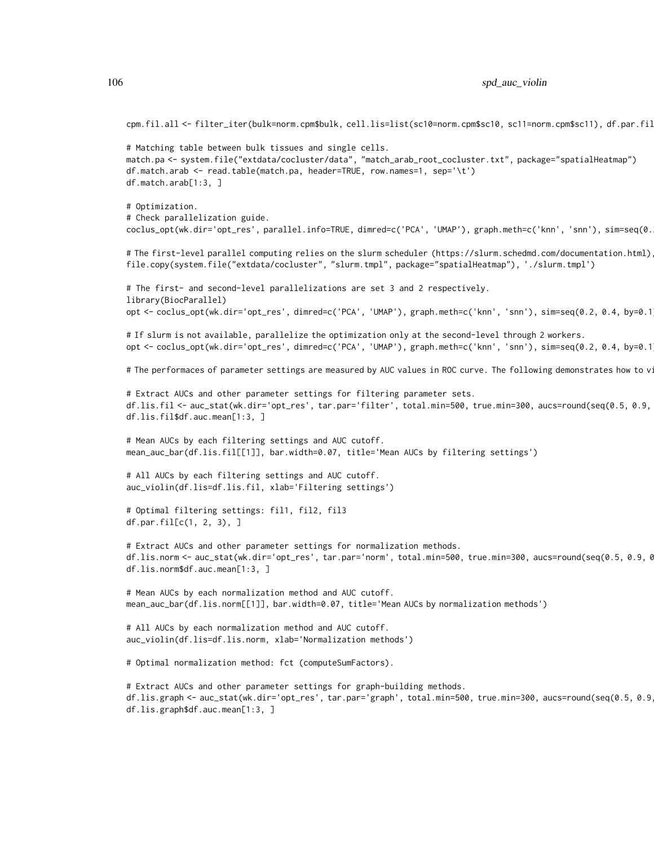cpm.fil.all <- filter\_iter(bulk=norm.cpm\$bulk, cell.lis=list(sc10=norm.cpm\$sc10, sc11=norm.cpm\$sc11), df.par.fil

# Matching table between bulk tissues and single cells. match.pa <- system.file("extdata/cocluster/data", "match\_arab\_root\_cocluster.txt", package="spatialHeatmap") df.match.arab <- read.table(match.pa, header=TRUE, row.names=1, sep='\t') df.match.arab[1:3, ]

# Optimization.

# Check parallelization guide.

coclus\_opt(wk.dir='opt\_res', parallel.info=TRUE, dimred=c('PCA', 'UMAP'), graph.meth=c('knn', 'snn'), sim=seq(0.

# The first-level parallel computing relies on the slurm scheduler (https://slurm.schedmd.com/documentation.html) file.copy(system.file("extdata/cocluster", "slurm.tmpl", package="spatialHeatmap"), './slurm.tmpl')

# The first- and second-level parallelizations are set 3 and 2 respectively. library(BiocParallel) opt <- coclus\_opt(wk.dir='opt\_res', dimred=c('PCA', 'UMAP'), graph.meth=c('knn', 'snn'), sim=seq(0.2, 0.4, by=0.1

# If slurm is not available, parallelize the optimization only at the second-level through 2 workers. opt <- coclus\_opt(wk.dir='opt\_res', dimred=c('PCA', 'UMAP'), graph.meth=c('knn', 'snn'), sim=seq(0.2, 0.4, by=0.1

# The performaces of parameter settings are measured by AUC values in ROC curve. The following demonstrates how to v

# Extract AUCs and other parameter settings for filtering parameter sets. df.lis.fil <- auc\_stat(wk.dir='opt\_res', tar.par='filter', total.min=500, true.min=300, aucs=round(seq(0.5, 0.9, 0.1), 1)) df.lis.fil\$df.auc.mean[1:3, ]

# Mean AUCs by each filtering settings and AUC cutoff. mean\_auc\_bar(df.lis.fil[[1]], bar.width=0.07, title='Mean AUCs by filtering settings')

# All AUCs by each filtering settings and AUC cutoff. auc\_violin(df.lis=df.lis.fil, xlab='Filtering settings')

# Optimal filtering settings: fil1, fil2, fil3 df.par.fil[c(1, 2, 3), ]

# Extract AUCs and other parameter settings for normalization methods. df.lis.norm <- auc\_stat(wk.dir='opt\_res', tar.par='norm', total.min=500, true.min=300, aucs=round(seq(0.5, 0.9, 0.1), 1)) df.lis.norm\$df.auc.mean[1:3, ]

# Mean AUCs by each normalization method and AUC cutoff. mean\_auc\_bar(df.lis.norm[[1]], bar.width=0.07, title='Mean AUCs by normalization methods')

# All AUCs by each normalization method and AUC cutoff. auc\_violin(df.lis=df.lis.norm, xlab='Normalization methods')

# Optimal normalization method: fct (computeSumFactors).

# Extract AUCs and other parameter settings for graph-building methods. df.lis.graph <- auc\_stat(wk.dir='opt\_res', tar.par='graph', total.min=500, true.min=300, aucs=round(seq(0.5, 0.9, 0.1), 1)) df.lis.graph\$df.auc.mean[1:3, ]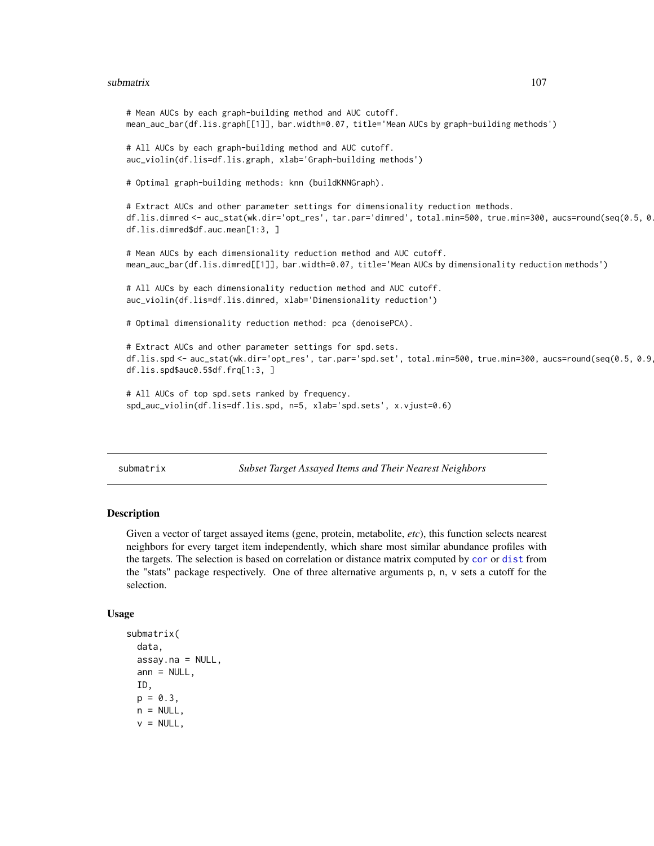#### submatrix 107

```
# Mean AUCs by each graph-building method and AUC cutoff.
mean_auc_bar(df.lis.graph[[1]], bar.width=0.07, title='Mean AUCs by graph-building methods')
# All AUCs by each graph-building method and AUC cutoff.
auc_violin(df.lis=df.lis.graph, xlab='Graph-building methods')
# Optimal graph-building methods: knn (buildKNNGraph).
# Extract AUCs and other parameter settings for dimensionality reduction methods.
df.lis.dimred <- auc_stat(wk.dir='opt_res', tar.par='dimred', total.min=500, true.min=300, aucs=round(seq(0.5, 0.9, 0.1), 1))
df.lis.dimred$df.auc.mean[1:3, ]
# Mean AUCs by each dimensionality reduction method and AUC cutoff.
mean_auc_bar(df.lis.dimred[[1]], bar.width=0.07, title='Mean AUCs by dimensionality reduction methods')
# All AUCs by each dimensionality reduction method and AUC cutoff.
auc_violin(df.lis=df.lis.dimred, xlab='Dimensionality reduction')
# Optimal dimensionality reduction method: pca (denoisePCA).
# Extract AUCs and other parameter settings for spd.sets.
df.lis.spd <- auc_stat(wk.dir='opt_res', tar.par='spd.set', total.min=500, true.min=300, aucs=round(seq(0.5, 0.9
df.lis.spd$auc0.5$df.frq[1:3, ]
# All AUCs of top spd.sets ranked by frequency.
spd_auc_violin(df.lis=df.lis.spd, n=5, xlab='spd.sets', x.vjust=0.6)
```
<span id="page-106-0"></span>submatrix *Subset Target Assayed Items and Their Nearest Neighbors*

# Description

Given a vector of target assayed items (gene, protein, metabolite, *etc*), this function selects nearest neighbors for every target item independently, which share most similar abundance profiles with the targets. The selection is based on correlation or distance matrix computed by [cor](#page-0-0) or [dist](#page-0-0) from the "stats" package respectively. One of three alternative arguments p, n, v sets a cutoff for the selection.

#### Usage

```
submatrix(
  data,
  assay.na = NULL,
 ann = NULL,ID,
 p = 0.3,
  n = NULL,v = NULL,
```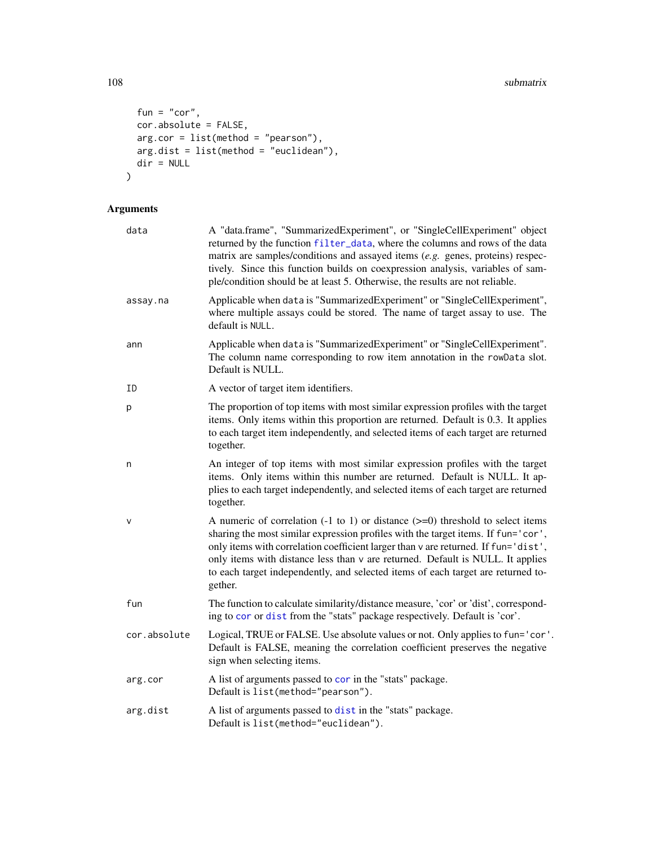```
fun = "cor",cor.absolute = FALSE,
 arg.cor = list(method = "pearson"),
 arg.dist = list(method = "euclidean"),dir = NULL\mathcal{L}
```
# Arguments

| data         | A "data.frame", "SummarizedExperiment", or "SingleCellExperiment" object<br>returned by the function filter_data, where the columns and rows of the data<br>matrix are samples/conditions and assayed items (e.g. genes, proteins) respec-<br>tively. Since this function builds on coexpression analysis, variables of sam-<br>ple/condition should be at least 5. Otherwise, the results are not reliable.                                            |  |
|--------------|---------------------------------------------------------------------------------------------------------------------------------------------------------------------------------------------------------------------------------------------------------------------------------------------------------------------------------------------------------------------------------------------------------------------------------------------------------|--|
| assay.na     | Applicable when data is "SummarizedExperiment" or "SingleCellExperiment",<br>where multiple assays could be stored. The name of target assay to use. The<br>default is NULL.                                                                                                                                                                                                                                                                            |  |
| ann          | Applicable when data is "SummarizedExperiment" or "SingleCellExperiment".<br>The column name corresponding to row item annotation in the rowData slot.<br>Default is NULL.                                                                                                                                                                                                                                                                              |  |
| ΙD           | A vector of target item identifiers.                                                                                                                                                                                                                                                                                                                                                                                                                    |  |
| p            | The proportion of top items with most similar expression profiles with the target<br>items. Only items within this proportion are returned. Default is 0.3. It applies<br>to each target item independently, and selected items of each target are returned<br>together.                                                                                                                                                                                |  |
| n            | An integer of top items with most similar expression profiles with the target<br>items. Only items within this number are returned. Default is NULL. It ap-<br>plies to each target independently, and selected items of each target are returned<br>together.                                                                                                                                                                                          |  |
| $\vee$       | A numeric of correlation $(-1 \text{ to } 1)$ or distance $(>=0)$ threshold to select items<br>sharing the most similar expression profiles with the target items. If fun='cor',<br>only items with correlation coefficient larger than v are returned. If fun='dist',<br>only items with distance less than v are returned. Default is NULL. It applies<br>to each target independently, and selected items of each target are returned to-<br>gether. |  |
| fun          | The function to calculate similarity/distance measure, 'cor' or 'dist', correspond-<br>ing to cor or dist from the "stats" package respectively. Default is 'cor'.                                                                                                                                                                                                                                                                                      |  |
| cor.absolute | Logical, TRUE or FALSE. Use absolute values or not. Only applies to fun='cor'.<br>Default is FALSE, meaning the correlation coefficient preserves the negative<br>sign when selecting items.                                                                                                                                                                                                                                                            |  |
| arg.cor      | A list of arguments passed to cor in the "stats" package.<br>Default is list(method="pearson").                                                                                                                                                                                                                                                                                                                                                         |  |
| arg.dist     | A list of arguments passed to dist in the "stats" package.<br>Default is list(method="euclidean").                                                                                                                                                                                                                                                                                                                                                      |  |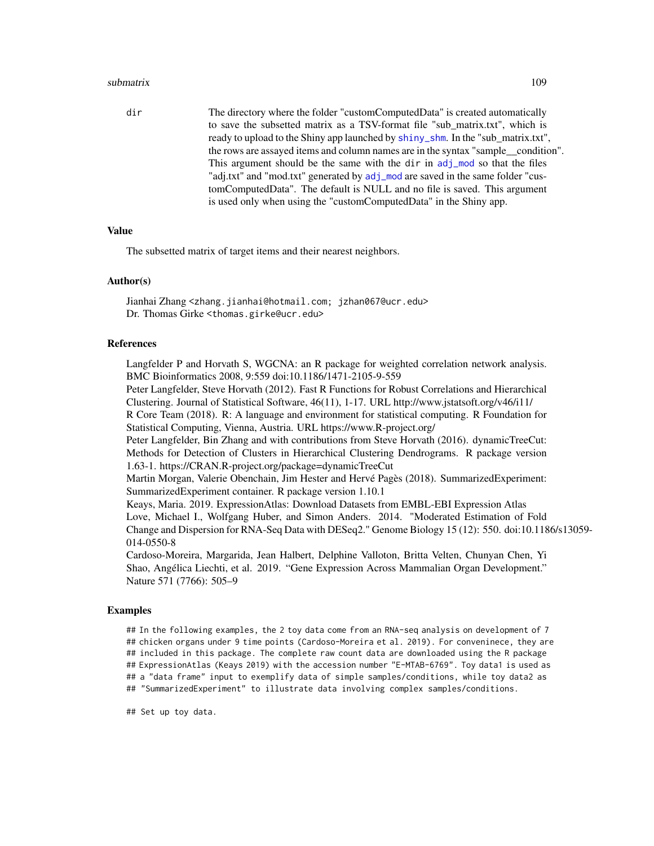# <span id="page-108-0"></span>submatrix 109

dir The directory where the folder "customComputedData" is created automatically to save the subsetted matrix as a TSV-format file "sub\_matrix.txt", which is ready to upload to the Shiny app launched by [shiny\\_shm](#page-85-0). In the "sub\_matrix.txt", the rows are assayed items and column names are in the syntax "sample\_\_condition". This argument should be the same with the dir in [adj\\_mod](#page-11-0) so that the files "adj.txt" and "mod.txt" generated by [adj\\_mod](#page-11-0) are saved in the same folder "customComputedData". The default is NULL and no file is saved. This argument is used only when using the "customComputedData" in the Shiny app.

# Value

The subsetted matrix of target items and their nearest neighbors.

#### Author(s)

Jianhai Zhang <zhang.jianhai@hotmail.com; jzhan067@ucr.edu> Dr. Thomas Girke <thomas.girke@ucr.edu>

#### References

Langfelder P and Horvath S, WGCNA: an R package for weighted correlation network analysis. BMC Bioinformatics 2008, 9:559 doi:10.1186/1471-2105-9-559

Peter Langfelder, Steve Horvath (2012). Fast R Functions for Robust Correlations and Hierarchical Clustering. Journal of Statistical Software, 46(11), 1-17. URL http://www.jstatsoft.org/v46/i11/

R Core Team (2018). R: A language and environment for statistical computing. R Foundation for Statistical Computing, Vienna, Austria. URL https://www.R-project.org/

Peter Langfelder, Bin Zhang and with contributions from Steve Horvath (2016). dynamicTreeCut: Methods for Detection of Clusters in Hierarchical Clustering Dendrograms. R package version 1.63-1. https://CRAN.R-project.org/package=dynamicTreeCut

Martin Morgan, Valerie Obenchain, Jim Hester and Hervé Pagès (2018). SummarizedExperiment: SummarizedExperiment container. R package version 1.10.1

Keays, Maria. 2019. ExpressionAtlas: Download Datasets from EMBL-EBI Expression Atlas Love, Michael I., Wolfgang Huber, and Simon Anders. 2014. "Moderated Estimation of Fold Change and Dispersion for RNA-Seq Data with DESeq2." Genome Biology 15 (12): 550. doi:10.1186/s13059- 014-0550-8

Cardoso-Moreira, Margarida, Jean Halbert, Delphine Valloton, Britta Velten, Chunyan Chen, Yi Shao, Angélica Liechti, et al. 2019. "Gene Expression Across Mammalian Organ Development." Nature 571 (7766): 505–9

#### Examples

## In the following examples, the 2 toy data come from an RNA-seq analysis on development of 7 ## chicken organs under 9 time points (Cardoso-Moreira et al. 2019). For conveninece, they are ## included in this package. The complete raw count data are downloaded using the R package ## ExpressionAtlas (Keays 2019) with the accession number "E-MTAB-6769". Toy data1 is used as ## a "data frame" input to exemplify data of simple samples/conditions, while toy data2 as ## "SummarizedExperiment" to illustrate data involving complex samples/conditions.

## Set up toy data.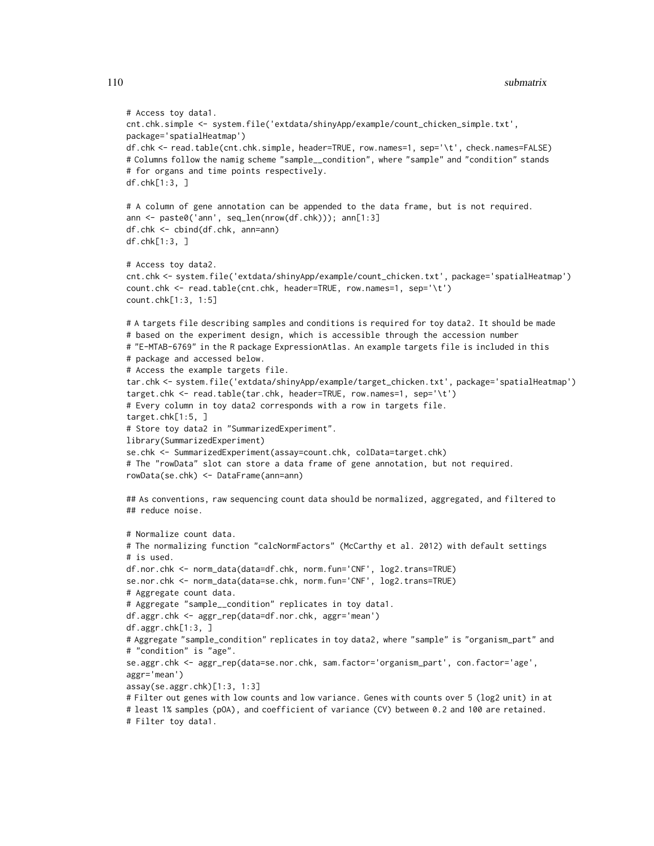```
# Access toy data1.
cnt.chk.simple <- system.file('extdata/shinyApp/example/count_chicken_simple.txt',
package='spatialHeatmap')
df.chk <- read.table(cnt.chk.simple, header=TRUE, row.names=1, sep='\t', check.names=FALSE)
# Columns follow the namig scheme "sample__condition", where "sample" and "condition" stands
# for organs and time points respectively.
df.chk[1:3, ]
# A column of gene annotation can be appended to the data frame, but is not required.
ann <- paste0('ann', seq_len(nrow(df.chk))); ann[1:3]
df.chk <- cbind(df.chk, ann=ann)
df.chk[1:3, ]
# Access toy data2.
cnt.chk <- system.file('extdata/shinyApp/example/count_chicken.txt', package='spatialHeatmap')
count.chk <- read.table(cnt.chk, header=TRUE, row.names=1, sep='\t')
count.chk[1:3, 1:5]
# A targets file describing samples and conditions is required for toy data2. It should be made
# based on the experiment design, which is accessible through the accession number
# "E-MTAB-6769" in the R package ExpressionAtlas. An example targets file is included in this
# package and accessed below.
# Access the example targets file.
tar.chk <- system.file('extdata/shinyApp/example/target_chicken.txt', package='spatialHeatmap')
target.chk <- read.table(tar.chk, header=TRUE, row.names=1, sep='\t')
# Every column in toy data2 corresponds with a row in targets file.
target.chk[1:5, ]
# Store toy data2 in "SummarizedExperiment".
library(SummarizedExperiment)
se.chk <- SummarizedExperiment(assay=count.chk, colData=target.chk)
# The "rowData" slot can store a data frame of gene annotation, but not required.
rowData(se.chk) <- DataFrame(ann=ann)
## As conventions, raw sequencing count data should be normalized, aggregated, and filtered to
## reduce noise.
# Normalize count data.
# The normalizing function "calcNormFactors" (McCarthy et al. 2012) with default settings
# is used.
df.nor.chk <- norm_data(data=df.chk, norm.fun='CNF', log2.trans=TRUE)
se.nor.chk <- norm_data(data=se.chk, norm.fun='CNF', log2.trans=TRUE)
# Aggregate count data.
# Aggregate "sample__condition" replicates in toy data1.
df.aggr.chk <- aggr_rep(data=df.nor.chk, aggr='mean')
df.aggr.chk[1:3, ]
# Aggregate "sample_condition" replicates in toy data2, where "sample" is "organism_part" and
# "condition" is "age".
se.aggr.chk <- aggr_rep(data=se.nor.chk, sam.factor='organism_part', con.factor='age',
aggr='mean')
assay(se.aggr.chk)[1:3, 1:3]
# Filter out genes with low counts and low variance. Genes with counts over 5 (log2 unit) in at
# least 1% samples (pOA), and coefficient of variance (CV) between 0.2 and 100 are retained.
# Filter toy data1.
```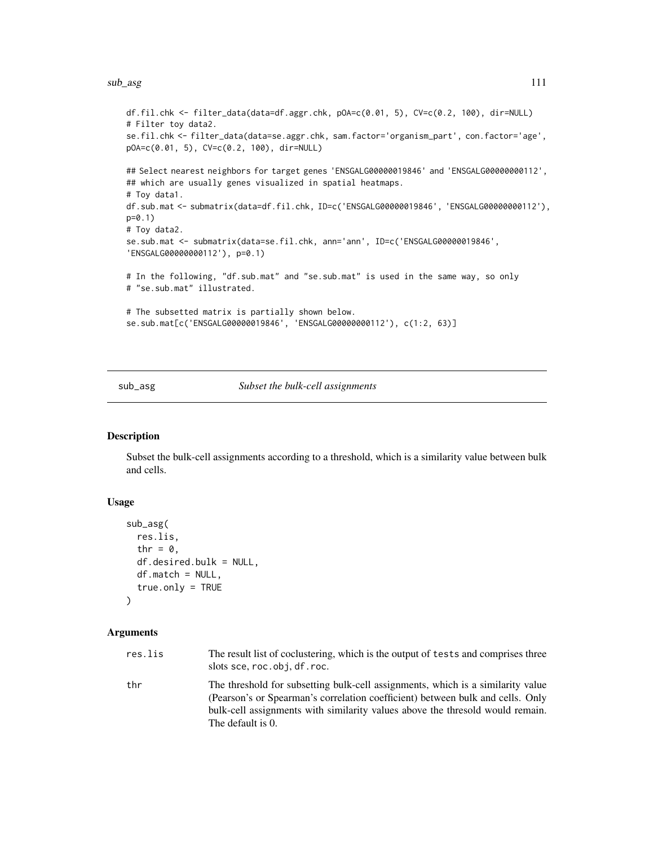<span id="page-110-0"></span>sub\_asg 111

```
df.fil.chk <- filter_data(data=df.aggr.chk, pOA=c(0.01, 5), CV=c(0.2, 100), dir=NULL)
# Filter toy data2.
se.fil.chk <- filter_data(data=se.aggr.chk, sam.factor='organism_part', con.factor='age',
pOA=c(0.01, 5), CV=c(0.2, 100), dir=NULL)
## Select nearest neighbors for target genes 'ENSGALG00000019846' and 'ENSGALG00000000112',
## which are usually genes visualized in spatial heatmaps.
# Toy data1.
df.sub.mat <- submatrix(data=df.fil.chk, ID=c('ENSGALG00000019846', 'ENSGALG00000000112'),
p=0.1)
# Toy data2.
se.sub.mat <- submatrix(data=se.fil.chk, ann='ann', ID=c('ENSGALG00000019846',
'ENSGALG00000000112'), p=0.1)
# In the following, "df.sub.mat" and "se.sub.mat" is used in the same way, so only
# "se.sub.mat" illustrated.
# The subsetted matrix is partially shown below.
se.sub.mat[c('ENSGALG00000019846', 'ENSGALG00000000112'), c(1:2, 63)]
```
sub\_asg *Subset the bulk-cell assignments*

# Description

Subset the bulk-cell assignments according to a threshold, which is a similarity value between bulk and cells.

# Usage

```
sub_asg(
  res.lis,
  thr = \theta,
  df.desired.bulk = NULL,
  df.match = NULL,
  true.only = TRUE
)
```
# Arguments

| res.lis | The result list of coclustering, which is the output of tests and comprises three<br>slots sce, roc.obj, df. roc.                                                                                                                                                       |
|---------|-------------------------------------------------------------------------------------------------------------------------------------------------------------------------------------------------------------------------------------------------------------------------|
| thr     | The threshold for subsetting bulk-cell assignments, which is a similarity value<br>(Pearson's or Spearman's correlation coefficient) between bulk and cells. Only<br>bulk-cell assignments with similarity values above the thresold would remain.<br>The default is 0. |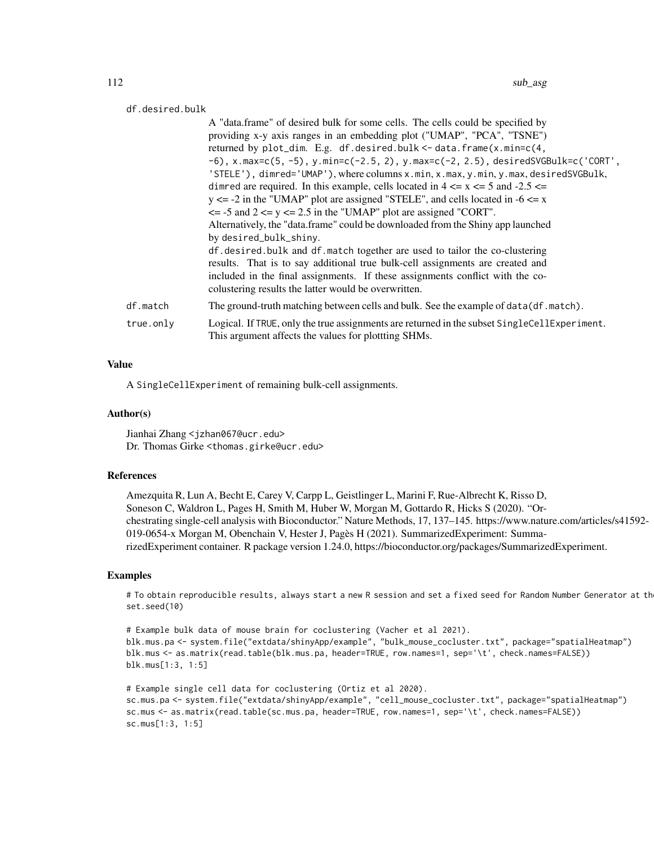# df.desired.bulk

|           | A "data.frame" of desired bulk for some cells. The cells could be specified by<br>providing x-y axis ranges in an embedding plot ("UMAP", "PCA", "TSNE")                    |
|-----------|-----------------------------------------------------------------------------------------------------------------------------------------------------------------------------|
|           | returned by plot_dim. E.g. df.desired.bulk <- data.frame(x.min=c(4,                                                                                                         |
|           | $-6$ ), x.max=c(5, -5), y.min=c(-2.5, 2), y.max=c(-2, 2.5), desiredSVGBulk=c('CORT',<br>'STELE'), dimred='UMAP'), where columns x.min, x.max, y.min, y.max, desiredSVGBulk, |
|           | dimred are required. In this example, cells located in $4 \le x \le 5$ and $-2.5 \le x$                                                                                     |
|           | $y \le -2$ in the "UMAP" plot are assigned "STELE", and cells located in $-6 \le x$                                                                                         |
|           | $\le$ -5 and 2 $\le$ y $\le$ 2.5 in the "UMAP" plot are assigned "CORT".                                                                                                    |
|           | Alternatively, the "data.frame" could be downloaded from the Shiny app launched                                                                                             |
|           | by desired_bulk_shiny.                                                                                                                                                      |
|           | df.desired.bulk and df.match together are used to tailor the co-clustering                                                                                                  |
|           | results. That is to say additional true bulk-cell assignments are created and                                                                                               |
|           | included in the final assignments. If these assignments conflict with the co-<br>colustering results the latter would be overwritten.                                       |
| df.match  | The ground-truth matching between cells and bulk. See the example of data(df.match).                                                                                        |
| true.only | Logical. If TRUE, only the true assignments are returned in the subset SingleCellExperiment.<br>This argument affects the values for plottting SHMs.                        |

# Value

A SingleCellExperiment of remaining bulk-cell assignments.

#### Author(s)

Jianhai Zhang <jzhan067@ucr.edu> Dr. Thomas Girke <thomas.girke@ucr.edu>

# References

Amezquita R, Lun A, Becht E, Carey V, Carpp L, Geistlinger L, Marini F, Rue-Albrecht K, Risso D, Soneson C, Waldron L, Pages H, Smith M, Huber W, Morgan M, Gottardo R, Hicks S (2020). "Orchestrating single-cell analysis with Bioconductor." Nature Methods, 17, 137–145. https://www.nature.com/articles/s41592- 019-0654-x Morgan M, Obenchain V, Hester J, Pagès H (2021). SummarizedExperiment: SummarizedExperiment container. R package version 1.24.0, https://bioconductor.org/packages/SummarizedExperiment.

# Examples

# To obtain reproducible results, always start a new R session and set a fixed seed for Random Number Generator at th set.seed(10)

```
# Example bulk data of mouse brain for coclustering (Vacher et al 2021).
blk.mus.pa <- system.file("extdata/shinyApp/example", "bulk_mouse_cocluster.txt", package="spatialHeatmap")
blk.mus <- as.matrix(read.table(blk.mus.pa, header=TRUE, row.names=1, sep='\t', check.names=FALSE))
blk.mus[1:3, 1:5]
```

```
# Example single cell data for coclustering (Ortiz et al 2020).
sc.mus.pa <- system.file("extdata/shinyApp/example", "cell_mouse_cocluster.txt", package="spatialHeatmap")
sc.mus <- as.matrix(read.table(sc.mus.pa, header=TRUE, row.names=1, sep='\t', check.names=FALSE))
sc.mus[1:3, 1:5]
```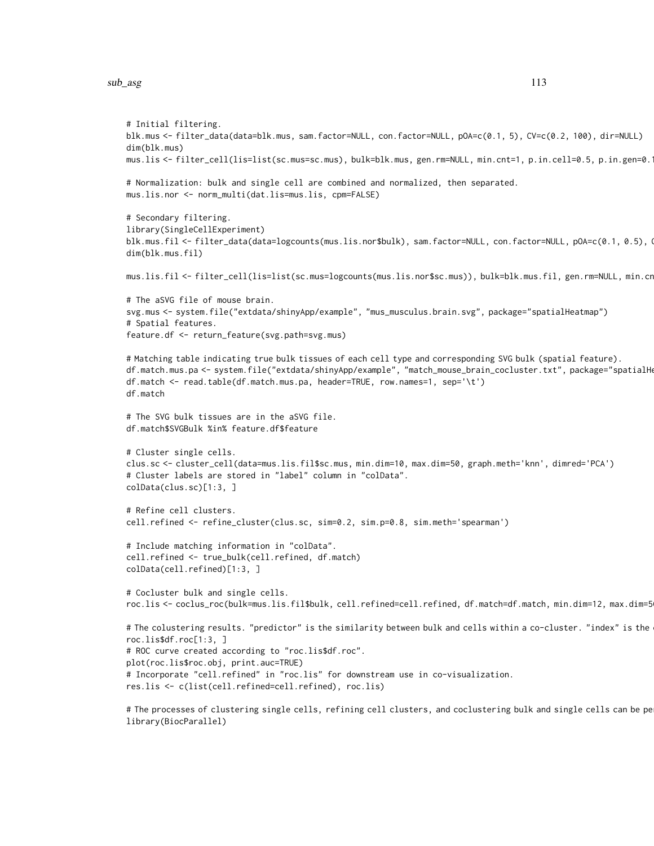sub\_asg 113

```
# Initial filtering.
blk.mus <- filter_data(data=blk.mus, sam.factor=NULL, con.factor=NULL, pOA=c(0.1, 5), CV=c(0.2, 100), dir=NULL)
dim(blk.mus)
mus.lis <- filter_cell(lis=list(sc.mus=sc.mus), bulk=blk.mus, gen.rm=NULL, min.cnt=1, p.in.cell=0.5, p.in.gen=0.1)
# Normalization: bulk and single cell are combined and normalized, then separated.
mus.lis.nor <- norm_multi(dat.lis=mus.lis, cpm=FALSE)
# Secondary filtering.
library(SingleCellExperiment)
blk.mus.fil <- filter_data(data=logcounts(mus.lis.nor$bulk), sam.factor=NULL, con.factor=NULL, pOA=c(0.1, 0.5), Q
dim(blk.mus.fil)
mus.lis.fil <- filter_cell(lis=list(sc.mus=logcounts(mus.lis.nor$sc.mus)), bulk=blk.mus.fil, gen.rm=NULL, min.cr
# The aSVG file of mouse brain.
svg.mus <- system.file("extdata/shinyApp/example", "mus_musculus.brain.svg", package="spatialHeatmap")
# Spatial features.
feature.df <- return_feature(svg.path=svg.mus)
# Matching table indicating true bulk tissues of each cell type and corresponding SVG bulk (spatial feature).
df.match.mus.pa <- system.file("extdata/shinyApp/example", "match_mouse_brain_cocluster.txt", package="spatialH
df.match <- read.table(df.match.mus.pa, header=TRUE, row.names=1, sep='\t')
df.match
# The SVG bulk tissues are in the aSVG file.
df.match$SVGBulk %in% feature.df$feature
# Cluster single cells.
clus.sc <- cluster_cell(data=mus.lis.fil$sc.mus, min.dim=10, max.dim=50, graph.meth='knn', dimred='PCA')
# Cluster labels are stored in "label" column in "colData".
colData(clus.sc)[1:3, ]
# Refine cell clusters.
cell.refined <- refine_cluster(clus.sc, sim=0.2, sim.p=0.8, sim.meth='spearman')
# Include matching information in "colData".
cell.refined <- true_bulk(cell.refined, df.match)
colData(cell.refined)[1:3, ]
# Cocluster bulk and single cells.
roc.lis <- coclus_roc(bulk=mus.lis.fil$bulk, cell.refined=cell.refined, df.match=df.match, min.dim=12, max.dim=5
# The colustering results. "predictor" is the similarity between bulk and cells within a co-cluster. "index" is the
roc.lis$df.roc[1:3, ]
# ROC curve created according to "roc.lis$df.roc".
plot(roc.lis$roc.obj, print.auc=TRUE)
# Incorporate "cell.refined" in "roc.lis" for downstream use in co-visualization.
res.lis <- c(list(cell.refined=cell.refined), roc.lis)
# The processes of clustering single cells, refining cell clusters, and coclustering bulk and single cells can be pe
library(BiocParallel)
```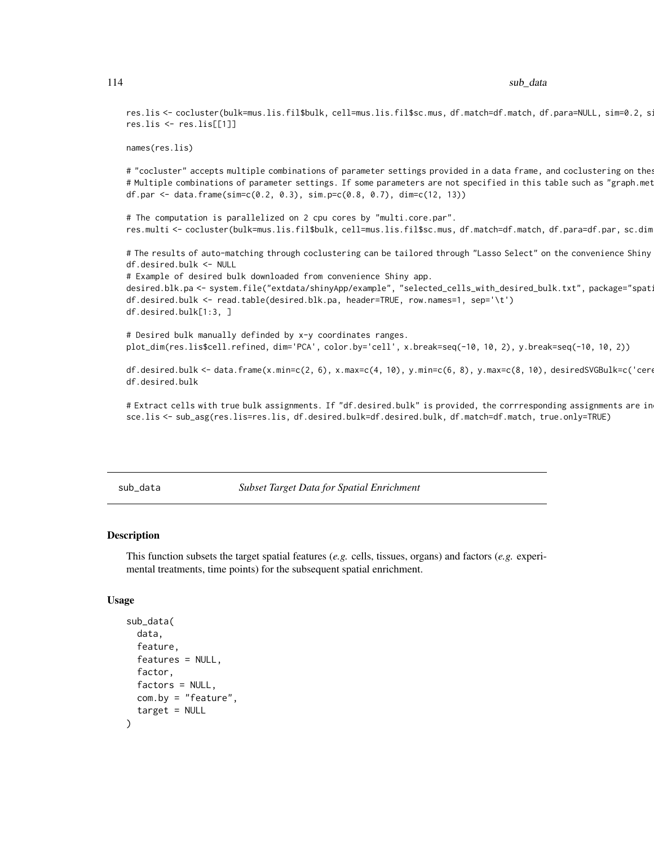<span id="page-113-0"></span>res.lis <- cocluster(bulk=mus.lis.fil\$bulk, cell=mus.lis.fil\$sc.mus, df.match=df.match, df.para=NULL, sim=0.2, s: res.lis <- res.lis[[1]]

```
names(res.lis)
```
# "cocluster" accepts multiple combinations of parameter settings provided in a data frame, and coclustering on the # Multiple combinations of parameter settings. If some parameters are not specified in this table such as "graph.met df.par <- data.frame(sim=c(0.2, 0.3), sim.p=c(0.8, 0.7), dim=c(12, 13))

# The computation is parallelized on 2 cpu cores by "multi.core.par". res.multi <- cocluster(bulk=mus.lis.fil\$bulk, cell=mus.lis.fil\$sc.mus, df.match=df.match, df.para=df.par, sc.dim

# The results of auto-matching through coclustering can be tailored through "Lasso Select" on the convenience Shiny df.desired.bulk <- NULL

# Example of desired bulk downloaded from convenience Shiny app. desired.blk.pa <- system.file("extdata/shinyApp/example", "selected\_cells\_with\_desired\_bulk.txt", package="spat df.desired.bulk <- read.table(desired.blk.pa, header=TRUE, row.names=1, sep='\t') df.desired.bulk[1:3, ]

# Desired bulk manually definded by x-y coordinates ranges. plot\_dim(res.lis\$cell.refined, dim='PCA', color.by='cell', x.break=seq(-10, 10, 2), y.break=seq(-10, 10, 2))

df.desired.bulk <- data.frame(x.min=c(2, 6), x.max=c(4, 10), y.min=c(6, 8), y.max=c(8, 10), desiredSVGBulk=c('cere df.desired.bulk

# Extract cells with true bulk assignments. If "df.desired.bulk" is provided, the corrresponding assignments are in sce.lis <- sub\_asg(res.lis=res.lis, df.desired.bulk=df.desired.bulk, df.match=df.match, true.only=TRUE)

sub\_data *Subset Target Data for Spatial Enrichment*

# **Description**

This function subsets the target spatial features (*e.g.* cells, tissues, organs) and factors (*e.g.* experimental treatments, time points) for the subsequent spatial enrichment.

# Usage

```
sub_data(
  data,
  feature,
  features = NULL,
  factor,
  factors = NULL,
 com.by = "feature",
  target = NULL)
```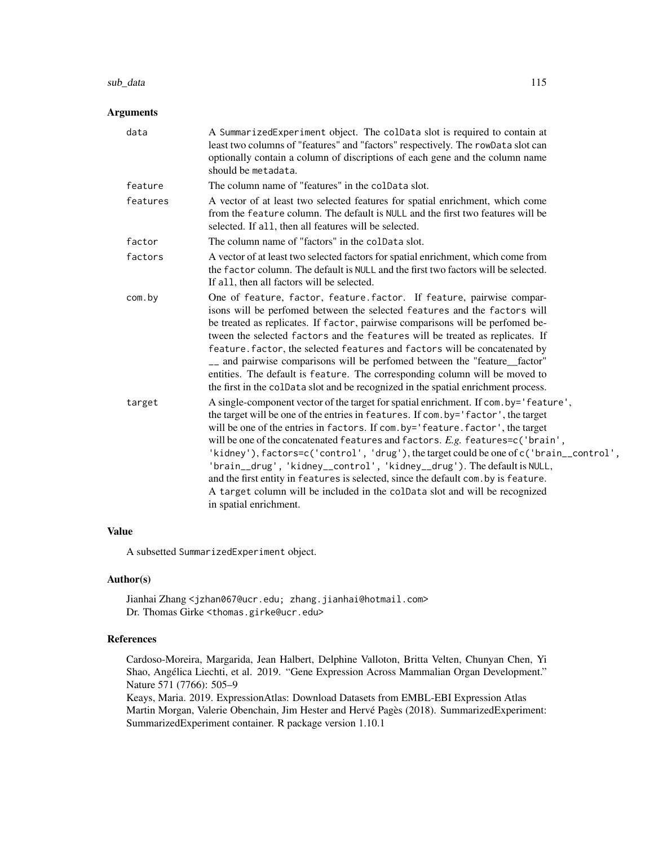# sub\_data 115

# Arguments

| data     | A SummarizedExperiment object. The colData slot is required to contain at<br>least two columns of "features" and "factors" respectively. The rowData slot can<br>optionally contain a column of discriptions of each gene and the column name<br>should be metadata.                                                                                                                                                                                                                                                                                                                                                                                                                                               |
|----------|--------------------------------------------------------------------------------------------------------------------------------------------------------------------------------------------------------------------------------------------------------------------------------------------------------------------------------------------------------------------------------------------------------------------------------------------------------------------------------------------------------------------------------------------------------------------------------------------------------------------------------------------------------------------------------------------------------------------|
| feature  | The column name of "features" in the coldata slot.                                                                                                                                                                                                                                                                                                                                                                                                                                                                                                                                                                                                                                                                 |
| features | A vector of at least two selected features for spatial enrichment, which come<br>from the feature column. The default is NULL and the first two features will be<br>selected. If all, then all features will be selected.                                                                                                                                                                                                                                                                                                                                                                                                                                                                                          |
| factor   | The column name of "factors" in the colData slot.                                                                                                                                                                                                                                                                                                                                                                                                                                                                                                                                                                                                                                                                  |
| factors  | A vector of at least two selected factors for spatial enrichment, which come from<br>the factor column. The default is NULL and the first two factors will be selected.<br>If all, then all factors will be selected.                                                                                                                                                                                                                                                                                                                                                                                                                                                                                              |
| com.by   | One of feature, factor, feature factor. If feature, pairwise compar-<br>isons will be perfomed between the selected features and the factors will<br>be treated as replicates. If factor, pairwise comparisons will be perfomed be-<br>tween the selected factors and the features will be treated as replicates. If<br>feature. factor, the selected features and factors will be concatenated by<br>- and pairwise comparisons will be perfomed between the "feature_factor"<br>entities. The default is feature. The corresponding column will be moved to<br>the first in the colData slot and be recognized in the spatial enrichment process.                                                                |
| target   | A single-component vector of the target for spatial enrichment. If com. by='feature',<br>the target will be one of the entries in features. If com.by='factor', the target<br>will be one of the entries in factors. If com.by='feature.factor', the target<br>will be one of the concatenated features and factors. E.g. features=c('brain',<br>'kidney'), factors=c('control', 'drug'), the target could be one of c('brain_control',<br>'brain__drug', 'kidney__control', 'kidney__drug'). The default is NULL,<br>and the first entity in features is selected, since the default com. by is feature.<br>A target column will be included in the colData slot and will be recognized<br>in spatial enrichment. |

# Value

A subsetted SummarizedExperiment object.

# Author(s)

Jianhai Zhang <jzhan067@ucr.edu; zhang.jianhai@hotmail.com> Dr. Thomas Girke <thomas.girke@ucr.edu>

# References

Cardoso-Moreira, Margarida, Jean Halbert, Delphine Valloton, Britta Velten, Chunyan Chen, Yi Shao, Angélica Liechti, et al. 2019. "Gene Expression Across Mammalian Organ Development." Nature 571 (7766): 505–9

Keays, Maria. 2019. ExpressionAtlas: Download Datasets from EMBL-EBI Expression Atlas Martin Morgan, Valerie Obenchain, Jim Hester and Hervé Pagès (2018). SummarizedExperiment: SummarizedExperiment container. R package version 1.10.1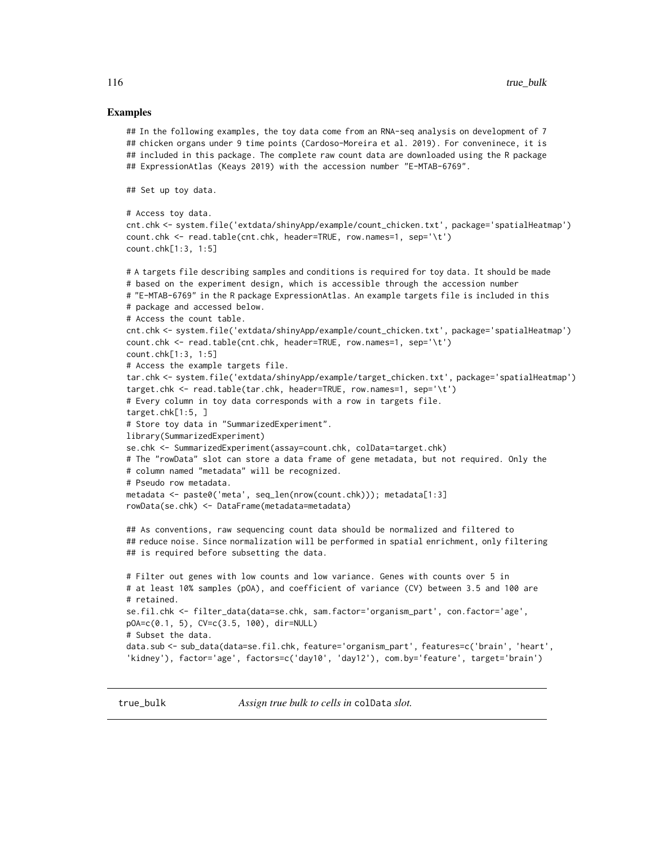#### <span id="page-115-0"></span>Examples

```
## In the following examples, the toy data come from an RNA-seq analysis on development of 7
## chicken organs under 9 time points (Cardoso-Moreira et al. 2019). For conveninece, it is
## included in this package. The complete raw count data are downloaded using the R package
## ExpressionAtlas (Keays 2019) with the accession number "E-MTAB-6769".
## Set up toy data.
# Access toy data.
cnt.chk <- system.file('extdata/shinyApp/example/count_chicken.txt', package='spatialHeatmap')
count.chk <- read.table(cnt.chk, header=TRUE, row.names=1, sep='\t')
count.chk[1:3, 1:5]
# A targets file describing samples and conditions is required for toy data. It should be made
# based on the experiment design, which is accessible through the accession number
# "E-MTAB-6769" in the R package ExpressionAtlas. An example targets file is included in this
# package and accessed below.
# Access the count table.
cnt.chk <- system.file('extdata/shinyApp/example/count_chicken.txt', package='spatialHeatmap')
count.chk <- read.table(cnt.chk, header=TRUE, row.names=1, sep='\t')
count.chk[1:3, 1:5]
# Access the example targets file.
tar.chk <- system.file('extdata/shinyApp/example/target_chicken.txt', package='spatialHeatmap')
target.chk <- read.table(tar.chk, header=TRUE, row.names=1, sep='\t')
# Every column in toy data corresponds with a row in targets file.
target.chk[1:5, ]
# Store toy data in "SummarizedExperiment".
library(SummarizedExperiment)
se.chk <- SummarizedExperiment(assay=count.chk, colData=target.chk)
# The "rowData" slot can store a data frame of gene metadata, but not required. Only the
# column named "metadata" will be recognized.
# Pseudo row metadata.
metadata <- paste0('meta', seq_len(nrow(count.chk))); metadata[1:3]
rowData(se.chk) <- DataFrame(metadata=metadata)
## As conventions, raw sequencing count data should be normalized and filtered to
## reduce noise. Since normalization will be performed in spatial enrichment, only filtering
## is required before subsetting the data.
# Filter out genes with low counts and low variance. Genes with counts over 5 in
# at least 10% samples (pOA), and coefficient of variance (CV) between 3.5 and 100 are
# retained.
se.fil.chk <- filter_data(data=se.chk, sam.factor='organism_part', con.factor='age',
pOA=c(0.1, 5), CV=c(3.5, 100), dir=NULL)
# Subset the data.
data.sub <- sub_data(data=se.fil.chk, feature='organism_part', features=c('brain', 'heart',
'kidney'), factor='age', factors=c('day10', 'day12'), com.by='feature', target='brain')
```
true\_bulk *Assign true bulk to cells in* colData *slot.*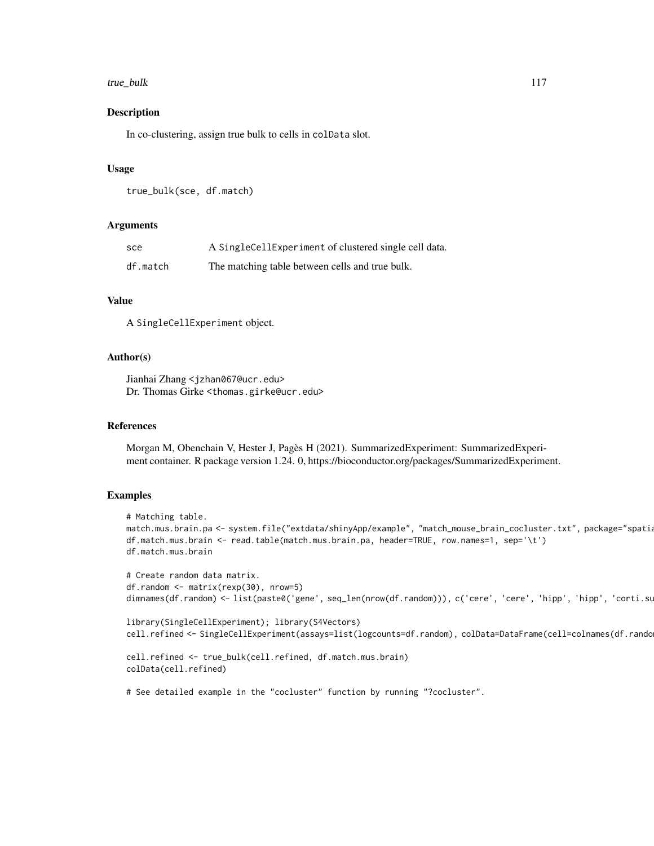# true\_bulk 117

# Description

In co-clustering, assign true bulk to cells in colData slot.

# Usage

```
true_bulk(sce, df.match)
```
#### Arguments

| sce      | A SingleCellExperiment of clustered single cell data. |
|----------|-------------------------------------------------------|
| df.match | The matching table between cells and true bulk.       |

# Value

A SingleCellExperiment object.

# Author(s)

Jianhai Zhang <jzhan067@ucr.edu> Dr. Thomas Girke <thomas.girke@ucr.edu>

# References

Morgan M, Obenchain V, Hester J, Pagès H (2021). SummarizedExperiment: SummarizedExperiment container. R package version 1.24. 0, https://bioconductor.org/packages/SummarizedExperiment.

#### Examples

```
# Matching table.
match.mus.brain.pa <- system.file("extdata/shinyApp/example", "match_mouse_brain_cocluster.txt", package="spatia
df.match.mus.brain <- read.table(match.mus.brain.pa, header=TRUE, row.names=1, sep='\t')
df.match.mus.brain
```

```
# Create random data matrix.
df.random <- matrix(rexp(30), nrow=5)
dimnames(df.random) <- list(paste0('gene', seq_len(nrow(df.random))), c('cere', 'cere', 'hipp', 'hipp', 'corti.su
```

```
library(SingleCellExperiment); library(S4Vectors)
cell.refined <- SingleCellExperiment(assays=list(logcounts=df.random), colData=DataFrame(cell=colnames(df.random)))
```

```
cell.refined <- true_bulk(cell.refined, df.match.mus.brain)
colData(cell.refined)
```
# See detailed example in the "cocluster" function by running "?cocluster".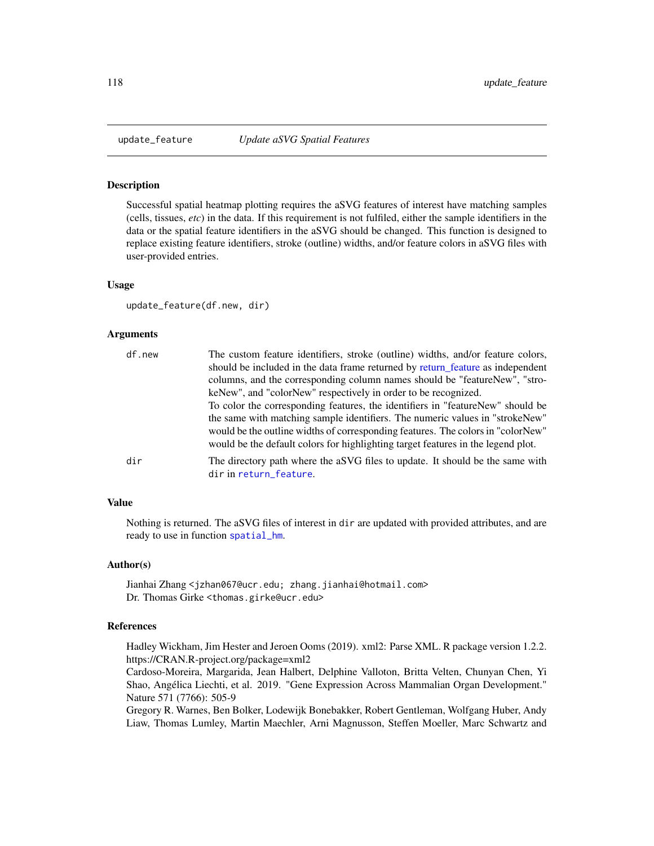<span id="page-117-0"></span>

# **Description**

Successful spatial heatmap plotting requires the aSVG features of interest have matching samples (cells, tissues, *etc*) in the data. If this requirement is not fulfiled, either the sample identifiers in the data or the spatial feature identifiers in the aSVG should be changed. This function is designed to replace existing feature identifiers, stroke (outline) widths, and/or feature colors in aSVG files with user-provided entries.

# Usage

update\_feature(df.new, dir)

# Arguments

| df.new | The custom feature identifiers, stroke (outline) widths, and/or feature colors,<br>should be included in the data frame returned by return feature as independent                                                                                   |
|--------|-----------------------------------------------------------------------------------------------------------------------------------------------------------------------------------------------------------------------------------------------------|
|        | columns, and the corresponding column names should be "featureNew", "stro-                                                                                                                                                                          |
|        | keNew", and "colorNew" respectively in order to be recognized.                                                                                                                                                                                      |
|        | To color the corresponding features, the identifiers in "featureNew" should be                                                                                                                                                                      |
|        | the same with matching sample identifiers. The numeric values in "strokeNew"<br>would be the outline widths of corresponding features. The colors in "colorNew"<br>would be the default colors for highlighting target features in the legend plot. |
| dir    | The directory path where the aSVG files to update. It should be the same with<br>dir in return_feature.                                                                                                                                             |

# Value

Nothing is returned. The aSVG files of interest in dir are updated with provided attributes, and are ready to use in function [spatial\\_hm](#page-90-0).

#### Author(s)

Jianhai Zhang <jzhan067@ucr.edu; zhang.jianhai@hotmail.com> Dr. Thomas Girke <thomas.girke@ucr.edu>

# References

Hadley Wickham, Jim Hester and Jeroen Ooms (2019). xml2: Parse XML. R package version 1.2.2. https://CRAN.R-project.org/package=xml2

Cardoso-Moreira, Margarida, Jean Halbert, Delphine Valloton, Britta Velten, Chunyan Chen, Yi Shao, Angélica Liechti, et al. 2019. "Gene Expression Across Mammalian Organ Development." Nature 571 (7766): 505-9

Gregory R. Warnes, Ben Bolker, Lodewijk Bonebakker, Robert Gentleman, Wolfgang Huber, Andy Liaw, Thomas Lumley, Martin Maechler, Arni Magnusson, Steffen Moeller, Marc Schwartz and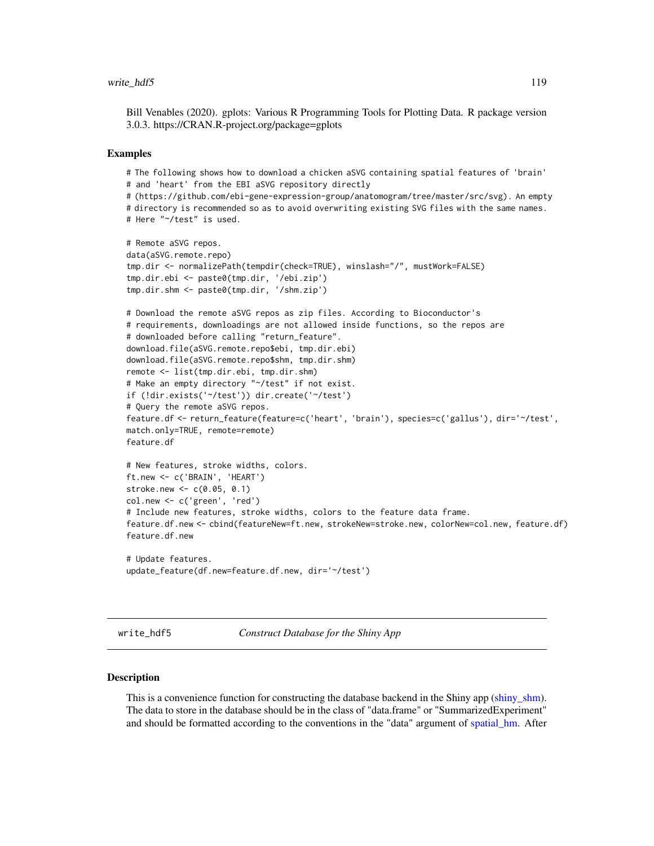# <span id="page-118-0"></span>write\_hdf5 119

Bill Venables (2020). gplots: Various R Programming Tools for Plotting Data. R package version 3.0.3. https://CRAN.R-project.org/package=gplots

### Examples

```
# The following shows how to download a chicken aSVG containing spatial features of 'brain'
# and 'heart' from the EBI aSVG repository directly
# (https://github.com/ebi-gene-expression-group/anatomogram/tree/master/src/svg). An empty
# directory is recommended so as to avoid overwriting existing SVG files with the same names.
# Here "~/test" is used.
# Remote aSVG repos.
data(aSVG.remote.repo)
tmp.dir <- normalizePath(tempdir(check=TRUE), winslash="/", mustWork=FALSE)
tmp.dir.ebi <- paste0(tmp.dir, '/ebi.zip')
tmp.dir.shm <- paste0(tmp.dir, '/shm.zip')
# Download the remote aSVG repos as zip files. According to Bioconductor's
# requirements, downloadings are not allowed inside functions, so the repos are
# downloaded before calling "return_feature".
download.file(aSVG.remote.repo$ebi, tmp.dir.ebi)
download.file(aSVG.remote.repo$shm, tmp.dir.shm)
remote <- list(tmp.dir.ebi, tmp.dir.shm)
# Make an empty directory "~/test" if not exist.
if (!dir.exists('~/test')) dir.create('~/test')
# Query the remote aSVG repos.
feature.df <- return_feature(feature=c('heart', 'brain'), species=c('gallus'), dir='~/test',
match.only=TRUE, remote=remote)
feature.df
# New features, stroke widths, colors.
ft.new <- c('BRAIN', 'HEART')
stroke.new <- c(0.05, 0.1)
col.new <- c('green', 'red')
# Include new features, stroke widths, colors to the feature data frame.
feature.df.new <- cbind(featureNew=ft.new, strokeNew=stroke.new, colorNew=col.new, feature.df)
feature.df.new
# Update features.
update_feature(df.new=feature.df.new, dir='~/test')
```
write\_hdf5 *Construct Database for the Shiny App*

# **Description**

This is a convenience function for constructing the database backend in the Shiny app [\(shiny\\_shm\)](#page-85-0). The data to store in the database should be in the class of "data.frame" or "SummarizedExperiment" and should be formatted according to the conventions in the "data" argument of [spatial\\_hm.](#page-90-0) After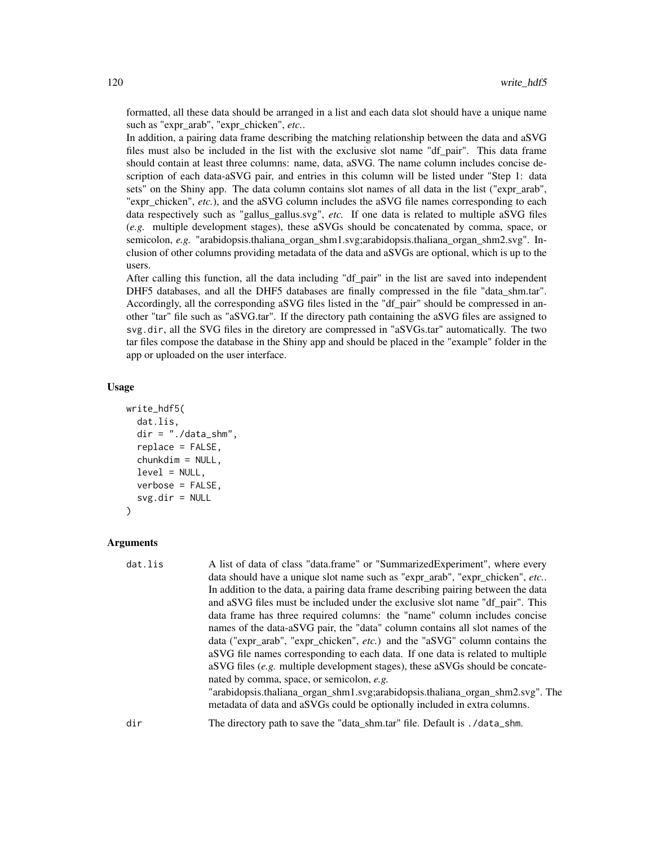formatted, all these data should be arranged in a list and each data slot should have a unique name such as "expr\_arab", "expr\_chicken", *etc.*.

In addition, a pairing data frame describing the matching relationship between the data and aSVG files must also be included in the list with the exclusive slot name "df\_pair". This data frame should contain at least three columns: name, data, aSVG. The name column includes concise description of each data-aSVG pair, and entries in this column will be listed under "Step 1: data sets" on the Shiny app. The data column contains slot names of all data in the list ("expr\_arab", "expr\_chicken", *etc.*), and the aSVG column includes the aSVG file names corresponding to each data respectively such as "gallus\_gallus.svg", *etc.* If one data is related to multiple aSVG files (*e.g.* multiple development stages), these aSVGs should be concatenated by comma, space, or semicolon, *e.g.* "arabidopsis.thaliana\_organ\_shm1.svg;arabidopsis.thaliana\_organ\_shm2.svg". Inclusion of other columns providing metadata of the data and aSVGs are optional, which is up to the users.

After calling this function, all the data including "df\_pair" in the list are saved into independent DHF5 databases, and all the DHF5 databases are finally compressed in the file "data\_shm.tar". Accordingly, all the corresponding aSVG files listed in the "df\_pair" should be compressed in another "tar" file such as "aSVG.tar". If the directory path containing the aSVG files are assigned to svg.dir, all the SVG files in the diretory are compressed in "aSVGs.tar" automatically. The two tar files compose the database in the Shiny app and should be placed in the "example" folder in the app or uploaded on the user interface.

# Usage

```
write_hdf5(
  dat.lis,
  dir = "./data\_shm",replace = FALSE,
  chunkdim = NULL,
  level = NULL,verbose = FALSE,
  svg.dir = NULL\lambda
```
# Arguments

| dat.lis | A list of data of class "data.frame" or "SummarizedExperiment", where every                                                                                 |
|---------|-------------------------------------------------------------------------------------------------------------------------------------------------------------|
|         | data should have a unique slot name such as "expr_arab", "expr_chicken", etc                                                                                |
|         | In addition to the data, a pairing data frame describing pairing between the data                                                                           |
|         | and aSVG files must be included under the exclusive slot name "df_pair". This                                                                               |
|         | data frame has three required columns: the "name" column includes concise                                                                                   |
|         | names of the data-aSVG pair, the "data" column contains all slot names of the                                                                               |
|         | data ("expr_arab", "expr_chicken", <i>etc.</i> ) and the "aSVG" column contains the                                                                         |
|         | a SVG file names corresponding to each data. If one data is related to multiple                                                                             |
|         | aSVG files (e.g. multiple development stages), these aSVGs should be concate-                                                                               |
|         | nated by comma, space, or semicolon, e.g.                                                                                                                   |
|         | "arabidopsis.thaliana_organ_shm1.svg;arabidopsis.thaliana_organ_shm2.svg". The<br>metadata of data and aSVGs could be optionally included in extra columns. |
| dir     | The directory path to save the "data_shm.tar" file. Default is ./data_shm.                                                                                  |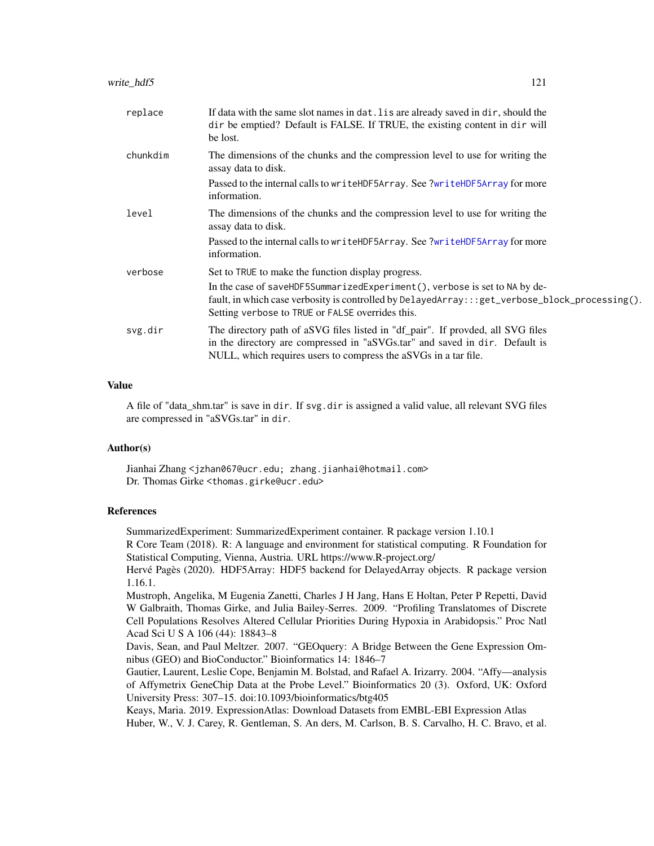<span id="page-120-0"></span>

| replace  | If data with the same slot names in dat. It's are already saved in dir, should the<br>dir be emptied? Default is FALSE. If TRUE, the existing content in dir will<br>be lost.                                                     |
|----------|-----------------------------------------------------------------------------------------------------------------------------------------------------------------------------------------------------------------------------------|
| chunkdim | The dimensions of the chunks and the compression level to use for writing the<br>assay data to disk.                                                                                                                              |
|          | Passed to the internal calls to writeHDF5Array. See ?writeHDF5Array for more<br>information.                                                                                                                                      |
| level    | The dimensions of the chunks and the compression level to use for writing the<br>assay data to disk.                                                                                                                              |
|          | Passed to the internal calls to writeHDF5Array. See ?writeHDF5Array for more<br>information.                                                                                                                                      |
| verbose  | Set to TRUE to make the function display progress.                                                                                                                                                                                |
|          | In the case of saveHDF5SummarizedExperiment(), verbose is set to NA by de-<br>fault, in which case verbosity is controlled by DelayedArray:::get_verbose_block_processing().<br>Setting verbose to TRUE or FALSE overrides this.  |
| svg.dir  | The directory path of aSVG files listed in "df_pair". If provded, all SVG files<br>in the directory are compressed in "aSVGs.tar" and saved in dir. Default is<br>NULL, which requires users to compress the aSVGs in a tar file. |

# Value

A file of "data\_shm.tar" is save in dir. If svg.dir is assigned a valid value, all relevant SVG files are compressed in "aSVGs.tar" in dir.

# Author(s)

Jianhai Zhang <jzhan067@ucr.edu; zhang.jianhai@hotmail.com> Dr. Thomas Girke <thomas.girke@ucr.edu>

# References

SummarizedExperiment: SummarizedExperiment container. R package version 1.10.1

R Core Team (2018). R: A language and environment for statistical computing. R Foundation for Statistical Computing, Vienna, Austria. URL https://www.R-project.org/

Hervé Pagès (2020). HDF5Array: HDF5 backend for DelayedArray objects. R package version 1.16.1.

Mustroph, Angelika, M Eugenia Zanetti, Charles J H Jang, Hans E Holtan, Peter P Repetti, David W Galbraith, Thomas Girke, and Julia Bailey-Serres. 2009. "Profiling Translatomes of Discrete Cell Populations Resolves Altered Cellular Priorities During Hypoxia in Arabidopsis." Proc Natl Acad Sci U S A 106 (44): 18843–8

Davis, Sean, and Paul Meltzer. 2007. "GEOquery: A Bridge Between the Gene Expression Omnibus (GEO) and BioConductor." Bioinformatics 14: 1846–7

Gautier, Laurent, Leslie Cope, Benjamin M. Bolstad, and Rafael A. Irizarry. 2004. "Affy—analysis of Affymetrix GeneChip Data at the Probe Level." Bioinformatics 20 (3). Oxford, UK: Oxford University Press: 307–15. doi:10.1093/bioinformatics/btg405

Keays, Maria. 2019. ExpressionAtlas: Download Datasets from EMBL-EBI Expression Atlas Huber, W., V. J. Carey, R. Gentleman, S. An ders, M. Carlson, B. S. Carvalho, H. C. Bravo, et al.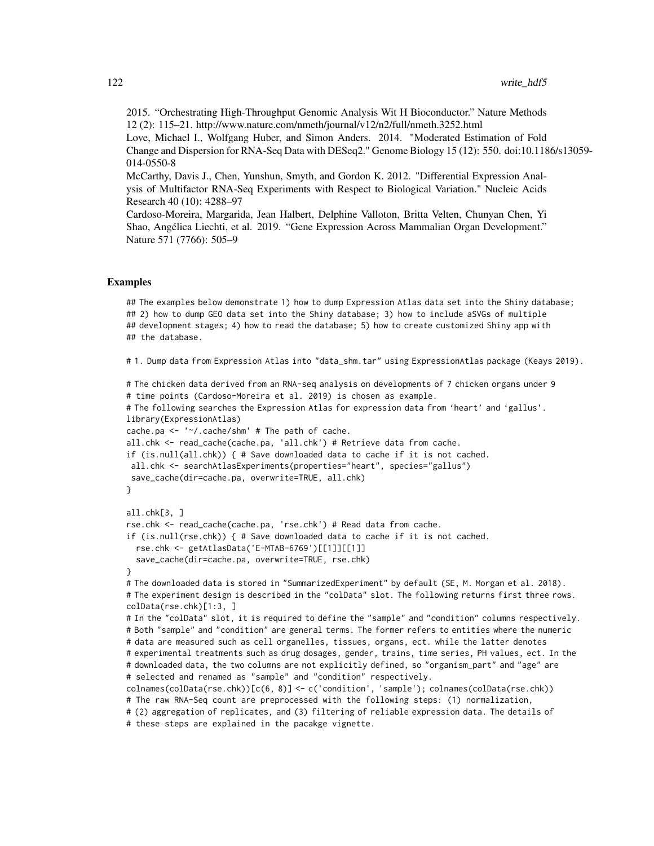2015. "Orchestrating High-Throughput Genomic Analysis Wit H Bioconductor." Nature Methods 12 (2): 115–21. http://www.nature.com/nmeth/journal/v12/n2/full/nmeth.3252.html

Love, Michael I., Wolfgang Huber, and Simon Anders. 2014. "Moderated Estimation of Fold Change and Dispersion for RNA-Seq Data with DESeq2." Genome Biology 15 (12): 550. doi:10.1186/s13059- 014-0550-8

McCarthy, Davis J., Chen, Yunshun, Smyth, and Gordon K. 2012. "Differential Expression Analysis of Multifactor RNA-Seq Experiments with Respect to Biological Variation." Nucleic Acids Research 40 (10): 4288–97

Cardoso-Moreira, Margarida, Jean Halbert, Delphine Valloton, Britta Velten, Chunyan Chen, Yi Shao, Angélica Liechti, et al. 2019. "Gene Expression Across Mammalian Organ Development." Nature 571 (7766): 505–9

# Examples

## The examples below demonstrate 1) how to dump Expression Atlas data set into the Shiny database; ## 2) how to dump GEO data set into the Shiny database; 3) how to include aSVGs of multiple ## development stages; 4) how to read the database; 5) how to create customized Shiny app with ## the database.

# 1. Dump data from Expression Atlas into "data\_shm.tar" using ExpressionAtlas package (Keays 2019).

```
# The chicken data derived from an RNA-seq analysis on developments of 7 chicken organs under 9
# time points (Cardoso-Moreira et al. 2019) is chosen as example.
# The following searches the Expression Atlas for expression data from 'heart' and 'gallus'.
library(ExpressionAtlas)
cache.pa <- '~/.cache/shm' # The path of cache.
all.chk <- read_cache(cache.pa, 'all.chk') # Retrieve data from cache.
if (is.null(all.chk)) { # Save downloaded data to cache if it is not cached.
all.chk <- searchAtlasExperiments(properties="heart", species="gallus")
save_cache(dir=cache.pa, overwrite=TRUE, all.chk)
}
all.chk[3, ]
rse.chk <- read_cache(cache.pa, 'rse.chk') # Read data from cache.
if (is.null(rse.chk)) { # Save downloaded data to cache if it is not cached.
 rse.chk <- getAtlasData('E-MTAB-6769')[[1]][[1]]
 save_cache(dir=cache.pa, overwrite=TRUE, rse.chk)
}
# The downloaded data is stored in "SummarizedExperiment" by default (SE, M. Morgan et al. 2018).
# The experiment design is described in the "colData" slot. The following returns first three rows.
colData(rse.chk)[1:3, ]
# In the "colData" slot, it is required to define the "sample" and "condition" columns respectively.
# Both "sample" and "condition" are general terms. The former refers to entities where the numeric
# data are measured such as cell organelles, tissues, organs, ect. while the latter denotes
# experimental treatments such as drug dosages, gender, trains, time series, PH values, ect. In the
# downloaded data, the two columns are not explicitly defined, so "organism_part" and "age" are
# selected and renamed as "sample" and "condition" respectively.
colnames(colData(rse.chk))[c(6, 8)] <- c('condition', 'sample'); colnames(colData(rse.chk))
# The raw RNA-Seq count are preprocessed with the following steps: (1) normalization,
# (2) aggregation of replicates, and (3) filtering of reliable expression data. The details of
# these steps are explained in the pacakge vignette.
```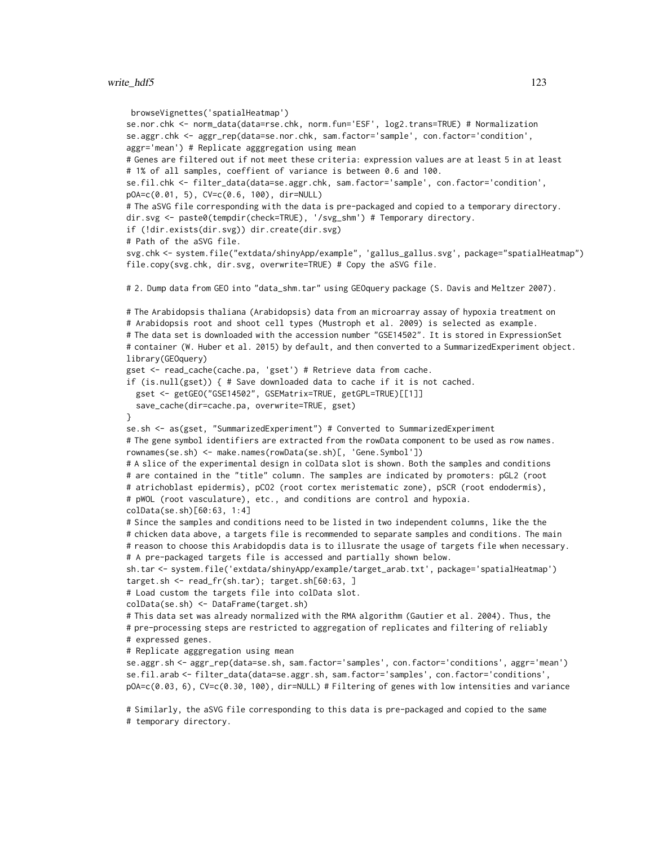```
browseVignettes('spatialHeatmap')
se.nor.chk <- norm_data(data=rse.chk, norm.fun='ESF', log2.trans=TRUE) # Normalization
se.aggr.chk <- aggr_rep(data=se.nor.chk, sam.factor='sample', con.factor='condition',
aggr='mean') # Replicate agggregation using mean
# Genes are filtered out if not meet these criteria: expression values are at least 5 in at least
# 1% of all samples, coeffient of variance is between 0.6 and 100.
se.fil.chk <- filter_data(data=se.aggr.chk, sam.factor='sample', con.factor='condition',
pOA=c(0.01, 5), CV=c(0.6, 100), dir=NULL)
# The aSVG file corresponding with the data is pre-packaged and copied to a temporary directory.
dir.svg <- paste0(tempdir(check=TRUE), '/svg_shm') # Temporary directory.
if (!dir.exists(dir.svg)) dir.create(dir.svg)
# Path of the aSVG file.
svg.chk <- system.file("extdata/shinyApp/example", 'gallus_gallus.svg', package="spatialHeatmap")
file.copy(svg.chk, dir.svg, overwrite=TRUE) # Copy the aSVG file.
# 2. Dump data from GEO into "data_shm.tar" using GEOquery package (S. Davis and Meltzer 2007).
# The Arabidopsis thaliana (Arabidopsis) data from an microarray assay of hypoxia treatment on
# Arabidopsis root and shoot cell types (Mustroph et al. 2009) is selected as example.
# The data set is downloaded with the accession number "GSE14502". It is stored in ExpressionSet
# container (W. Huber et al. 2015) by default, and then converted to a SummarizedExperiment object.
library(GEOquery)
gset <- read_cache(cache.pa, 'gset') # Retrieve data from cache.
if (is.null(gset)) { # Save downloaded data to cache if it is not cached.
 gset <- getGEO("GSE14502", GSEMatrix=TRUE, getGPL=TRUE)[[1]]
 save_cache(dir=cache.pa, overwrite=TRUE, gset)
}
se.sh <- as(gset, "SummarizedExperiment") # Converted to SummarizedExperiment
# The gene symbol identifiers are extracted from the rowData component to be used as row names.
rownames(se.sh) <- make.names(rowData(se.sh)[, 'Gene.Symbol'])
# A slice of the experimental design in colData slot is shown. Both the samples and conditions
# are contained in the "title" column. The samples are indicated by promoters: pGL2 (root
# atrichoblast epidermis), pCO2 (root cortex meristematic zone), pSCR (root endodermis),
# pWOL (root vasculature), etc., and conditions are control and hypoxia.
colData(se.sh)[60:63, 1:4]
# Since the samples and conditions need to be listed in two independent columns, like the the
# chicken data above, a targets file is recommended to separate samples and conditions. The main
# reason to choose this Arabidopdis data is to illusrate the usage of targets file when necessary.
# A pre-packaged targets file is accessed and partially shown below.
sh.tar <- system.file('extdata/shinyApp/example/target_arab.txt', package='spatialHeatmap')
target.sh <- read_fr(sh.tar); target.sh[60:63, ]
# Load custom the targets file into colData slot.
colData(se.sh) <- DataFrame(target.sh)
# This data set was already normalized with the RMA algorithm (Gautier et al. 2004). Thus, the
# pre-processing steps are restricted to aggregation of replicates and filtering of reliably
# expressed genes.
# Replicate agggregation using mean
se.aggr.sh <- aggr_rep(data=se.sh, sam.factor='samples', con.factor='conditions', aggr='mean')
se.fil.arab <- filter_data(data=se.aggr.sh, sam.factor='samples', con.factor='conditions',
pOA=c(0.03, 6), CV=c(0.30, 100), dir=NULL) # Filtering of genes with low intensities and variance
# Similarly, the aSVG file corresponding to this data is pre-packaged and copied to the same
# temporary directory.
```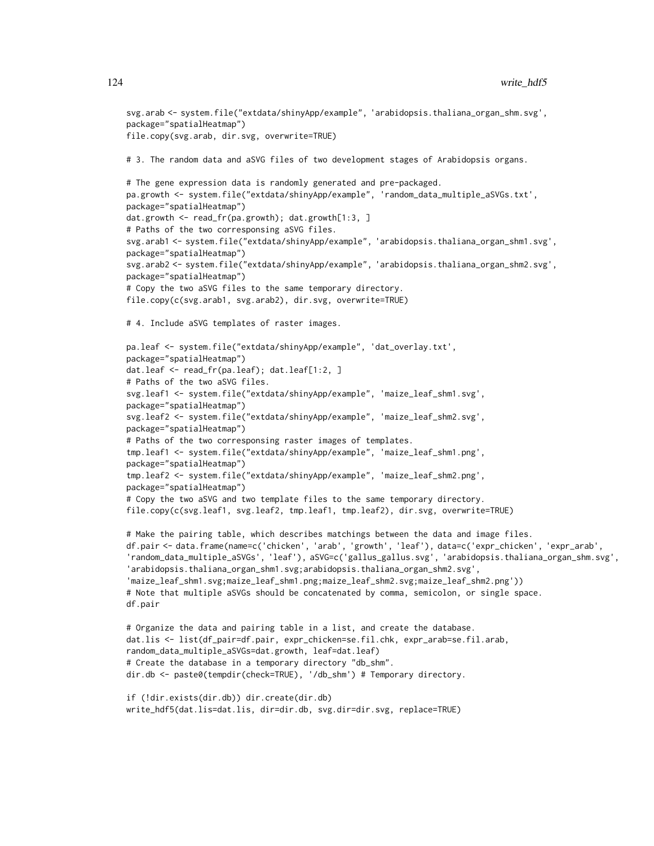```
svg.arab <- system.file("extdata/shinyApp/example", 'arabidopsis.thaliana_organ_shm.svg',
package="spatialHeatmap")
file.copy(svg.arab, dir.svg, overwrite=TRUE)
# 3. The random data and aSVG files of two development stages of Arabidopsis organs.
# The gene expression data is randomly generated and pre-packaged.
pa.growth <- system.file("extdata/shinyApp/example", 'random_data_multiple_aSVGs.txt',
package="spatialHeatmap")
dat.growth <- read_fr(pa.growth); dat.growth[1:3, ]
# Paths of the two corresponsing aSVG files.
svg.arab1 <- system.file("extdata/shinyApp/example", 'arabidopsis.thaliana_organ_shm1.svg',
package="spatialHeatmap")
svg.arab2 <- system.file("extdata/shinyApp/example", 'arabidopsis.thaliana_organ_shm2.svg',
package="spatialHeatmap")
# Copy the two aSVG files to the same temporary directory.
file.copy(c(svg.arab1, svg.arab2), dir.svg, overwrite=TRUE)
# 4. Include aSVG templates of raster images.
pa.leaf <- system.file("extdata/shinyApp/example", 'dat_overlay.txt',
package="spatialHeatmap")
dat.leaf <- read_fr(pa.leaf); dat.leaf[1:2, ]
# Paths of the two aSVG files.
svg.leaf1 <- system.file("extdata/shinyApp/example", 'maize_leaf_shm1.svg',
package="spatialHeatmap")
svg.leaf2 <- system.file("extdata/shinyApp/example", 'maize_leaf_shm2.svg',
package="spatialHeatmap")
# Paths of the two corresponsing raster images of templates.
tmp.leaf1 <- system.file("extdata/shinyApp/example", 'maize_leaf_shm1.png',
package="spatialHeatmap")
tmp.leaf2 <- system.file("extdata/shinyApp/example", 'maize_leaf_shm2.png',
package="spatialHeatmap")
# Copy the two aSVG and two template files to the same temporary directory.
file.copy(c(svg.leaf1, svg.leaf2, tmp.leaf1, tmp.leaf2), dir.svg, overwrite=TRUE)
# Make the pairing table, which describes matchings between the data and image files.
df.pair <- data.frame(name=c('chicken', 'arab', 'growth', 'leaf'), data=c('expr_chicken', 'expr_arab',
'random_data_multiple_aSVGs', 'leaf'), aSVG=c('gallus_gallus.svg', 'arabidopsis.thaliana_organ_shm.svg',
'arabidopsis.thaliana_organ_shm1.svg;arabidopsis.thaliana_organ_shm2.svg',
'maize_leaf_shm1.svg;maize_leaf_shm1.png;maize_leaf_shm2.svg;maize_leaf_shm2.png'))
# Note that multiple aSVGs should be concatenated by comma, semicolon, or single space.
df.pair
# Organize the data and pairing table in a list, and create the database.
dat.lis <- list(df_pair=df.pair, expr_chicken=se.fil.chk, expr_arab=se.fil.arab,
random_data_multiple_aSVGs=dat.growth, leaf=dat.leaf)
# Create the database in a temporary directory "db_shm".
dir.db <- paste0(tempdir(check=TRUE), '/db_shm') # Temporary directory.
if (!dir.exists(dir.db)) dir.create(dir.db)
```

```
write_hdf5(dat.lis=dat.lis, dir=dir.db, svg.dir=dir.svg, replace=TRUE)
```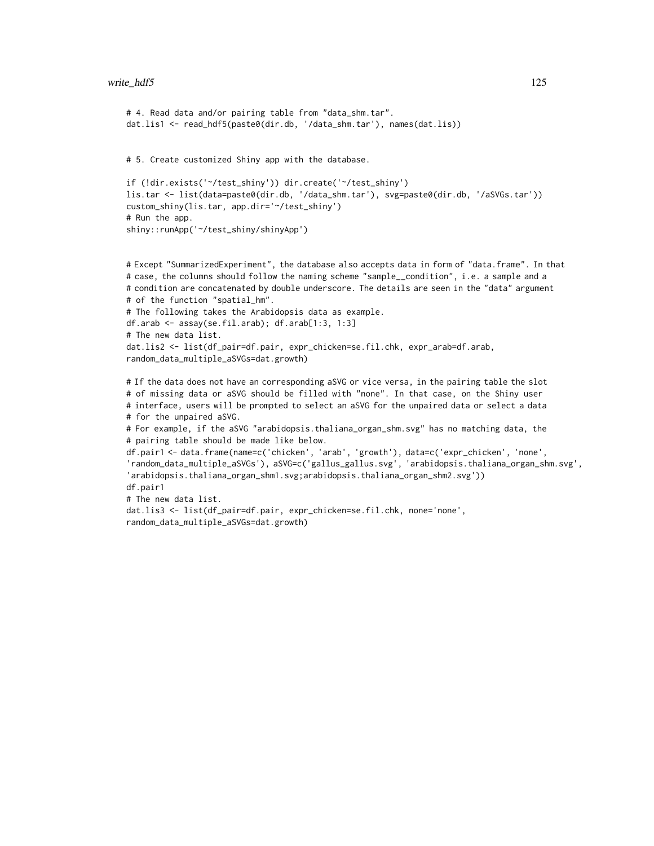# write\_hdf5 125

```
# 4. Read data and/or pairing table from "data_shm.tar".
dat.lis1 <- read_hdf5(paste0(dir.db, '/data_shm.tar'), names(dat.lis))
# 5. Create customized Shiny app with the database.
if (!dir.exists('~/test_shiny')) dir.create('~/test_shiny')
lis.tar <- list(data=paste0(dir.db, '/data_shm.tar'), svg=paste0(dir.db, '/aSVGs.tar'))
custom_shiny(lis.tar, app.dir='~/test_shiny')
# Run the app.
shiny::runApp('~/test_shiny/shinyApp')
```

```
# Except "SummarizedExperiment", the database also accepts data in form of "data.frame". In that
# case, the columns should follow the naming scheme "sample__condition", i.e. a sample and a
# condition are concatenated by double underscore. The details are seen in the "data" argument
# of the function "spatial_hm".
# The following takes the Arabidopsis data as example.
df.arab <- assay(se.fil.arab); df.arab[1:3, 1:3]
# The new data list.
dat.lis2 <- list(df_pair=df.pair, expr_chicken=se.fil.chk, expr_arab=df.arab,
random_data_multiple_aSVGs=dat.growth)
```
# If the data does not have an corresponding aSVG or vice versa, in the pairing table the slot # of missing data or aSVG should be filled with "none". In that case, on the Shiny user # interface, users will be prompted to select an aSVG for the unpaired data or select a data # for the unpaired aSVG. # For example, if the aSVG "arabidopsis.thaliana\_organ\_shm.svg" has no matching data, the # pairing table should be made like below.

```
df.pair1 <- data.frame(name=c('chicken', 'arab', 'growth'), data=c('expr_chicken', 'none',
'random_data_multiple_aSVGs'), aSVG=c('gallus_gallus.svg', 'arabidopsis.thaliana_organ_shm.svg',
'arabidopsis.thaliana_organ_shm1.svg;arabidopsis.thaliana_organ_shm2.svg'))
df.pair1
# The new data list.
```

```
dat.lis3 <- list(df_pair=df.pair, expr_chicken=se.fil.chk, none='none',
random_data_multiple_aSVGs=dat.growth)
```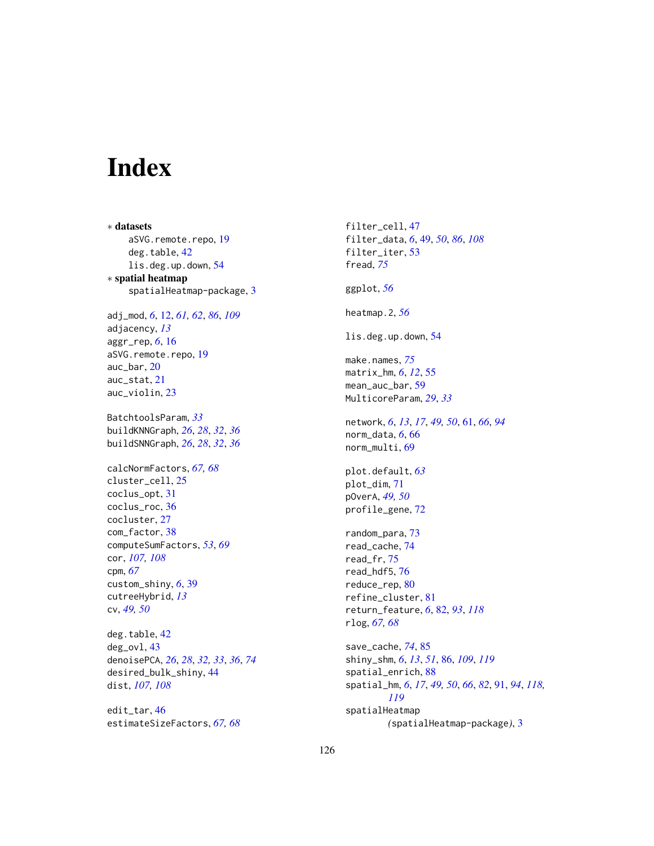# Index

∗ datasets aSVG.remote.repo, [19](#page-18-0) deg.table, [42](#page-41-0) lis.deg.up.down, [54](#page-53-0) ∗ spatial heatmap spatialHeatmap-package, [3](#page-2-0) adj\_mod, *[6](#page-5-0)*, [12,](#page-11-1) *[61,](#page-60-0) [62](#page-61-0)*, *[86](#page-85-1)*, *[109](#page-108-0)* adjacency, *[13](#page-12-0)* aggr\_rep, *[6](#page-5-0)*, [16](#page-15-0) aSVG.remote.repo, [19](#page-18-0) auc\_bar, [20](#page-19-0) auc\_stat, [21](#page-20-0) auc\_violin, [23](#page-22-0) BatchtoolsParam, *[33](#page-32-0)* buildKNNGraph, *[26](#page-25-0)*, *[28](#page-27-0)*, *[32](#page-31-0)*, *[36](#page-35-0)* buildSNNGraph, *[26](#page-25-0)*, *[28](#page-27-0)*, *[32](#page-31-0)*, *[36](#page-35-0)* calcNormFactors, *[67,](#page-66-0) [68](#page-67-0)* cluster\_cell, [25](#page-24-0) coclus\_opt, [31](#page-30-0) coclus\_roc, [36](#page-35-0) cocluster, [27](#page-26-0) com\_factor, [38](#page-37-0) computeSumFactors, *[53](#page-52-0)*, *[69](#page-68-0)* cor, *[107,](#page-106-0) [108](#page-107-0)* cpm, *[67](#page-66-0)* custom\_shiny, *[6](#page-5-0)*, [39](#page-38-0) cutreeHybrid, *[13](#page-12-0)* cv, *[49,](#page-48-0) [50](#page-49-0)* deg.table, [42](#page-41-0) deg\_ovl, [43](#page-42-0) denoisePCA, *[26](#page-25-0)*, *[28](#page-27-0)*, *[32,](#page-31-0) [33](#page-32-0)*, *[36](#page-35-0)*, *[74](#page-73-0)* desired\_bulk\_shiny, [44](#page-43-0)

edit\_tar, [46](#page-45-0) estimateSizeFactors, *[67,](#page-66-0) [68](#page-67-0)*

dist, *[107,](#page-106-0) [108](#page-107-0)*

filter\_cell, [47](#page-46-0) filter\_data, *[6](#page-5-0)*, [49,](#page-48-0) *[50](#page-49-0)*, *[86](#page-85-1)*, *[108](#page-107-0)* filter\_iter, [53](#page-52-0) fread, *[75](#page-74-0)* ggplot, *[56](#page-55-0)* heatmap.2, *[56](#page-55-0)* lis.deg.up.down, [54](#page-53-0) make.names, *[75](#page-74-0)* matrix\_hm, *[6](#page-5-0)*, *[12](#page-11-1)*, [55](#page-54-0) mean\_auc\_bar, [59](#page-58-0) MulticoreParam, *[29](#page-28-0)*, *[33](#page-32-0)* network, *[6](#page-5-0)*, *[13](#page-12-0)*, *[17](#page-16-0)*, *[49,](#page-48-0) [50](#page-49-0)*, [61,](#page-60-0) *[66](#page-65-0)*, *[94](#page-93-0)* norm\_data, *[6](#page-5-0)*, [66](#page-65-0) norm\_multi, [69](#page-68-0) plot.default, *[63](#page-62-0)* plot\_dim, [71](#page-70-0) pOverA, *[49,](#page-48-0) [50](#page-49-0)* profile\_gene, [72](#page-71-0) random\_para, [73](#page-72-0) read\_cache, [74](#page-73-0) read\_fr, [75](#page-74-0) read\_hdf5, [76](#page-75-0) reduce\_rep, [80](#page-79-0) refine\_cluster, [81](#page-80-0) return\_feature, *[6](#page-5-0)*, [82,](#page-81-1) *[93](#page-92-0)*, *[118](#page-117-0)* rlog, *[67,](#page-66-0) [68](#page-67-0)* save\_cache, *[74](#page-73-0)*, [85](#page-84-0) shiny\_shm, *[6](#page-5-0)*, *[13](#page-12-0)*, *[51](#page-50-0)*, [86,](#page-85-1) *[109](#page-108-0)*, *[119](#page-118-0)* spatial\_enrich, [88](#page-87-0) spatial\_hm, *[6](#page-5-0)*, *[17](#page-16-0)*, *[49,](#page-48-0) [50](#page-49-0)*, *[66](#page-65-0)*, *[82](#page-81-1)*, [91,](#page-90-1) *[94](#page-93-0)*, *[118,](#page-117-0)*

*[119](#page-118-0)* spatialHeatmap *(*spatialHeatmap-package*)*, [3](#page-2-0)